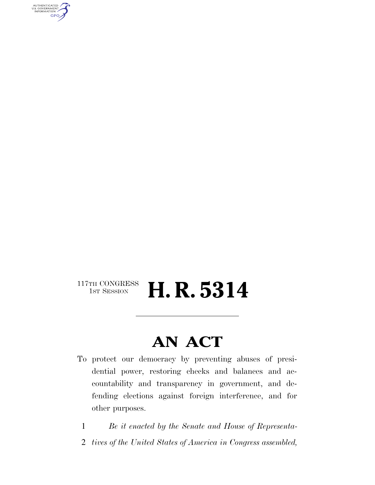AUTHENTICATED<br>U.S. GOVERNMENT<br>INFORMATION GPO

# $\begin{array}{c} \text{117TH CONGRESS} \\ \text{1ST SESSION} \end{array}$ **H. R. 5314**

# **AN ACT**

- To protect our democracy by preventing abuses of presidential power, restoring checks and balances and accountability and transparency in government, and defending elections against foreign interference, and for other purposes.
	- 1 *Be it enacted by the Senate and House of Representa-*
	- 2 *tives of the United States of America in Congress assembled,*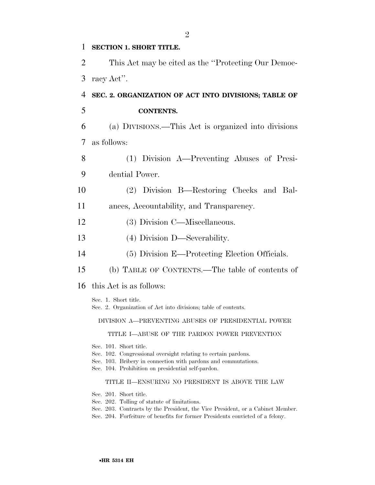| 1  | SECTION 1. SHORT TITLE.                                                                                                                                                                                                                   |
|----|-------------------------------------------------------------------------------------------------------------------------------------------------------------------------------------------------------------------------------------------|
| 2  | This Act may be cited as the "Protecting Our Democ-                                                                                                                                                                                       |
| 3  | racy Act".                                                                                                                                                                                                                                |
| 4  | SEC. 2. ORGANIZATION OF ACT INTO DIVISIONS; TABLE OF                                                                                                                                                                                      |
| 5  | <b>CONTENTS.</b>                                                                                                                                                                                                                          |
| 6  | (a) DIVISIONS.—This Act is organized into divisions                                                                                                                                                                                       |
| 7  | as follows:                                                                                                                                                                                                                               |
| 8  | (1) Division A—Preventing Abuses of Presi-                                                                                                                                                                                                |
| 9  | dential Power.                                                                                                                                                                                                                            |
| 10 | (2) Division B—Restoring Checks and Bal-                                                                                                                                                                                                  |
| 11 | ances, Accountability, and Transparency.                                                                                                                                                                                                  |
| 12 | (3) Division C—Miscellaneous.                                                                                                                                                                                                             |
| 13 | (4) Division D—Severability.                                                                                                                                                                                                              |
| 14 | (5) Division E—Protecting Election Officials.                                                                                                                                                                                             |
| 15 | (b) TABLE OF CONTENTS.—The table of contents of                                                                                                                                                                                           |
| 16 | this Act is as follows:                                                                                                                                                                                                                   |
|    | Sec. 1. Short title.<br>Sec. 2. Organization of Act into divisions; table of contents.                                                                                                                                                    |
|    | DIVISION A—PREVENTING ABUSES OF PRESIDENTIAL POWER                                                                                                                                                                                        |
|    | TITLE I-ABUSE OF THE PARDON POWER PREVENTION                                                                                                                                                                                              |
|    | Sec. 101. Short title.<br>Sec. 102. Congressional oversight relating to certain pardons.<br>Sec. 103. Bribery in connection with pardons and commutations.<br>Sec. 104. Prohibition on presidential self-pardon.                          |
|    | TITLE II—ENSURING NO PRESIDENT IS ABOVE THE LAW                                                                                                                                                                                           |
|    | Sec. 201. Short title.<br>Sec. 202. Tolling of statute of limitations.<br>Sec. 203. Contracts by the President, the Vice President, or a Cabinet Member.<br>Sec. 204. Forfeiture of benefits for former Presidents convicted of a felony. |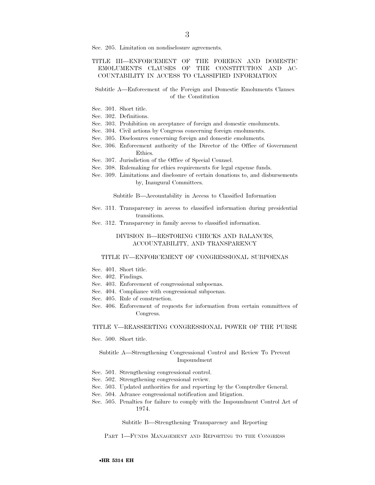Sec. 205. Limitation on nondisclosure agreements.

## TITLE III—ENFORCEMENT OF THE FOREIGN AND DOMESTIC EMOLUMENTS CLAUSES OF THE CONSTITUTION AND AC-COUNTABILITY IN ACCESS TO CLASSIFIED INFORMATION

### Subtitle A—Enforcement of the Foreign and Domestic Emoluments Clauses of the Constitution

- Sec. 301. Short title.
- Sec. 302. Definitions.
- Sec. 303. Prohibition on acceptance of foreign and domestic emoluments.
- Sec. 304. Civil actions by Congress concerning foreign emoluments.
- Sec. 305. Disclosures concerning foreign and domestic emoluments.
- Sec. 306. Enforcement authority of the Director of the Office of Government Ethics.
- Sec. 307. Jurisdiction of the Office of Special Counsel.
- Sec. 308. Rulemaking for ethics requirements for legal expense funds.
- Sec. 309. Limitations and disclosure of certain donations to, and disbursements by, Inaugural Committees.

Subtitle B—Accountability in Access to Classified Information

- Sec. 311. Transparency in access to classified information during presidential transitions.
- Sec. 312. Transparency in family access to classified information.

### DIVISION B—RESTORING CHECKS AND BALANCES, ACCOUNTABILITY, AND TRANSPARENCY

#### TITLE IV—ENFORCEMENT OF CONGRESSIONAL SUBPOENAS

- Sec. 401. Short title.
- Sec. 402. Findings.
- Sec. 403. Enforcement of congressional subpoenas.
- Sec. 404. Compliance with congressional subpoenas.
- Sec. 405. Rule of construction.
- Sec. 406. Enforcement of requests for information from certain committees of Congress.

#### TITLE V—REASSERTING CONGRESSIONAL POWER OF THE PURSE

Sec. 500. Short title.

## Subtitle A—Strengthening Congressional Control and Review To Prevent Impoundment

- Sec. 501. Strengthening congressional control.
- Sec. 502. Strengthening congressional review.
- Sec. 503. Updated authorities for and reporting by the Comptroller General.
- Sec. 504. Advance congressional notification and litigation.
- Sec. 505. Penalties for failure to comply with the Impoundment Control Act of 1974.

Subtitle B—Strengthening Transparency and Reporting

PART 1—FUNDS MANAGEMENT AND REPORTING TO THE CONGRESS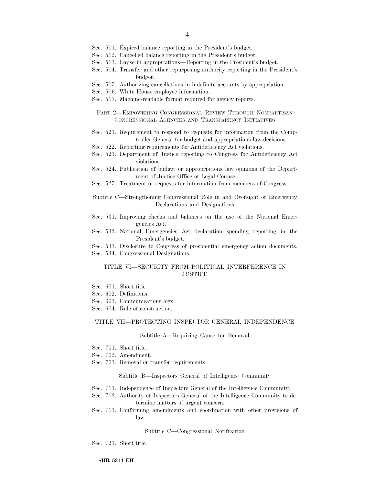- Sec. 511. Expired balance reporting in the President's budget.
- Sec. 512. Cancelled balance reporting in the President's budget.
- Sec. 513. Lapse in appropriations—Reporting in the President's budget.
- Sec. 514. Transfer and other repurposing authority reporting in the President's budget.
- Sec. 515. Authorizing cancellations in indefinite accounts by appropriation.
- Sec. 516. White House employee information.
- Sec. 517. Machine-readable format required for agency reports.
	- PART 2—EMPOWERING CONGRESSIONAL REVIEW THROUGH NONPARTISAN CONGRESSIONAL AGENCIES AND TRANSPARENCY INITIATIVES
- Sec. 521. Requirement to respond to requests for information from the Comptroller General for budget and appropriations law decisions.
- Sec. 522. Reporting requirements for Antideficiency Act violations.
- Sec. 523. Department of Justice reporting to Congress for Antideficiency Act violations.
- Sec. 524. Publication of budget or appropriations law opinions of the Department of Justice Office of Legal Counsel.
- Sec. 525. Treatment of requests for information from members of Congress.

Subtitle C—Strengthening Congressional Role in and Oversight of Emergency Declarations and Designations

- Sec. 531. Improving checks and balances on the use of the National Emergencies Act.
- Sec. 532. National Emergencies Act declaration spending reporting in the President's budget.
- Sec. 533. Disclosure to Congress of presidential emergency action documents. Sec. 534. Congressional Designations.

### TITLE VI—SECURITY FROM POLITICAL INTERFERENCE IN **JUSTICE**

- Sec. 601. Short title.
- Sec. 602. Definitions.
- Sec. 603. Communications logs.
- Sec. 604. Rule of construction.

#### TITLE VII—PROTECTING INSPECTOR GENERAL INDEPENDENCE

#### Subtitle A—Requiring Cause for Removal

- Sec. 701. Short title.
- Sec. 702. Amendment.
- Sec. 703. Removal or transfer requirements.

#### Subtitle B—Inspectors General of Intelligence Community

- Sec. 711. Independence of Inspectors General of the Intelligence Community.
- Sec. 712. Authority of Inspectors General of the Intelligence Community to determine matters of urgent concern.
- Sec. 713. Conforming amendments and coordination with other provisions of law.

#### Subtitle C—Congressional Notification

Sec. 721. Short title.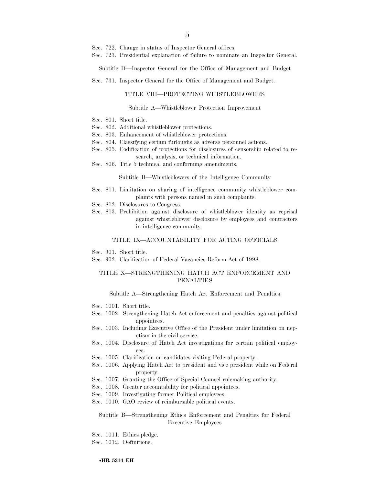- Sec. 722. Change in status of Inspector General offices.
- Sec. 723. Presidential explanation of failure to nominate an Inspector General.

Subtitle D—Inspector General for the Office of Management and Budget

Sec. 731. Inspector General for the Office of Management and Budget.

#### TITLE VIII—PROTECTING WHISTLEBLOWERS

#### Subtitle A—Whistleblower Protection Improvement

- Sec. 801. Short title.
- Sec. 802. Additional whistleblower protections.
- Sec. 803. Enhancement of whistleblower protections.
- Sec. 804. Classifying certain furloughs as adverse personnel actions.
- Sec. 805. Codification of protections for disclosures of censorship related to research, analysis, or technical information.
- Sec. 806. Title 5 technical and conforming amendments.

Subtitle B—Whistleblowers of the Intelligence Community

- Sec. 811. Limitation on sharing of intelligence community whistleblower complaints with persons named in such complaints.
- Sec. 812. Disclosures to Congress.
- Sec. 813. Prohibition against disclosure of whistleblower identity as reprisal against whistleblower disclosure by employees and contractors in intelligence community.

#### TITLE IX—ACCOUNTABILITY FOR ACTING OFFICIALS

- Sec. 901. Short title.
- Sec. 902. Clarification of Federal Vacancies Reform Act of 1998.

## TITLE X—STRENGTHENING HATCH ACT ENFORCEMENT AND PENALTIES

#### Subtitle A—Strengthening Hatch Act Enforcement and Penalties

- Sec. 1001. Short title.
- Sec. 1002. Strengthening Hatch Act enforcement and penalties against political appointees.
- Sec. 1003. Including Executive Office of the President under limitation on nepotism in the civil service.
- Sec. 1004. Disclosure of Hatch Act investigations for certain political employees.
- Sec. 1005. Clarification on candidates visiting Federal property.
- Sec. 1006. Applying Hatch Act to president and vice president while on Federal property.
- Sec. 1007. Granting the Office of Special Counsel rulemaking authority.
- Sec. 1008. Greater accountability for political appointees.
- Sec. 1009. Investigating former Political employees.
- Sec. 1010. GAO review of reimbursable political events.

### Subtitle B—Strengthening Ethics Enforcement and Penalties for Federal Executive Employees

Sec. 1011. Ethics pledge.

Sec. 1012. Definitions.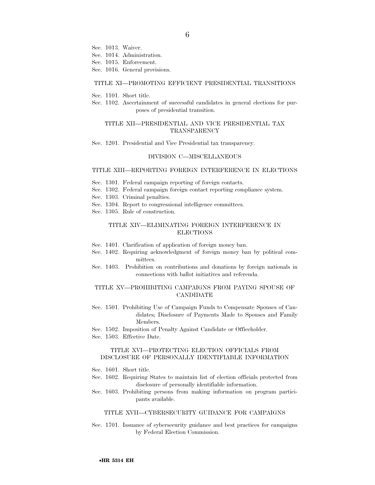- Sec. 1013. Waiver.
- Sec. 1014. Administration.
- Sec. 1015. Enforcement.
- Sec. 1016. General provisions.

#### TITLE XI—PROMOTING EFFICIENT PRESIDENTIAL TRANSITIONS

- Sec. 1101. Short title.
- Sec. 1102. Ascertainment of successful candidates in general elections for purposes of presidential transition.

#### TITLE XII—PRESIDENTIAL AND VICE PRESIDENTIAL TAX TRANSPARENCY

Sec. 1201. Presidential and Vice Presidential tax transparency.

#### DIVISION C—MISCELLANEOUS

### TITLE XIII—REPORTING FOREIGN INTERFERENCE IN ELECTIONS

- Sec. 1301. Federal campaign reporting of foreign contacts.
- Sec. 1302. Federal campaign foreign contact reporting compliance system.
- Sec. 1303. Criminal penalties.
- Sec. 1304. Report to congressional intelligence committees.
- Sec. 1305. Rule of construction.

## TITLE XIV—ELIMINATING FOREIGN INTERFERENCE IN ELECTIONS

- Sec. 1401. Clarification of application of foreign money ban.
- Sec. 1402. Requiring acknowledgment of foreign money ban by political committees.
- Sec. 1403. Prohibition on contributions and donations by foreign nationals in connections with ballot initiatives and referenda.

### TITLE XV—PROHIBITING CAMPAIGNS FROM PAYING SPOUSE OF CANDIDATE

- Sec. 1501. Prohibiting Use of Campaign Funds to Compensate Spouses of Candidates; Disclosure of Payments Made to Spouses and Family Members.
- Sec. 1502. Imposition of Penalty Against Candidate or Officeholder.
- Sec. 1503. Effective Date.

### TITLE XVI—PROTECTING ELECTION OFFICIALS FROM DISCLOSURE OF PERSONALLY IDENTIFIABLE INFORMATION

- Sec. 1601. Short title.
- Sec. 1602. Requiring States to maintain list of election officials protected from disclosure of personally identifiable information.
- Sec. 1603. Prohibiting persons from making information on program participants available.

#### TITLE XVII—CYBERSECURITY GUIDANCE FOR CAMPAIGNS

Sec. 1701. Issuance of cybersecurity guidance and best practices for campaigns by Federal Election Commission.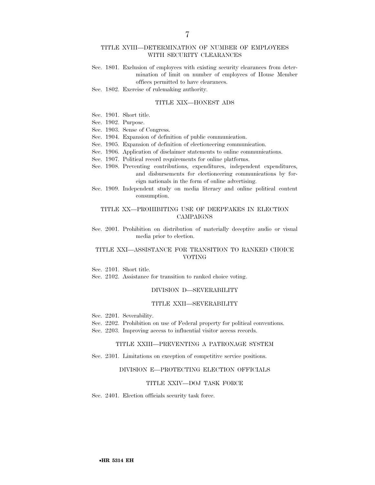### TITLE XVIII—DETERMINATION OF NUMBER OF EMPLOYEES WITH SECURITY CLEARANCES

Sec. 1801. Exclusion of employees with existing security clearances from determination of limit on number of employees of House Member offices permitted to have clearances.

Sec. 1802. Exercise of rulemaking authority.

#### TITLE XIX—HONEST ADS

- Sec. 1901. Short title.
- Sec. 1902. Purpose.
- Sec. 1903. Sense of Congress.
- Sec. 1904. Expansion of definition of public communication.
- Sec. 1905. Expansion of definition of electioneering communication.
- Sec. 1906. Application of disclaimer statements to online communications.
- Sec. 1907. Political record requirements for online platforms.
- Sec. 1908. Preventing contributions, expenditures, independent expenditures, and disbursements for electioneering communications by foreign nationals in the form of online advertising.
- Sec. 1909. Independent study on media literacy and online political content consumption.

## TITLE XX—PROHIBITING USE OF DEEPFAKES IN ELECTION CAMPAIGNS

Sec. 2001. Prohibition on distribution of materially deceptive audio or visual media prior to election.

### TITLE XXI—ASSISTANCE FOR TRANSITION TO RANKED CHOICE VOTING

Sec. 2101. Short title.

Sec. 2102. Assistance for transition to ranked choice voting.

#### DIVISION D—SEVERABILITY

### TITLE XXII—SEVERABILITY

- Sec. 2201. Severability.
- Sec. 2202. Prohibition on use of Federal property for political conventions.
- Sec. 2203. Improving access to influential visitor access records.

#### TITLE XXIII—PREVENTING A PATRONAGE SYSTEM

Sec. 2301. Limitations on exception of competitive service positions.

#### DIVISION E—PROTECTING ELECTION OFFICIALS

#### TITLE XXIV—DOJ TASK FORCE

Sec. 2401. Election officials security task force.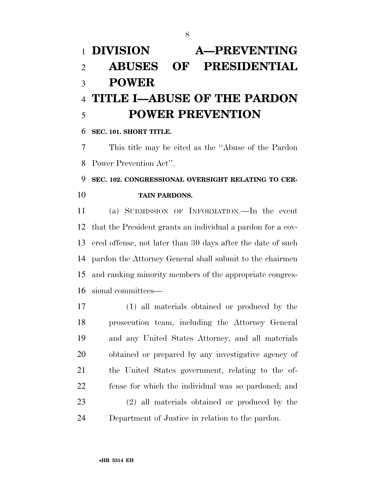# **DIVISION A—PREVENTING ABUSES OF PRESIDENTIAL POWER TITLE I—ABUSE OF THE PARDON POWER PREVENTION**

**SEC. 101. SHORT TITLE.** 

 This title may be cited as the ''Abuse of the Pardon Power Prevention Act''.

# **SEC. 102. CONGRESSIONAL OVERSIGHT RELATING TO CER-TAIN PARDONS.**

 (a) SUBMISSION OF INFORMATION.—In the event that the President grants an individual a pardon for a cov- ered offense, not later than 30 days after the date of such pardon the Attorney General shall submit to the chairmen and ranking minority members of the appropriate congres-sional committees—

 (1) all materials obtained or produced by the prosecution team, including the Attorney General and any United States Attorney, and all materials obtained or prepared by any investigative agency of the United States government, relating to the of- fense for which the individual was so pardoned; and (2) all materials obtained or produced by the Department of Justice in relation to the pardon.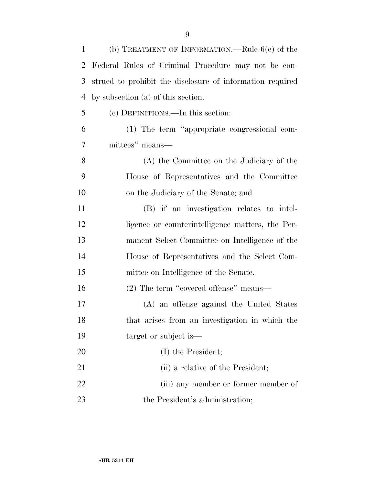| 1  | (b) TREATMENT OF INFORMATION.—Rule $6(e)$ of the          |
|----|-----------------------------------------------------------|
| 2  | Federal Rules of Criminal Procedure may not be con-       |
| 3  | strued to prohibit the disclosure of information required |
| 4  | by subsection (a) of this section.                        |
| 5  | (c) DEFINITIONS.—In this section:                         |
| 6  | (1) The term "appropriate congressional com-              |
| 7  | mittees" means—                                           |
| 8  | (A) the Committee on the Judiciary of the                 |
| 9  | House of Representatives and the Committee                |
| 10 | on the Judiciary of the Senate; and                       |
| 11 | (B) if an investigation relates to intel-                 |
| 12 | ligence or counterintelligence matters, the Per-          |
| 13 | manent Select Committee on Intelligence of the            |
| 14 | House of Representatives and the Select Com-              |
| 15 | mittee on Intelligence of the Senate.                     |
| 16 | $(2)$ The term "covered offense" means—                   |
| 17 | (A) an offense against the United States                  |
| 18 | that arises from an investigation in which the            |
| 19 | target or subject is—                                     |
| 20 | (I) the President;                                        |
| 21 | (ii) a relative of the President;                         |
| 22 | (iii) any member or former member of                      |
| 23 | the President's administration;                           |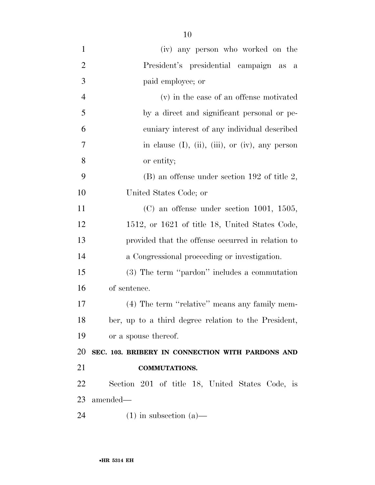| $\mathbf{1}$   | (iv) any person who worked on the                           |
|----------------|-------------------------------------------------------------|
| $\overline{2}$ | President's presidential campaign as a                      |
| 3              | paid employee; or                                           |
| $\overline{4}$ | (v) in the case of an offense motivated                     |
| 5              | by a direct and significant personal or pe-                 |
| 6              | cuniary interest of any individual described                |
| 7              | in clause $(I)$ , $(ii)$ , $(iii)$ , or $(iv)$ , any person |
| 8              | or entity;                                                  |
| 9              | $(B)$ an offense under section 192 of title 2,              |
| 10             | United States Code; or                                      |
| 11             | $(C)$ an offense under section 1001, 1505,                  |
| 12             | 1512, or 1621 of title 18, United States Code,              |
| 13             | provided that the offense occurred in relation to           |
| 14             | a Congressional proceeding or investigation.                |
| 15             | $(3)$ The term "pardon" includes a commutation              |
| 16             | of sentence.                                                |
| 17             | (4) The term "relative" means any family mem-               |
| 18             | ber, up to a third degree relation to the President,        |
| 19             | or a spouse thereof.                                        |
| 20             | SEC. 103. BRIBERY IN CONNECTION WITH PARDONS AND            |
| 21             | <b>COMMUTATIONS.</b>                                        |
| 22             | Section 201 of title 18, United States Code, is             |
| 23             | amended—                                                    |
| 24             | $(1)$ in subsection $(a)$ —                                 |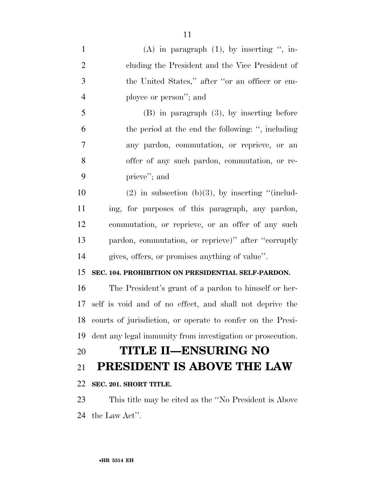| $\mathbf{1}$   | $(A)$ in paragraph $(1)$ , by inserting ", in-             |
|----------------|------------------------------------------------------------|
| $\overline{2}$ | cluding the President and the Vice President of            |
| 3              | the United States," after "or an officer or em-            |
| $\overline{4}$ | ployee or person"; and                                     |
| 5              | $(B)$ in paragraph $(3)$ , by inserting before             |
| 6              | the period at the end the following: ", including          |
| $\tau$         | any pardon, commutation, or reprieve, or an                |
| 8              | offer of any such pardon, commutation, or re-              |
| 9              | prieve"; and                                               |
| 10             | $(2)$ in subsection (b)(3), by inserting "(includ-         |
| 11             | ing, for purposes of this paragraph, any pardon,           |
| 12             | commutation, or reprieve, or an offer of any such          |
| 13             | pardon, commutation, or reprieve)" after "corruptly        |
| 14             | gives, offers, or promises anything of value".             |
| 15             | SEC. 104. PROHIBITION ON PRESIDENTIAL SELF-PARDON.         |
| 16             | The President's grant of a pardon to himself or her-       |
| 17             | self is void and of no effect, and shall not deprive the   |
| 18             | courts of jurisdiction, or operate to confer on the Presi- |
| 19             | dent any legal immunity from investigation or prosecution. |
| 20             | <b>TITLE II—ENSURING NO</b>                                |
| 21             | PRESIDENT IS ABOVE THE LAW                                 |
| 22             | SEC. 201. SHORT TITLE.                                     |
| 23             | This title may be cited as the "No President is Above"     |
| 24             | the Law Act".                                              |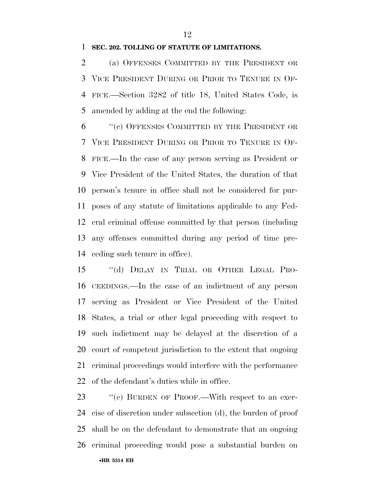# **SEC. 202. TOLLING OF STATUTE OF LIMITATIONS.**

 (a) OFFENSES COMMITTED BY THE PRESIDENT OR VICE PRESIDENT DURING OR PRIOR TO TENURE IN OF- FICE.—Section 3282 of title 18, United States Code, is amended by adding at the end the following:

 ''(c) OFFENSES COMMITTED BY THE PRESIDENT OR VICE PRESIDENT DURING OR PRIOR TO TENURE IN OF- FICE.—In the case of any person serving as President or Vice President of the United States, the duration of that person's tenure in office shall not be considered for pur- poses of any statute of limitations applicable to any Fed- eral criminal offense committed by that person (including any offenses committed during any period of time pre-ceding such tenure in office).

 ''(d) DELAY IN TRIAL OR OTHER LEGAL PRO- CEEDINGS.—In the case of an indictment of any person serving as President or Vice President of the United States, a trial or other legal proceeding with respect to such indictment may be delayed at the discretion of a court of competent jurisdiction to the extent that ongoing criminal proceedings would interfere with the performance of the defendant's duties while in office.

•**HR 5314 EH** 23 " (e) BURDEN OF PROOF.—With respect to an exer- cise of discretion under subsection (d), the burden of proof shall be on the defendant to demonstrate that an ongoing criminal proceeding would pose a substantial burden on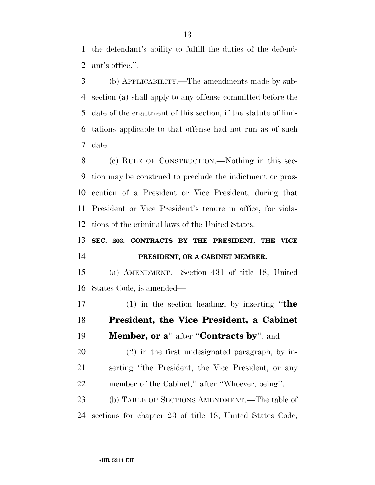the defendant's ability to fulfill the duties of the defend-ant's office.''.

 (b) APPLICABILITY.—The amendments made by sub- section (a) shall apply to any offense committed before the date of the enactment of this section, if the statute of limi- tations applicable to that offense had not run as of such date.

 (c) RULE OF CONSTRUCTION.—Nothing in this sec- tion may be construed to preclude the indictment or pros- ecution of a President or Vice President, during that President or Vice President's tenure in office, for viola-tions of the criminal laws of the United States.

# **SEC. 203. CONTRACTS BY THE PRESIDENT, THE VICE PRESIDENT, OR A CABINET MEMBER.**

 (a) AMENDMENT.—Section 431 of title 18, United States Code, is amended—

 (1) in the section heading, by inserting ''**the President, the Vice President, a Cabinet Member, or a**'' after ''**Contracts by**''; and

 (2) in the first undesignated paragraph, by in- serting ''the President, the Vice President, or any member of the Cabinet,'' after ''Whoever, being''.

 (b) TABLE OF SECTIONS AMENDMENT.—The table of sections for chapter 23 of title 18, United States Code,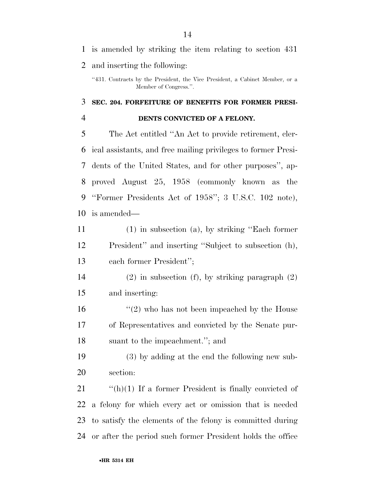# is amended by striking the item relating to section 431 and inserting the following:

# **SEC. 204. FORFEITURE OF BENEFITS FOR FORMER PRESI-DENTS CONVICTED OF A FELONY.**

 The Act entitled ''An Act to provide retirement, cler- ical assistants, and free mailing privileges to former Presi- dents of the United States, and for other purposes'', ap- proved August 25, 1958 (commonly known as the ''Former Presidents Act of 1958''; 3 U.S.C. 102 note), is amended—

- (1) in subsection (a), by striking ''Each former President'' and inserting ''Subject to subsection (h), each former President'';
- (2) in subsection (f), by striking paragraph (2) and inserting:
- 16 ''(2) who has not been impeached by the House of Representatives and convicted by the Senate pur-suant to the impeachment.''; and
- (3) by adding at the end the following new sub-section:

 $\frac{f'(h)}{1}$  If a former President is finally convicted of a felony for which every act or omission that is needed to satisfy the elements of the felony is committed during or after the period such former President holds the office

<sup>&#</sup>x27;'431. Contracts by the President, the Vice President, a Cabinet Member, or a Member of Congress.''.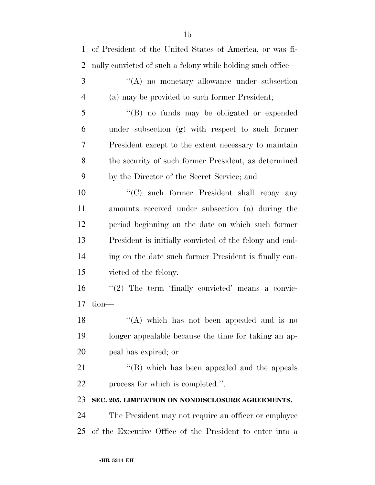| 1              | of President of the United States of America, or was fi-    |
|----------------|-------------------------------------------------------------|
| $\overline{2}$ | nally convicted of such a felony while holding such office— |
| 3              | "(A) no monetary allowance under subsection                 |
| 4              | (a) may be provided to such former President;               |
| 5              | "(B) no funds may be obligated or expended                  |
| 6              | under subsection (g) with respect to such former            |
| 7              | President except to the extent necessary to maintain        |
| 8              | the security of such former President, as determined        |
| 9              | by the Director of the Secret Service; and                  |
| 10             | "(C) such former President shall repay any                  |
| 11             | amounts received under subsection (a) during the            |
| 12             | period beginning on the date on which such former           |
| 13             | President is initially convicted of the felony and end-     |
| 14             | ing on the date such former President is finally con-       |
| 15             | victed of the felony.                                       |
| 16             | $\lq(2)$ The term 'finally convicted' means a convic-       |
| 17             | $tion$ —                                                    |
| 18             | "(A) which has not been appealed and is no                  |
| 19             | longer appealable because the time for taking an ap-        |
| 20             | peal has expired; or                                        |
| 21             | "(B) which has been appealed and the appeals                |
| 22             | process for which is completed.".                           |
| 23             | SEC. 205. LIMITATION ON NONDISCLOSURE AGREEMENTS.           |
| 24             | The President may not require an officer or employee        |
| 25             | of the Executive Office of the President to enter into a    |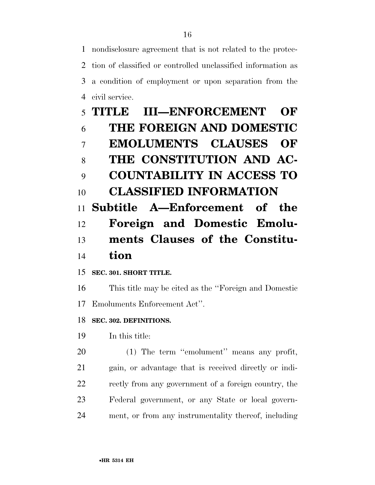nondisclosure agreement that is not related to the protec- tion of classified or controlled unclassified information as a condition of employment or upon separation from the civil service.

# **TITLE III—ENFORCEMENT OF THE FOREIGN AND DOMESTIC EMOLUMENTS CLAUSES OF THE CONSTITUTION AND AC- COUNTABILITY IN ACCESS TO CLASSIFIED INFORMATION Subtitle A—Enforcement of the Foreign and Domestic Emolu- ments Clauses of the Constitu-tion**

**SEC. 301. SHORT TITLE.** 

 This title may be cited as the ''Foreign and Domestic Emoluments Enforcement Act''.

**SEC. 302. DEFINITIONS.** 

In this title:

 (1) The term ''emolument'' means any profit, gain, or advantage that is received directly or indi- rectly from any government of a foreign country, the Federal government, or any State or local govern-ment, or from any instrumentality thereof, including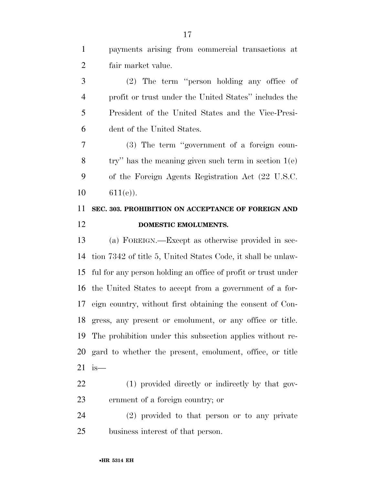payments arising from commercial transactions at fair market value. (2) The term ''person holding any office of profit or trust under the United States'' includes the President of the United States and the Vice-Presi- dent of the United States. (3) The term ''government of a foreign coun-8 try'' has the meaning given such term in section  $1(e)$  of the Foreign Agents Registration Act (22 U.S.C.  $10 \t\t 611(e)$ . **SEC. 303. PROHIBITION ON ACCEPTANCE OF FOREIGN AND DOMESTIC EMOLUMENTS.** (a) FOREIGN.—Except as otherwise provided in sec-

 tion 7342 of title 5, United States Code, it shall be unlaw- ful for any person holding an office of profit or trust under the United States to accept from a government of a for- eign country, without first obtaining the consent of Con- gress, any present or emolument, or any office or title. The prohibition under this subsection applies without re- gard to whether the present, emolument, office, or title is—

 (1) provided directly or indirectly by that gov-ernment of a foreign country; or

 (2) provided to that person or to any private business interest of that person.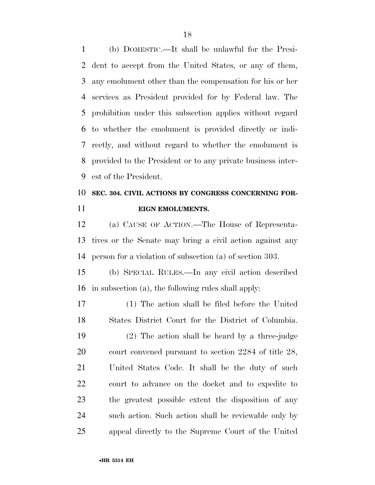(b) DOMESTIC.—It shall be unlawful for the Presi- dent to accept from the United States, or any of them, any emolument other than the compensation for his or her services as President provided for by Federal law. The prohibition under this subsection applies without regard to whether the emolument is provided directly or indi- rectly, and without regard to whether the emolument is provided to the President or to any private business inter-est of the President.

# **SEC. 304. CIVIL ACTIONS BY CONGRESS CONCERNING FOR-EIGN EMOLUMENTS.**

 (a) CAUSE OF ACTION.—The House of Representa- tives or the Senate may bring a civil action against any person for a violation of subsection (a) of section 303.

 (b) SPECIAL RULES.—In any civil action described in subsection (a), the following rules shall apply:

 (1) The action shall be filed before the United States District Court for the District of Columbia.

 (2) The action shall be heard by a three-judge court convened pursuant to section 2284 of title 28, United States Code. It shall be the duty of such court to advance on the docket and to expedite to the greatest possible extent the disposition of any such action. Such action shall be reviewable only by appeal directly to the Supreme Court of the United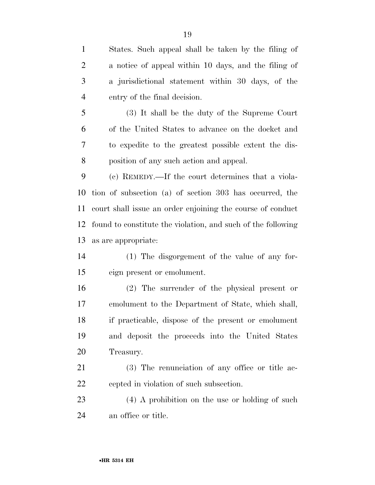States. Such appeal shall be taken by the filing of a notice of appeal within 10 days, and the filing of a jurisdictional statement within 30 days, of the entry of the final decision. (3) It shall be the duty of the Supreme Court of the United States to advance on the docket and to expedite to the greatest possible extent the dis- position of any such action and appeal. (c) REMEDY.—If the court determines that a viola- tion of subsection (a) of section 303 has occurred, the court shall issue an order enjoining the course of conduct found to constitute the violation, and such of the following as are appropriate: (1) The disgorgement of the value of any for- eign present or emolument. (2) The surrender of the physical present or emolument to the Department of State, which shall, if practicable, dispose of the present or emolument and deposit the proceeds into the United States Treasury. (3) The renunciation of any office or title ac- cepted in violation of such subsection. (4) A prohibition on the use or holding of such

an office or title.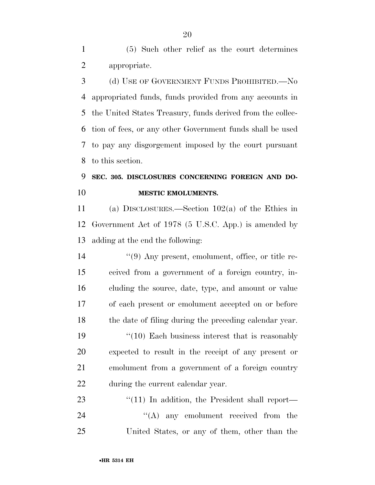(5) Such other relief as the court determines appropriate.

3 (d) USE OF GOVERNMENT FUNDS PROHIBITED. No appropriated funds, funds provided from any accounts in the United States Treasury, funds derived from the collec- tion of fees, or any other Government funds shall be used to pay any disgorgement imposed by the court pursuant to this section.

# **SEC. 305. DISCLOSURES CONCERNING FOREIGN AND DO-MESTIC EMOLUMENTS.**

 (a) DISCLOSURES.—Section 102(a) of the Ethics in Government Act of 1978 (5 U.S.C. App.) is amended by adding at the end the following:

 ''(9) Any present, emolument, office, or title re- ceived from a government of a foreign country, in- cluding the source, date, type, and amount or value of each present or emolument accepted on or before the date of filing during the preceding calendar year. 19 ''(10) Each business interest that is reasonably

 expected to result in the receipt of any present or emolument from a government of a foreign country during the current calendar year.

23 "(11) In addition, the President shall report— 24 ''(A) any emolument received from the United States, or any of them, other than the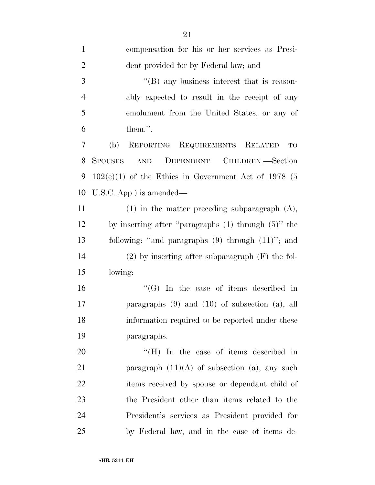| $\mathbf{1}$   | compensation for his or her services as Presi-                        |
|----------------|-----------------------------------------------------------------------|
| $\overline{2}$ | dent provided for by Federal law; and                                 |
| 3              | $\lq\lq$ any business interest that is reason-                        |
| $\overline{4}$ | ably expected to result in the receipt of any                         |
| 5              | emolument from the United States, or any of                           |
| 6              | them.".                                                               |
| 7              | REPORTING REQUIREMENTS RELATED<br>(b)<br>TO                           |
| 8              | DEPENDENT CHILDREN.-Section<br><b>SPOUSES</b><br>$\operatorname{AND}$ |
| 9              | $102(e)(1)$ of the Ethics in Government Act of 1978 (5                |
| 10             | U.S.C. App.) is amended—                                              |
| 11             | $(1)$ in the matter preceding subparagraph $(A)$ ,                    |
| 12             | by inserting after "paragraphs $(1)$ through $(5)$ " the              |
| 13             | following: "and paragraphs $(9)$ through $(11)$ "; and                |
| 14             | $(2)$ by inserting after subparagraph $(F)$ the fol-                  |
| 15             | lowing:                                                               |
| 16             | " $(G)$ In the case of items described in                             |
| 17             | paragraphs $(9)$ and $(10)$ of subsection $(a)$ , all                 |
| 18             | information required to be reported under these                       |
| 19             | paragraphs.                                                           |
| 20             | "(H) In the case of items described in                                |
| 21             | paragraph $(11)(A)$ of subsection (a), any such                       |
| 22             | items received by spouse or dependant child of                        |
| 23             | the President other than items related to the                         |
| 24             | President's services as President provided for                        |
| 25             | by Federal law, and in the case of items de-                          |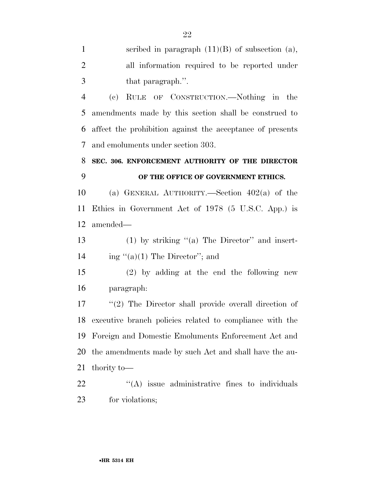| $\mathbf{1}$   | scribed in paragraph $(11)(B)$ of subsection (a),         |
|----------------|-----------------------------------------------------------|
| $\overline{2}$ | all information required to be reported under             |
| 3              | that paragraph.".                                         |
| $\overline{4}$ | (c) RULE OF CONSTRUCTION.—Nothing in the                  |
| 5              | amendments made by this section shall be construed to     |
| 6              | affect the prohibition against the acceptance of presents |
| 7              | and emoluments under section 303.                         |
| 8              | SEC. 306. ENFORCEMENT AUTHORITY OF THE DIRECTOR           |
| 9              | OF THE OFFICE OF GOVERNMENT ETHICS.                       |
| 10             | (a) GENERAL AUTHORITY.—Section $402(a)$ of the            |
| 11             | Ethics in Government Act of 1978 (5 U.S.C. App.) is       |
| 12             | amended—                                                  |
| 13             | $(1)$ by striking " $(a)$ The Director" and insert-       |
| 14             | ing " $(a)(1)$ The Director"; and                         |
| 15             | $(2)$ by adding at the end the following new              |
| 16             | paragraph:                                                |
| 17             | $\lq(2)$ The Director shall provide overall direction of  |
| 18             | executive branch policies related to compliance with the  |
| 19             | Foreign and Domestic Emoluments Enforcement Act and       |
| 20             | the amendments made by such Act and shall have the au-    |
| 21             | thority to-                                               |
| 22             | $\lq\lq$ issue administrative fines to individuals        |
| 23             | for violations;                                           |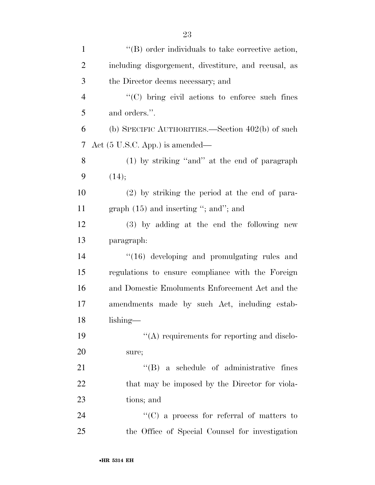| $\mathbf{1}$   | $\lq\lq$ order individuals to take corrective action, |
|----------------|-------------------------------------------------------|
| $\overline{2}$ | including disgorgement, divestiture, and recusal, as  |
| 3              | the Director deems necessary; and                     |
| $\overline{4}$ | "(C) bring civil actions to enforce such fines        |
| 5              | and orders.".                                         |
| 6              | (b) SPECIFIC AUTHORITIES.—Section $402(b)$ of such    |
| 7              | Act $(5 \text{ U.S.C. App.})$ is amended—             |
| 8              | (1) by striking "and" at the end of paragraph         |
| 9              | (14);                                                 |
| 10             | (2) by striking the period at the end of para-        |
| 11             | graph $(15)$ and inserting "; and"; and               |
| 12             | (3) by adding at the end the following new            |
| 13             | paragraph:                                            |
| 14             | $\cdot$ (16) developing and promulgating rules and    |
| 15             | regulations to ensure compliance with the Foreign     |
| 16             | and Domestic Emoluments Enforcement Act and the       |
| 17             | amendments made by such Act, including estab-         |
| 18             | lishing-                                              |
| 19             | $\lq\lq$ requirements for reporting and disclo-       |
| 20             | sure;                                                 |
| 21             | $\lq\lq (B)$ a schedule of administrative fines       |
| 22             | that may be imposed by the Director for viola-        |
| 23             | tions; and                                            |
| 24             | $\lq\lq$ (C) a process for referral of matters to     |
| 25             | the Office of Special Counsel for investigation       |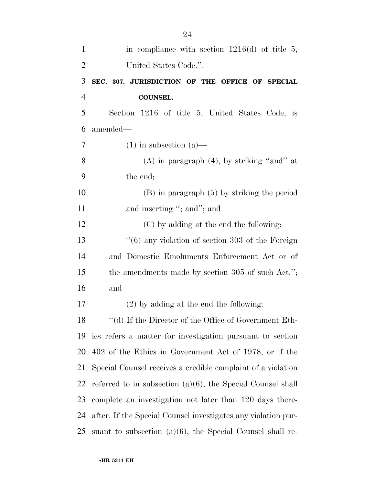| $\mathbf{1}$   | in compliance with section $1216(d)$ of title 5,               |
|----------------|----------------------------------------------------------------|
| $\overline{2}$ | United States Code.".                                          |
| 3              | SEC. 307. JURISDICTION OF THE OFFICE OF SPECIAL                |
| $\overline{4}$ | <b>COUNSEL.</b>                                                |
| 5              | Section 1216 of title 5, United States Code, is                |
| 6              | amended—                                                       |
| 7              | $(1)$ in subsection $(a)$ —                                    |
| 8              | $(A)$ in paragraph $(4)$ , by striking "and" at                |
| 9              | the end;                                                       |
| 10             | $(B)$ in paragraph $(5)$ by striking the period                |
| 11             | and inserting "; and"; and                                     |
| 12             | (C) by adding at the end the following:                        |
| 13             | $``(6)$ any violation of section 303 of the Foreign            |
| 14             | and Domestic Emoluments Enforcement Act or of                  |
| 15             | the amendments made by section 305 of such Act.";              |
| 16             | and                                                            |
| 17             | $(2)$ by adding at the end the following:                      |
| 18             | $``$ (d) If the Director of the Office of Government Eth-      |
| 19             | ics refers a matter for investigation pursuant to section      |
| 20             | 402 of the Ethics in Government Act of 1978, or if the         |
| 21             | Special Counsel receives a credible complaint of a violation   |
| 22             | referred to in subsection $(a)(6)$ , the Special Counsel shall |
| 23             | complete an investigation not later than 120 days there-       |
| 24             | after. If the Special Counsel investigates any violation pur-  |
| 25             | suant to subsection $(a)(6)$ , the Special Counsel shall re-   |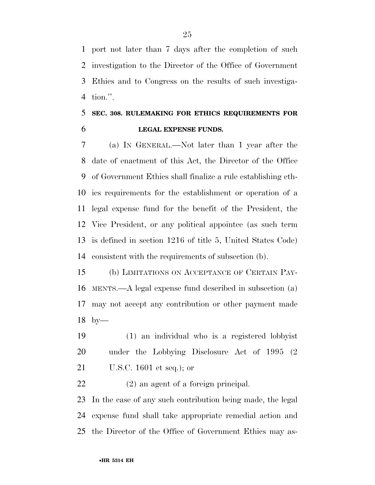port not later than 7 days after the completion of such investigation to the Director of the Office of Government Ethics and to Congress on the results of such investiga-tion.''.

# **SEC. 308. RULEMAKING FOR ETHICS REQUIREMENTS FOR LEGAL EXPENSE FUNDS.**

 (a) IN GENERAL.—Not later than 1 year after the date of enactment of this Act, the Director of the Office of Government Ethics shall finalize a rule establishing eth- ics requirements for the establishment or operation of a legal expense fund for the benefit of the President, the Vice President, or any political appointee (as such term is defined in section 1216 of title 5, United States Code) consistent with the requirements of subsection (b).

 (b) LIMITATIONS ON ACCEPTANCE OF CERTAIN PAY- MENTS.—A legal expense fund described in subsection (a) may not accept any contribution or other payment made by—

 (1) an individual who is a registered lobbyist under the Lobbying Disclosure Act of 1995 (2 U.S.C. 1601 et seq.); or

(2) an agent of a foreign principal.

 In the case of any such contribution being made, the legal expense fund shall take appropriate remedial action and the Director of the Office of Government Ethics may as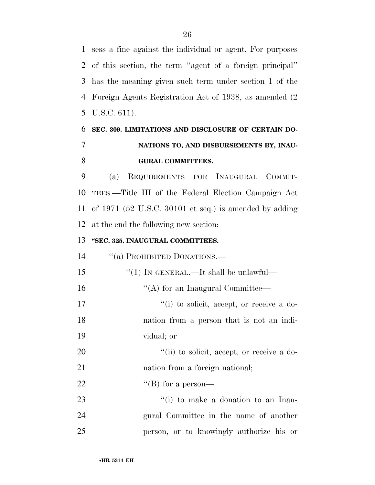sess a fine against the individual or agent. For purposes of this section, the term ''agent of a foreign principal'' has the meaning given such term under section 1 of the Foreign Agents Registration Act of 1938, as amended (2 U.S.C. 611).

# **SEC. 309. LIMITATIONS AND DISCLOSURE OF CERTAIN DO- NATIONS TO, AND DISBURSEMENTS BY, INAU-GURAL COMMITTEES.**

 (a) REQUIREMENTS FOR INAUGURAL COMMIT- TEES.—Title III of the Federal Election Campaign Act of 1971 (52 U.S.C. 30101 et seq.) is amended by adding at the end the following new section:

# **''SEC. 325. INAUGURAL COMMITTEES.**

14 "(a) PROHIBITED DONATIONS.—

| 15 | "(1) IN GENERAL.—It shall be unlawful—                      |
|----|-------------------------------------------------------------|
| 16 | $\lq\lq$ for an Inaugural Committee—                        |
| 17 | $\lq$ <sup>"</sup> (i) to solicit, accept, or receive a do- |
| 18 | nation from a person that is not an indi-                   |
| 19 | vidual; or                                                  |
| 20 | "(ii) to solicit, accept, or receive a do-                  |
| 21 | nation from a foreign national;                             |
| 22 | "(B) for a person—                                          |
| 23 | $f'(i)$ to make a donation to an Inau-                      |
|    |                                                             |

 gural Committee in the name of another person, or to knowingly authorize his or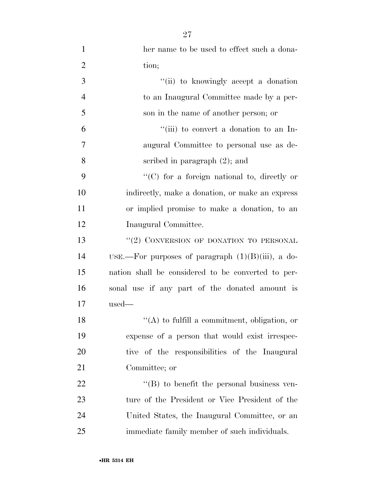| $\mathbf{1}$   | her name to be used to effect such a dona-           |
|----------------|------------------------------------------------------|
| $\overline{2}$ | tion;                                                |
| 3              | "(ii) to knowingly accept a donation                 |
| $\overline{4}$ | to an Inaugural Committee made by a per-             |
| 5              | son in the name of another person; or                |
| 6              | "(iii) to convert a donation to an In-               |
| 7              | augural Committee to personal use as de-             |
| 8              | scribed in paragraph $(2)$ ; and                     |
| 9              | $\lq\lq$ (C) for a foreign national to, directly or  |
| 10             | indirectly, make a donation, or make an express      |
| 11             | or implied promise to make a donation, to an         |
| 12             | Inaugural Committee.                                 |
| 13             | $``(2)$ CONVERSION OF DONATION TO PERSONAL           |
| 14             | USE.—For purposes of paragraph $(1)(B)(iii)$ , a do- |
| 15             | nation shall be considered to be converted to per-   |
| 16             | sonal use if any part of the donated amount is       |
| 17             | used                                                 |
| 18             | $\lq\lq$ (A) to fulfill a commitment, obligation, or |
| 19             | expense of a person that would exist irrespec-       |
| 20             | tive of the responsibilities of the Inaugural        |
| 21             | Committee; or                                        |
| 22             | $\lq\lq (B)$ to benefit the personal business ven-   |
| 23             | ture of the President or Vice President of the       |
| 24             | United States, the Inaugural Committee, or an        |
| 25             | immediate family member of such individuals.         |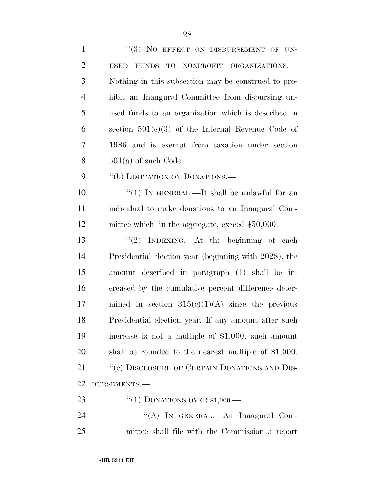| $\mathbf{1}$   | "(3) NO EFFECT ON DISBURSEMENT OF UN-                  |
|----------------|--------------------------------------------------------|
| $\overline{2}$ | FUNDS TO<br>NONPROFIT ORGANIZATIONS.<br><b>USED</b>    |
| 3              | Nothing in this subsection may be construed to pro-    |
| $\overline{4}$ | hibit an Inaugural Committee from disbursing un-       |
| 5              | used funds to an organization which is described in    |
| 6              | section $501(c)(3)$ of the Internal Revenue Code of    |
| 7              | 1986 and is exempt from taxation under section         |
| 8              | $501(a)$ of such Code.                                 |
| 9              | "(b) LIMITATION ON DONATIONS.—                         |
| 10             | " $(1)$ IN GENERAL.—It shall be unlawful for an        |
| 11             | individual to make donations to an Inaugural Com-      |
| 12             | mittee which, in the aggregate, exceed \$50,000.       |
| 13             | "(2) INDEXING.—At the beginning of each                |
| 14             | Presidential election year (beginning with 2028), the  |
| 15             | amount described in paragraph (1) shall be in-         |
| 16             | creased by the cumulative percent difference deter-    |
| 17             | mined in section $315(c)(1)(A)$ since the previous     |
| 18             | Presidential election year. If any amount after such   |
| 19             | increase is not a multiple of $$1,000$ , such amount   |
| 20             | shall be rounded to the nearest multiple of $$1,000$ . |
| 21             | "(c) DISCLOSURE OF CERTAIN DONATIONS AND DIS-          |
| 22             | BURSEMENTS.-                                           |
| 23             | "(1) DONATIONS OVER $$1,000$ .                         |
| 24             | "(A) IN GENERAL.—An Inaugural Com-                     |
| 25             | mittee shall file with the Commission a report         |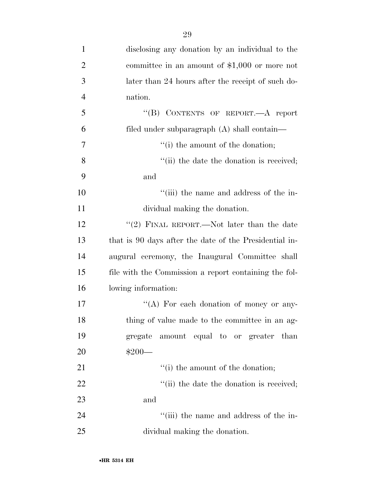| disclosing any donation by an individual to the        |
|--------------------------------------------------------|
| committee in an amount of $$1,000$ or more not         |
| later than 24 hours after the receipt of such do-      |
| nation.                                                |
| "(B) CONTENTS OF REPORT.—A report                      |
| filed under subparagraph (A) shall contain—            |
| $f'(i)$ the amount of the donation;                    |
| "(ii) the date the donation is received;               |
| and                                                    |
| "(iii) the name and address of the in-                 |
| dividual making the donation.                          |
| "(2) FINAL REPORT.—Not later than the date             |
| that is 90 days after the date of the Presidential in- |
| augural ceremony, the Inaugural Committee shall        |
| file with the Commission a report containing the fol-  |
| lowing information:                                    |
| "(A) For each donation of money or any-                |
| thing of value made to the committee in an ag-         |
| gregate amount equal to or greater than                |
| $$200-$                                                |
| $f'(i)$ the amount of the donation;                    |
| "(ii) the date the donation is received;               |
| and                                                    |
| "(iii) the name and address of the in-                 |
| dividual making the donation.                          |
|                                                        |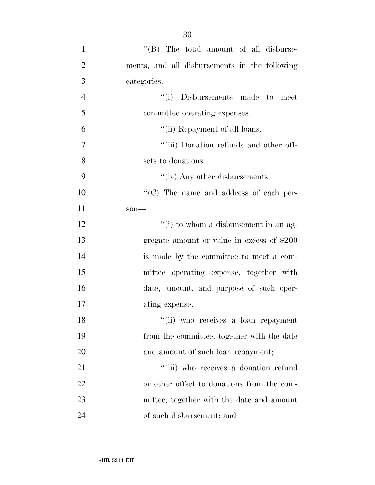| 1              | "(B) The total amount of all disburse-        |
|----------------|-----------------------------------------------|
| $\overline{2}$ | ments, and all disbursements in the following |
| 3              | categories:                                   |
| $\overline{4}$ | "(i) Disbursements made to meet               |
| 5              | committee operating expenses.                 |
| 6              | "(ii) Repayment of all loans.                 |
| 7              | "(iii) Donation refunds and other off-        |
| 8              | sets to donations.                            |
| 9              | "(iv) Any other disbursements.                |
| 10             | "(C) The name and address of each per-        |
| 11             | som                                           |
| 12             | "(i) to whom a disbursement in an ag-         |
| 13             | gregate amount or value in excess of \$200    |
| 14             | is made by the committee to meet a com-       |
| 15             | mittee operating expense, together with       |
| 16             | date, amount, and purpose of such oper-       |
| 17             | ating expense;                                |
| 18             | "(ii) who receives a loan repayment           |
| 19             | from the committee, together with the date    |
| 20             | and amount of such loan repayment;            |
| 21             | "(iii) who receives a donation refund         |
| 22             | or other offset to donations from the com-    |
| 23             | mittee, together with the date and amount     |
| 24             | of such disbursement; and                     |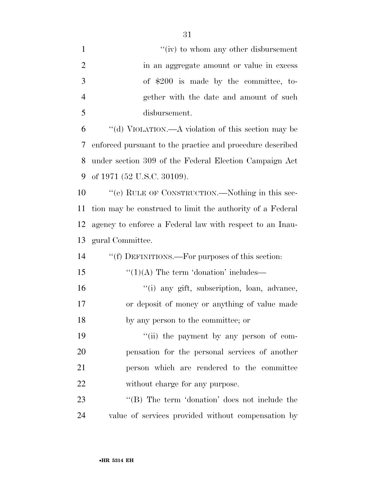| $\mathbf{1}$   | "(iv) to whom any other disbursement                      |
|----------------|-----------------------------------------------------------|
| $\overline{2}$ | in an aggregate amount or value in excess                 |
| 3              | of $$200$ is made by the committee, to-                   |
| $\overline{4}$ | gether with the date and amount of such                   |
| 5              | disbursement.                                             |
| 6              | "(d) VIOLATION.—A violation of this section may be        |
| 7              | enforced pursuant to the practice and procedure described |
| 8              | under section 309 of the Federal Election Campaign Act    |
| 9              | of 1971 (52 U.S.C. 30109).                                |
| 10             | "(e) RULE OF CONSTRUCTION.—Nothing in this sec-           |
| 11             | tion may be construed to limit the authority of a Federal |
| 12             | agency to enforce a Federal law with respect to an Inau-  |
| 13             | gural Committee.                                          |
| 14             | "(f) DEFINITIONS.—For purposes of this section:           |
| 15             | $\lq(1)(A)$ The term 'donation' includes—                 |
| 16             | "(i) any gift, subscription, loan, advance,               |
| 17             | or deposit of money or anything of value made             |
| 18             | by any person to the committee; or                        |
| 19             | "(ii) the payment by any person of com-                   |
| 20             | pensation for the personal services of another            |
| 21             | person which are rendered to the committee                |
| 22             | without charge for any purpose.                           |
| 23             | "(B) The term 'donation' does not include the             |
| 24             | value of services provided without compensation by        |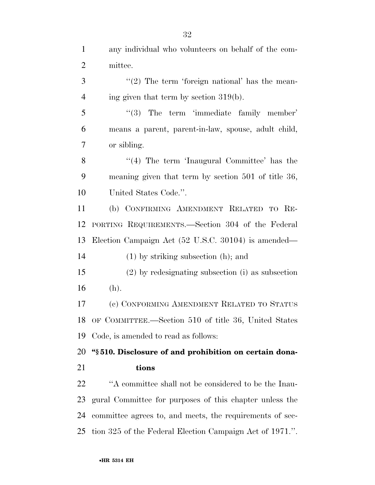any individual who volunteers on behalf of the com- mittee. ''(2) The term 'foreign national' has the mean- $4 \text{ ing given that term by section } 319(b).$ 5 "(3) The term 'immediate family member' means a parent, parent-in-law, spouse, adult child, or sibling. 8 "(4) The term 'Inaugural Committee' has the meaning given that term by section 501 of title 36, United States Code.''. (b) CONFIRMING AMENDMENT RELATED TO RE- PORTING REQUIREMENTS.—Section 304 of the Federal Election Campaign Act (52 U.S.C. 30104) is amended—

(1) by striking subsection (h); and

 (2) by redesignating subsection (i) as subsection (h).

 (c) CONFORMING AMENDMENT RELATED TO STATUS OF COMMITTEE.—Section 510 of title 36, United States Code, is amended to read as follows:

 **''§ 510. Disclosure of and prohibition on certain dona-tions** 

 ''A committee shall not be considered to be the Inau- gural Committee for purposes of this chapter unless the committee agrees to, and meets, the requirements of sec-tion 325 of the Federal Election Campaign Act of 1971.''.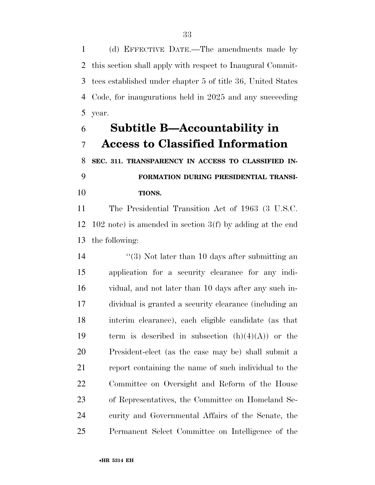(d) EFFECTIVE DATE.—The amendments made by this section shall apply with respect to Inaugural Commit- tees established under chapter 5 of title 36, United States Code, for inaugurations held in 2025 and any succeeding year.

# **Subtitle B—Accountability in Access to Classified Information**

 **SEC. 311. TRANSPARENCY IN ACCESS TO CLASSIFIED IN- FORMATION DURING PRESIDENTIAL TRANSI-TIONS.** 

 The Presidential Transition Act of 1963 (3 U.S.C. 102 note) is amended in section 3(f) by adding at the end the following:

14 ''(3) Not later than 10 days after submitting an application for a security clearance for any indi- vidual, and not later than 10 days after any such in- dividual is granted a security clearance (including an interim clearance), each eligible candidate (as that 19 term is described in subsection  $(h)(4)(A)$  or the President-elect (as the case may be) shall submit a report containing the name of such individual to the Committee on Oversight and Reform of the House of Representatives, the Committee on Homeland Se- curity and Governmental Affairs of the Senate, the Permanent Select Committee on Intelligence of the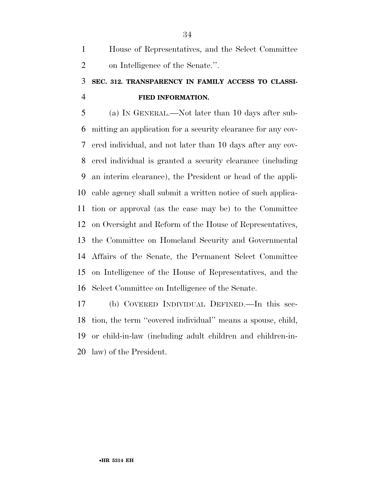House of Representatives, and the Select Committee on Intelligence of the Senate.''.

# **SEC. 312. TRANSPARENCY IN FAMILY ACCESS TO CLASSI-FIED INFORMATION.**

 (a) IN GENERAL.—Not later than 10 days after sub- mitting an application for a security clearance for any cov- ered individual, and not later than 10 days after any cov- ered individual is granted a security clearance (including an interim clearance), the President or head of the appli- cable agency shall submit a written notice of such applica- tion or approval (as the case may be) to the Committee on Oversight and Reform of the House of Representatives, the Committee on Homeland Security and Governmental Affairs of the Senate, the Permanent Select Committee on Intelligence of the House of Representatives, and the Select Committee on Intelligence of the Senate.

 (b) COVERED INDIVIDUAL DEFINED.—In this sec- tion, the term ''covered individual'' means a spouse, child, or child-in-law (including adult children and children-in-law) of the President.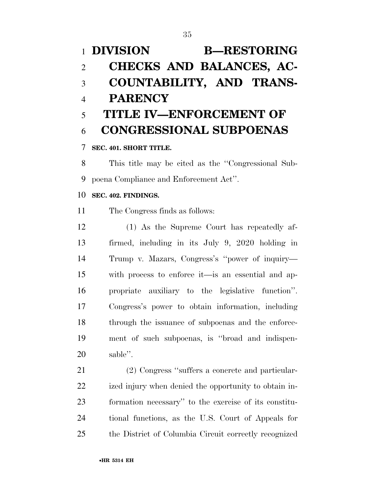# **DIVISION B—RESTORING CHECKS AND BALANCES, AC- COUNTABILITY, AND TRANS- PARENCY TITLE IV—ENFORCEMENT OF CONGRESSIONAL SUBPOENAS SEC. 401. SHORT TITLE.**

 This title may be cited as the ''Congressional Sub-poena Compliance and Enforcement Act''.

# **SEC. 402. FINDINGS.**

The Congress finds as follows:

 (1) As the Supreme Court has repeatedly af- firmed, including in its July 9, 2020 holding in Trump v. Mazars, Congress's ''power of inquiry— with process to enforce it—is an essential and ap- propriate auxiliary to the legislative function''. Congress's power to obtain information, including through the issuance of subpoenas and the enforce- ment of such subpoenas, is ''broad and indispen-sable''.

 (2) Congress ''suffers a concrete and particular- ized injury when denied the opportunity to obtain in- formation necessary'' to the exercise of its constitu- tional functions, as the U.S. Court of Appeals for the District of Columbia Circuit correctly recognized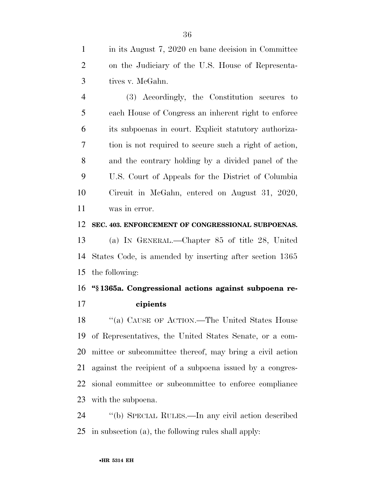in its August 7, 2020 en banc decision in Committee on the Judiciary of the U.S. House of Representa-tives v. McGahn.

 (3) Accordingly, the Constitution secures to each House of Congress an inherent right to enforce its subpoenas in court. Explicit statutory authoriza- tion is not required to secure such a right of action, and the contrary holding by a divided panel of the U.S. Court of Appeals for the District of Columbia Circuit in McGahn, entered on August 31, 2020, was in error.

## **SEC. 403. ENFORCEMENT OF CONGRESSIONAL SUBPOENAS.**

 (a) IN GENERAL.—Chapter 85 of title 28, United States Code, is amended by inserting after section 1365 the following:

# **''§ 1365a. Congressional actions against subpoena re-**

**cipients** 

18 "(a) CAUSE OF ACTION.—The United States House of Representatives, the United States Senate, or a com- mittee or subcommittee thereof, may bring a civil action against the recipient of a subpoena issued by a congres- sional committee or subcommittee to enforce compliance with the subpoena.

 ''(b) SPECIAL RULES.—In any civil action described in subsection (a), the following rules shall apply: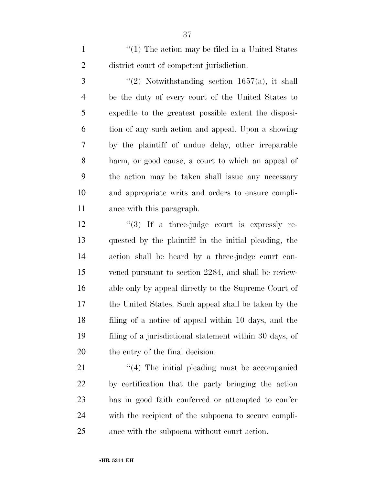1 ''(1) The action may be filed in a United States district court of competent jurisdiction.

 $\frac{1657(a)}{a}$ , it shall be the duty of every court of the United States to expedite to the greatest possible extent the disposi- tion of any such action and appeal. Upon a showing by the plaintiff of undue delay, other irreparable harm, or good cause, a court to which an appeal of the action may be taken shall issue any necessary and appropriate writs and orders to ensure compli-ance with this paragraph.

 $\frac{12}{12}$   $\frac{12}{15}$  a three-judge court is expressly re- quested by the plaintiff in the initial pleading, the action shall be heard by a three-judge court con- vened pursuant to section 2284, and shall be review- able only by appeal directly to the Supreme Court of the United States. Such appeal shall be taken by the filing of a notice of appeal within 10 days, and the filing of a jurisdictional statement within 30 days, of the entry of the final decision.

21 ''(4) The initial pleading must be accompanied by certification that the party bringing the action has in good faith conferred or attempted to confer with the recipient of the subpoena to secure compli-ance with the subpoena without court action.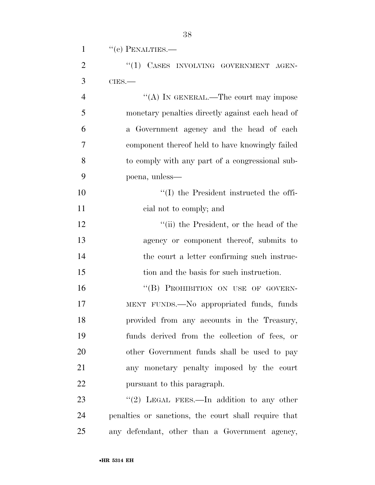| $\mathbf{1}$   | $``(c)$ PENALTIES.—                              |
|----------------|--------------------------------------------------|
| $\overline{2}$ | "(1) CASES INVOLVING GOVERNMENT AGEN-            |
| 3              | $CIES$ .                                         |
| $\overline{4}$ | "(A) IN GENERAL.—The court may impose            |
| 5              | monetary penalties directly against each head of |
| 6              | a Government agency and the head of each         |
| $\overline{7}$ | component thereof held to have knowingly failed  |
| 8              | to comply with any part of a congressional sub-  |
| 9              | poena, unless—                                   |
| 10             | "(I) the President instructed the offi-          |
| 11             | cial not to comply; and                          |
| 12             | "(ii) the President, or the head of the          |
| 13             | agency or component thereof, submits to          |
| 14             | the court a letter confirming such instruc-      |
| 15             | tion and the basis for such instruction.         |
| 16             | "(B) PROHIBITION ON USE OF GOVERN-               |
| 17             | MENT FUNDS.—No appropriated funds, funds         |
| 18             | provided from any accounts in the Treasury,      |
| 19             | funds derived from the collection of fees, or    |
| 20             | other Government funds shall be used to pay      |

pursuant to this paragraph.

23 "(2) LEGAL FEES.—In addition to any other penalties or sanctions, the court shall require that any defendant, other than a Government agency,

any monetary penalty imposed by the court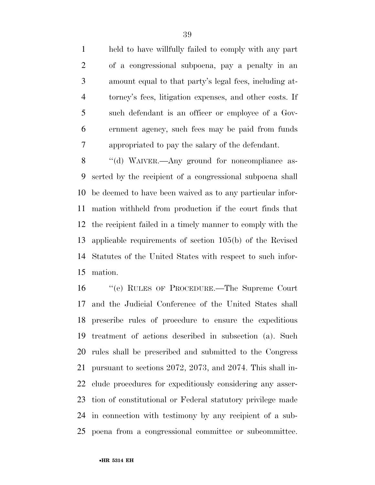held to have willfully failed to comply with any part of a congressional subpoena, pay a penalty in an amount equal to that party's legal fees, including at- torney's fees, litigation expenses, and other costs. If such defendant is an officer or employee of a Gov- ernment agency, such fees may be paid from funds appropriated to pay the salary of the defendant.

8 "(d) WAIVER.—Any ground for noncompliance as- serted by the recipient of a congressional subpoena shall be deemed to have been waived as to any particular infor- mation withheld from production if the court finds that the recipient failed in a timely manner to comply with the applicable requirements of section 105(b) of the Revised Statutes of the United States with respect to such infor-mation.

 ''(e) RULES OF PROCEDURE.—The Supreme Court and the Judicial Conference of the United States shall prescribe rules of procedure to ensure the expeditious treatment of actions described in subsection (a). Such rules shall be prescribed and submitted to the Congress pursuant to sections 2072, 2073, and 2074. This shall in- clude procedures for expeditiously considering any asser- tion of constitutional or Federal statutory privilege made in connection with testimony by any recipient of a sub-poena from a congressional committee or subcommittee.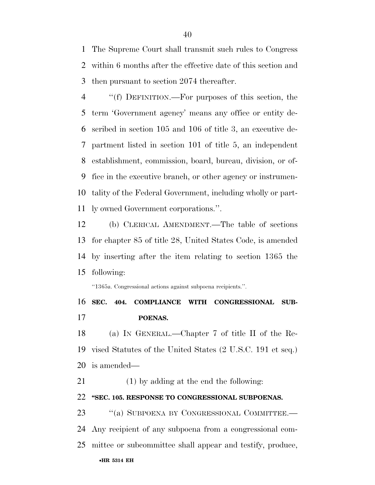The Supreme Court shall transmit such rules to Congress within 6 months after the effective date of this section and then pursuant to section 2074 thereafter.

 ''(f) DEFINITION.—For purposes of this section, the term 'Government agency' means any office or entity de- scribed in section 105 and 106 of title 3, an executive de- partment listed in section 101 of title 5, an independent establishment, commission, board, bureau, division, or of- fice in the executive branch, or other agency or instrumen- tality of the Federal Government, including wholly or part-ly owned Government corporations.''.

 (b) CLERICAL AMENDMENT.—The table of sections for chapter 85 of title 28, United States Code, is amended by inserting after the item relating to section 1365 the following:

''1365a. Congressional actions against subpoena recipients.''.

 **SEC. 404. COMPLIANCE WITH CONGRESSIONAL SUB-POENAS.** 

 (a) IN GENERAL.—Chapter 7 of title II of the Re- vised Statutes of the United States (2 U.S.C. 191 et seq.) is amended—

(1) by adding at the end the following:

### **''SEC. 105. RESPONSE TO CONGRESSIONAL SUBPOENAS.**

•**HR 5314 EH** 23 "(a) SUBPOENA BY CONGRESSIONAL COMMITTEE.— Any recipient of any subpoena from a congressional com-mittee or subcommittee shall appear and testify, produce,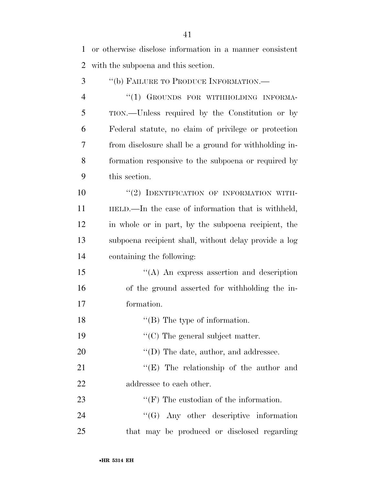or otherwise disclose information in a manner consistent with the subpoena and this section.

 ''(b) FAILURE TO PRODUCE INFORMATION.— 4 "(1) GROUNDS FOR WITHHOLDING INFORMA- TION.—Unless required by the Constitution or by Federal statute, no claim of privilege or protection from disclosure shall be a ground for withholding in- formation responsive to the subpoena or required by this section.  $(2)$  IDENTIFICATION OF INFORMATION WITH- HELD.—In the case of information that is withheld, in whole or in part, by the subpoena recipient, the subpoena recipient shall, without delay provide a log containing the following: ''(A) An express assertion and description of the ground asserted for withholding the in- formation. 18 ''(B) The type of information.  $\cdot$  (C) The general subject matter.  $\text{``(D) The date, author, and addresse.}$ 21 "'(E) The relationship of the author and 22 addressee to each other.  $\bullet$  ''(F) The custodian of the information. 24 "'(G) Any other descriptive information that may be produced or disclosed regarding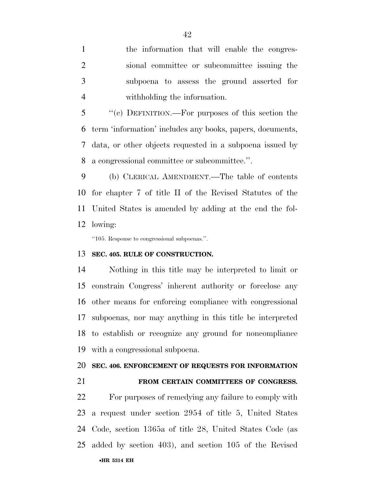the information that will enable the congres- sional committee or subcommittee issuing the subpoena to assess the ground asserted for withholding the information.

 ''(c) DEFINITION.—For purposes of this section the term 'information' includes any books, papers, documents, data, or other objects requested in a subpoena issued by a congressional committee or subcommittee.''.

 (b) CLERICAL AMENDMENT.—The table of contents for chapter 7 of title II of the Revised Statutes of the United States is amended by adding at the end the fol-lowing:

''105. Response to congressional subpoenas.''.

#### **SEC. 405. RULE OF CONSTRUCTION.**

 Nothing in this title may be interpreted to limit or constrain Congress' inherent authority or foreclose any other means for enforcing compliance with congressional subpoenas, nor may anything in this title be interpreted to establish or recognize any ground for noncompliance with a congressional subpoena.

#### **SEC. 406. ENFORCEMENT OF REQUESTS FOR INFORMATION**

### **FROM CERTAIN COMMITTEES OF CONGRESS.**

•**HR 5314 EH** For purposes of remedying any failure to comply with a request under section 2954 of title 5, United States Code, section 1365a of title 28, United States Code (as added by section 403), and section 105 of the Revised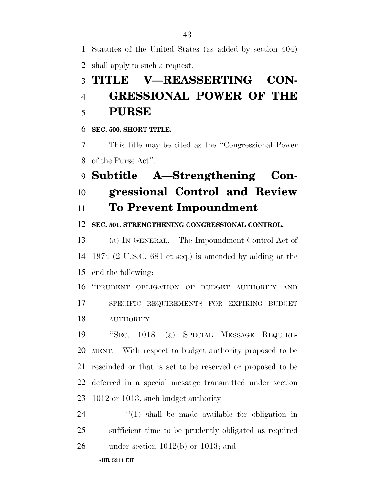Statutes of the United States (as added by section 404)

shall apply to such a request.

# **TITLE V—REASSERTING CON- GRESSIONAL POWER OF THE PURSE**

**SEC. 500. SHORT TITLE.** 

 This title may be cited as the ''Congressional Power of the Purse Act''.

# **Subtitle A—Strengthening Con-gressional Control and Review**

## **To Prevent Impoundment**

**SEC. 501. STRENGTHENING CONGRESSIONAL CONTROL.** 

 (a) IN GENERAL.—The Impoundment Control Act of 1974 (2 U.S.C. 681 et seq.) is amended by adding at the end the following:

 ''PRUDENT OBLIGATION OF BUDGET AUTHORITY AND SPECIFIC REQUIREMENTS FOR EXPIRING BUDGET **AUTHORITY** 

 ''SEC. 1018. (a) SPECIAL MESSAGE REQUIRE- MENT.—With respect to budget authority proposed to be rescinded or that is set to be reserved or proposed to be deferred in a special message transmitted under section 1012 or 1013, such budget authority—

 ''(1) shall be made available for obligation in sufficient time to be prudently obligated as required under section 1012(b) or 1013; and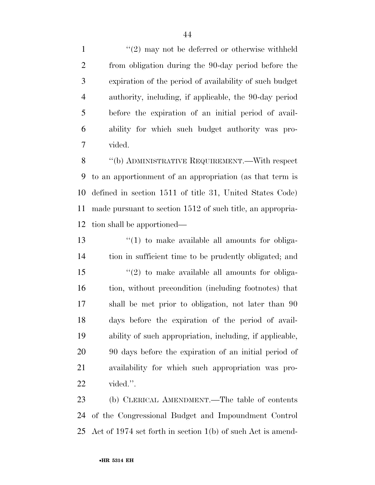1 ''(2) may not be deferred or otherwise withheld from obligation during the 90-day period before the expiration of the period of availability of such budget authority, including, if applicable, the 90-day period before the expiration of an initial period of avail- ability for which such budget authority was pro-vided.

 ''(b) ADMINISTRATIVE REQUIREMENT.—With respect to an apportionment of an appropriation (as that term is defined in section 1511 of title 31, United States Code) made pursuant to section 1512 of such title, an appropria-tion shall be apportioned—

13 ''(1) to make available all amounts for obliga- tion in sufficient time to be prudently obligated; and ''(2) to make available all amounts for obliga- tion, without precondition (including footnotes) that shall be met prior to obligation, not later than 90 days before the expiration of the period of avail- ability of such appropriation, including, if applicable, 90 days before the expiration of an initial period of availability for which such appropriation was pro-vided.''.

 (b) CLERICAL AMENDMENT.—The table of contents of the Congressional Budget and Impoundment Control Act of 1974 set forth in section 1(b) of such Act is amend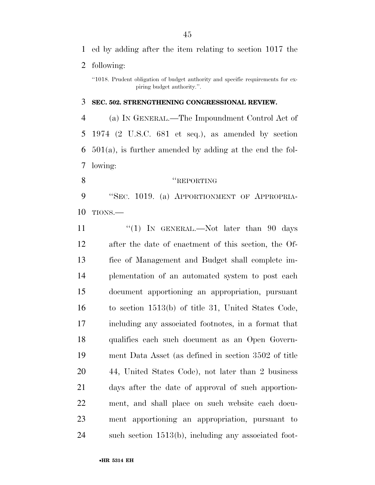following:

#### **SEC. 502. STRENGTHENING CONGRESSIONAL REVIEW.**

 (a) IN GENERAL.—The Impoundment Control Act of 1974 (2 U.S.C. 681 et seq.), as amended by section 501(a), is further amended by adding at the end the fol-lowing:

### 8 "REPORTING

 ''SEC. 1019. (a) APPORTIONMENT OF APPROPRIA-TIONS.—

11 ''(1) In GENERAL.—Not later than 90 days after the date of enactment of this section, the Of- fice of Management and Budget shall complete im- plementation of an automated system to post each document apportioning an appropriation, pursuant to section 1513(b) of title 31, United States Code, including any associated footnotes, in a format that qualifies each such document as an Open Govern- ment Data Asset (as defined in section 3502 of title 44, United States Code), not later than 2 business days after the date of approval of such apportion- ment, and shall place on such website each docu- ment apportioning an appropriation, pursuant to such section 1513(b), including any associated foot-

<sup>&#</sup>x27;'1018. Prudent obligation of budget authority and specific requirements for expiring budget authority.''.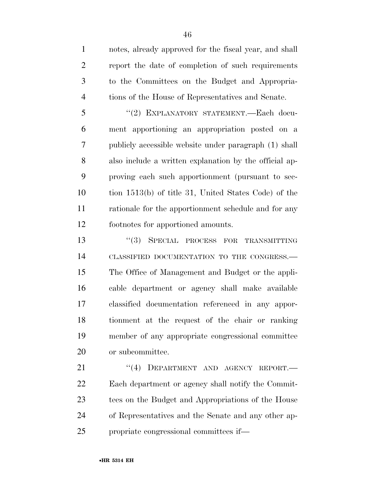notes, already approved for the fiscal year, and shall report the date of completion of such requirements to the Committees on the Budget and Appropria-tions of the House of Representatives and Senate.

 ''(2) EXPLANATORY STATEMENT.—Each docu- ment apportioning an appropriation posted on a publicly accessible website under paragraph (1) shall also include a written explanation by the official ap- proving each such apportionment (pursuant to sec- tion 1513(b) of title 31, United States Code) of the rationale for the apportionment schedule and for any footnotes for apportioned amounts.

**''(3) SPECIAL PROCESS FOR TRANSMITTING**  CLASSIFIED DOCUMENTATION TO THE CONGRESS.— The Office of Management and Budget or the appli- cable department or agency shall make available classified documentation referenced in any appor- tionment at the request of the chair or ranking member of any appropriate congressional committee or subcommittee.

21 "(4) DEPARTMENT AND AGENCY REPORT.— Each department or agency shall notify the Commit- tees on the Budget and Appropriations of the House of Representatives and the Senate and any other ap-propriate congressional committees if—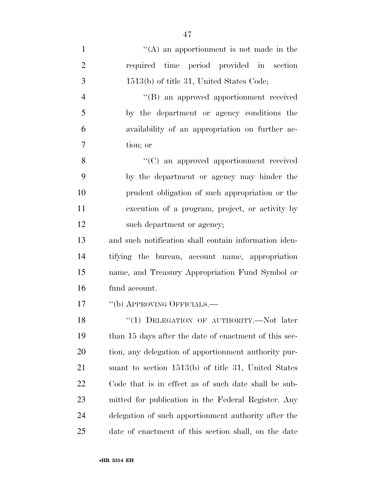| $\mathbf{1}$   | $\lq\lq$ an apportionment is not made in the          |
|----------------|-------------------------------------------------------|
| $\overline{2}$ | required time period provided in section              |
| 3              | 1513(b) of title 31, United States Code;              |
| $\overline{4}$ | "(B) an approved apportionment received               |
| 5              | by the department or agency conditions the            |
| 6              | availability of an appropriation on further ac-       |
| 7              | tion; or                                              |
| 8              | "(C) an approved apportionment received               |
| 9              | by the department or agency may hinder the            |
| 10             | prudent obligation of such appropriation or the       |
| 11             | execution of a program, project, or activity by       |
| 12             | such department or agency;                            |
| 13             | and such notification shall contain information iden- |
| 14             | tifying the bureau, account name, appropriation       |
| 15             | name, and Treasury Appropriation Fund Symbol or       |
| 16             | fund account.                                         |
| 17             | "(b) APPROVING OFFICIALS.—                            |
| 18             | "(1) DELEGATION OF AUTHORITY.—Not later               |
| 19             | than 15 days after the date of enactment of this sec- |
| 20             | tion, any delegation of apportionment authority pur-  |
| 21             | suant to section 1513(b) of title 31, United States   |
| 22             | Code that is in effect as of such date shall be sub-  |
| 23             | mitted for publication in the Federal Register. Any   |
| 24             | delegation of such apportionment authority after the  |

date of enactment of this section shall, on the date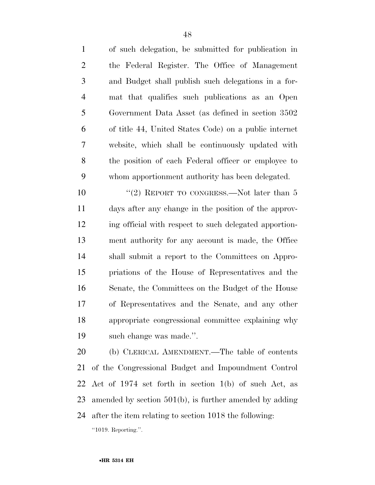of such delegation, be submitted for publication in the Federal Register. The Office of Management and Budget shall publish such delegations in a for- mat that qualifies such publications as an Open Government Data Asset (as defined in section 3502 of title 44, United States Code) on a public internet website, which shall be continuously updated with the position of each Federal officer or employee to whom apportionment authority has been delegated.

10 "(2) REPORT TO CONGRESS.—Not later than 5 days after any change in the position of the approv- ing official with respect to such delegated apportion- ment authority for any account is made, the Office shall submit a report to the Committees on Appro- priations of the House of Representatives and the Senate, the Committees on the Budget of the House of Representatives and the Senate, and any other appropriate congressional committee explaining why such change was made.''.

 (b) CLERICAL AMENDMENT.—The table of contents of the Congressional Budget and Impoundment Control Act of 1974 set forth in section 1(b) of such Act, as amended by section 501(b), is further amended by adding after the item relating to section 1018 the following: ''1019. Reporting.''.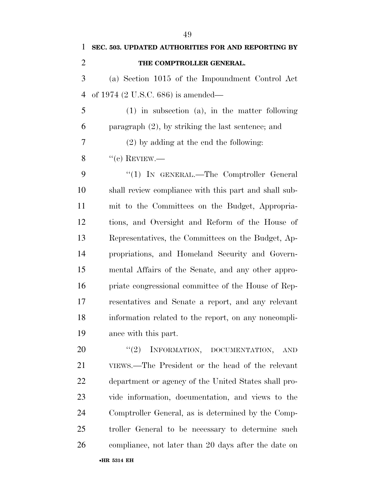**THE COMPTROLLER GENERAL.**  (a) Section 1015 of the Impoundment Control Act of 1974 (2 U.S.C. 686) is amended— (1) in subsection (a), in the matter following paragraph (2), by striking the last sentence; and (2) by adding at the end the following:  $\%$  ''(c) REVIEW.— 9 "(1) IN GENERAL.—The Comptroller General shall review compliance with this part and shall sub- mit to the Committees on the Budget, Appropria- tions, and Oversight and Reform of the House of Representatives, the Committees on the Budget, Ap- propriations, and Homeland Security and Govern- mental Affairs of the Senate, and any other appro- priate congressional committee of the House of Rep- resentatives and Senate a report, and any relevant information related to the report, on any noncompli- ance with this part. 20 "(2) INFORMATION, DOCUMENTATION, AND VIEWS.—The President or the head of the relevant department or agency of the United States shall pro- vide information, documentation, and views to the Comptroller General, as is determined by the Comp- troller General to be necessary to determine such compliance, not later than 20 days after the date on

**SEC. 503. UPDATED AUTHORITIES FOR AND REPORTING BY**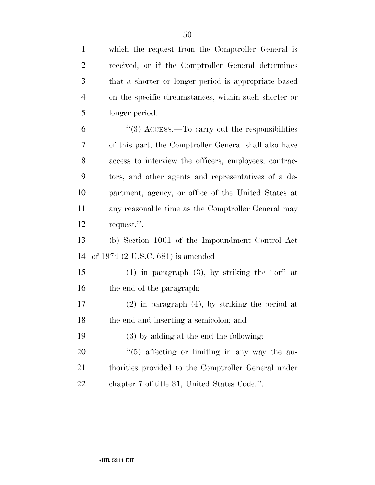| $\mathbf{1}$   | which the request from the Comptroller General is     |
|----------------|-------------------------------------------------------|
| $\overline{2}$ | received, or if the Comptroller General determines    |
| 3              | that a shorter or longer period is appropriate based  |
| $\overline{4}$ | on the specific circumstances, within such shorter or |
| 5              | longer period.                                        |
| 6              | $\cdot$ (3) ACCESS.—To carry out the responsibilities |
| 7              | of this part, the Comptroller General shall also have |
| 8              | access to interview the officers, employees, contrac- |
| 9              | tors, and other agents and representatives of a de-   |
| 10             | partment, agency, or office of the United States at   |
| 11             | any reasonable time as the Comptroller General may    |
| 12             | request.".                                            |
| 13             | (b) Section 1001 of the Impoundment Control Act       |
| 14             | of 1974 (2 U.S.C. 681) is amended—                    |
| 15             | (1) in paragraph (3), by striking the "or" at         |
| 16             | the end of the paragraph;                             |
| 17             | $(2)$ in paragraph $(4)$ , by striking the period at  |
| 18             | the end and inserting a semicolon; and                |
| 19             | (3) by adding at the end the following:               |
| 20             | $\lq(5)$ affecting or limiting in any way the au-     |
| 21             | thorities provided to the Comptroller General under   |
| 22             | chapter 7 of title 31, United States Code.".          |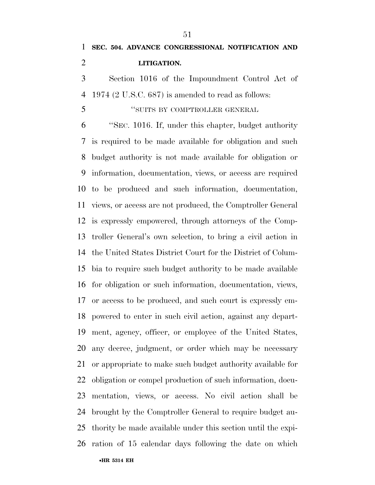Section 1016 of the Impoundment Control Act of 1974 (2 U.S.C. 687) is amended to read as follows:

''SUITS BY COMPTROLLER GENERAL

 ''SEC. 1016. If, under this chapter, budget authority is required to be made available for obligation and such budget authority is not made available for obligation or information, documentation, views, or access are required to be produced and such information, documentation, views, or access are not produced, the Comptroller General is expressly empowered, through attorneys of the Comp- troller General's own selection, to bring a civil action in the United States District Court for the District of Colum- bia to require such budget authority to be made available for obligation or such information, documentation, views, or access to be produced, and such court is expressly em- powered to enter in such civil action, against any depart- ment, agency, officer, or employee of the United States, any decree, judgment, or order which may be necessary or appropriate to make such budget authority available for obligation or compel production of such information, docu- mentation, views, or access. No civil action shall be brought by the Comptroller General to require budget au- thority be made available under this section until the expi-ration of 15 calendar days following the date on which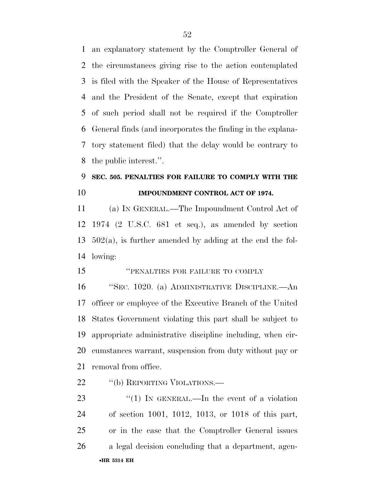an explanatory statement by the Comptroller General of the circumstances giving rise to the action contemplated is filed with the Speaker of the House of Representatives and the President of the Senate, except that expiration of such period shall not be required if the Comptroller General finds (and incorporates the finding in the explana- tory statement filed) that the delay would be contrary to the public interest.''.

## **SEC. 505. PENALTIES FOR FAILURE TO COMPLY WITH THE IMPOUNDMENT CONTROL ACT OF 1974.**

 (a) IN GENERAL.—The Impoundment Control Act of 1974 (2 U.S.C. 681 et seq.), as amended by section 502(a), is further amended by adding at the end the fol-lowing:

''PENALTIES FOR FAILURE TO COMPLY

 ''SEC. 1020. (a) ADMINISTRATIVE DISCIPLINE.—An officer or employee of the Executive Branch of the United States Government violating this part shall be subject to appropriate administrative discipline including, when cir- cumstances warrant, suspension from duty without pay or removal from office.

22 "(b) REPORTING VIOLATIONS.—

•**HR 5314 EH** 23 "(1) IN GENERAL.—In the event of a violation of section 1001, 1012, 1013, or 1018 of this part, or in the case that the Comptroller General issues a legal decision concluding that a department, agen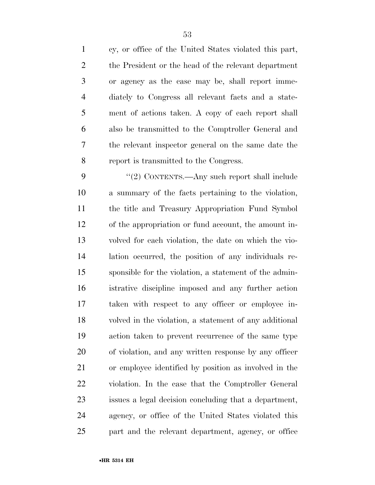cy, or office of the United States violated this part, the President or the head of the relevant department or agency as the case may be, shall report imme- diately to Congress all relevant facts and a state- ment of actions taken. A copy of each report shall also be transmitted to the Comptroller General and the relevant inspector general on the same date the report is transmitted to the Congress.

9 "(2) CONTENTS.—Any such report shall include a summary of the facts pertaining to the violation, the title and Treasury Appropriation Fund Symbol of the appropriation or fund account, the amount in- volved for each violation, the date on which the vio- lation occurred, the position of any individuals re- sponsible for the violation, a statement of the admin- istrative discipline imposed and any further action taken with respect to any officer or employee in- volved in the violation, a statement of any additional action taken to prevent recurrence of the same type of violation, and any written response by any officer or employee identified by position as involved in the violation. In the case that the Comptroller General issues a legal decision concluding that a department, agency, or office of the United States violated this part and the relevant department, agency, or office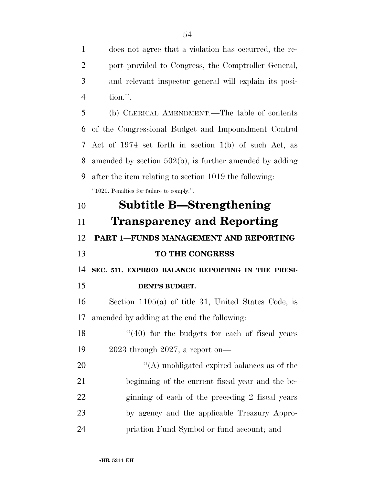does not agree that a violation has occurred, the re- port provided to Congress, the Comptroller General, and relevant inspector general will explain its posi-tion.''.

 (b) CLERICAL AMENDMENT.—The table of contents of the Congressional Budget and Impoundment Control Act of 1974 set forth in section 1(b) of such Act, as amended by section 502(b), is further amended by adding after the item relating to section 1019 the following: ''1020. Penalties for failure to comply.''.

 **Subtitle B—Strengthening Transparency and Reporting PART 1—FUNDS MANAGEMENT AND REPORTING TO THE CONGRESS SEC. 511. EXPIRED BALANCE REPORTING IN THE PRESI- DENT'S BUDGET.**  Section 1105(a) of title 31, United States Code, is amended by adding at the end the following: 18 ''(40) for the budgets for each of fiscal years 2023 through 2027, a report on—  $\langle (A) \rangle$  unobligated expired balances as of the beginning of the current fiscal year and the be- ginning of each of the preceding 2 fiscal years by agency and the applicable Treasury Appro-priation Fund Symbol or fund account; and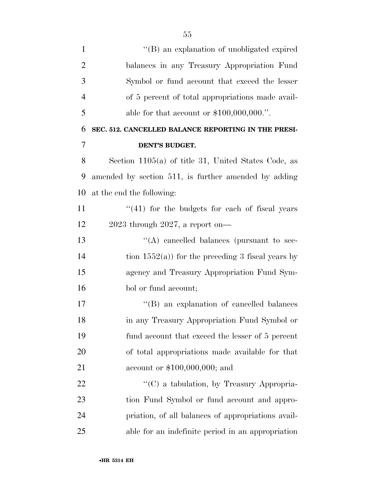| $\mathbf{1}$   | "(B) an explanation of unobligated expired            |
|----------------|-------------------------------------------------------|
| $\overline{2}$ | balances in any Treasury Appropriation Fund           |
| 3              | Symbol or fund account that exceed the lesser         |
| $\overline{4}$ | of 5 percent of total appropriations made avail-      |
| 5              | able for that account or $$100,000,000."$ .           |
| 6              | SEC. 512. CANCELLED BALANCE REPORTING IN THE PRESI-   |
| 7              | DENT'S BUDGET.                                        |
| 8              | Section $1105(a)$ of title 31, United States Code, as |
| 9              | amended by section 511, is further amended by adding  |
| 10             | at the end the following:                             |
| 11             | $\lq(41)$ for the budgets for each of fiscal years    |
| 12             | $2023$ through $2027$ , a report on-                  |
| 13             | $\lq\lq$ cancelled balances (pursuant to sec-         |
| 14             | tion $1552(a)$ for the preceding 3 fiscal years by    |
| 15             | agency and Treasury Appropriation Fund Sym-           |
| 16             | bol or fund account;                                  |
| 17             | "(B) an explanation of cancelled balances"            |
| 18             | in any Treasury Appropriation Fund Symbol or          |
| 19             | fund account that exceed the lesser of 5 percent      |
| 20             | of total appropriations made available for that       |
| 21             | account or $$100,000,000;$ and                        |
| 22             | $\lq\lq$ a tabulation, by Treasury Appropria-         |
| 23             | tion Fund Symbol or fund account and appro-           |
| 24             | priation, of all balances of appropriations avail-    |
| 25             | able for an indefinite period in an appropriation     |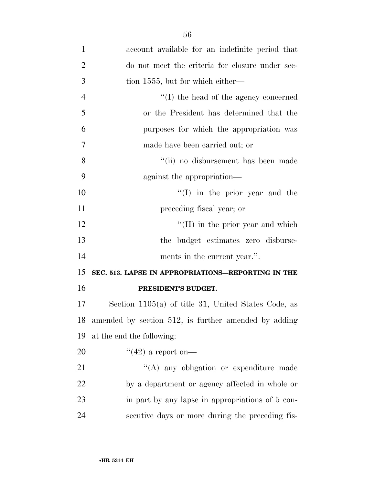| $\mathbf{1}$   | account available for an indefinite period that       |
|----------------|-------------------------------------------------------|
| $\overline{2}$ | do not meet the criteria for closure under sec-       |
| 3              | tion 1555, but for which either—                      |
| $\overline{4}$ | $\lq\lq$ the head of the agency concerned             |
| 5              | or the President has determined that the              |
| 6              | purposes for which the appropriation was              |
| 7              | made have been carried out; or                        |
| 8              | "(ii) no disbursement has been made                   |
| 9              | against the appropriation—                            |
| 10             | $\lq\lq$ (I) in the prior year and the                |
| 11             | preceding fiscal year; or                             |
| 12             | $\lq$ (II) in the prior year and which                |
| 13             | the budget estimates zero disburse-                   |
| 14             | ments in the current year.".                          |
| 15             | SEC. 513. LAPSE IN APPROPRIATIONS-REPORTING IN THE    |
| 16             | PRESIDENT'S BUDGET.                                   |
| 17             | Section $1105(a)$ of title 31, United States Code, as |
| 18             | amended by section 512, is further amended by adding  |
| 19             | at the end the following:                             |
| 20             | $\lq(42)$ a report on—                                |
| 21             | "(A) any obligation or expenditure made               |
| 22             | by a department or agency affected in whole or        |
| 23             | in part by any lapse in appropriations of 5 con-      |
| 24             | secutive days or more during the preceding fis-       |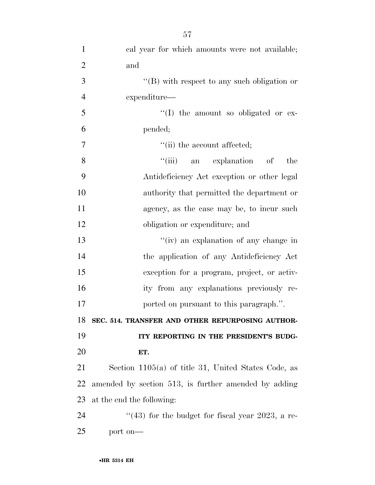| $\mathbf{1}$   | cal year for which amounts were not available;        |
|----------------|-------------------------------------------------------|
| $\overline{2}$ | and                                                   |
| 3              | " $(B)$ with respect to any such obligation or        |
| $\overline{4}$ | expenditure—                                          |
| 5              | $\lq\lq$ (I) the amount so obligated or ex-           |
| 6              | pended;                                               |
| 7              | "(ii) the account affected;                           |
| 8              | "(iii) an explanation of<br>the                       |
| 9              | Antideficiency Act exception or other legal           |
| 10             | authority that permitted the department or            |
| 11             | agency, as the case may be, to incur such             |
| 12             | obligation or expenditure; and                        |
| 13             | "(iv) an explanation of any change in                 |
| 14             | the application of any Antideficiency Act             |
| 15             | exception for a program, project, or activ-           |
| 16             | ity from any explanations previously re-              |
| 17             | ported on pursuant to this paragraph.".               |
| 18             | SEC. 514. TRANSFER AND OTHER REPURPOSING AUTHOR-      |
| 19             | ITY REPORTING IN THE PRESIDENT'S BUDG-                |
| 20             | ET.                                                   |
| 21             | Section $1105(a)$ of title 31, United States Code, as |
| 22             | amended by section 513, is further amended by adding  |
| 23             | at the end the following:                             |
| 24             | $(43)$ for the budget for fiscal year 2023, a re-     |
| 25             | port on-                                              |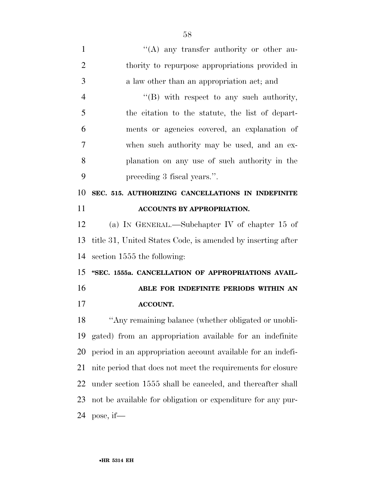| $\mathbf{1}$   | $\lq\lq$ any transfer authority or other au-                |
|----------------|-------------------------------------------------------------|
| $\overline{2}$ | thority to repurpose appropriations provided in             |
| 3              | a law other than an appropriation act; and                  |
| $\overline{4}$ | $\lq\lq$ with respect to any such authority,                |
| 5              | the citation to the statute, the list of depart-            |
| 6              | ments or agencies covered, an explanation of                |
| 7              | when such authority may be used, and an ex-                 |
| 8              | planation on any use of such authority in the               |
| 9              | preceding 3 fiscal years.".                                 |
| 10             | SEC. 515. AUTHORIZING CANCELLATIONS IN INDEFINITE           |
| 11             | ACCOUNTS BY APPROPRIATION.                                  |
| 12             | (a) IN GENERAL.—Subchapter IV of chapter 15 of              |
| 13             | title 31, United States Code, is amended by inserting after |
| 14             | section 1555 the following:                                 |
| 15             | "SEC. 1555a. CANCELLATION OF APPROPRIATIONS AVAIL-          |
| 16             | ABLE FOR INDEFINITE PERIODS WITHIN AN                       |
| 17             | <b>ACCOUNT.</b>                                             |
| 18             | "Any remaining balance (whether obligated or unobli-        |
| 19             | gated) from an appropriation available for an indefinite    |
| 20             | period in an appropriation account available for an indefi- |
| 21             | nite period that does not meet the requirements for closure |
| 22             | under section 1555 shall be canceled, and thereafter shall  |
| 23             | not be available for obligation or expenditure for any pur- |
| 24             | pose, if—                                                   |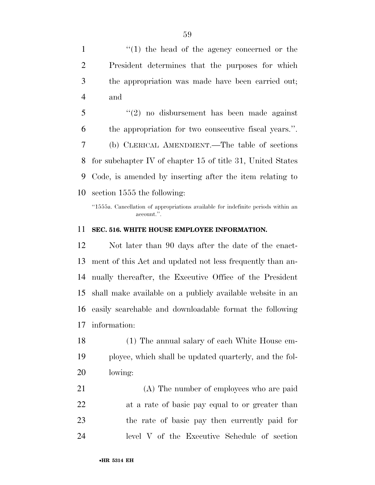1 ''(1) the head of the agency concerned or the President determines that the purposes for which the appropriation was made have been carried out; and

 ''(2) no disbursement has been made against the appropriation for two consecutive fiscal years.''. (b) CLERICAL AMENDMENT.—The table of sections for subchapter IV of chapter 15 of title 31, United States Code, is amended by inserting after the item relating to section 1555 the following:

### **SEC. 516. WHITE HOUSE EMPLOYEE INFORMATION.**

 Not later than 90 days after the date of the enact- ment of this Act and updated not less frequently than an- nually thereafter, the Executive Office of the President shall make available on a publicly available website in an easily searchable and downloadable format the following information:

 (1) The annual salary of each White House em- ployee, which shall be updated quarterly, and the fol-lowing:

 (A) The number of employees who are paid at a rate of basic pay equal to or greater than the rate of basic pay then currently paid for level V of the Executive Schedule of section

<sup>&#</sup>x27;'1555a. Cancellation of appropriations available for indefinite periods within an account.''.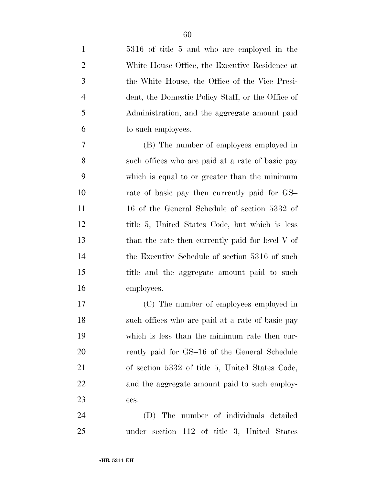| $\mathbf{1}$   | 5316 of title 5 and who are employed in the       |
|----------------|---------------------------------------------------|
| $\overline{2}$ | White House Office, the Executive Residence at    |
| 3              | the White House, the Office of the Vice Presi-    |
| $\overline{4}$ | dent, the Domestic Policy Staff, or the Office of |
| 5              | Administration, and the aggregate amount paid     |
| 6              | to such employees.                                |
| 7              | (B) The number of employees employed in           |
| 8              | such offices who are paid at a rate of basic pay  |
| 9              | which is equal to or greater than the minimum     |
| 10             | rate of basic pay then currently paid for GS      |
| 11             | 16 of the General Schedule of section 5332 of     |
| 12             | title 5, United States Code, but which is less    |
| 13             | than the rate then currently paid for level V of  |
| 14             | the Executive Schedule of section 5316 of such    |
| 15             | title and the aggregate amount paid to such       |
| 16             | employees.                                        |
| 17             | (C) The number of employees employed in           |
| 18             | such offices who are paid at a rate of basic pay  |
| 19             | which is less than the minimum rate then cur-     |
| <b>20</b>      | rently paid for GS-16 of the General Schedule     |
| 21             | of section 5332 of title 5, United States Code,   |
| 22             | and the aggregate amount paid to such employ-     |
| 23             | ees.                                              |
| 24             | The number of individuals detailed<br>(D)         |

under section 112 of title 3, United States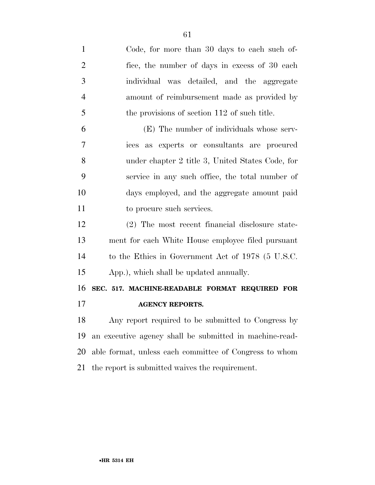| $\mathbf{1}$   | Code, for more than 30 days to each such of-            |
|----------------|---------------------------------------------------------|
| $\overline{2}$ | fice, the number of days in excess of 30 each           |
| 3              | individual was detailed, and the aggregate              |
| $\overline{4}$ | amount of reimbursement made as provided by             |
| 5              | the provisions of section 112 of such title.            |
| 6              | (E) The number of individuals whose serv-               |
| $\overline{7}$ | ices as experts or consultants are procured             |
| 8              | under chapter 2 title 3, United States Code, for        |
| 9              | service in any such office, the total number of         |
| 10             | days employed, and the aggregate amount paid            |
| 11             | to procure such services.                               |
| 12             | (2) The most recent financial disclosure state-         |
| 13             | ment for each White House employee filed pursuant       |
| 14             | to the Ethics in Government Act of 1978 (5 U.S.C.       |
| 15             | App.), which shall be updated annually.                 |
| 16             | SEC. 517. MACHINE-READABLE FORMAT REQUIRED FOR          |
| 17             | <b>AGENCY REPORTS.</b>                                  |
| 18             | Any report required to be submitted to Congress by      |
| 19             | an executive agency shall be submitted in machine-read- |
| 20             | able format, unless each committee of Congress to whom  |
| 21             | the report is submitted waives the requirement.         |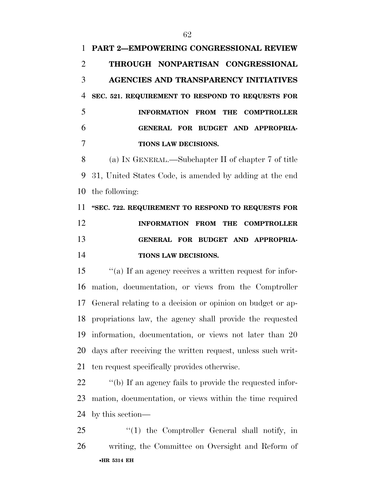**PART 2—EMPOWERING CONGRESSIONAL REVIEW THROUGH NONPARTISAN CONGRESSIONAL AGENCIES AND TRANSPARENCY INITIATIVES SEC. 521. REQUIREMENT TO RESPOND TO REQUESTS FOR INFORMATION FROM THE COMPTROLLER GENERAL FOR BUDGET AND APPROPRIA- TIONS LAW DECISIONS.**  (a) IN GENERAL.—Subchapter II of chapter 7 of title 31, United States Code, is amended by adding at the end the following:

 **''SEC. 722. REQUIREMENT TO RESPOND TO REQUESTS FOR INFORMATION FROM THE COMPTROLLER GENERAL FOR BUDGET AND APPROPRIA-TIONS LAW DECISIONS.** 

 ''(a) If an agency receives a written request for infor- mation, documentation, or views from the Comptroller General relating to a decision or opinion on budget or ap- propriations law, the agency shall provide the requested information, documentation, or views not later than 20 days after receiving the written request, unless such writ-ten request specifically provides otherwise.

22  $\cdot$  "(b) If an agency fails to provide the requested infor- mation, documentation, or views within the time required by this section—

•**HR 5314 EH** 25 "(1) the Comptroller General shall notify, in writing, the Committee on Oversight and Reform of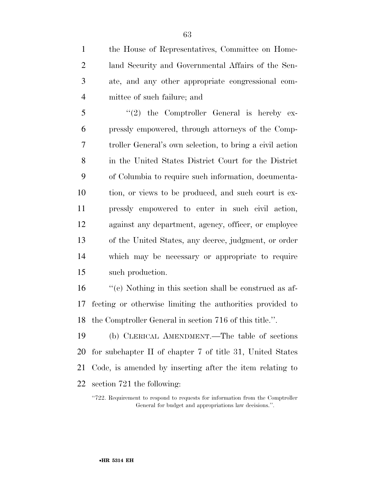the House of Representatives, Committee on Home- land Security and Governmental Affairs of the Sen- ate, and any other appropriate congressional com-mittee of such failure; and

5 "(2) the Comptroller General is hereby ex- pressly empowered, through attorneys of the Comp- troller General's own selection, to bring a civil action in the United States District Court for the District of Columbia to require such information, documenta- tion, or views to be produced, and such court is ex- pressly empowered to enter in such civil action, against any department, agency, officer, or employee of the United States, any decree, judgment, or order which may be necessary or appropriate to require such production.

 ''(c) Nothing in this section shall be construed as af- fecting or otherwise limiting the authorities provided to the Comptroller General in section 716 of this title.''.

 (b) CLERICAL AMENDMENT.—The table of sections for subchapter II of chapter 7 of title 31, United States Code, is amended by inserting after the item relating to section 721 the following:

<sup>&</sup>quot;722. Requirement to respond to requests for information from the Comptroller General for budget and appropriations law decisions.''.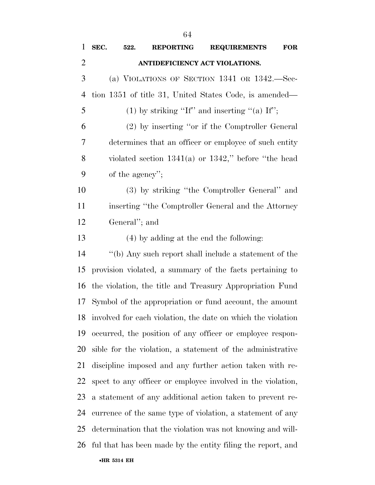| $\mathbf{1}$   | SEC.                                                     | 522.          | <b>REPORTING</b> | <b>REQUIREMENTS</b>                                             | <b>FOR</b> |
|----------------|----------------------------------------------------------|---------------|------------------|-----------------------------------------------------------------|------------|
| $\overline{2}$ |                                                          |               |                  | ANTIDEFICIENCY ACT VIOLATIONS.                                  |            |
| 3              |                                                          |               |                  | (a) VIOLATIONS OF SECTION $1341$ OR $1342$ . Sec-               |            |
| 4              | tion 1351 of title 31, United States Code, is amended—   |               |                  |                                                                 |            |
| 5              | (1) by striking "If" and inserting "(a) If";             |               |                  |                                                                 |            |
| 6              | (2) by inserting "or if the Comptroller General          |               |                  |                                                                 |            |
| 7              | determines that an officer or employee of such entity    |               |                  |                                                                 |            |
| 8              | violated section $1341(a)$ or $1342$ ," before "the head |               |                  |                                                                 |            |
| 9              | of the agency";                                          |               |                  |                                                                 |            |
| 10             |                                                          |               |                  | (3) by striking "the Comptroller General" and                   |            |
| 11             |                                                          |               |                  | inserting "the Comptroller General and the Attorney             |            |
| 12             |                                                          | General"; and |                  |                                                                 |            |
| 13             |                                                          |               |                  | (4) by adding at the end the following:                         |            |
| 14             | "(b) Any such report shall include a statement of the    |               |                  |                                                                 |            |
| 15             |                                                          |               |                  | provision violated, a summary of the facts pertaining to        |            |
| 16             | the violation, the title and Treasury Appropriation Fund |               |                  |                                                                 |            |
| 17             |                                                          |               |                  | Symbol of the appropriation or fund account, the amount         |            |
|                |                                                          |               |                  | 18 involved for each violation, the date on which the violation |            |
| 19             |                                                          |               |                  | occurred, the position of any officer or employee respon-       |            |
| 20             |                                                          |               |                  | sible for the violation, a statement of the administrative      |            |
| 21             |                                                          |               |                  | discipline imposed and any further action taken with re-        |            |
| 22             |                                                          |               |                  | spect to any officer or employee involved in the violation,     |            |
| 23             |                                                          |               |                  | a statement of any additional action taken to prevent re-       |            |
| 24             |                                                          |               |                  | currence of the same type of violation, a statement of any      |            |
| 25             |                                                          |               |                  | determination that the violation was not knowing and will-      |            |
| 26             |                                                          |               |                  | ful that has been made by the entity filing the report, and     |            |
|                | •HR 5314 EH                                              |               |                  |                                                                 |            |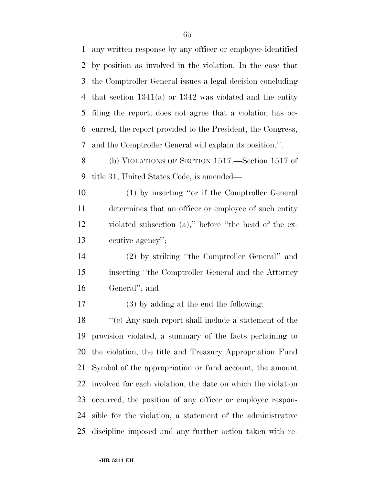any written response by any officer or employee identified by position as involved in the violation. In the case that the Comptroller General issues a legal decision concluding that section 1341(a) or 1342 was violated and the entity filing the report, does not agree that a violation has oc- curred, the report provided to the President, the Congress, and the Comptroller General will explain its position.''.

 (b) VIOLATIONS OF SECTION 1517.—Section 1517 of title 31, United States Code, is amended—

 (1) by inserting ''or if the Comptroller General determines that an officer or employee of such entity violated subsection (a),'' before ''the head of the ex-ecutive agency'';

 (2) by striking ''the Comptroller General'' and inserting ''the Comptroller General and the Attorney General''; and

(3) by adding at the end the following:

 ''(c) Any such report shall include a statement of the provision violated, a summary of the facts pertaining to the violation, the title and Treasury Appropriation Fund Symbol of the appropriation or fund account, the amount involved for each violation, the date on which the violation occurred, the position of any officer or employee respon- sible for the violation, a statement of the administrative discipline imposed and any further action taken with re-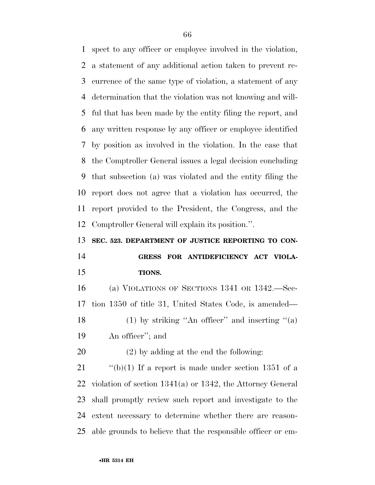spect to any officer or employee involved in the violation, a statement of any additional action taken to prevent re- currence of the same type of violation, a statement of any determination that the violation was not knowing and will- ful that has been made by the entity filing the report, and any written response by any officer or employee identified by position as involved in the violation. In the case that the Comptroller General issues a legal decision concluding that subsection (a) was violated and the entity filing the report does not agree that a violation has occurred, the report provided to the President, the Congress, and the Comptroller General will explain its position.''.

**SEC. 523. DEPARTMENT OF JUSTICE REPORTING TO CON-**

## **GRESS FOR ANTIDEFICIENCY ACT VIOLA-TIONS.**

 (a) VIOLATIONS OF SECTIONS 1341 OR 1342.—Sec- tion 1350 of title 31, United States Code, is amended— 18 (1) by striking "An officer" and inserting " $(a)$ An officer''; and

(2) by adding at the end the following:

 $\frac{1}{2}$  (b)(1) If a report is made under section 1351 of a violation of section 1341(a) or 1342, the Attorney General shall promptly review such report and investigate to the extent necessary to determine whether there are reason-able grounds to believe that the responsible officer or em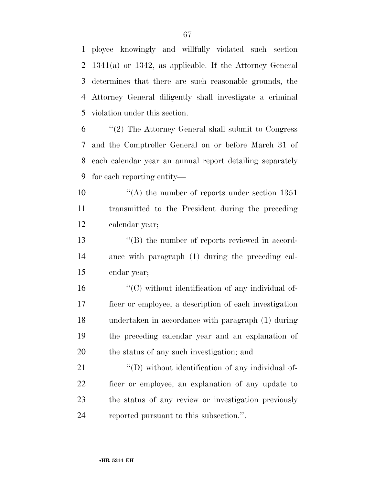ployee knowingly and willfully violated such section 1341(a) or 1342, as applicable. If the Attorney General determines that there are such reasonable grounds, the Attorney General diligently shall investigate a criminal violation under this section.

 ''(2) The Attorney General shall submit to Congress and the Comptroller General on or before March 31 of each calendar year an annual report detailing separately for each reporting entity—

10  $\frac{10}{10}$  (A) the number of reports under section 1351 transmitted to the President during the preceding calendar year;

13  $\langle G \rangle$  the number of reports reviewed in accord- ance with paragraph (1) during the preceding cal-endar year;

 $\mathcal{L}^{\prime\prime}(C)$  without identification of any individual of- ficer or employee, a description of each investigation undertaken in accordance with paragraph (1) during the preceding calendar year and an explanation of the status of any such investigation; and

 $\langle\langle D \rangle$  without identification of any individual of- ficer or employee, an explanation of any update to the status of any review or investigation previously reported pursuant to this subsection.''.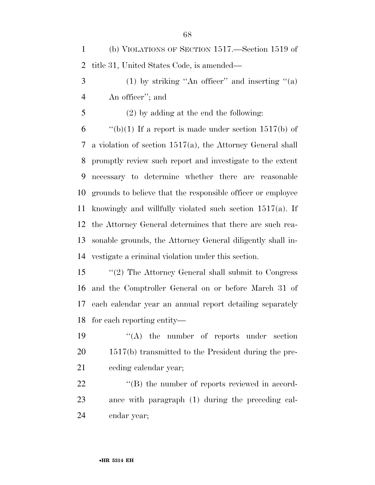(b) VIOLATIONS OF SECTION 1517.—Section 1519 of title 31, United States Code, is amended—

 (1) by striking "An officer" and inserting "(a) An officer''; and

(2) by adding at the end the following:

 $\qquad$  "(b)(1) If a report is made under section 1517(b) of a violation of section 1517(a), the Attorney General shall promptly review such report and investigate to the extent necessary to determine whether there are reasonable grounds to believe that the responsible officer or employee knowingly and willfully violated such section 1517(a). If the Attorney General determines that there are such rea- sonable grounds, the Attorney General diligently shall in-vestigate a criminal violation under this section.

 ''(2) The Attorney General shall submit to Congress and the Comptroller General on or before March 31 of each calendar year an annual report detailing separately for each reporting entity—

19  $\langle \text{A} \rangle$  the number of reports under section 1517(b) transmitted to the President during the pre-ceding calendar year;

22  $\langle$  (B) the number of reports reviewed in accord- ance with paragraph (1) during the preceding cal-endar year;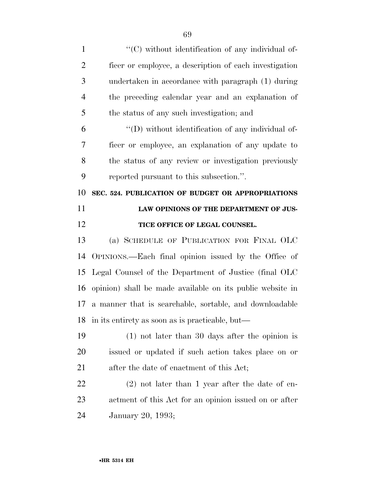| $\mathbf{1}$          | "(C) without identification of any individual of-         |
|-----------------------|-----------------------------------------------------------|
| $\overline{2}$        | ficer or employee, a description of each investigation    |
| 3                     | undertaken in accordance with paragraph (1) during        |
| $\overline{4}$        | the preceding calendar year and an explanation of         |
| 5                     | the status of any such investigation; and                 |
| 6                     | "(D) without identification of any individual of-         |
| 7                     | ficer or employee, an explanation of any update to        |
| 8                     | the status of any review or investigation previously      |
| 9                     | reported pursuant to this subsection.".                   |
| 10                    | SEC. 524. PUBLICATION OF BUDGET OR APPROPRIATIONS         |
| 11                    | LAW OPINIONS OF THE DEPARTMENT OF JUS-                    |
| 12                    | TICE OFFICE OF LEGAL COUNSEL.                             |
| 13                    | (a) SCHEDULE OF PUBLICATION FOR FINAL OLC                 |
| 14                    | OPINIONS.—Each final opinion issued by the Office of      |
| 15                    | Legal Counsel of the Department of Justice (final OLC     |
| 16                    | opinion) shall be made available on its public website in |
| 17                    | a manner that is searchable, sortable, and downloadable   |
| 18                    | in its entirety as soon as is practicable, but—           |
| 19                    |                                                           |
| <b>20</b>             | $(1)$ not later than 30 days after the opinion is         |
|                       | issued or updated if such action takes place on or        |
|                       | after the date of enactment of this Act;                  |
|                       | $(2)$ not later than 1 year after the date of en-         |
| 21<br><u>22</u><br>23 | actment of this Act for an opinion issued on or after     |
| 24                    | January 20, 1993;                                         |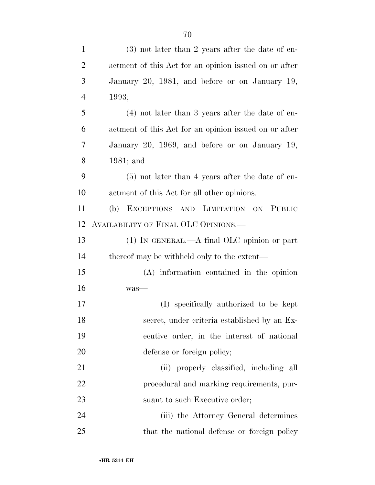| $\mathbf{1}$   | $(3)$ not later than 2 years after the date of en-    |
|----------------|-------------------------------------------------------|
| $\overline{2}$ | actment of this Act for an opinion issued on or after |
| 3              | January 20, 1981, and before or on January 19,        |
| $\overline{4}$ | 1993;                                                 |
| 5              | $(4)$ not later than 3 years after the date of en-    |
| 6              | actment of this Act for an opinion issued on or after |
| 7              | January 20, 1969, and before or on January 19,        |
| 8              | $1981;$ and                                           |
| 9              | $(5)$ not later than 4 years after the date of en-    |
| 10             | actment of this Act for all other opinions.           |
| 11             | EXCEPTIONS AND LIMITATION ON PUBLIC<br>(b)            |
| 12             | AVAILABILITY OF FINAL OLC OPINIONS.                   |
| 13             | $(1)$ In GENERAL.—A final OLC opinion or part         |
| 14             | thereof may be withheld only to the extent—           |
| 15             | $(A)$ information contained in the opinion            |
| 16             | was-                                                  |
| 17             | (I) specifically authorized to be kept                |
| 18             | secret, under criteria established by an Ex-          |
| 19             | ecutive order, in the interest of national            |
| 20             | defense or foreign policy;                            |
| 21             | (ii) properly classified, including all               |
| 22             | procedural and marking requirements, pur-             |
| 23             | suant to such Executive order;                        |
| 24             | (iii) the Attorney General determines                 |
| 25             | that the national defense or foreign policy           |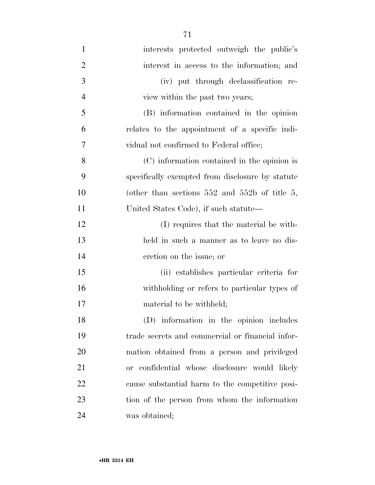| $\mathbf{1}$   | interests protected outweigh the public's         |
|----------------|---------------------------------------------------|
| $\overline{2}$ | interest in access to the information; and        |
| 3              | (iv) put through declassification re-             |
| $\overline{4}$ | view within the past two years;                   |
| 5              | (B) information contained in the opinion          |
| 6              | relates to the appointment of a specific indi-    |
| 7              | vidual not confirmed to Federal office;           |
| 8              | (C) information contained in the opinion is       |
| 9              | specifically exempted from disclosure by statute  |
| 10             | (other than sections $552$ and $552b$ of title 5, |
| 11             | United States Code), if such statute—             |
| 12             | (I) requires that the material be with-           |
| 13             | held in such a manner as to leave no dis-         |
| 14             | cretion on the issue; or                          |
| 15             | (ii) establishes particular criteria for          |
| 16             | withholding or refers to particular types of      |
| 17             | material to be withheld;                          |
| 18             | (D) information in the opinion includes           |
| 19             | trade secrets and commercial or financial infor-  |
| 20             | mation obtained from a person and privileged      |
| 21             | or confidential whose disclosure would likely     |
| 22             | cause substantial harm to the competitive posi-   |
| 23             | tion of the person from whom the information      |
| 24             | was obtained;                                     |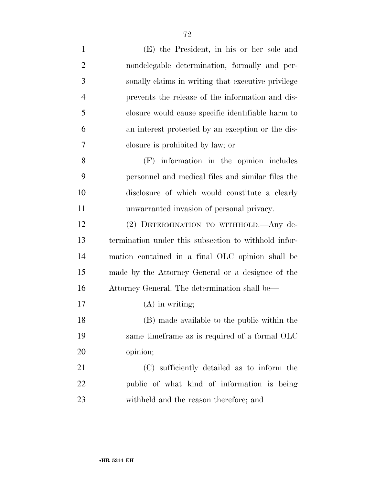| $\mathbf{1}$   | (E) the President, in his or her sole and            |
|----------------|------------------------------------------------------|
| $\overline{2}$ | nondelegable determination, formally and per-        |
| 3              | sonally claims in writing that executive privilege   |
| $\overline{4}$ | prevents the release of the information and dis-     |
| 5              | closure would cause specific identifiable harm to    |
| 6              | an interest protected by an exception or the dis-    |
| 7              | closure is prohibited by law; or                     |
| 8              | (F) information in the opinion includes              |
| 9              | personnel and medical files and similar files the    |
| 10             | disclosure of which would constitute a clearly       |
| 11             | unwarranted invasion of personal privacy.            |
| 12             | (2) DETERMINATION TO WITHHOLD. Any de-               |
| 13             | termination under this subsection to withhold infor- |
| 14             | mation contained in a final OLC opinion shall be     |
| 15             | made by the Attorney General or a designee of the    |
| 16             | Attorney General. The determination shall be—        |
| 17             | $(A)$ in writing;                                    |
| 18             | (B) made available to the public within the          |
| 19             | same time frame as is required of a formal OLC       |
| 20             | opinion;                                             |
| 21             | (C) sufficiently detailed as to inform the           |
| 22             | public of what kind of information is being          |
| 23             | withheld and the reason therefore; and               |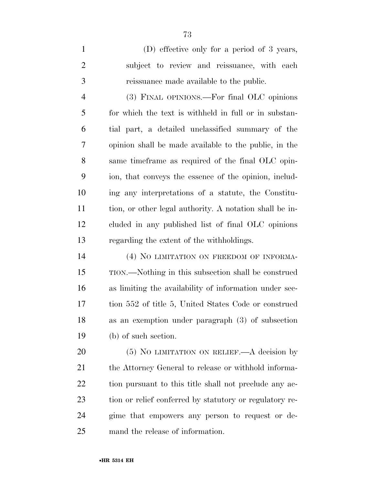(D) effective only for a period of 3 years, subject to review and reissuance, with each reissuance made available to the public.

 (3) FINAL OPINIONS.—For final OLC opinions for which the text is withheld in full or in substan- tial part, a detailed unclassified summary of the opinion shall be made available to the public, in the same timeframe as required of the final OLC opin- ion, that conveys the essence of the opinion, includ- ing any interpretations of a statute, the Constitu- tion, or other legal authority. A notation shall be in- cluded in any published list of final OLC opinions regarding the extent of the withholdings.

14 (4) NO LIMITATION ON FREEDOM OF INFORMA- TION.—Nothing in this subsection shall be construed as limiting the availability of information under sec- tion 552 of title 5, United States Code or construed as an exemption under paragraph (3) of subsection (b) of such section.

20 (5) NO LIMITATION ON RELIEF.—A decision by 21 the Attorney General to release or withhold informa-22 tion pursuant to this title shall not preclude any ac- tion or relief conferred by statutory or regulatory re- gime that empowers any person to request or de-mand the release of information.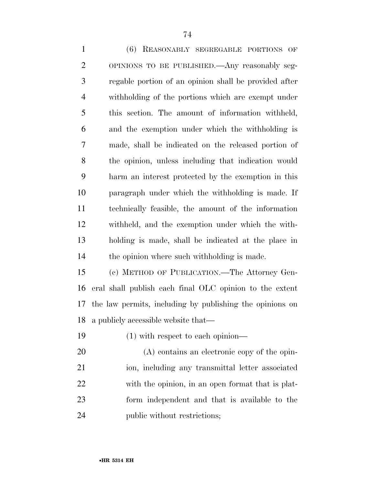(6) REASONABLY SEGREGABLE PORTIONS OF OPINIONS TO BE PUBLISHED.—Any reasonably seg- regable portion of an opinion shall be provided after withholding of the portions which are exempt under this section. The amount of information withheld, and the exemption under which the withholding is made, shall be indicated on the released portion of the opinion, unless including that indication would harm an interest protected by the exemption in this paragraph under which the withholding is made. If technically feasible, the amount of the information withheld, and the exemption under which the with- holding is made, shall be indicated at the place in the opinion where such withholding is made.

 (c) METHOD OF PUBLICATION.—The Attorney Gen- eral shall publish each final OLC opinion to the extent the law permits, including by publishing the opinions on a publicly accessible website that—

(1) with respect to each opinion—

 (A) contains an electronic copy of the opin- ion, including any transmittal letter associated with the opinion, in an open format that is plat- form independent and that is available to the public without restrictions;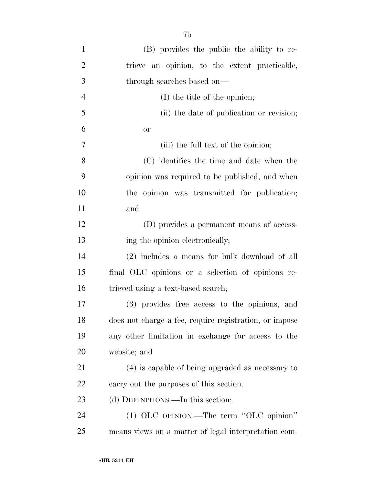| $\mathbf{1}$   | (B) provides the public the ability to re-             |
|----------------|--------------------------------------------------------|
| $\overline{2}$ | trieve an opinion, to the extent practicable,          |
| 3              | through searches based on—                             |
| $\overline{4}$ | (I) the title of the opinion;                          |
| 5              | (ii) the date of publication or revision;              |
| 6              | <b>or</b>                                              |
| 7              | (iii) the full text of the opinion;                    |
| 8              | (C) identifies the time and date when the              |
| 9              | opinion was required to be published, and when         |
| 10             | the opinion was transmitted for publication;           |
| 11             | and                                                    |
| 12             | (D) provides a permanent means of access-              |
| 13             | ing the opinion electronically;                        |
| 14             | (2) includes a means for bulk download of all          |
| 15             | final OLC opinions or a selection of opinions re-      |
| 16             | trieved using a text-based search;                     |
| 17             | (3) provides free access to the opinions, and          |
| 18             | does not charge a fee, require registration, or impose |
| 19             | any other limitation in exchange for access to the     |
| 20             | website; and                                           |
| 21             | (4) is capable of being upgraded as necessary to       |
| 22             | carry out the purposes of this section.                |
| 23             | (d) DEFINITIONS.—In this section:                      |
| 24             | (1) OLC OPINION.—The term "OLC opinion"                |
| 25             | means views on a matter of legal interpretation com-   |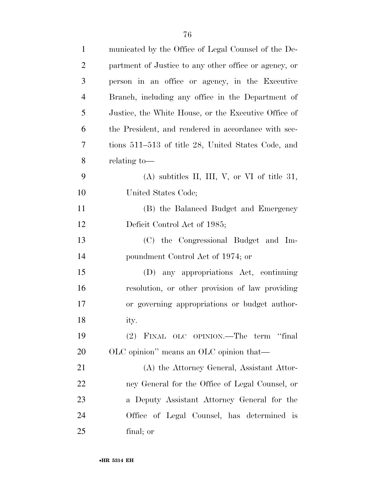| $\mathbf{1}$   | municated by the Office of Legal Counsel of the De-   |
|----------------|-------------------------------------------------------|
| $\overline{2}$ | partment of Justice to any other office or agency, or |
| 3              | person in an office or agency, in the Executive       |
| $\overline{4}$ | Branch, including any office in the Department of     |
| 5              | Justice, the White House, or the Executive Office of  |
| 6              | the President, and rendered in accordance with sec-   |
| 7              | tions 511–513 of title 28, United States Code, and    |
| 8              | relating to-                                          |
| 9              | $(A)$ subtitles II, III, V, or VI of title 31,        |
| 10             | United States Code;                                   |
| 11             | (B) the Balanced Budget and Emergency                 |
| 12             | Deficit Control Act of 1985;                          |
| 13             | (C) the Congressional Budget and Im-                  |
| 14             | poundment Control Act of 1974; or                     |
| 15             | (D) any appropriations Act, continuing                |
| 16             | resolution, or other provision of law providing       |
| 17             | or governing appropriations or budget author-         |
| 18             | ity.                                                  |
| 19             | FINAL OLC OPINION.—The term "final<br>(2)             |
| 20             | OLC opinion" means an OLC opinion that—               |
| 21             | (A) the Attorney General, Assistant Attor-            |
| 22             | ney General for the Office of Legal Counsel, or       |
| 23             | a Deputy Assistant Attorney General for the           |
| 24             | Office of Legal Counsel, has determined is            |
| 25             | final; or                                             |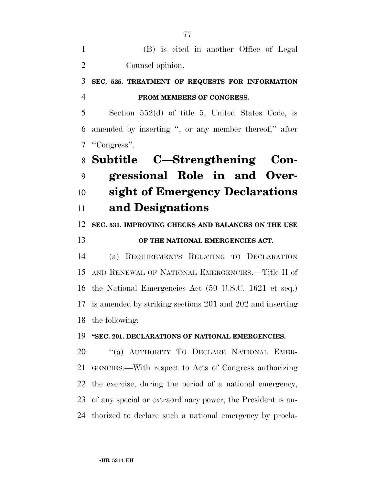| (B) is cited in another Office of Legal |  |
|-----------------------------------------|--|
| Counsel opinion.                        |  |

### **SEC. 525. TREATMENT OF REQUESTS FOR INFORMATION FROM MEMBERS OF CONGRESS.**

 Section 552(d) of title 5, United States Code, is amended by inserting '', or any member thereof,'' after ''Congress''.

# **Subtitle C—Strengthening Con- gressional Role in and Over- sight of Emergency Declarations and Designations**

**SEC. 531. IMPROVING CHECKS AND BALANCES ON THE USE** 

### **OF THE NATIONAL EMERGENCIES ACT.**

 (a) REQUIREMENTS RELATING TO DECLARATION AND RENEWAL OF NATIONAL EMERGENCIES.—Title II of the National Emergencies Act (50 U.S.C. 1621 et seq.) is amended by striking sections 201 and 202 and inserting the following:

#### **''SEC. 201. DECLARATIONS OF NATIONAL EMERGENCIES.**

20 "(a) AUTHORITY TO DECLARE NATIONAL EMER- GENCIES.—With respect to Acts of Congress authorizing the exercise, during the period of a national emergency, of any special or extraordinary power, the President is au-thorized to declare such a national emergency by procla-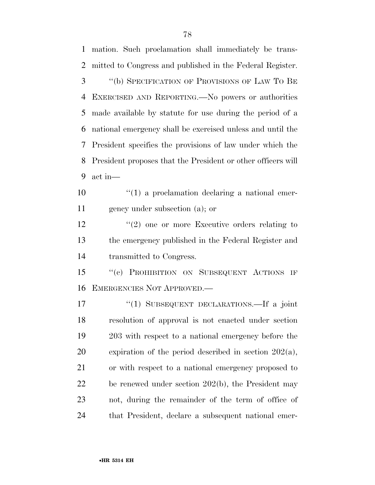mation. Such proclamation shall immediately be trans- mitted to Congress and published in the Federal Register. ''(b) SPECIFICATION OF PROVISIONS OF LAW TO BE EXERCISED AND REPORTING.—No powers or authorities made available by statute for use during the period of a national emergency shall be exercised unless and until the President specifies the provisions of law under which the President proposes that the President or other officers will act in—  $\frac{10}{10}$  <sup>''</sup>(1) a proclamation declaring a national emer- gency under subsection (a); or 12 ''(2) one or more Executive orders relating to the emergency published in the Federal Register and transmitted to Congress. 15 "(c) PROHIBITION ON SUBSEQUENT ACTIONS IF EMERGENCIES NOT APPROVED.— ''(1) SUBSEQUENT DECLARATIONS.—If a joint resolution of approval is not enacted under section 203 with respect to a national emergency before the expiration of the period described in section 202(a), or with respect to a national emergency proposed to be renewed under section 202(b), the President may not, during the remainder of the term of office of that President, declare a subsequent national emer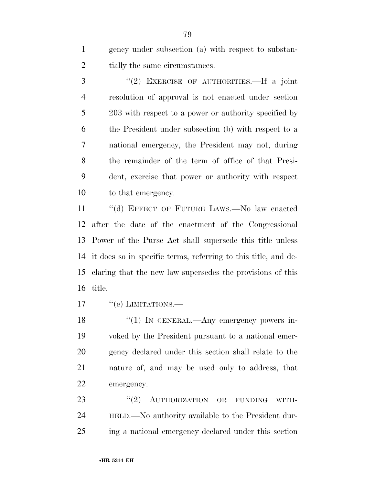gency under subsection (a) with respect to substan-2 tially the same circumstances.

 ''(2) EXERCISE OF AUTHORITIES.—If a joint resolution of approval is not enacted under section 203 with respect to a power or authority specified by the President under subsection (b) with respect to a national emergency, the President may not, during the remainder of the term of office of that Presi- dent, exercise that power or authority with respect to that emergency.

 ''(d) EFFECT OF FUTURE LAWS.—No law enacted after the date of the enactment of the Congressional Power of the Purse Act shall supersede this title unless it does so in specific terms, referring to this title, and de- claring that the new law supersedes the provisions of this title.

17 "(e) LIMITATIONS.

18 "(1) IN GENERAL.—Any emergency powers in- voked by the President pursuant to a national emer- gency declared under this section shall relate to the nature of, and may be used only to address, that emergency.

23 "(2) AUTHORIZATION OR FUNDING WITH- HELD.—No authority available to the President dur-ing a national emergency declared under this section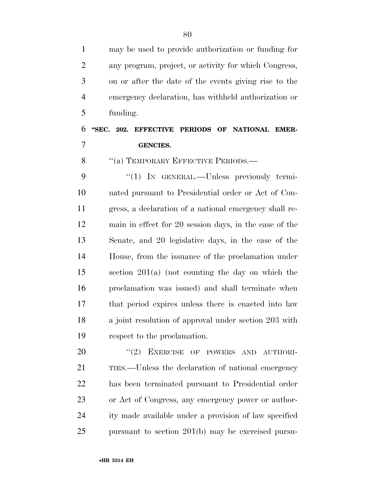| 1              | may be used to provide authorization or funding for    |
|----------------|--------------------------------------------------------|
| $\overline{2}$ | any program, project, or activity for which Congress,  |
| 3              | on or after the date of the events giving rise to the  |
| $\overline{4}$ | emergency declaration, has withheld authorization or   |
| 5              | funding.                                               |
| 6              | "SEC. 202. EFFECTIVE PERIODS OF NATIONAL EMER-         |
| 7              | <b>GENCIES.</b>                                        |
| 8              | "(a) TEMPORARY EFFECTIVE PERIODS.-                     |
| 9              | "(1) IN GENERAL.—Unless previously termi-              |
| 10             | nated pursuant to Presidential order or Act of Con-    |
| 11             | gress, a declaration of a national emergency shall re- |
| 12             | main in effect for 20 session days, in the case of the |
| 13             | Senate, and 20 legislative days, in the case of the    |
| 14             | House, from the issuance of the proclamation under     |
| 15             | section $201(a)$ (not counting the day on which the    |
| 16             | proclamation was issued) and shall terminate when      |
| 17             | that period expires unless there is enacted into law   |
| 18             | a joint resolution of approval under section 203 with  |
| 19             | respect to the proclamation.                           |
| 20             | (2)<br>EXERCISE OF POWERS AND AUTHORI-                 |
| 21             | TIES.—Unless the declaration of national emergency     |
| 22             | has been terminated pursuant to Presidential order     |
| 23             | or Act of Congress, any emergency power or author-     |
| 24             | ity made available under a provision of law specified  |
| 25             | pursuant to section $201(b)$ may be exercised pursu-   |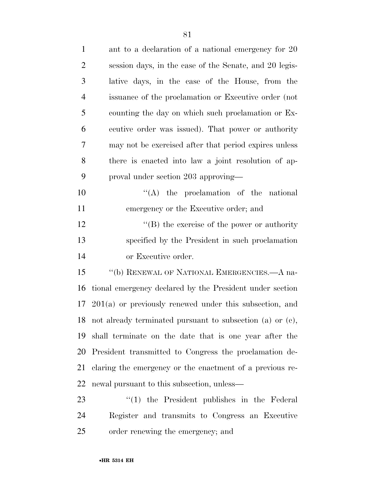| $\mathbf{1}$   | ant to a declaration of a national emergency for 20           |
|----------------|---------------------------------------------------------------|
| $\overline{2}$ | session days, in the case of the Senate, and 20 legis-        |
| 3              | lative days, in the case of the House, from the               |
| $\overline{4}$ | issuance of the proclamation or Executive order (not          |
| 5              | counting the day on which such proclamation or Ex-            |
| 6              | ecutive order was issued). That power or authority            |
| 7              | may not be exercised after that period expires unless         |
| 8              | there is enacted into law a joint resolution of ap-           |
| 9              | proval under section 203 approving—                           |
| 10             | $\lq\lq$ the proclamation of the national                     |
| 11             | emergency or the Executive order; and                         |
| 12             | $\lq\lq (B)$ the exercise of the power or authority           |
| 13             | specified by the President in such proclamation               |
| 14             | or Executive order.                                           |
| 15             | "(b) RENEWAL OF NATIONAL EMERGENCIES.—A na-                   |
| 16             | tional emergency declared by the President under section      |
|                | $17\,201(a)$ or previously renewed under this subsection, and |
|                | 18 not already terminated pursuant to subsection (a) or (c),  |
| 19             | shall terminate on the date that is one year after the        |
| 20             | President transmitted to Congress the proclamation de-        |
| 21             | claring the emergency or the enactment of a previous re-      |
| 22             | newal pursuant to this subsection, unless—                    |
| 23             | $\lq(1)$ the President publishes in the Federal               |
| 24             | Register and transmits to Congress an Executive               |

order renewing the emergency; and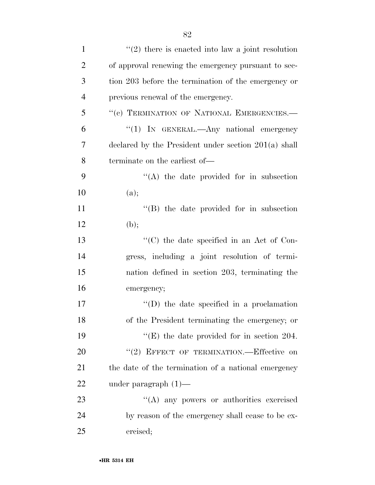| $\mathbf{1}$   | $\lq(2)$ there is enacted into law a joint resolution  |
|----------------|--------------------------------------------------------|
| $\overline{2}$ | of approval renewing the emergency pursuant to sec-    |
| 3              | tion 203 before the termination of the emergency or    |
| $\overline{4}$ | previous renewal of the emergency.                     |
| 5              | "(c) TERMINATION OF NATIONAL EMERGENCIES.-             |
| 6              | "(1) IN GENERAL.—Any national emergency                |
| 7              | declared by the President under section $201(a)$ shall |
| 8              | terminate on the earliest of—                          |
| 9              | $\lq\lq$ the date provided for in subsection           |
| 10             | (a);                                                   |
| 11             | $\lq\lq$ the date provided for in subsection           |
| 12             | (b);                                                   |
| 13             | $\lq\lq$ (C) the date specified in an Act of Con-      |
| 14             | gress, including a joint resolution of termi-          |
| 15             | nation defined in section 203, terminating the         |
| 16             | emergency;                                             |
| 17             | $\lq\lq$ the date specified in a proclamation          |
| 18             | of the President terminating the emergency; or         |
| 19             | "(E) the date provided for in section 204.             |
| 20             | "(2) EFFECT OF TERMINATION.—Effective on               |
| 21             | the date of the termination of a national emergency    |
| 22             | under paragraph $(1)$ —                                |
| 23             | "(A) any powers or authorities exercised               |
| 24             | by reason of the emergency shall cease to be ex-       |
| 25             | ercised;                                               |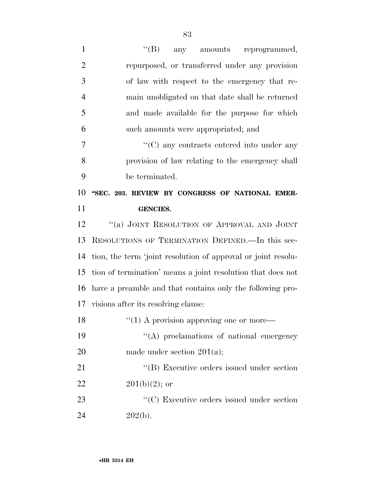| $\mathbf{1}$   | $\lq\lq (B)$<br>any amounts reprogrammed,                     |
|----------------|---------------------------------------------------------------|
| $\overline{2}$ | repurposed, or transferred under any provision                |
| 3              | of law with respect to the emergency that re-                 |
| $\overline{4}$ | main unobligated on that date shall be returned               |
| 5              | and made available for the purpose for which                  |
| 6              | such amounts were appropriated; and                           |
| 7              | $\lq\lq$ (C) any contracts entered into under any             |
| 8              | provision of law relating to the emergency shall              |
| 9              | be terminated.                                                |
| 10             | "SEC. 203. REVIEW BY CONGRESS OF NATIONAL EMER-               |
| 11             | <b>GENCIES.</b>                                               |
| 12             | "(a) JOINT RESOLUTION OF APPROVAL AND JOINT                   |
|                | RESOLUTIONS OF TERMINATION DEFINED. In this sec-              |
| 13             |                                                               |
| 14             | tion, the term 'joint resolution of approval or joint resolu- |
| 15             | tion of termination' means a joint resolution that does not   |
| 16             | have a preamble and that contains only the following pro-     |
|                | 17 visions after its resolving clause:                        |
| 18             | $\lq(1)$ A provision approving one or more—                   |
| 19             | "(A) proclamations of national emergency                      |
| 20             | made under section $201(a)$ ;                                 |
| 21             | "(B) Executive orders issued under section                    |
| 22             | $201(b)(2)$ ; or                                              |
| 23             | "(C) Executive orders issued under section                    |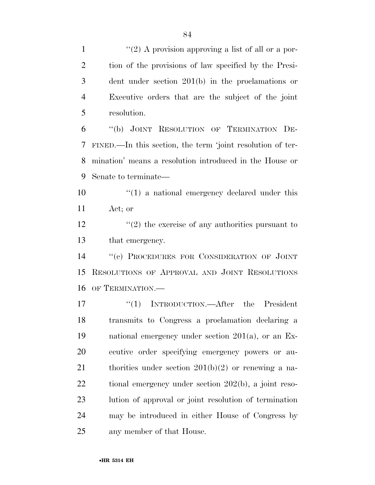$\frac{1}{2}$  A provision approving a list of all or a por- tion of the provisions of law specified by the Presi- dent under section 201(b) in the proclamations or Executive orders that are the subject of the joint resolution.

 ''(b) JOINT RESOLUTION OF TERMINATION DE- FINED.—In this section, the term 'joint resolution of ter- mination' means a resolution introduced in the House or Senate to terminate—

10  $\frac{u(1)}{2}$  a national emergency declared under this Act; or

 $\frac{12}{2}$  ''(2) the exercise of any authorities pursuant to that emergency.

 ''(c) PROCEDURES FOR CONSIDERATION OF JOINT RESOLUTIONS OF APPROVAL AND JOINT RESOLUTIONS OF TERMINATION.—

17 "(1) INTRODUCTION.—After the President transmits to Congress a proclamation declaring a national emergency under section 201(a), or an Ex- ecutive order specifying emergency powers or au-21 thorities under section  $201(b)(2)$  or renewing a na- tional emergency under section 202(b), a joint reso- lution of approval or joint resolution of termination may be introduced in either House of Congress by any member of that House.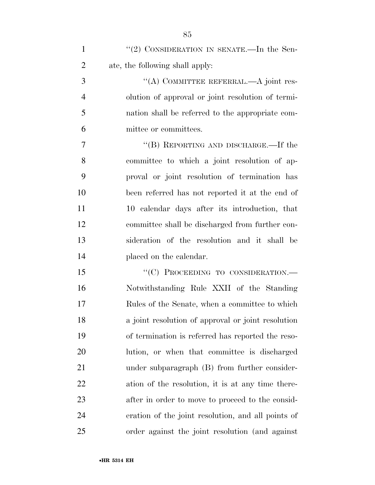| $\mathbf{1}$   | "(2) CONSIDERATION IN SENATE.—In the Sen-          |
|----------------|----------------------------------------------------|
| $\overline{2}$ | ate, the following shall apply:                    |
| 3              | "(A) COMMITTEE REFERRAL.—A joint res-              |
| $\overline{4}$ | olution of approval or joint resolution of termi-  |
| 5              | nation shall be referred to the appropriate com-   |
| 6              | mittee or committees.                              |
| 7              | "(B) REPORTING AND DISCHARGE.—If the               |
| 8              | committee to which a joint resolution of ap-       |
| 9              | proval or joint resolution of termination has      |
| 10             | been referred has not reported it at the end of    |
| 11             | 10 calendar days after its introduction, that      |
| 12             | committee shall be discharged from further con-    |
| 13             | sideration of the resolution and it shall be       |
| 14             | placed on the calendar.                            |
| 15             | "(C) PROCEEDING TO CONSIDERATION.-                 |
| 16             | Notwithstanding Rule XXII of the Standing          |
| 17             | Rules of the Senate, when a committee to which     |
| 18             | a joint resolution of approval or joint resolution |
| 19             | of termination is referred has reported the reso-  |
| 20             | lution, or when that committee is discharged       |
| 21             | under subparagraph (B) from further consider-      |
| 22             | ation of the resolution, it is at any time there-  |
| 23             | after in order to move to proceed to the consid-   |
| 24             | eration of the joint resolution, and all points of |
| 25             | order against the joint resolution (and against    |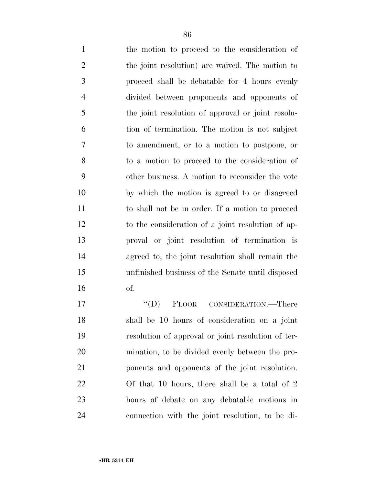the motion to proceed to the consideration of the joint resolution) are waived. The motion to proceed shall be debatable for 4 hours evenly divided between proponents and opponents of the joint resolution of approval or joint resolu- tion of termination. The motion is not subject to amendment, or to a motion to postpone, or to a motion to proceed to the consideration of other business. A motion to reconsider the vote by which the motion is agreed to or disagreed to shall not be in order. If a motion to proceed to the consideration of a joint resolution of ap- proval or joint resolution of termination is agreed to, the joint resolution shall remain the unfinished business of the Senate until disposed of.

17 "'(D) FLOOR CONSIDERATION.—There shall be 10 hours of consideration on a joint resolution of approval or joint resolution of ter- mination, to be divided evenly between the pro- ponents and opponents of the joint resolution. Of that 10 hours, there shall be a total of 2 hours of debate on any debatable motions in connection with the joint resolution, to be di-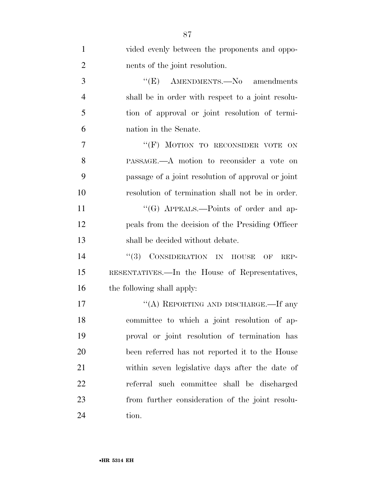| $\mathbf{1}$   | vided evenly between the proponents and oppo-      |
|----------------|----------------------------------------------------|
| $\overline{2}$ | nents of the joint resolution.                     |
| 3              | " $(E)$ AMENDMENTS. No amendments                  |
| $\overline{4}$ | shall be in order with respect to a joint resolu-  |
| 5              | tion of approval or joint resolution of termi-     |
| 6              | nation in the Senate.                              |
| 7              | "(F) MOTION TO RECONSIDER VOTE ON                  |
| 8              | PASSAGE.—A motion to reconsider a vote on          |
| 9              | passage of a joint resolution of approval or joint |
| 10             | resolution of termination shall not be in order.   |
| 11             | "(G) APPEALS.—Points of order and ap-              |
| 12             | peals from the decision of the Presiding Officer   |
| 13             | shall be decided without debate.                   |
| 14             | "(3) CONSIDERATION IN HOUSE<br>OF<br>REP-          |
| 15             | RESENTATIVES.—In the House of Representatives,     |
| 16             | the following shall apply:                         |
| 17             | "(A) REPORTING AND DISCHARGE.—If any               |
| 18             | committee to which a joint resolution of ap-       |
| 19             | proval or joint resolution of termination has      |
| 20             | been referred has not reported it to the House     |
| 21             | within seven legislative days after the date of    |
| 22             | referral such committee shall be discharged        |
| 23             | from further consideration of the joint resolu-    |
| 24             | tion.                                              |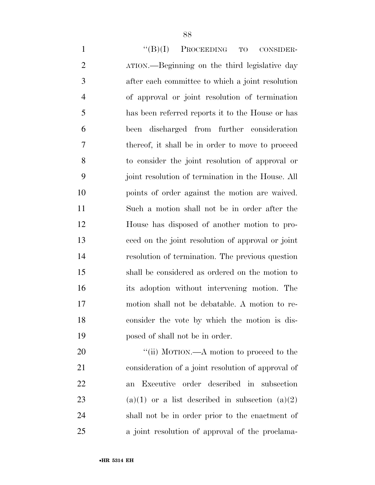1 "(B)(I) PROCEEDING TO CONSIDER- ATION.—Beginning on the third legislative day after each committee to which a joint resolution of approval or joint resolution of termination has been referred reports it to the House or has been discharged from further consideration thereof, it shall be in order to move to proceed to consider the joint resolution of approval or joint resolution of termination in the House. All points of order against the motion are waived. Such a motion shall not be in order after the House has disposed of another motion to pro- ceed on the joint resolution of approval or joint resolution of termination. The previous question shall be considered as ordered on the motion to its adoption without intervening motion. The motion shall not be debatable. A motion to re- consider the vote by which the motion is dis-posed of shall not be in order.

20 "'(ii) MOTION.—A motion to proceed to the consideration of a joint resolution of approval of an Executive order described in subsection 23 (a)(1) or a list described in subsection (a)(2) shall not be in order prior to the enactment of a joint resolution of approval of the proclama-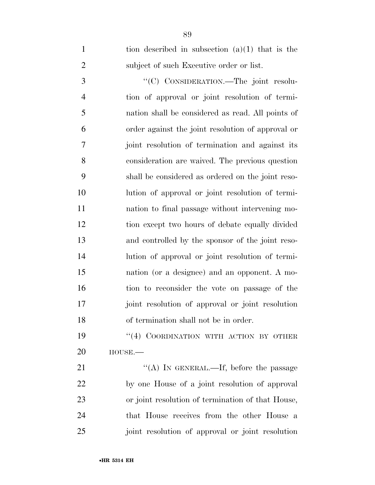| $\mathbf{1}$   | tion described in subsection $(a)(1)$ that is the |
|----------------|---------------------------------------------------|
| $\overline{2}$ | subject of such Executive order or list.          |
| 3              | "(C) CONSIDERATION.—The joint resolu-             |
| $\overline{4}$ | tion of approval or joint resolution of termi-    |
| 5              | nation shall be considered as read. All points of |
| 6              | order against the joint resolution of approval or |
| 7              | joint resolution of termination and against its   |
| 8              | consideration are waived. The previous question   |
| 9              | shall be considered as ordered on the joint reso- |
| 10             | lution of approval or joint resolution of termi-  |
| 11             | nation to final passage without intervening mo-   |
| 12             | tion except two hours of debate equally divided   |
| 13             | and controlled by the sponsor of the joint reso-  |
| 14             | lution of approval or joint resolution of termi-  |
| 15             | nation (or a designee) and an opponent. A mo-     |
| 16             | tion to reconsider the vote on passage of the     |
| 17             | joint resolution of approval or joint resolution  |
| 18             | of termination shall not be in order.             |
| 19             | "(4) COORDINATION WITH ACTION BY OTHER            |
| 20             | $HOUSE. -$                                        |
| 21             | "(A) IN GENERAL.—If, before the passage           |
| 22             | by one House of a joint resolution of approval    |
| 23             | or joint resolution of termination of that House, |
|                |                                                   |

 that House receives from the other House a joint resolution of approval or joint resolution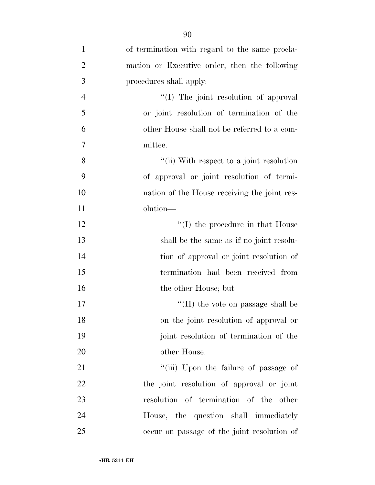| $\mathbf{1}$   | of termination with regard to the same procla- |
|----------------|------------------------------------------------|
| $\overline{2}$ | mation or Executive order, then the following  |
| 3              | procedures shall apply:                        |
| $\overline{4}$ | "(I) The joint resolution of approval          |
| 5              | or joint resolution of termination of the      |
| 6              | other House shall not be referred to a com-    |
| $\overline{7}$ | mittee.                                        |
| 8              | "(ii) With respect to a joint resolution       |
| 9              | of approval or joint resolution of termi-      |
| 10             | nation of the House receiving the joint res-   |
| 11             | olution—                                       |
| 12             | $\lq\lq$ (I) the procedure in that House       |
| 13             | shall be the same as if no joint resolu-       |
| 14             | tion of approval or joint resolution of        |
| 15             | termination had been received from             |
| 16             | the other House; but                           |
| 17             | $\lq\lq$ (II) the vote on passage shall be     |
| 18             | on the joint resolution of approval or         |
| 19             | joint resolution of termination of the         |
| 20             | other House.                                   |
| 21             | "(iii) Upon the failure of passage of          |
| 22             | the joint resolution of approval or joint      |
| 23             | resolution of termination of the other         |
| 24             | House, the question shall immediately          |
| 25             | occur on passage of the joint resolution of    |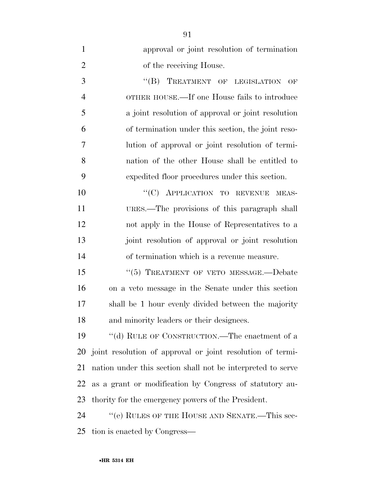| $\mathbf{1}$   | approval or joint resolution of termination                 |
|----------------|-------------------------------------------------------------|
| $\overline{2}$ | of the receiving House.                                     |
| 3              | TREATMENT OF LEGISLATION OF<br>``(B)                        |
| $\overline{4}$ | OTHER HOUSE.—If one House fails to introduce                |
| 5              | a joint resolution of approval or joint resolution          |
| 6              | of termination under this section, the joint reso-          |
| 7              | lution of approval or joint resolution of termi-            |
| 8              | nation of the other House shall be entitled to              |
| 9              | expedited floor procedures under this section.              |
| 10             | "(C) APPLICATION TO REVENUE MEAS-                           |
| 11             | URES.—The provisions of this paragraph shall                |
| 12             | not apply in the House of Representatives to a              |
| 13             | joint resolution of approval or joint resolution            |
| 14             | of termination which is a revenue measure.                  |
| 15             | "(5) TREATMENT OF VETO MESSAGE.-Debate                      |
| 16             | on a veto message in the Senate under this section          |
| 17             | shall be 1 hour evenly divided between the majority         |
| 18             | and minority leaders or their designees.                    |
| 19             | "(d) RULE OF CONSTRUCTION.—The enactment of a               |
| 20             | joint resolution of approval or joint resolution of termi-  |
| 21             | nation under this section shall not be interpreted to serve |
| 22             | as a grant or modification by Congress of statutory au-     |
| 23             | thority for the emergency powers of the President.          |
| 24             | "(e) RULES OF THE HOUSE AND SENATE.—This sec-               |
| 25             | tion is enacted by Congress—                                |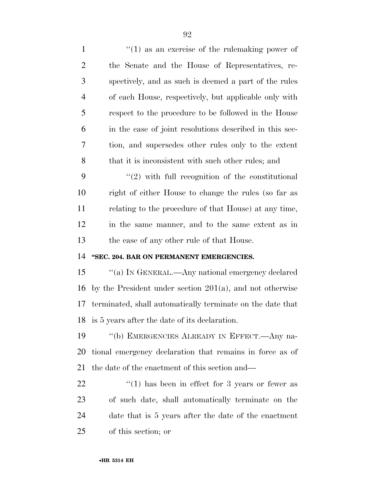$\frac{1}{1}$   $\frac{1}{2}$  as an exercise of the rulemaking power of the Senate and the House of Representatives, re- spectively, and as such is deemed a part of the rules of each House, respectively, but applicable only with respect to the procedure to be followed in the House in the case of joint resolutions described in this sec- tion, and supersedes other rules only to the extent 8 that it is inconsistent with such other rules; and "(2) with full recognition of the constitutional right of either House to change the rules (so far as relating to the procedure of that House) at any time, in the same manner, and to the same extent as in the case of any other rule of that House. **''SEC. 204. BAR ON PERMANENT EMERGENCIES.**  15 "(a) IN GENERAL.—Any national emergency declared by the President under section 201(a), and not otherwise terminated, shall automatically terminate on the date that is 5 years after the date of its declaration. ''(b) EMERGENCIES ALREADY IN EFFECT.—Any na- tional emergency declaration that remains in force as of the date of the enactment of this section and— ''(1) has been in effect for 3 years or fewer as of such date, shall automatically terminate on the date that is 5 years after the date of the enactment of this section; or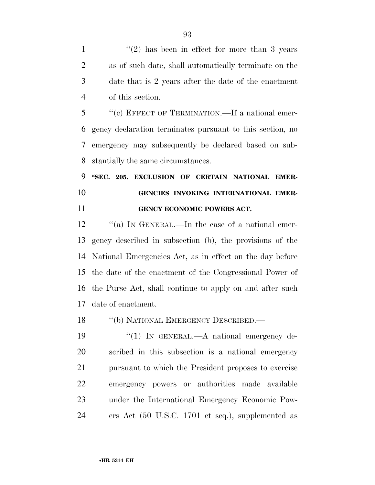1 ''(2) has been in effect for more than 3 years as of such date, shall automatically terminate on the date that is 2 years after the date of the enactment of this section.

 ''(c) EFFECT OF TERMINATION.—If a national emer- gency declaration terminates pursuant to this section, no emergency may subsequently be declared based on sub-stantially the same circumstances.

 **''SEC. 205. EXCLUSION OF CERTAIN NATIONAL EMER- GENCIES INVOKING INTERNATIONAL EMER-GENCY ECONOMIC POWERS ACT.** 

12 "(a) In GENERAL.—In the case of a national emer- gency described in subsection (b), the provisions of the National Emergencies Act, as in effect on the day before the date of the enactment of the Congressional Power of the Purse Act, shall continue to apply on and after such date of enactment.

18 "(b) NATIONAL EMERGENCY DESCRIBED.—

19 "(1) In GENERAL.—A national emergency de- scribed in this subsection is a national emergency pursuant to which the President proposes to exercise emergency powers or authorities made available under the International Emergency Economic Pow-ers Act (50 U.S.C. 1701 et seq.), supplemented as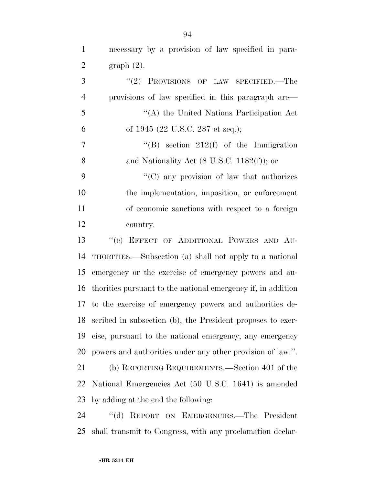necessary by a provision of law specified in para- graph (2). 3 "(2) PROVISIONS OF LAW SPECIFIED.—The provisions of law specified in this paragraph are— ''(A) the United Nations Participation Act

of 1945 (22 U.S.C. 287 et seq.);

 $7 \t\t\t\t''(B)$  section 212(f) of the Immigration 8 and Nationality Act (8 U.S.C. 1182(f)); or

 ''(C) any provision of law that authorizes the implementation, imposition, or enforcement of economic sanctions with respect to a foreign country.

 ''(c) EFFECT OF ADDITIONAL POWERS AND AU- THORITIES.—Subsection (a) shall not apply to a national emergency or the exercise of emergency powers and au- thorities pursuant to the national emergency if, in addition to the exercise of emergency powers and authorities de- scribed in subsection (b), the President proposes to exer- cise, pursuant to the national emergency, any emergency powers and authorities under any other provision of law.''.

 (b) REPORTING REQUIREMENTS.—Section 401 of the National Emergencies Act (50 U.S.C. 1641) is amended by adding at the end the following:

 ''(d) REPORT ON EMERGENCIES.—The President shall transmit to Congress, with any proclamation declar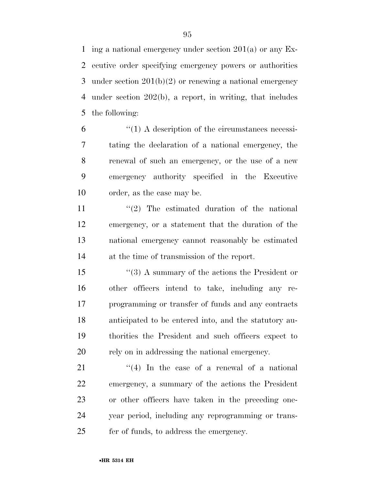ing a national emergency under section 201(a) or any Ex- ecutive order specifying emergency powers or authorities under section 201(b)(2) or renewing a national emergency under section 202(b), a report, in writing, that includes the following:

 $(1)$  A description of the circumstances necessi- tating the declaration of a national emergency, the renewal of such an emergency, or the use of a new emergency authority specified in the Executive order, as the case may be.

 $\frac{1}{2}$  The estimated duration of the national emergency, or a statement that the duration of the national emergency cannot reasonably be estimated at the time of transmission of the report.

 ''(3) A summary of the actions the President or other officers intend to take, including any re- programming or transfer of funds and any contracts anticipated to be entered into, and the statutory au- thorities the President and such officers expect to rely on in addressing the national emergency.

 $\frac{1}{4}$  In the case of a renewal of a national emergency, a summary of the actions the President or other officers have taken in the preceding one- year period, including any reprogramming or trans-fer of funds, to address the emergency.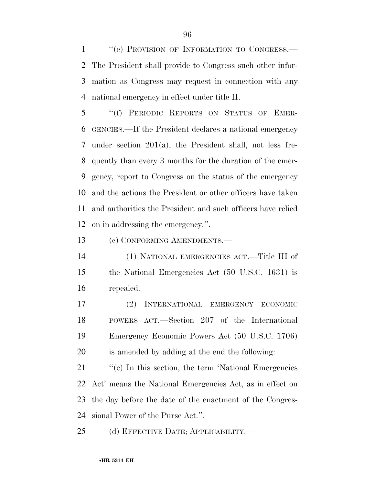1 "(e) PROVISION OF INFORMATION TO CONGRESS.— The President shall provide to Congress such other infor- mation as Congress may request in connection with any national emergency in effect under title II.

 ''(f) PERIODIC REPORTS ON STATUS OF EMER- GENCIES.—If the President declares a national emergency under section 201(a), the President shall, not less fre- quently than every 3 months for the duration of the emer- gency, report to Congress on the status of the emergency and the actions the President or other officers have taken and authorities the President and such officers have relied on in addressing the emergency.''.

(c) CONFORMING AMENDMENTS.—

 (1) NATIONAL EMERGENCIES ACT.—Title III of the National Emergencies Act (50 U.S.C. 1631) is repealed.

 (2) INTERNATIONAL EMERGENCY ECONOMIC POWERS ACT.—Section 207 of the International Emergency Economic Powers Act (50 U.S.C. 1706) is amended by adding at the end the following:

21 ''(c) In this section, the term 'National Emergencies Act' means the National Emergencies Act, as in effect on the day before the date of the enactment of the Congres-sional Power of the Purse Act.''.

(d) EFFECTIVE DATE; APPLICABILITY.—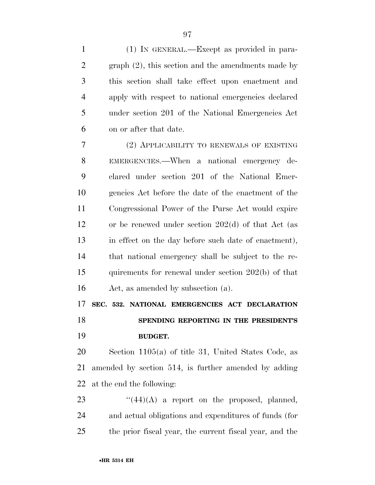(1) IN GENERAL.—Except as provided in para- graph (2), this section and the amendments made by this section shall take effect upon enactment and apply with respect to national emergencies declared under section 201 of the National Emergencies Act on or after that date.

 (2) APPLICABILITY TO RENEWALS OF EXISTING EMERGENCIES.—When a national emergency de- clared under section 201 of the National Emer- gencies Act before the date of the enactment of the Congressional Power of the Purse Act would expire or be renewed under section 202(d) of that Act (as in effect on the day before such date of enactment), that national emergency shall be subject to the re- quirements for renewal under section 202(b) of that Act, as amended by subsection (a).

**SEC. 532. NATIONAL EMERGENCIES ACT DECLARATION** 

 **SPENDING REPORTING IN THE PRESIDENT'S BUDGET.** 

 Section 1105(a) of title 31, United States Code, as amended by section 514, is further amended by adding at the end the following:

23  $\frac{((44)(A)}{)}$  a report on the proposed, planned, and actual obligations and expenditures of funds (for the prior fiscal year, the current fiscal year, and the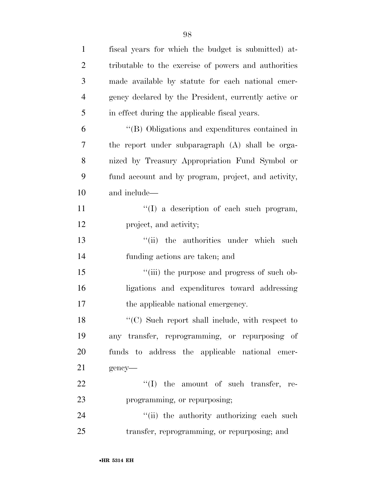| $\mathbf{1}$   | fiscal years for which the budget is submitted) at-  |
|----------------|------------------------------------------------------|
| $\overline{2}$ | tributable to the exercise of powers and authorities |
| 3              | made available by statute for each national emer-    |
| $\overline{4}$ | gency declared by the President, currently active or |
| 5              | in effect during the applicable fiscal years.        |
| 6              | "(B) Obligations and expenditures contained in       |
| 7              | the report under subparagraph (A) shall be orga-     |
| 8              | nized by Treasury Appropriation Fund Symbol or       |
| 9              | fund account and by program, project, and activity,  |
| 10             | and include—                                         |
| 11             | $\lq\lq$ a description of each such program,         |
| 12             | project, and activity;                               |
| 13             | "(ii) the authorities under which<br>such            |
| 14             | funding actions are taken; and                       |
| 15             | "(iii) the purpose and progress of such ob-          |
| 16             | ligations and expenditures toward addressing         |
| 17             | the applicable national emergency.                   |
| 18             | "(C) Such report shall include, with respect to      |
| 19             | any transfer, reprogramming, or repurposing of       |
| 20             | funds to address the applicable national emer-       |
| 21             | gency-                                               |
| 22             | $\lq\lq$ the amount of such transfer, re-            |
| 23             | programming, or repurposing;                         |
| 24             | "(ii) the authority authorizing each such            |
| 25             | transfer, reprogramming, or repurposing; and         |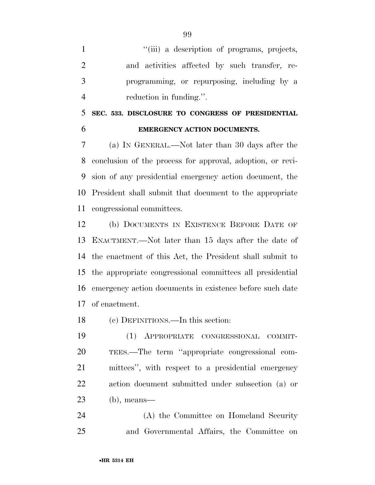$"$ (iii) a description of programs, projects, and activities affected by such transfer, re- programming, or repurposing, including by a reduction in funding.''.

 **SEC. 533. DISCLOSURE TO CONGRESS OF PRESIDENTIAL EMERGENCY ACTION DOCUMENTS.** 

 (a) IN GENERAL.—Not later than 30 days after the conclusion of the process for approval, adoption, or revi- sion of any presidential emergency action document, the President shall submit that document to the appropriate congressional committees.

 (b) DOCUMENTS IN EXISTENCE BEFORE DATE OF ENACTMENT.—Not later than 15 days after the date of the enactment of this Act, the President shall submit to the appropriate congressional committees all presidential emergency action documents in existence before such date of enactment.

(c) DEFINITIONS.—In this section:

 (1) APPROPRIATE CONGRESSIONAL COMMIT- TEES.—The term ''appropriate congressional com- mittees'', with respect to a presidential emergency action document submitted under subsection (a) or (b), means—

 (A) the Committee on Homeland Security and Governmental Affairs, the Committee on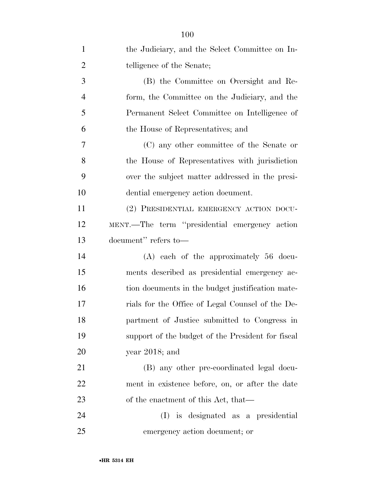| $\mathbf{1}$   | the Judiciary, and the Select Committee on In-    |
|----------------|---------------------------------------------------|
| $\overline{2}$ | telligence of the Senate;                         |
| 3              | (B) the Committee on Oversight and Re-            |
| $\overline{4}$ | form, the Committee on the Judiciary, and the     |
| 5              | Permanent Select Committee on Intelligence of     |
| 6              | the House of Representatives; and                 |
| 7              | (C) any other committee of the Senate or          |
| 8              | the House of Representatives with jurisdiction    |
| 9              | over the subject matter addressed in the presi-   |
| 10             | dential emergency action document.                |
| 11             | (2) PRESIDENTIAL EMERGENCY ACTION DOCU-           |
| 12             | MENT.—The term "presidential emergency action     |
| 13             | document" refers to-                              |
| 14             | $(A)$ each of the approximately 56 docu-          |
| 15             | ments described as presidential emergency ac-     |
| 16             | tion documents in the budget justification mate-  |
| 17             | rials for the Office of Legal Counsel of the De-  |
| 18             | partment of Justice submitted to Congress in      |
| 19             | support of the budget of the President for fiscal |
| 20             | year $2018$ ; and                                 |
| 21             | (B) any other pre-coordinated legal docu-         |
| 22             | ment in existence before, on, or after the date   |
| 23             | of the enactment of this Act, that—               |
| 24             | (I) is designated as a presidential               |
| 25             | emergency action document; or                     |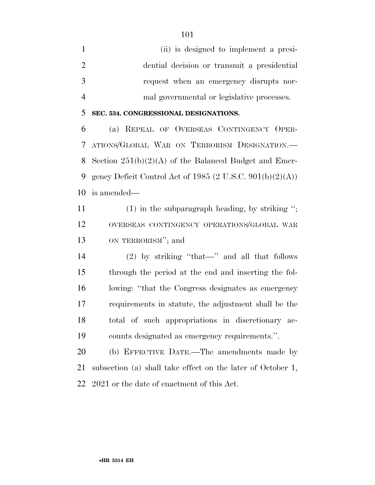(ii) is designed to implement a presi- dential decision or transmit a presidential request when an emergency disrupts nor-mal governmental or legislative processes.

#### **SEC. 534. CONGRESSIONAL DESIGNATIONS.**

 (a) REPEAL OF OVERSEAS CONTINGENCY OPER- ATIONS/GLOBAL WAR ON TERRORISM DESIGNATION.— Section 251(b)(2)(A) of the Balanced Budget and Emer- gency Deficit Control Act of 1985 (2 U.S.C. 901(b)(2)(A)) is amended—

11 (1) in the subparagraph heading, by striking "; OVERSEAS CONTINGENCY OPERATIONS/GLOBAL WAR ON TERRORISM''; and

 (2) by striking ''that—'' and all that follows through the period at the end and inserting the fol- lowing: ''that the Congress designates as emergency requirements in statute, the adjustment shall be the total of such appropriations in discretionary ac-counts designated as emergency requirements.''.

 (b) EFFECTIVE DATE.—The amendments made by subsection (a) shall take effect on the later of October 1, 2021 or the date of enactment of this Act.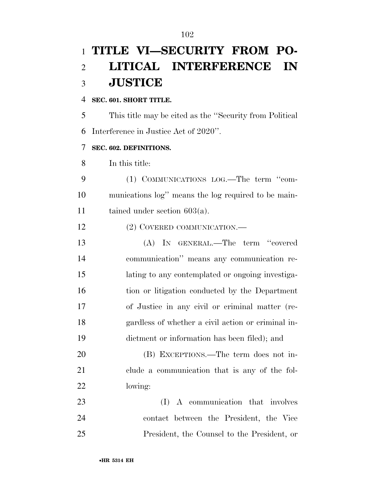## **TITLE VI—SECURITY FROM PO- LITICAL INTERFERENCE IN JUSTICE**

#### **SEC. 601. SHORT TITLE.**

 This title may be cited as the ''Security from Political Interference in Justice Act of 2020''.

#### **SEC. 602. DEFINITIONS.**

In this title:

 (1) COMMUNICATIONS LOG.—The term ''com- munications log'' means the log required to be main-tained under section 603(a).

12 (2) COVERED COMMUNICATION.—

 (A) IN GENERAL.—The term ''covered communication'' means any communication re- lating to any contemplated or ongoing investiga- tion or litigation conducted by the Department of Justice in any civil or criminal matter (re- gardless of whether a civil action or criminal in-dictment or information has been filed); and

 (B) EXCEPTIONS.—The term does not in- clude a communication that is any of the fol-lowing:

23 (I) A communication that involves contact between the President, the Vice President, the Counsel to the President, or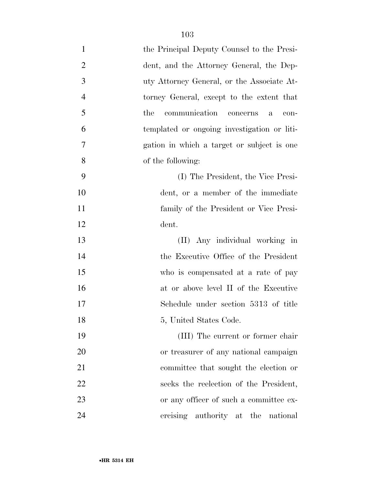| $\mathbf{1}$   | the Principal Deputy Counsel to the Presi-               |
|----------------|----------------------------------------------------------|
| $\overline{2}$ | dent, and the Attorney General, the Dep-                 |
| 3              | uty Attorney General, or the Associate At-               |
| $\overline{4}$ | torney General, except to the extent that                |
| 5              | communication<br>the<br>concerns<br>con-<br>$\mathbf{a}$ |
| 6              | templated or ongoing investigation or liti-              |
| $\overline{7}$ | gation in which a target or subject is one               |
| 8              | of the following:                                        |
| 9              | (I) The President, the Vice Presi-                       |
| 10             | dent, or a member of the immediate                       |
| 11             | family of the President or Vice Presi-                   |
| 12             | dent.                                                    |
| 13             | (II) Any individual working in                           |
| 14             | the Executive Office of the President                    |
| 15             | who is compensated at a rate of pay                      |
| 16             | at or above level II of the Executive                    |
| 17             | Schedule under section 5313 of title                     |
| 18             | 5, United States Code.                                   |
| 19             | (III) The current or former chair                        |
| 20             | or treasurer of any national campaign                    |
| 21             | committee that sought the election or                    |
| 22             | seeks the reelection of the President,                   |
| 23             | or any officer of such a committee ex-                   |
| 24             | ereising authority at the national                       |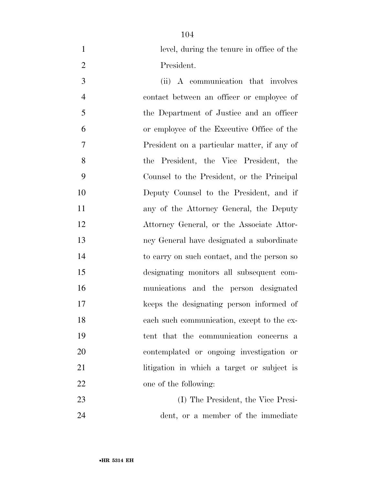level, during the tenure in office of the President.

 (ii) A communication that involves contact between an officer or employee of the Department of Justice and an officer or employee of the Executive Office of the President on a particular matter, if any of the President, the Vice President, the Counsel to the President, or the Principal Deputy Counsel to the President, and if any of the Attorney General, the Deputy Attorney General, or the Associate Attor- ney General have designated a subordinate to carry on such contact, and the person so designating monitors all subsequent com- munications and the person designated keeps the designating person informed of each such communication, except to the ex- tent that the communication concerns a contemplated or ongoing investigation or 21 litigation in which a target or subject is 22 one of the following:

 (I) The President, the Vice Presi-dent, or a member of the immediate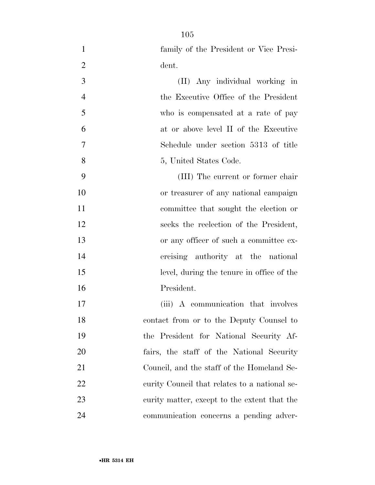family of the President or Vice Presi-

dent.

| 3              | (II) Any individual working in                |
|----------------|-----------------------------------------------|
| $\overline{4}$ | the Executive Office of the President         |
| 5              | who is compensated at a rate of pay           |
| 6              | at or above level II of the Executive         |
| $\overline{7}$ | Schedule under section 5313 of title          |
| 8              | 5, United States Code.                        |
| 9              | (III) The current or former chair             |
| 10             | or treasurer of any national campaign         |
| 11             | committee that sought the election or         |
| 12             | seeks the reelection of the President,        |
| 13             | or any officer of such a committee ex-        |
| 14             | ercising authority at the national            |
| 15             | level, during the tenure in office of the     |
| 16             | President.                                    |
| 17             | (iii) A communication that involves           |
| 18             | contact from or to the Deputy Counsel to      |
| 19             | the President for National Security Af-       |
| 20             | fairs, the staff of the National Security     |
| 21             | Council, and the staff of the Homeland Se-    |
| 22             | curity Council that relates to a national se- |
| 23             | curity matter, except to the extent that the  |
| 24             | communication concerns a pending adver-       |
|                |                                               |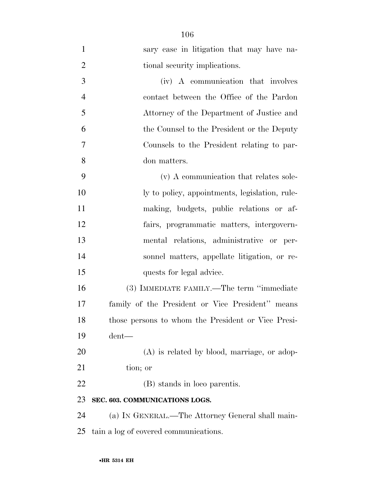| $\mathbf{1}$   | sary case in litigation that may have na-          |
|----------------|----------------------------------------------------|
| $\overline{2}$ | tional security implications.                      |
| 3              | (iv) A communication that involves                 |
| $\overline{4}$ | contact between the Office of the Pardon           |
| 5              | Attorney of the Department of Justice and          |
| 6              | the Counsel to the President or the Deputy         |
| $\overline{7}$ | Counsels to the President relating to par-         |
| 8              | don matters.                                       |
| 9              | (v) A communication that relates sole-             |
| 10             | ly to policy, appointments, legislation, rule-     |
| 11             | making, budgets, public relations or af-           |
| 12             | fairs, programmatic matters, intergovern-          |
| 13             | mental relations, administrative or per-           |
| 14             | sonnel matters, appellate litigation, or re-       |
| 15             | quests for legal advice.                           |
| 16             | (3) IMMEDIATE FAMILY.—The term "immediate          |
| 17             | family of the President or Vice President" means   |
| 18             | those persons to whom the President or Vice Presi- |
| 19             | $d$ ent—                                           |
| 20             | (A) is related by blood, marriage, or adop-        |
| 21             | tion; or                                           |
| 22             | (B) stands in loco parentis.                       |
| 23             | SEC. 603. COMMUNICATIONS LOGS.                     |
| 24             | (a) IN GENERAL.—The Attorney General shall main-   |
| 25             | tain a log of covered communications.              |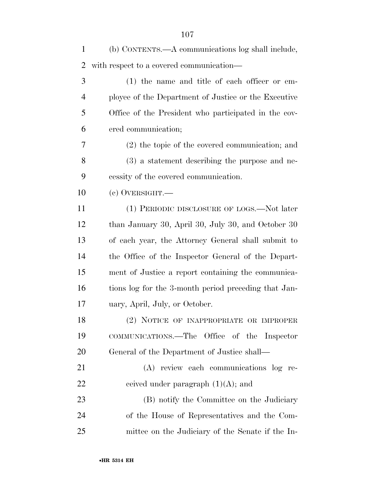| $\mathbf{1}$   | (b) CONTENTS.—A communications log shall include,    |
|----------------|------------------------------------------------------|
| 2              | with respect to a covered communication—             |
| 3              | $(1)$ the name and title of each officer or em-      |
| $\overline{4}$ | ployee of the Department of Justice or the Executive |
| 5              | Office of the President who participated in the cov- |
| 6              | ered communication;                                  |
| 7              | $(2)$ the topic of the covered communication; and    |
| 8              | (3) a statement describing the purpose and ne-       |
| 9              | cessity of the covered communication.                |
| 10             | $(e)$ OVERSIGHT.—                                    |
| 11             | (1) PERIODIC DISCLOSURE OF LOGS.—Not later           |
| 12             | than January 30, April 30, July 30, and October 30   |
| 13             | of each year, the Attorney General shall submit to   |
| 14             | the Office of the Inspector General of the Depart-   |
| 15             | ment of Justice a report containing the communica-   |
| 16             | tions log for the 3-month period preceding that Jan- |
| 17             | uary, April, July, or October.                       |
| 18             | (2) NOTICE OF INAPPROPRIATE OR IMPROPER              |
| 19             | COMMUNICATIONS.—The Office of the Inspector          |
| 20             | General of the Department of Justice shall—          |
| 21             | (A) review each communications log re-               |
| 22             | ceived under paragraph $(1)(A)$ ; and                |
| 23             | (B) notify the Committee on the Judiciary            |
| 24             | of the House of Representatives and the Com-         |
| 25             | mittee on the Judiciary of the Senate if the In-     |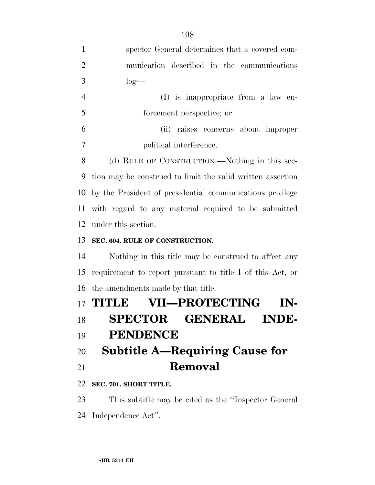| $\mathbf{1}$   | spector General determines that a covered com-             |
|----------------|------------------------------------------------------------|
| $\overline{2}$ | munication described in the communications                 |
| 3              | $log-$                                                     |
| $\overline{4}$ | $(I)$ is inappropriate from a law en-                      |
| 5              | forcement perspective; or                                  |
| 6              | raises concerns about improper<br>(ii)                     |
| 7              | political interference.                                    |
| 8              | (d) RULE OF CONSTRUCTION.—Nothing in this sec-             |
| 9              | tion may be construed to limit the valid written assertion |
| 10             | by the President of presidential communications privilege  |
| 11             | with regard to any material required to be submitted       |
| 12             | under this section.                                        |
| 13             | SEC. 604. RULE OF CONSTRUCTION.                            |
| 14             | Nothing in this title may be construed to affect any       |
| 15             | requirement to report pursuant to title I of this Act, or  |
| 16             | the amendments made by that title.                         |
|                | <b>VII—PROTECTING</b><br><b>17 THTLE</b>                   |
| 18             | <b>SPECTOR GENERAL</b><br><b>INDE-</b>                     |
| 19             | <b>PENDENCE</b>                                            |
| 20             | <b>Subtitle A—Requiring Cause for</b>                      |
| 21             | Removal                                                    |
| 22             | SEC. 701. SHORT TITLE.                                     |
|                |                                                            |

 This subtitle may be cited as the ''Inspector General Independence Act''.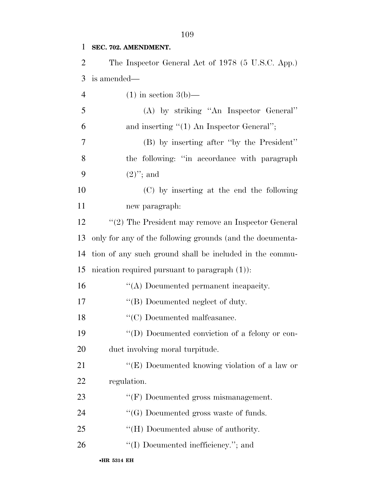**SEC. 702. AMENDMENT.**  The Inspector General Act of 1978 (5 U.S.C. App.) is amended— 4 (1) in section  $3(b)$ — (A) by striking ''An Inspector General'' and inserting ''(1) An Inspector General''; (B) by inserting after ''by the President'' the following: ''in accordance with paragraph  $(2)$ "; and (C) by inserting at the end the following new paragraph: ''(2) The President may remove an Inspector General only for any of the following grounds (and the documenta- tion of any such ground shall be included in the commu- nication required pursuant to paragraph (1)): 16 "(A) Documented permanent incapacity. 17 "(B) Documented neglect of duty. 18 "'(C) Documented malfeasance.  $\langle \text{`}(D) \text{ Documented conviction of a fellow or con-} \rangle$  duct involving moral turpitude. 21 "(E) Documented knowing violation of a law or regulation. 23 ""(F) Documented gross mismanagement.  $\cdot$  (G) Documented gross waste of funds. 25 "(H) Documented abuse of authority.  $\frac{1}{2}$  (I) Documented inefficiency."; and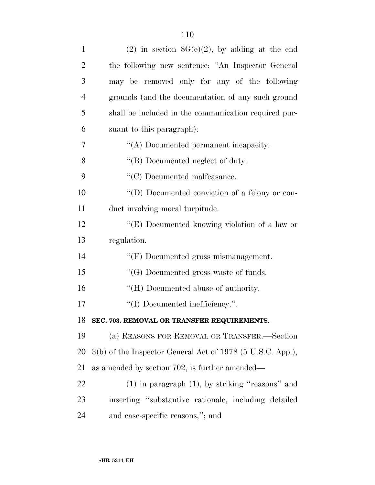| $\mathbf{1}$   | (2) in section $8G(e)(2)$ , by adding at the end           |
|----------------|------------------------------------------------------------|
| $\overline{2}$ | the following new sentence: "An Inspector General          |
| 3              | may be removed only for any of the following               |
| $\overline{4}$ | grounds (and the documentation of any such ground          |
| 5              | shall be included in the communication required pur-       |
| 6              | suant to this paragraph):                                  |
| 7              | "(A) Documented permanent incapacity.                      |
| 8              | "(B) Documented neglect of duty.                           |
| 9              | $\lq\lq$ <sup>c</sup> (C) Documented malfeasance.          |
| 10             | "(D) Documented conviction of a felony or con-             |
| 11             | duct involving moral turpitude.                            |
| 12             | "(E) Documented knowing violation of a law or              |
| 13             | regulation.                                                |
| 14             | "(F) Documented gross mismanagement.                       |
| 15             | $\lq\lq(G)$ Documented gross waste of funds.               |
| 16             | "(H) Documented abuse of authority.                        |
| 17             |                                                            |
|                | "(I) Documented inefficiency.".                            |
| 18             | SEC. 703. REMOVAL OR TRANSFER REQUIREMENTS.                |
| 19             | (a) REASONS FOR REMOVAL OR TRANSFER.—Section               |
| 20             | 3(b) of the Inspector General Act of 1978 (5 U.S.C. App.), |
| 21             | as amended by section 702, is further amended—             |
| 22             | $(1)$ in paragraph $(1)$ , by striking "reasons" and       |
| 23             | inserting "substantive rationale, including detailed       |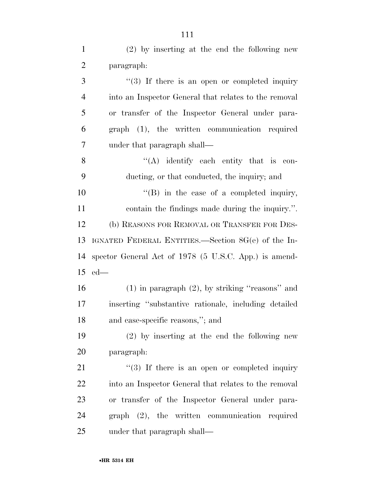| $\mathbf{1}$   | $(2)$ by inserting at the end the following new       |
|----------------|-------------------------------------------------------|
| $\overline{2}$ | paragraph:                                            |
| 3              | $\lq(3)$ If there is an open or completed inquiry     |
| 4              | into an Inspector General that relates to the removal |
| 5              | or transfer of the Inspector General under para-      |
| 6              | graph (1), the written communication required         |
| 7              | under that paragraph shall—                           |
| 8              | $\lq\lq$ identify each entity that is con-            |
| 9              | ducting, or that conducted, the inquiry; and          |
| 10             | "(B) in the case of a completed inquiry,              |
| 11             | contain the findings made during the inquiry.".       |
| 12             | (b) REASONS FOR REMOVAL OR TRANSFER FOR DES-          |
| 13             | IGNATED FEDERAL ENTITIES.—Section 8G(e) of the In-    |
| 14             | spector General Act of 1978 (5 U.S.C. App.) is amend- |
| 15             | $ed$ —                                                |
| 16             | $(1)$ in paragraph $(2)$ , by striking "reasons" and  |
| 17             | inserting "substantive rationale, including detailed  |
| 18             | and case-specific reasons,"; and                      |
| 19             | $(2)$ by inserting at the end the following new       |
| 20             | paragraph:                                            |
| 21             | $\lq(3)$ If there is an open or completed inquiry     |
| 22             | into an Inspector General that relates to the removal |
| 23             | or transfer of the Inspector General under para-      |
| 24             | graph (2), the written communication required         |
| 25             | under that paragraph shall—                           |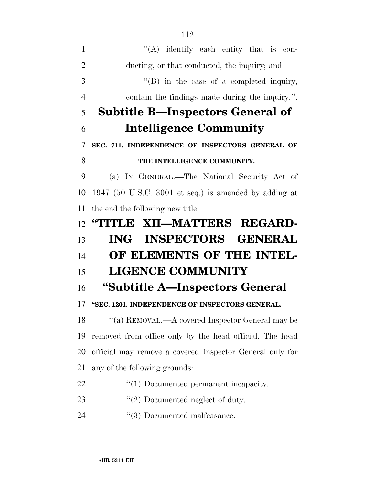| $\mathbf{1}$   | $\lq\lq$ identify each entity that is con-               |
|----------------|----------------------------------------------------------|
| $\overline{2}$ | ducting, or that conducted, the inquiry; and             |
| 3              | $\lq\lq$ (B) in the case of a completed inquiry,         |
| $\overline{4}$ | contain the findings made during the inquiry.".          |
| 5              | <b>Subtitle B—Inspectors General of</b>                  |
| 6              | <b>Intelligence Community</b>                            |
| 7              | SEC. 711. INDEPENDENCE OF INSPECTORS GENERAL OF          |
| 8              | THE INTELLIGENCE COMMUNITY.                              |
| 9              | (a) IN GENERAL.—The National Security Act of             |
| 10             | 1947 (50 U.S.C. 3001 et seq.) is amended by adding at    |
| 11             | the end the following new title:                         |
| 12             | "TITLE XII—MATTERS REGARD-                               |
| 13             | ING INSPECTORS GENERAL                                   |
| 14             | OF ELEMENTS OF THE INTEL-                                |
|                |                                                          |
| 15             | <b>LIGENCE COMMUNITY</b>                                 |
| 16             | "Subtitle A—Inspectors General                           |
|                | "SEC. 1201. INDEPENDENCE OF INSPECTORS GENERAL.          |
| 17<br>18       | "(a) REMOVAL.—A covered Inspector General may be         |
| 19             | removed from office only by the head official. The head  |
| 20             | official may remove a covered Inspector General only for |
| 21             | any of the following grounds:                            |
| 22             | $\lq(1)$ Documented permanent incapacity.                |
| 23             | $\lq(2)$ Documented neglect of duty.                     |

24 ''(3) Documented malfeasance.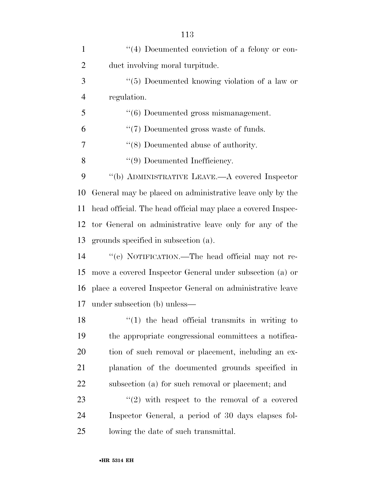| $\mathbf{1}$   | $\lq(4)$ Documented conviction of a felony or con-           |
|----------------|--------------------------------------------------------------|
| $\overline{2}$ | duct involving moral turpitude.                              |
| 3              | "(5) Documented knowing violation of a law or                |
| $\overline{4}$ | regulation.                                                  |
| 5              | $\cdot\cdot(6)$ Documented gross mismanagement.              |
| 6              | $``(7)$ Documented gross waste of funds.                     |
| 7              | $\cdot$ (8) Documented abuse of authority.                   |
| 8              | "(9) Documented Inefficiency.                                |
| 9              | $\lq\lq(b)$ ADMINISTRATIVE LEAVE.—A covered Inspector        |
| 10             | General may be placed on administrative leave only by the    |
| 11             | head official. The head official may place a covered Inspec- |
| 12             | tor General on administrative leave only for any of the      |
| 13             | grounds specified in subsection (a).                         |
| 14             | "(c) NOTIFICATION.—The head official may not re-             |
| 15             | move a covered Inspector General under subsection (a) or     |
| 16             | place a covered Inspector General on administrative leave    |
| 17             | under subsection (b) unless—                                 |
| 18             | $\lq(1)$ the head official transmits in writing to           |
| 19             | the appropriate congressional committees a notifica-         |
| 20             | tion of such removal or placement, including an ex-          |
| 21             | planation of the documented grounds specified in             |
| 22             | subsection (a) for such removal or placement; and            |
| 23             | $\lq(2)$ with respect to the removal of a covered            |
| 24             | Inspector General, a period of 30 days elapses fol-          |
| 25             | lowing the date of such transmittal.                         |
|                |                                                              |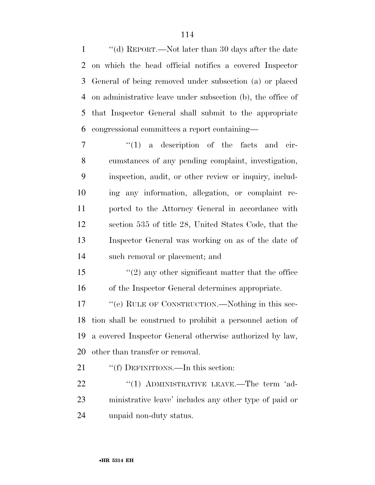''(d) REPORT.—Not later than 30 days after the date on which the head official notifies a covered Inspector General of being removed under subsection (a) or placed on administrative leave under subsection (b), the office of that Inspector General shall submit to the appropriate congressional committees a report containing—

 $\frac{1}{1}$  a description of the facts and cir- cumstances of any pending complaint, investigation, inspection, audit, or other review or inquiry, includ- ing any information, allegation, or complaint re- ported to the Attorney General in accordance with section 535 of title 28, United States Code, that the Inspector General was working on as of the date of such removal or placement; and

 ''(2) any other significant matter that the office of the Inspector General determines appropriate.

17 ""(e) RULE OF CONSTRUCTION.—Nothing in this sec- tion shall be construed to prohibit a personnel action of a covered Inspector General otherwise authorized by law, other than transfer or removal.

21 ""(f) DEFINITIONS.—In this section:

22 "(1) ADMINISTRATIVE LEAVE.—The term 'ad- ministrative leave' includes any other type of paid or unpaid non-duty status.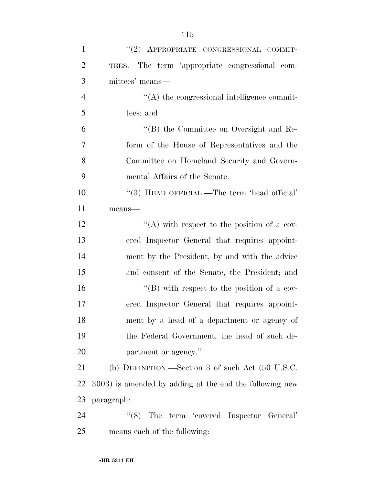| $\mathbf{1}$   | "(2) APPROPRIATE CONGRESSIONAL COMMIT-                      |
|----------------|-------------------------------------------------------------|
| $\overline{2}$ | TEES.—The term 'appropriate congressional com-              |
| 3              | mittees' means—                                             |
| $\overline{4}$ | $\lq\lq$ the congressional intelligence commit-             |
| 5              | tees; and                                                   |
| 6              | "(B) the Committee on Oversight and Re-                     |
| 7              | form of the House of Representatives and the                |
| 8              | Committee on Homeland Security and Govern-                  |
| 9              | mental Affairs of the Senate.                               |
| 10             | "(3) HEAD OFFICIAL.—The term 'head official'                |
| 11             | means-                                                      |
| 12             | "(A) with respect to the position of a cov-                 |
| 13             | ered Inspector General that requires appoint-               |
| 14             | ment by the President, by and with the advice               |
| 15             | and consent of the Senate, the President; and               |
| 16             | $\lq\lq (B)$ with respect to the position of a cov-         |
| 17             | ered Inspector General that requires appoint-               |
| 18             | ment by a head of a department or agency of                 |
| 19             | the Federal Government, the head of such de-                |
| 20             | partment or agency.".                                       |
| 21             | (b) DEFINITION.—Section 3 of such Act $(50 \text{ U.S.C.})$ |
| 22             | 3003) is amended by adding at the end the following new     |
| 23             | paragraph:                                                  |
| 24             | "(8) The term 'covered Inspector General'                   |
| 25             | means each of the following:                                |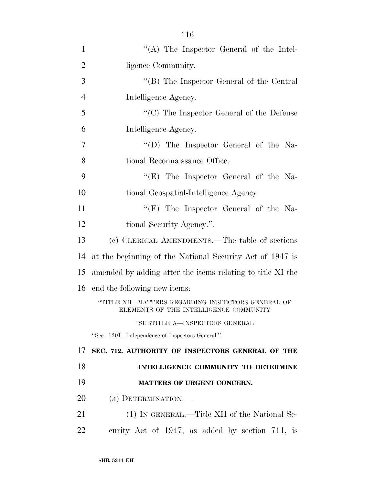| 1              | "(A) The Inspector General of the Intel-                                                     |
|----------------|----------------------------------------------------------------------------------------------|
| $\overline{2}$ | ligence Community.                                                                           |
| 3              | "(B) The Inspector General of the Central                                                    |
| $\overline{4}$ | Intelligence Agency.                                                                         |
| 5              | $\lq\lq C$ ) The Inspector General of the Defense                                            |
| 6              | Intelligence Agency.                                                                         |
| 7              | "(D) The Inspector General of the Na-                                                        |
| 8              | tional Reconnaissance Office.                                                                |
| 9              | " $(E)$ The Inspector General of the Na-                                                     |
| 10             | tional Geospatial-Intelligence Agency.                                                       |
| 11             | " $(F)$ The Inspector General of the Na-                                                     |
| 12             | tional Security Agency.".                                                                    |
| 13             | (c) CLERICAL AMENDMENTS.—The table of sections                                               |
| 14             | at the beginning of the National Security Act of 1947 is                                     |
| 15             | amended by adding after the items relating to title XI the                                   |
| 16             | end the following new items:                                                                 |
|                | "TITLE XII—MATTERS REGARDING INSPECTORS GENERAL OF<br>ELEMENTS OF THE INTELLIGENCE COMMUNITY |
|                | "SUBTITLE A-INSPECTORS GENERAL                                                               |
|                | "Sec. 1201. Independence of Inspectors General.".                                            |
| 17             | SEC. 712. AUTHORITY OF INSPECTORS GENERAL OF THE                                             |
| 18             | INTELLIGENCE COMMUNITY TO DETERMINE                                                          |
| 19             | MATTERS OF URGENT CONCERN.                                                                   |
| 20             | (a) DETERMINATION.—                                                                          |
| 21             | (1) IN GENERAL.—Title XII of the National Se-                                                |
| 22             | curity Act of 1947, as added by section 711, is                                              |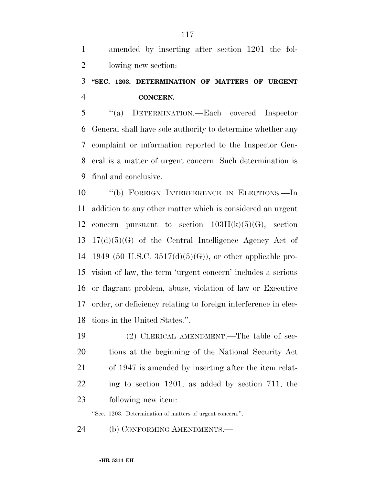amended by inserting after section 1201 the fol-lowing new section:

### **''SEC. 1203. DETERMINATION OF MATTERS OF URGENT CONCERN.**

 ''(a) DETERMINATION.—Each covered Inspector General shall have sole authority to determine whether any complaint or information reported to the Inspector Gen- eral is a matter of urgent concern. Such determination is final and conclusive.

 ''(b) FOREIGN INTERFERENCE IN ELECTIONS.—In addition to any other matter which is considered an urgent 12 concern pursuant to section  $103H(k)(5)(G)$ , section 17(d)(5)(G) of the Central Intelligence Agency Act of 1949 (50 U.S.C. 3517(d)(5)(G)), or other applicable pro- vision of law, the term 'urgent concern' includes a serious or flagrant problem, abuse, violation of law or Executive order, or deficiency relating to foreign interference in elec-tions in the United States.''.

 (2) CLERICAL AMENDMENT.—The table of sec- tions at the beginning of the National Security Act of 1947 is amended by inserting after the item relat- ing to section 1201, as added by section 711, the following new item:

''Sec. 1203. Determination of matters of urgent concern.''.

(b) CONFORMING AMENDMENTS.—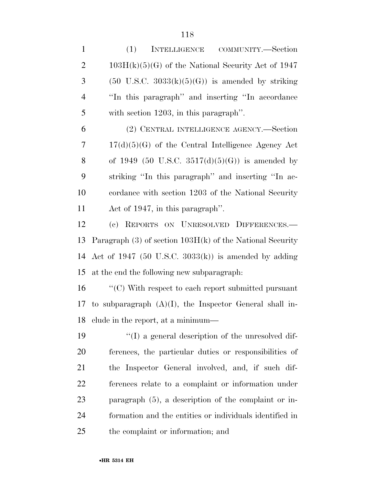(1) INTELLIGENCE COMMUNITY.—Section 2 103H(k)(5)(G) of the National Security Act of 1947 3 (50 U.S.C.  $3033(k)(5)(G)$ ) is amended by striking ''In this paragraph'' and inserting ''In accordance with section 1203, in this paragraph''. (2) CENTRAL INTELLIGENCE AGENCY.—Section

 17(d)(5)(G) of the Central Intelligence Agency Act 8 of 1949 (50 U.S.C.  $3517(d)(5)(G)$ ) is amended by striking ''In this paragraph'' and inserting ''In ac- cordance with section 1203 of the National Security Act of 1947, in this paragraph''.

 (c) REPORTS ON UNRESOLVED DIFFERENCES.— Paragraph (3) of section 103H(k) of the National Security Act of 1947 (50 U.S.C. 3033(k)) is amended by adding at the end the following new subparagraph:

 ''(C) With respect to each report submitted pursuant 17 to subparagraph  $(A)(I)$ , the Inspector General shall in-clude in the report, at a minimum—

 ''(I) a general description of the unresolved dif- ferences, the particular duties or responsibilities of the Inspector General involved, and, if such dif- ferences relate to a complaint or information under paragraph (5), a description of the complaint or in- formation and the entities or individuals identified in the complaint or information; and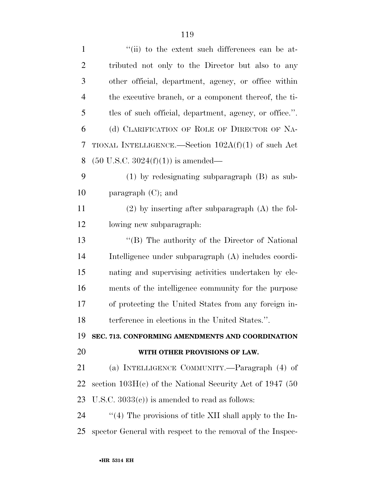| $\mathbf{1}$   | "(ii) to the extent such differences can be at-            |
|----------------|------------------------------------------------------------|
| $\overline{2}$ | tributed not only to the Director but also to any          |
| 3              | other official, department, agency, or office within       |
| $\overline{4}$ | the executive branch, or a component thereof, the ti-      |
| 5              | tles of such official, department, agency, or office.".    |
| 6              | (d) CLARIFICATION OF ROLE OF DIRECTOR OF NA-               |
| 7              | TIONAL INTELLIGENCE.—Section $102A(f)(1)$ of such Act      |
| 8              | $(50 \text{ U.S.C. } 3024(f)(1))$ is amended—              |
| 9              | $(1)$ by redesignating subparagraph $(B)$ as sub-          |
| 10             | paragraph $(C)$ ; and                                      |
| 11             | $(2)$ by inserting after subparagraph $(A)$ the fol-       |
| 12             | lowing new subparagraph:                                   |
| 13             | "(B) The authority of the Director of National             |
| 14             | Intelligence under subparagraph (A) includes coordi-       |
| 15             | nating and supervising activities undertaken by ele-       |
| 16             | ments of the intelligence community for the purpose        |
| 17             | of protecting the United States from any foreign in-       |
| 18             | terference in elections in the United States.".            |
| 19             | SEC. 713. CONFORMING AMENDMENTS AND COORDINATION           |
| 20             | WITH OTHER PROVISIONS OF LAW.                              |
| 21             | (a) INTELLIGENCE COMMUNITY.—Paragraph (4) of               |
| 22             | section $103H(c)$ of the National Security Act of 1947 (50 |
| 23             | U.S.C. $3033(e)$ is amended to read as follows:            |
| 24             | "(4) The provisions of title XII shall apply to the In-    |
| 25             | spector General with respect to the removal of the Inspec- |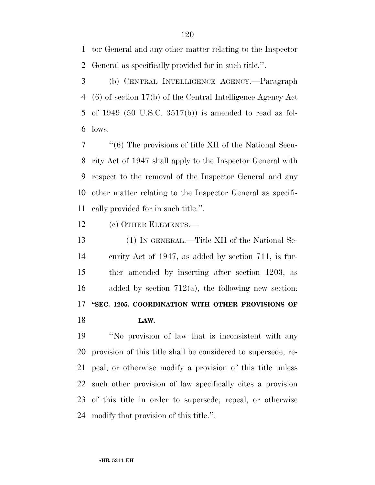tor General and any other matter relating to the Inspector General as specifically provided for in such title.''.

 (b) CENTRAL INTELLIGENCE AGENCY.—Paragraph (6) of section 17(b) of the Central Intelligence Agency Act of 1949 (50 U.S.C. 3517(b)) is amended to read as fol-lows:

 ''(6) The provisions of title XII of the National Secu- rity Act of 1947 shall apply to the Inspector General with respect to the removal of the Inspector General and any other matter relating to the Inspector General as specifi-cally provided for in such title.''.

(c) OTHER ELEMENTS.—

 (1) IN GENERAL.—Title XII of the National Se- curity Act of 1947, as added by section 711, is fur- ther amended by inserting after section 1203, as 16 added by section  $712(a)$ , the following new section: **''SEC. 1205. COORDINATION WITH OTHER PROVISIONS OF LAW.** 

 ''No provision of law that is inconsistent with any provision of this title shall be considered to supersede, re- peal, or otherwise modify a provision of this title unless such other provision of law specifically cites a provision of this title in order to supersede, repeal, or otherwise modify that provision of this title.''.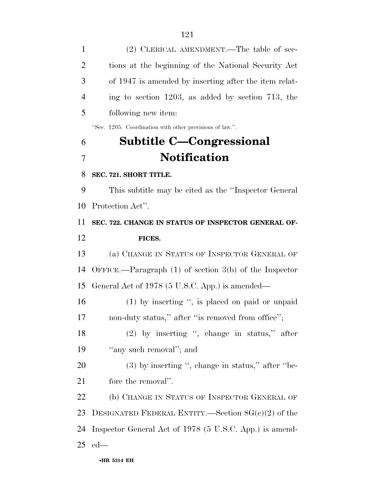| $\mathbf{1}$   | (2) CLERICAL AMENDMENT.—The table of sec-                  |
|----------------|------------------------------------------------------------|
| $\overline{2}$ | tions at the beginning of the National Security Act        |
| 3              | of 1947 is amended by inserting after the item relat-      |
| $\overline{4}$ | ing to section $1203$ , as added by section 713, the       |
| 5              | following new item:                                        |
|                | "Sec. 1205. Coordination with other provisions of law.".   |
| 6              | Subtitle C—Congressional                                   |
| $\overline{7}$ | <b>Notification</b>                                        |
| 8              | SEC. 721. SHORT TITLE.                                     |
| 9              | This subtitle may be cited as the "Inspector General"      |
| 10             | Protection Act".                                           |
| 11             | SEC. 722. CHANGE IN STATUS OF INSPECTOR GENERAL OF-        |
| 12             | FICES.                                                     |
| 13             | (a) CHANGE IN STATUS OF INSPECTOR GENERAL OF               |
| 14             | OFFICE.—Paragraph $(1)$ of section $3(b)$ of the Inspector |
| 15             | General Act of 1978 (5 U.S.C. App.) is amended—            |
| 16             | $(1)$ by inserting ", is placed on paid or unpaid          |
| 17             | non-duty status," after "is removed from office";          |
| 18             | $(2)$ by inserting ", change in status," after             |
| 19             | "any such removal"; and                                    |
| 20             | $(3)$ by inserting ", change in status," after "be-        |
| 21             | fore the removal".                                         |
| 22             | (b) CHANGE IN STATUS OF INSPECTOR GENERAL OF               |
| 23             | DESIGNATED FEDERAL ENTITY.—Section $8G(e)(2)$ of the       |
| 24             | Inspector General Act of 1978 (5 U.S.C. App.) is amend-    |
| 25             | $ed$ —                                                     |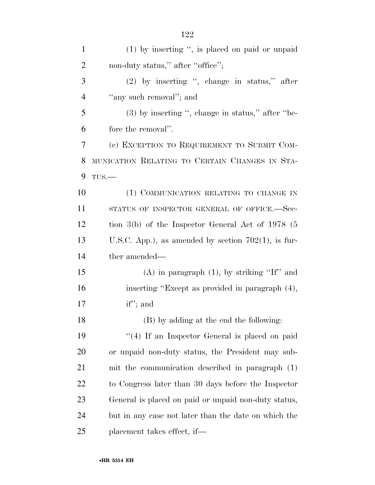| $\mathbf{1}$   | $(1)$ by inserting ", is placed on paid or unpaid      |
|----------------|--------------------------------------------------------|
| $\overline{2}$ | non-duty status," after "office";                      |
| 3              | $(2)$ by inserting ", change in status," after         |
| $\overline{4}$ | "any such removal"; and                                |
| 5              | $(3)$ by inserting ", change in status," after "be-    |
| 6              | fore the removal".                                     |
| 7              | (c) EXCEPTION TO REQUIREMENT TO SUBMIT COM-            |
| 8              | MUNICATION RELATING TO CERTAIN CHANGES IN STA-         |
| 9              | $TUS$ .                                                |
| 10             | (1) COMMUNICATION RELATING TO CHANGE IN                |
| 11             | STATUS OF INSPECTOR GENERAL OF OFFICE.-Sec-            |
| 12             | tion $3(b)$ of the Inspector General Act of 1978 (5    |
| 13             | U.S.C. App.), as amended by section $702(1)$ , is fur- |
| 14             | ther amended—                                          |
| 15             | $(A)$ in paragraph $(1)$ , by striking "If" and        |
| 16             | inserting "Except as provided in paragraph (4),        |
| 17             | $if$ "; and                                            |
| 18             | (B) by adding at the end the following:                |
| 19             | $\lq(4)$ If an Inspector General is placed on paid     |
| 20             | or unpaid non-duty status, the President may sub-      |
| 21             | mit the communication described in paragraph (1)       |
| 22             | to Congress later than 30 days before the Inspector    |
| 23             | General is placed on paid or unpaid non-duty status,   |
| 24             | but in any case not later than the date on which the   |
| 25             | placement takes effect, if—                            |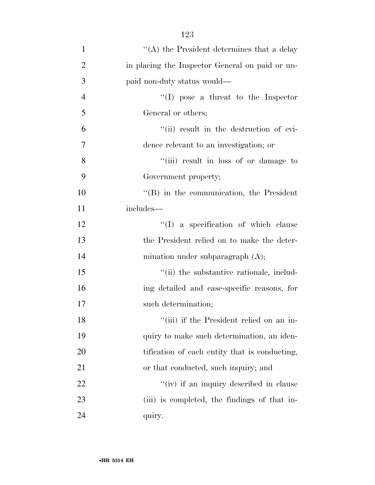| $\mathbf{1}$   | "(A) the President determines that a delay       |
|----------------|--------------------------------------------------|
| $\overline{2}$ | in placing the Inspector General on paid or un-  |
| 3              | paid non-duty status would—                      |
| $\overline{4}$ | $\lq\lq$ (I) pose a threat to the Inspector      |
| 5              | General or others;                               |
| 6              | "(ii) result in the destruction of evi-          |
| 7              | dence relevant to an investigation; or           |
| 8              | "(iii) result in loss of or damage to            |
| 9              | Government property;                             |
| 10             | $\lq\lq$ (B) in the communication, the President |
| 11             | includes—                                        |
| 12             | "(I) a specification of which clause             |
| 13             | the President relied on to make the deter-       |
| 14             | mination under subparagraph $(A)$ ;              |
| 15             | "(ii) the substantive rationale, includ-         |
| 16             | ing detailed and case-specific reasons, for      |
| 17             | such determination;                              |
| 18             | "(iii) if the President relied on an in-         |
| 19             | quiry to make such determination, an iden-       |
| 20             | tification of each entity that is conducting,    |
| 21             | or that conducted, such inquiry; and             |
| 22             | "(iv) if an inquiry described in clause          |
| 23             | (iii) is completed, the findings of that in-     |
| 24             | quiry.                                           |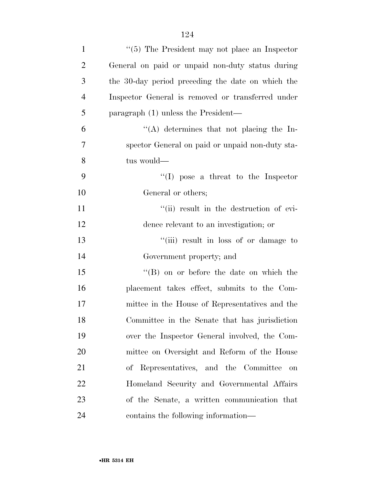| $\mathbf{1}$   | $\cdot$ (5) The President may not place an Inspector |
|----------------|------------------------------------------------------|
| $\overline{c}$ | General on paid or unpaid non-duty status during     |
| 3              | the 30-day period preceding the date on which the    |
| 4              | Inspector General is removed or transferred under    |
| 5              | paragraph (1) unless the President—                  |
| 6              | "(A) determines that not placing the In-             |
| 7              | spector General on paid or unpaid non-duty sta-      |
| 8              | tus would—                                           |
| 9              | $\lq\lq$ (I) pose a threat to the Inspector          |
| 10             | General or others;                                   |
| 11             | "(ii) result in the destruction of evi-              |
| 12             | dence relevant to an investigation; or               |
| 13             | "(iii) result in loss of or damage to                |
| 14             | Government property; and                             |
| 15             | $\lq\lq (B)$ on or before the date on which the      |
| 16             | placement takes effect, submits to the Com-          |
| 17             | mittee in the House of Representatives and the       |
| 18             | Committee in the Senate that has jurisdiction        |
| 19             | over the Inspector General involved, the Com-        |
| 20             | mittee on Oversight and Reform of the House          |
| 21             | of Representatives, and the Committee<br>on          |
| 22             | Homeland Security and Governmental Affairs           |
| 23             | of the Senate, a written communication that          |
| 24             | contains the following information—                  |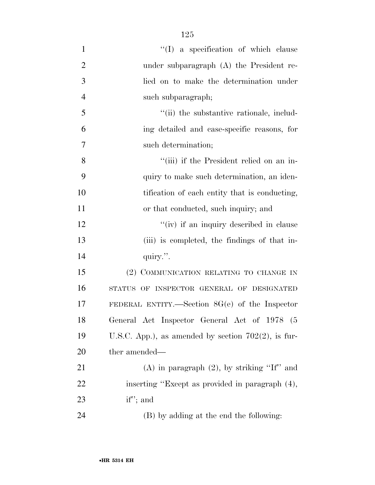| $\mathbf{1}$   | $\lq\lq$ a specification of which clause               |
|----------------|--------------------------------------------------------|
| $\overline{2}$ | under subparagraph $(A)$ the President re-             |
| 3              | lied on to make the determination under                |
| $\overline{4}$ | such subparagraph;                                     |
| 5              | "(ii) the substantive rationale, includ-               |
| 6              | ing detailed and case-specific reasons, for            |
| $\overline{7}$ | such determination;                                    |
| 8              | "(iii) if the President relied on an in-               |
| 9              | quiry to make such determination, an iden-             |
| 10             | tification of each entity that is conducting,          |
| 11             | or that conducted, such inquiry; and                   |
| 12             | "(iv) if an inquiry described in clause                |
| 13             | (iii) is completed, the findings of that in-           |
| 14             | quiry.".                                               |
| 15             | (2) COMMUNICATION RELATING TO CHANGE IN                |
| 16             | STATUS OF INSPECTOR GENERAL OF DESIGNATED              |
| 17             | FEDERAL ENTITY.—Section $8G(e)$ of the Inspector       |
| 18             | General Act Inspector General Act of 1978 (5           |
| 19             | U.S.C. App.), as amended by section $702(2)$ , is fur- |
| 20             | ther amended—                                          |
| 21             | (A) in paragraph $(2)$ , by striking "If" and          |
| 22             | inserting "Except as provided in paragraph (4),        |
| 23             | $if$ "; and                                            |
| 24             | (B) by adding at the end the following:                |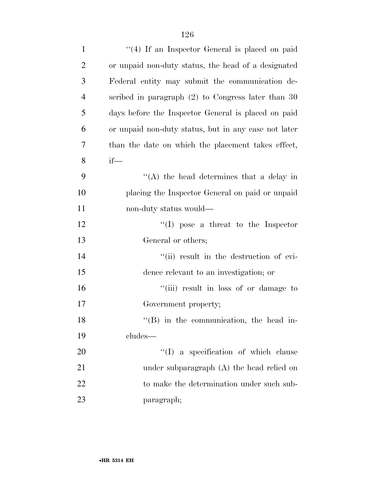| $\mathbf{1}$   | "(4) If an Inspector General is placed on paid       |
|----------------|------------------------------------------------------|
| $\overline{2}$ | or unpaid non-duty status, the head of a designated  |
| 3              | Federal entity may submit the communication de-      |
| $\overline{4}$ | scribed in paragraph $(2)$ to Congress later than 30 |
| 5              | days before the Inspector General is placed on paid  |
| 6              | or unpaid non-duty status, but in any case not later |
| 7              | than the date on which the placement takes effect,   |
| 8              | $if$ —                                               |
| 9              | $\lq\lq$ the head determines that a delay in         |
| 10             | placing the Inspector General on paid or unpaid      |
| 11             | non-duty status would—                               |
| 12             | "(I) pose a threat to the Inspector                  |
| 13             | General or others;                                   |
| 14             | "(ii) result in the destruction of evi-              |
| 15             | dence relevant to an investigation; or               |
| 16             | "(iii) result in loss of or damage to                |
| 17             | Government property;                                 |
| 18             | "(B) in the communication, the head in-              |
| 19             | cludes-                                              |
| 20             | "(I) a specification of which clause                 |
| 21             | under subparagraph $(A)$ the head relied on          |
| 22             | to make the determination under such sub-            |
| 23             | paragraph;                                           |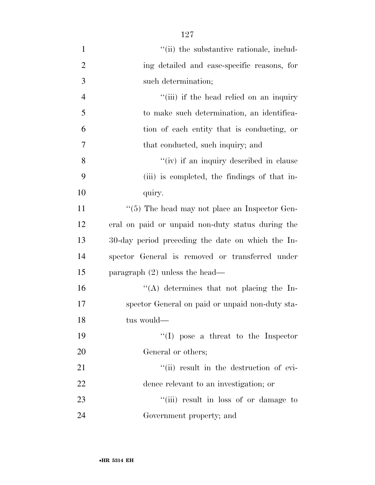| $\mathbf{1}$   | "(ii) the substantive rationale, includ-          |
|----------------|---------------------------------------------------|
| $\mathbf{2}$   | ing detailed and case-specific reasons, for       |
| 3              | such determination;                               |
| $\overline{4}$ | "(iii) if the head relied on an inquiry           |
| 5              | to make such determination, an identifica-        |
| 6              | tion of each entity that is conducting, or        |
| $\overline{7}$ | that conducted, such inquiry; and                 |
| 8              | "(iv) if an inquiry described in clause           |
| 9              | (iii) is completed, the findings of that in-      |
| 10             | quiry.                                            |
| 11             | $``(5)$ The head may not place an Inspector Gen-  |
| 12             | eral on paid or unpaid non-duty status during the |
| 13             | 30-day period preceding the date on which the In- |
| 14             | spector General is removed or transferred under   |
| 15             | paragraph $(2)$ unless the head—                  |
| 16             | $\lq\lq$ determines that not placing the In-      |
| 17             | spector General on paid or unpaid non-duty sta-   |
| 18             | tus would—                                        |
| 19             | $\lq\lq$ (I) pose a threat to the Inspector       |
| 20             | General or others;                                |
| 21             | "(ii) result in the destruction of evi-           |
| 22             | dence relevant to an investigation; or            |
| 23             | "(iii) result in loss of or damage to             |
| 24             | Government property; and                          |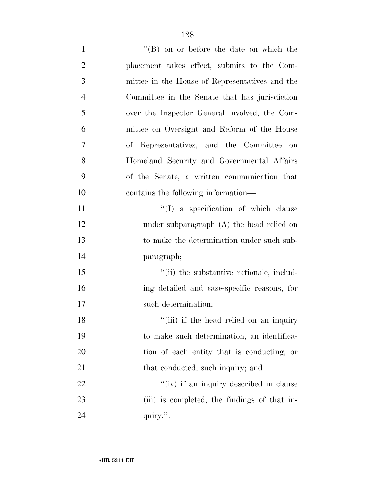| $\mathbf{1}$   | $\lq\lq (B)$ on or before the date on which the |
|----------------|-------------------------------------------------|
| $\overline{2}$ | placement takes effect, submits to the Com-     |
| 3              | mittee in the House of Representatives and the  |
| $\overline{4}$ | Committee in the Senate that has jurisdiction   |
| 5              | over the Inspector General involved, the Com-   |
| 6              | mittee on Oversight and Reform of the House     |
| 7              | of Representatives, and the Committee on        |
| 8              | Homeland Security and Governmental Affairs      |
| 9              | of the Senate, a written communication that     |
| 10             | contains the following information—             |
| 11             | $\lq\lq$ a specification of which clause        |
| 12             | under subparagraph $(A)$ the head relied on     |
| 13             | to make the determination under such sub-       |
| 14             | paragraph;                                      |
| 15             | "(ii) the substantive rationale, includ-        |
| 16             | ing detailed and case-specific reasons, for     |
| 17             | such determination;                             |
| 18             | "(iii) if the head relied on an inquiry         |
| 19             | to make such determination, an identifica-      |
| 20             | tion of each entity that is conducting, or      |
| 21             | that conducted, such inquiry; and               |
| 22             | "(iv) if an inquiry described in clause         |
| 23             | (iii) is completed, the findings of that in-    |
| 24             | quiry.".                                        |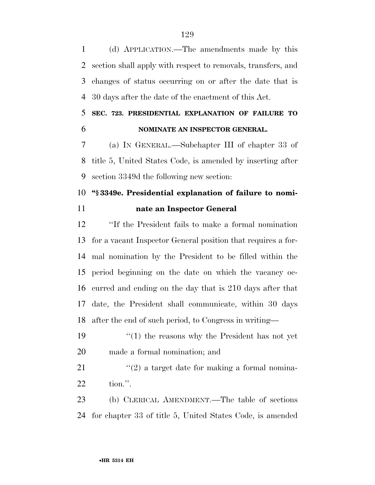(d) APPLICATION.—The amendments made by this section shall apply with respect to removals, transfers, and changes of status occurring on or after the date that is 30 days after the date of the enactment of this Act.

#### **SEC. 723. PRESIDENTIAL EXPLANATION OF FAILURE TO NOMINATE AN INSPECTOR GENERAL.**

 (a) IN GENERAL.—Subchapter III of chapter 33 of title 5, United States Code, is amended by inserting after section 3349d the following new section:

## **''§ 3349e. Presidential explanation of failure to nomi-nate an Inspector General**

 ''If the President fails to make a formal nomination for a vacant Inspector General position that requires a for- mal nomination by the President to be filled within the period beginning on the date on which the vacancy oc- curred and ending on the day that is 210 days after that date, the President shall communicate, within 30 days after the end of such period, to Congress in writing—

 ''(1) the reasons why the President has not yet made a formal nomination; and

21  $\frac{1}{2}$  a target date for making a formal nomina-tion.''.

 (b) CLERICAL AMENDMENT.—The table of sections for chapter 33 of title 5, United States Code, is amended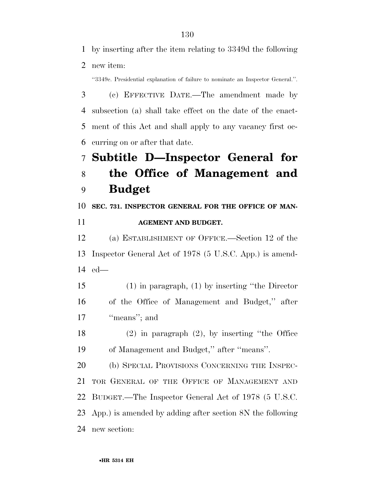by inserting after the item relating to 3349d the following new item:

''3349e. Presidential explanation of failure to nominate an Inspector General.''.

 (c) EFFECTIVE DATE.—The amendment made by subsection (a) shall take effect on the date of the enact- ment of this Act and shall apply to any vacancy first oc-curring on or after that date.

## **Subtitle D—Inspector General for the Office of Management and Budget**

**SEC. 731. INSPECTOR GENERAL FOR THE OFFICE OF MAN-**

#### **AGEMENT AND BUDGET.**

 (a) ESTABLISHMENT OF OFFICE.—Section 12 of the Inspector General Act of 1978 (5 U.S.C. App.) is amend-ed—

- (1) in paragraph, (1) by inserting ''the Director of the Office of Management and Budget,'' after 17 "means"; and
- (2) in paragraph (2), by inserting ''the Office of Management and Budget,'' after ''means''.

 (b) SPECIAL PROVISIONS CONCERNING THE INSPEC- TOR GENERAL OF THE OFFICE OF MANAGEMENT AND BUDGET.—The Inspector General Act of 1978 (5 U.S.C. App.) is amended by adding after section 8N the following new section: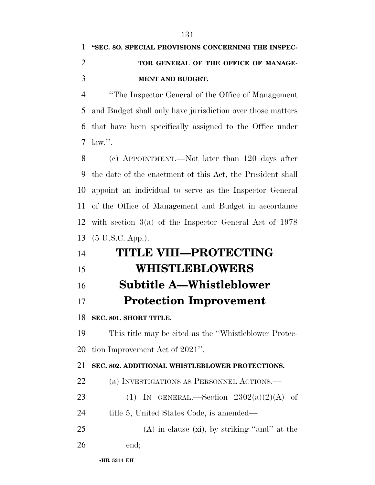## **''SEC. 8O. SPECIAL PROVISIONS CONCERNING THE INSPEC- TOR GENERAL OF THE OFFICE OF MANAGE-MENT AND BUDGET.**

 ''The Inspector General of the Office of Management and Budget shall only have jurisdiction over those matters that have been specifically assigned to the Office under law.''.

 (c) APPOINTMENT.—Not later than 120 days after the date of the enactment of this Act, the President shall appoint an individual to serve as the Inspector General of the Office of Management and Budget in accordance with section 3(a) of the Inspector General Act of 1978 (5 U.S.C. App.).

# **TITLE VIII—PROTECTING WHISTLEBLOWERS Subtitle A—Whistleblower Protection Improvement SEC. 801. SHORT TITLE.**  This title may be cited as the ''Whistleblower Protec- tion Improvement Act of 2021''. **SEC. 802. ADDITIONAL WHISTLEBLOWER PROTECTIONS.**  (a) INVESTIGATIONS AS PERSONNEL ACTIONS.— 23 (1) IN GENERAL.—Section  $2302(a)(2)(A)$  of

- 24 title 5, United States Code, is amended—
- (A) in clause (xi), by striking "and" at the
- end;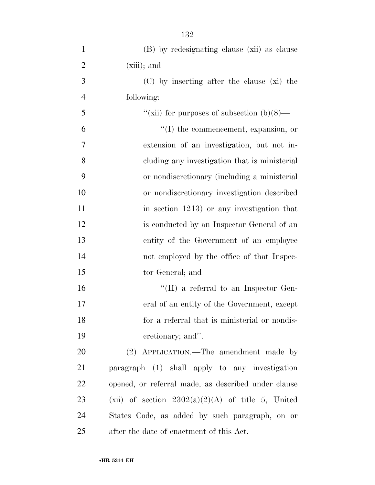| $\mathbf{1}$   | (B) by redesignating clause (xii) as clause         |
|----------------|-----------------------------------------------------|
| $\overline{2}$ | $(xiii)$ ; and                                      |
| 3              | (C) by inserting after the clause (xi) the          |
| $\overline{4}$ | following:                                          |
| 5              | "(xii) for purposes of subsection $(b)(8)$ —        |
| 6              | "(I) the commencement, expansion, or                |
| $\tau$         | extension of an investigation, but not in-          |
| 8              | cluding any investigation that is ministerial       |
| 9              | or nondiscretionary (including a ministerial        |
| 10             | or nondiscretionary investigation described         |
| 11             | in section $1213$ ) or any investigation that       |
| 12             | is conducted by an Inspector General of an          |
| 13             | entity of the Government of an employee             |
| 14             | not employed by the office of that Inspec-          |
| 15             | tor General; and                                    |
| 16             | "(II) a referral to an Inspector Gen-               |
| 17             | eral of an entity of the Government, except         |
| 18             | for a referral that is ministerial or nondis-       |
| 19             | cretionary; and".                                   |
| 20             | (2) APPLICATION.—The amendment made by              |
| 21             | paragraph (1) shall apply to any investigation      |
| 22             | opened, or referral made, as described under clause |
| 23             | (xii) of section $2302(a)(2)(A)$ of title 5, United |
| 24             | States Code, as added by such paragraph, on or      |
| 25             | after the date of enactment of this Act.            |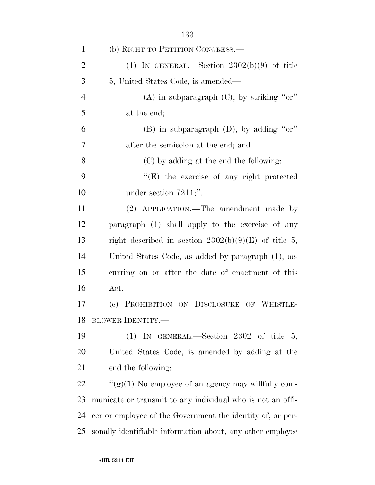| $\mathbf{1}$   | (b) RIGHT TO PETITION CONGRESS.—                           |
|----------------|------------------------------------------------------------|
| $\overline{2}$ | (1) IN GENERAL.—Section $2302(b)(9)$ of title              |
| 3              | 5, United States Code, is amended—                         |
| $\overline{4}$ | (A) in subparagraph $(C)$ , by striking "or"               |
| 5              | at the end;                                                |
| 6              | (B) in subparagraph $(D)$ , by adding "or"                 |
| 7              | after the semicolon at the end; and                        |
| 8              | (C) by adding at the end the following:                    |
| 9              | $\lq\lq(E)$ the exercise of any right protected            |
| 10             | under section $7211$ ;".                                   |
| 11             | (2) APPLICATION.—The amendment made by                     |
| 12             | paragraph (1) shall apply to the exercise of any           |
| 13             | right described in section $2302(b)(9)(E)$ of title 5,     |
| 14             | United States Code, as added by paragraph (1), oc-         |
| 15             | curring on or after the date of enactment of this          |
| 16             | Act.                                                       |
| 17             | (c) PROHIBITION ON DISCLOSURE OF WHISTLE-                  |
| 18             | <b>BLOWER IDENTITY.—</b>                                   |
| 19             | (1) IN GENERAL.—Section 2302 of title $5$ ,                |
| 20             | United States Code, is amended by adding at the            |
| 21             | end the following:                                         |
| 22             | " $(g)(1)$ No employee of an agency may willfully com-     |
| 23             | municate or transmit to any individual who is not an offi- |
| 24             | cer or employee of the Government the identity of, or per- |
| 25             | sonally identifiable information about, any other employee |
|                |                                                            |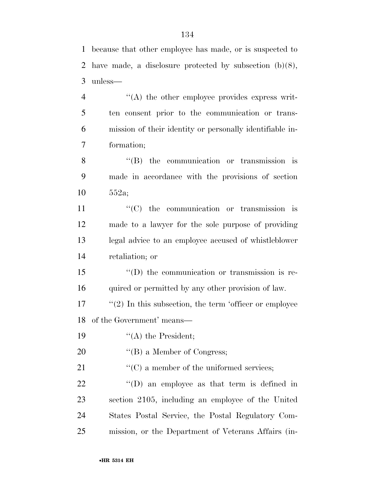because that other employee has made, or is suspected to

 have made, a disclosure protected by subsection (b)(8), unless—  $\langle A \rangle$  the other employee provides express writ- ten consent prior to the communication or trans- mission of their identity or personally identifiable in- formation; 8 "(B) the communication or transmission is made in accordance with the provisions of section 552a;  $\lq$  (C) the communication or transmission is made to a lawyer for the sole purpose of providing legal advice to an employee accused of whistleblower retaliation; or ''(D) the communication or transmission is re-16 quired or permitted by any other provision of law. "(2) In this subsection, the term 'officer or employee of the Government' means—  $"$ (A) the President; 20 "(B) a Member of Congress;  $\cdot$  (C) a member of the uniformed services;

 $\qquad$  "(D) an employee as that term is defined in section 2105, including an employee of the United States Postal Service, the Postal Regulatory Com-mission, or the Department of Veterans Affairs (in-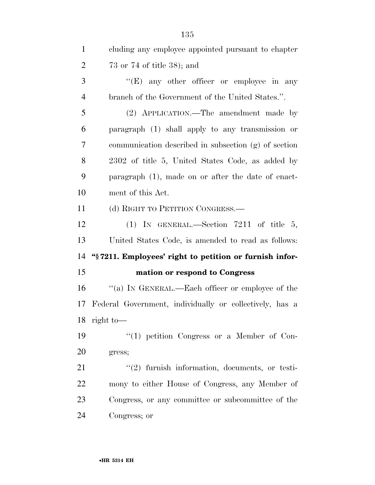| $\mathbf{1}$   | cluding any employee appointed pursuant to chapter       |
|----------------|----------------------------------------------------------|
| $\overline{2}$ | $73$ or $74$ of title $38$ ); and                        |
| 3              | " $(E)$ any other officer or employee in any             |
| $\overline{4}$ | branch of the Government of the United States.".         |
| 5              | (2) APPLICATION.—The amendment made by                   |
| 6              | paragraph (1) shall apply to any transmission or         |
| 7              | communication described in subsection (g) of section     |
| 8              | 2302 of title 5, United States Code, as added by         |
| 9              | paragraph (1), made on or after the date of enact-       |
| 10             | ment of this Act.                                        |
| 11             | (d) RIGHT TO PETITION CONGRESS.—                         |
| 12             | (1) IN GENERAL.—Section 7211 of title 5,                 |
| 13             | United States Code, is amended to read as follows:       |
| 14             | "\\$7211. Employees' right to petition or furnish infor- |
| 15             | mation or respond to Congress                            |
| 16             | "(a) IN GENERAL.—Each officer or employee of the         |
| 17             | Federal Government, individually or collectively, has a  |
| 18             | right to $-$                                             |
| 19             | $\lq(1)$ petition Congress or a Member of Con-           |
| 20             | gress;                                                   |
| 21             | $\lq(2)$ furnish information, documents, or testi-       |
| 22             | mony to either House of Congress, any Member of          |
| 23             | Congress, or any committee or subcommittee of the        |
| 24             | Congress; or                                             |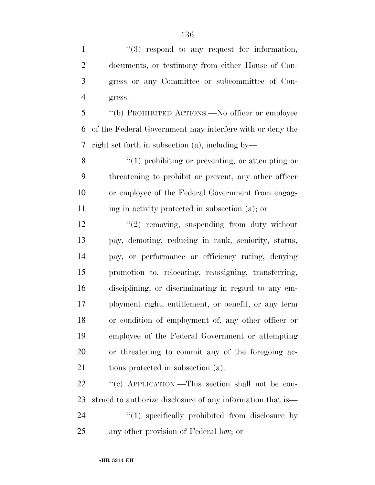$\frac{1}{2}$  ''(3) respond to any request for information, documents, or testimony from either House of Con- gress or any Committee or subcommittee of Con-gress.

 ''(b) PROHIBITED ACTIONS.—No officer or employee of the Federal Government may interfere with or deny the right set forth in subsection (a), including by—

8 ''(1) prohibiting or preventing, or attempting or threatening to prohibit or prevent, any other officer or employee of the Federal Government from engag-ing in activity protected in subsection (a); or

 $\frac{12}{2}$  ''(2) removing, suspending from duty without pay, demoting, reducing in rank, seniority, status, pay, or performance or efficiency rating, denying promotion to, relocating, reassigning, transferring, disciplining, or discriminating in regard to any em- ployment right, entitlement, or benefit, or any term or condition of employment of, any other officer or employee of the Federal Government or attempting or threatening to commit any of the foregoing ac-21 tions protected in subsection (a).

 $\cdot$  "(c) APPLICATION.—This section shall not be con- strued to authorize disclosure of any information that is—  $\frac{1}{2}$  (1) specifically prohibited from disclosure by any other provision of Federal law; or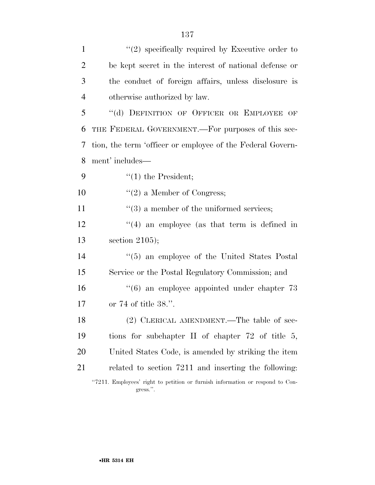| $\mathbf{1}$   | $\lq(2)$ specifically required by Executive order to                                      |
|----------------|-------------------------------------------------------------------------------------------|
| $\overline{2}$ | be kept secret in the interest of national defense or                                     |
| 3              | the conduct of foreign affairs, unless disclosure is                                      |
| $\overline{4}$ | otherwise authorized by law.                                                              |
| 5              | "(d) DEFINITION OF OFFICER OR EMPLOYEE OF                                                 |
| 6              | THE FEDERAL GOVERNMENT.—For purposes of this sec-                                         |
| 7              | tion, the term 'officer or employee of the Federal Govern-                                |
| 8              | ment' includes—                                                                           |
| 9              | $\lq(1)$ the President;                                                                   |
| 10             | $f'(2)$ a Member of Congress;                                                             |
| 11             | $\cdot\cdot(3)$ a member of the uniformed services;                                       |
| 12             | $\cdot$ (4) an employee (as that term is defined in                                       |
| 13             | section $2105$ ;                                                                          |
| 14             | $\cdot\cdot$ (5) an employee of the United States Postal                                  |
| 15             | Service or the Postal Regulatory Commission; and                                          |
| 16             | $\cdot\cdot\cdot(6)$ an employee appointed under chapter 73                               |
| 17             | or $74$ of title $38$ .".                                                                 |
| 18             | (2) CLERICAL AMENDMENT.—The table of sec-                                                 |
| 19             | tions for subchapter II of chapter $72$ of title 5,                                       |
| 20             | United States Code, is amended by striking the item                                       |
| 21             | related to section 7211 and inserting the following:                                      |
|                | "7211. Employees' right to petition or furnish information or respond to Con-<br>gress.". |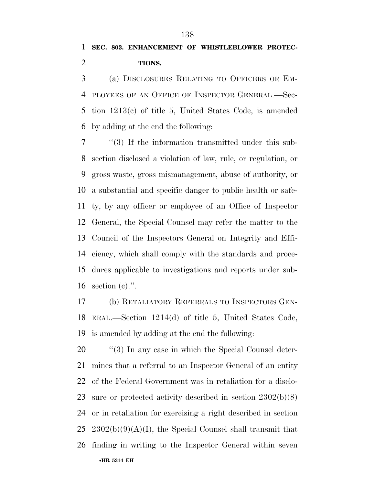(a) DISCLOSURES RELATING TO OFFICERS OR EM- PLOYEES OF AN OFFICE OF INSPECTOR GENERAL.—Sec- tion 1213(c) of title 5, United States Code, is amended by adding at the end the following:

 ''(3) If the information transmitted under this sub- section disclosed a violation of law, rule, or regulation, or gross waste, gross mismanagement, abuse of authority, or a substantial and specific danger to public health or safe- ty, by any officer or employee of an Office of Inspector General, the Special Counsel may refer the matter to the Council of the Inspectors General on Integrity and Effi- ciency, which shall comply with the standards and proce- dures applicable to investigations and reports under sub-section (c).''.

 (b) RETALIATORY REFERRALS TO INSPECTORS GEN- ERAL.—Section 1214(d) of title 5, United States Code, is amended by adding at the end the following:

•**HR 5314 EH**  $\frac{1}{20}$  (3) In any case in which the Special Counsel deter- mines that a referral to an Inspector General of an entity of the Federal Government was in retaliation for a disclo- sure or protected activity described in section 2302(b)(8) or in retaliation for exercising a right described in section 25 2302(b)(9)(A)(I), the Special Counsel shall transmit that finding in writing to the Inspector General within seven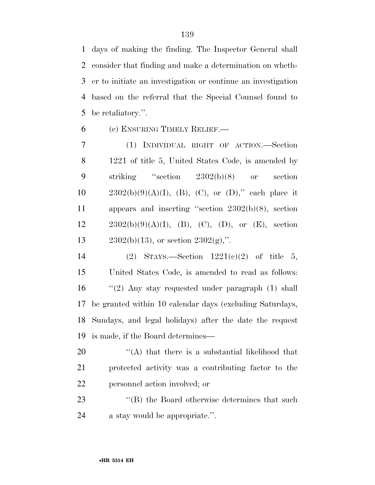days of making the finding. The Inspector General shall consider that finding and make a determination on wheth- er to initiate an investigation or continue an investigation based on the referral that the Special Counsel found to be retaliatory.''.

(c) ENSURING TIMELY RELIEF.—

 (1) INDIVIDUAL RIGHT OF ACTION.—Section 1221 of title 5, United States Code, is amended by striking ''section 2302(b)(8) or section  $2302(b)(9)(A)(I), (B), (C),$  or  $(D)$ ," each place it appears and inserting ''section 2302(b)(8), section  $12 \t 2302(b)(9)(A)(I), (B), (C), (D), or (E), section$ 13 2302(b)(13), or section  $2302(g)$ ,".

 (2) STAYS.—Section 1221(c)(2) of title 5, United States Code, is amended to read as follows: ''(2) Any stay requested under paragraph (1) shall be granted within 10 calendar days (excluding Saturdays, Sundays, and legal holidays) after the date the request is made, if the Board determines—

 ''(A) that there is a substantial likelihood that protected activity was a contributing factor to the personnel action involved; or

23 ''(B) the Board otherwise determines that such a stay would be appropriate.''.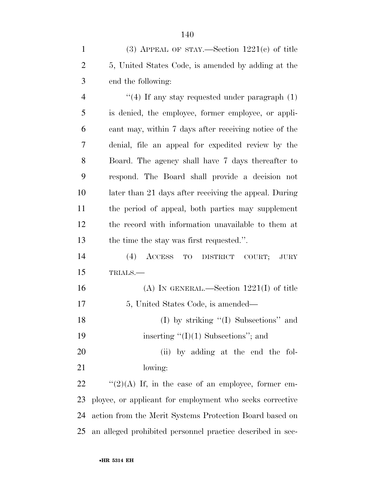(3) APPEAL OF STAY.—Section 1221(c) of title 5, United States Code, is amended by adding at the end the following:

 $\frac{4}{10}$  If any stay requested under paragraph (1) is denied, the employee, former employee, or appli- cant may, within 7 days after receiving notice of the denial, file an appeal for expedited review by the Board. The agency shall have 7 days thereafter to respond. The Board shall provide a decision not later than 21 days after receiving the appeal. During the period of appeal, both parties may supplement the record with information unavailable to them at the time the stay was first requested.''.

 (4) ACCESS TO DISTRICT COURT; JURY TRIALS.—

 (A) IN GENERAL.—Section 1221(I) of title 5, United States Code, is amended— 18 (I) by striking "(I) Subsections" and

19 inserting "(I)(1) Subsections"; and

20 (ii) by adding at the end the fol-lowing:

 $\frac{1}{2}(2)(A)$  If, in the case of an employee, former em- ployee, or applicant for employment who seeks corrective action from the Merit Systems Protection Board based on an alleged prohibited personnel practice described in sec-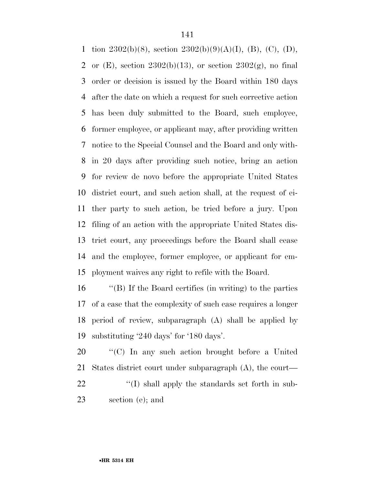1 tion  $2302(b)(8)$ , section  $2302(b)(9)(A)(I)$ , (B), (C), (D), 2 or  $(E)$ , section  $2302(b)(13)$ , or section  $2302(g)$ , no final order or decision is issued by the Board within 180 days after the date on which a request for such corrective action has been duly submitted to the Board, such employee, former employee, or applicant may, after providing written notice to the Special Counsel and the Board and only with- in 20 days after providing such notice, bring an action for review de novo before the appropriate United States district court, and such action shall, at the request of ei- ther party to such action, be tried before a jury. Upon filing of an action with the appropriate United States dis- trict court, any proceedings before the Board shall cease and the employee, former employee, or applicant for em-ployment waives any right to refile with the Board.

 ''(B) If the Board certifies (in writing) to the parties of a case that the complexity of such case requires a longer period of review, subparagraph (A) shall be applied by substituting '240 days' for '180 days'.

 ''(C) In any such action brought before a United States district court under subparagraph (A), the court—  $\langle (I) \rangle$  shall apply the standards set forth in sub-section (e); and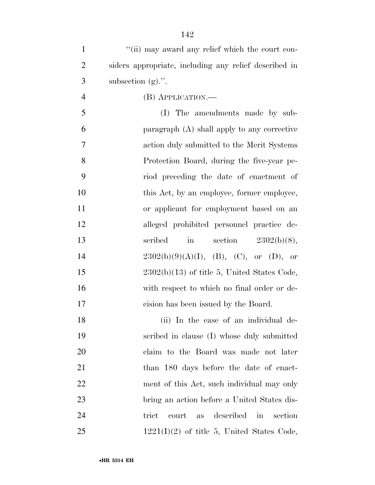| $\mathbf{1}$   | "(ii) may award any relief which the court con-          |
|----------------|----------------------------------------------------------|
| $\overline{2}$ | siders appropriate, including any relief described in    |
| 3              | subsection $(g)$ .".                                     |
| $\overline{4}$ | (B) APPLICATION.—                                        |
| 5              | (I) The amendments made by sub-                          |
| 6              | paragraph (A) shall apply to any corrective              |
| 7              | action duly submitted to the Merit Systems               |
| 8              | Protection Board, during the five-year pe-               |
| 9              | riod preceding the date of enactment of                  |
| 10             | this Act, by an employee, former employee,               |
| 11             | or applicant for employment based on an                  |
| 12             | alleged prohibited personnel practice de-                |
| 13             | scribed<br>$\operatorname{in}$<br>section $2302(b)(8)$ , |
| 14             | $2302(b)(9)(A)(I), (B), (C), or (D), or$                 |
| 15             | $2302(b)(13)$ of title 5, United States Code,            |
| 16             | with respect to which no final order or de-              |
| 17             | cision has been issued by the Board.                     |
| 18             | (ii) In the case of an individual de-                    |
| 19             | scribed in clause (I) whose duly submitted               |
| 20             | claim to the Board was made not later                    |
| 21             | than 180 days before the date of enact-                  |
| 22             | ment of this Act, such individual may only               |
| 23             | bring an action before a United States dis-              |
| 24             | described<br>trict<br>court<br>section<br>in<br>as       |
| 25             | $1221(I)(2)$ of title 5, United States Code,             |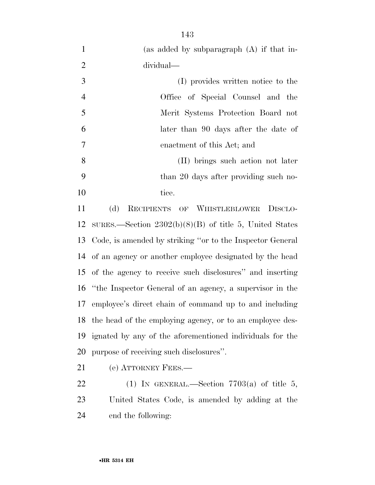|                | (as added by subparagraph $(A)$ if that in- |
|----------------|---------------------------------------------|
| 2              | dividual—                                   |
| 3              | (I) provides written notice to the          |
| $\overline{4}$ | Office of Special Counsel and the           |
| 5              | Merit Systems Protection Board not          |
| 6              | later than 90 days after the date of        |
| 7              | enactment of this Act; and                  |
| 8              | (II) brings such action not later           |
| 9              | than 20 days after providing such no-       |
| 10             | tice.                                       |

 (d) RECIPIENTS OF WHISTLEBLOWER DISCLO- SURES.—Section 2302(b)(8)(B) of title 5, United States Code, is amended by striking ''or to the Inspector General of an agency or another employee designated by the head of the agency to receive such disclosures'' and inserting ''the Inspector General of an agency, a supervisor in the employee's direct chain of command up to and including the head of the employing agency, or to an employee des- ignated by any of the aforementioned individuals for the purpose of receiving such disclosures''.

21 (e) ATTORNEY FEES.—

22 (1) IN GENERAL.—Section  $7703(a)$  of title 5, United States Code, is amended by adding at the end the following: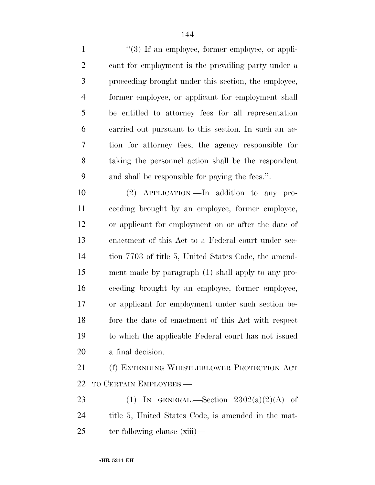1 ''(3) If an employee, former employee, or appli- cant for employment is the prevailing party under a proceeding brought under this section, the employee, former employee, or applicant for employment shall be entitled to attorney fees for all representation carried out pursuant to this section. In such an ac- tion for attorney fees, the agency responsible for taking the personnel action shall be the respondent and shall be responsible for paying the fees.''.

 (2) APPLICATION.—In addition to any pro- ceeding brought by an employee, former employee, or applicant for employment on or after the date of enactment of this Act to a Federal court under sec- tion 7703 of title 5, United States Code, the amend- ment made by paragraph (1) shall apply to any pro- ceeding brought by an employee, former employee, or applicant for employment under such section be- fore the date of enactment of this Act with respect to which the applicable Federal court has not issued a final decision.

 (f) EXTENDING WHISTLEBLOWER PROTECTION ACT TO CERTAIN EMPLOYEES.—

23 (1) IN GENERAL.—Section  $2302(a)(2)(A)$  of title 5, United States Code, is amended in the mat-25 ter following clause (xiii)—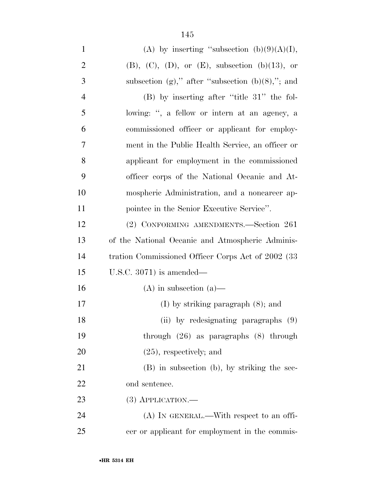| $\mathbf{1}$   | (A) by inserting "subsection $(b)(9)(A)(I)$ ,                |
|----------------|--------------------------------------------------------------|
| $\overline{2}$ | $(B)$ , $(C)$ , $(D)$ , or $(E)$ , subsection $(b)(13)$ , or |
| 3              | subsection (g)," after "subsection $(b)(8)$ ,"; and          |
| $\overline{4}$ | $(B)$ by inserting after "title 31" the fol-                 |
| 5              | lowing: ", a fellow or intern at an agency, a                |
| 6              | commissioned officer or applicant for employ-                |
| $\overline{7}$ | ment in the Public Health Service, an officer or             |
| 8              | applicant for employment in the commissioned                 |
| 9              | officer corps of the National Oceanic and At-                |
| 10             | mospheric Administration, and a noncareer ap-                |
| 11             | pointee in the Senior Executive Service".                    |
| 12             | (2) CONFORMING AMENDMENTS.—Section 261                       |
| 13             | of the National Oceanic and Atmospheric Adminis-             |
| 14             | tration Commissioned Officer Corps Act of 2002 (33)          |
| 15             | U.S.C. $3071$ ) is amended—                                  |
| 16             | $(A)$ in subsection $(a)$ —                                  |
| 17             | $(I)$ by striking paragraph $(8)$ ; and                      |
| 18             | (ii) by redesignating paragraphs (9)                         |
| 19             | through $(26)$ as paragraphs $(8)$ through                   |
| 20             | $(25)$ , respectively; and                                   |
| 21             | (B) in subsection (b), by striking the sec-                  |
| 22             | ond sentence.                                                |
| 23             | $(3)$ APPLICATION.—                                          |
| 24             | $(A)$ In GENERAL.—With respect to an offi-                   |
| 25             | cer or applicant for employment in the commis-               |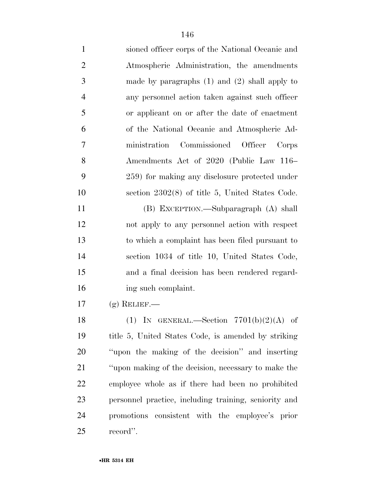| $\mathbf{1}$   | sioned officer corps of the National Oceanic and      |
|----------------|-------------------------------------------------------|
| $\overline{2}$ | Atmospheric Administration, the amendments            |
| 3              | made by paragraphs $(1)$ and $(2)$ shall apply to     |
| $\overline{4}$ | any personnel action taken against such officer       |
| 5              | or applicant on or after the date of enactment        |
| 6              | of the National Oceanic and Atmospheric Ad-           |
| 7              | ministration Commissioned Officer<br>Corps            |
| 8              | Amendments Act of 2020 (Public Law 116–               |
| 9              | 259) for making any disclosure protected under        |
| 10             | section $2302(8)$ of title 5, United States Code.     |
| 11             | (B) EXCEPTION.—Subparagraph (A) shall                 |
| 12             | not apply to any personnel action with respect        |
| 13             | to which a complaint has been filed pursuant to       |
| 14             | section 1034 of title 10, United States Code,         |
| 15             | and a final decision has been rendered regard-        |
| 16             | ing such complaint.                                   |
| 17             | $(g)$ RELIEF.—                                        |
| 18             | (1) IN GENERAL.—Section $7701(b)(2)(A)$ of            |
| 19             | title 5, United States Code, is amended by striking   |
| 20             | "upon the making of the decision" and inserting       |
| 21             | "upon making of the decision, necessary to make the   |
| 22             | employee whole as if there had been no prohibited     |
| 23             | personnel practice, including training, seniority and |
| 24             | promotions consistent with the employee's prior       |
| 25             | record".                                              |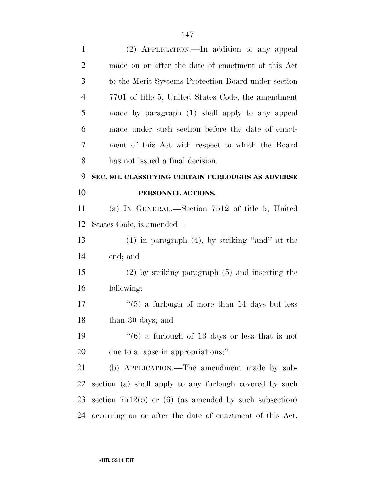| $\mathbf{1}$   | (2) APPLICATION.—In addition to any appeal                |
|----------------|-----------------------------------------------------------|
| $\overline{2}$ | made on or after the date of enactment of this Act        |
| 3              | to the Merit Systems Protection Board under section       |
| $\overline{4}$ | 7701 of title 5, United States Code, the amendment        |
| 5              | made by paragraph (1) shall apply to any appeal           |
| 6              | made under such section before the date of enact-         |
| 7              | ment of this Act with respect to which the Board          |
| 8              | has not issued a final decision.                          |
| 9              | SEC. 804. CLASSIFYING CERTAIN FURLOUGHS AS ADVERSE        |
| 10             | PERSONNEL ACTIONS.                                        |
| 11             | (a) IN GENERAL.—Section $7512$ of title 5, United         |
| 12             | States Code, is amended—                                  |
| 13             | $(1)$ in paragraph $(4)$ , by striking "and" at the       |
| 14             | end; and                                                  |
| 15             | $(2)$ by striking paragraph $(5)$ and inserting the       |
| 16             | following:                                                |
| 17             | $\cdot\cdot$ (5) a furlough of more than 14 days but less |
| 18             | than 30 days; and                                         |
| 19             | $\cdot\cdot(6)$ a furlough of 13 days or less that is not |
| <b>20</b>      | due to a lapse in appropriations;".                       |
| 21             | (b) APPLICATION.—The amendment made by sub-               |
|                |                                                           |
| 22             | section (a) shall apply to any furlough covered by such   |
| 23             | section $7512(5)$ or (6) (as amended by such subsection)  |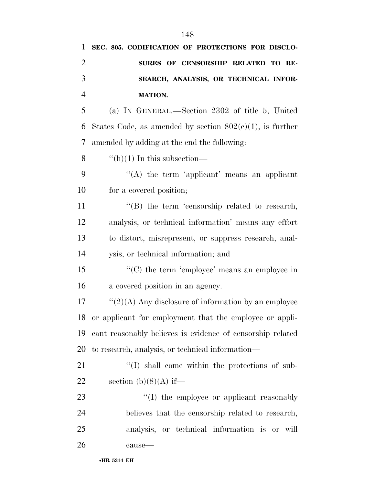| 1              | SEC. 805. CODIFICATION OF PROTECTIONS FOR DISCLO-           |
|----------------|-------------------------------------------------------------|
| $\overline{2}$ | SURES OF CENSORSHIP RELATED TO RE-                          |
| 3              | SEARCH, ANALYSIS, OR TECHNICAL INFOR-                       |
| $\overline{4}$ | <b>MATION.</b>                                              |
| 5              | (a) IN GENERAL.—Section 2302 of title 5, United             |
| 6              | States Code, as amended by section $802(c)(1)$ , is further |
| $\tau$         | amended by adding at the end the following:                 |
| 8              | $\lq\lq(h)(1)$ In this subsection—                          |
| 9              | $\lq\lq$ the term 'applicant' means an applicant            |
| 10             | for a covered position;                                     |
| 11             | $\lq\lq$ the term 'censorship related to research,          |
| 12             | analysis, or technical information' means any effort        |
| 13             | to distort, misrepresent, or suppress research, anal-       |
| 14             | ysis, or technical information; and                         |
| 15             | "(C) the term 'employee' means an employee in               |
| 16             | a covered position in an agency.                            |
| 17             | $\lq(2)(A)$ Any disclosure of information by an employee    |
| 18             | or applicant for employment that the employee or appli-     |
| 19             | cant reasonably believes is evidence of censorship related  |
| 20             | to research, analysis, or technical information—            |
| 21             | $\lq\lq$ shall come within the protections of sub-          |
| 22             | section $(b)(8)(A)$ if—                                     |
| 23             | "(I) the employee or applicant reasonably                   |
| 24             | believes that the censorship related to research,           |
| 25             | analysis, or technical information is or will               |
| 26             | cause-                                                      |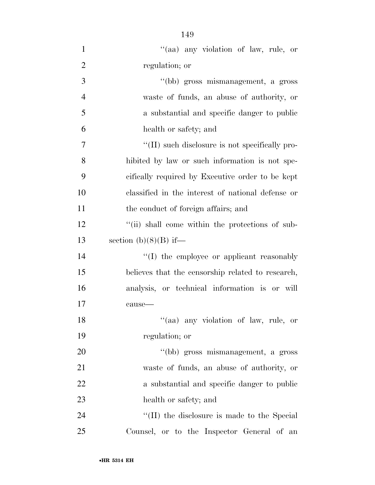| $\mathbf{1}$   | "(aa) any violation of law, rule, or              |
|----------------|---------------------------------------------------|
| $\overline{2}$ | regulation; or                                    |
| 3              | "(bb) gross mismanagement, a gross                |
| $\overline{4}$ | waste of funds, an abuse of authority, or         |
| 5              | a substantial and specific danger to public       |
| 6              | health or safety; and                             |
| 7              | "(II) such disclosure is not specifically pro-    |
| 8              | hibited by law or such information is not spe-    |
| 9              | cifically required by Executive order to be kept  |
| 10             | classified in the interest of national defense or |
| 11             | the conduct of foreign affairs; and               |
| 12             | "(ii) shall come within the protections of sub-   |
| 13             | section $(b)(8)(B)$ if—                           |
| 14             | $\lq\lq$ the employee or applicant reasonably     |
| 15             | believes that the censorship related to research, |
| 16             | analysis, or technical information is or will     |
| 17             | cause-                                            |
| 18             | "(aa) any violation of law, rule, or              |
| 19             | regulation; or                                    |
| 20             | "(bb) gross mismanagement, a gross                |
| 21             | waste of funds, an abuse of authority, or         |
| <u>22</u>      | a substantial and specific danger to public       |
| 23             | health or safety; and                             |
| 24             | "(II) the disclosure is made to the Special       |
| 25             | Counsel, or to the Inspector General of an        |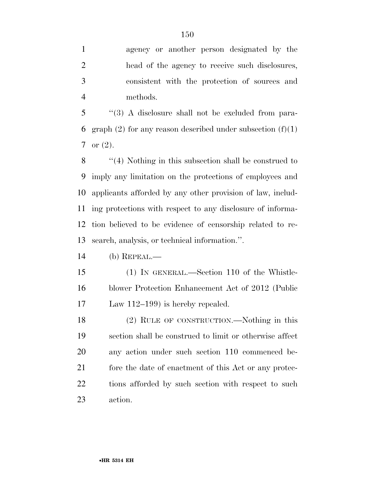''(3) A disclosure shall not be excluded from para-6 graph (2) for any reason described under subsection  $(f)(1)$ or (2).

 ''(4) Nothing in this subsection shall be construed to imply any limitation on the protections of employees and applicants afforded by any other provision of law, includ- ing protections with respect to any disclosure of informa- tion believed to be evidence of censorship related to re-search, analysis, or technical information.''.

(b) REPEAL.—

 (1) IN GENERAL.—Section 110 of the Whistle- blower Protection Enhancement Act of 2012 (Public Law 112–199) is hereby repealed.

 (2) RULE OF CONSTRUCTION.—Nothing in this section shall be construed to limit or otherwise affect any action under such section 110 commenced be-21 fore the date of enactment of this Act or any protec- tions afforded by such section with respect to such action.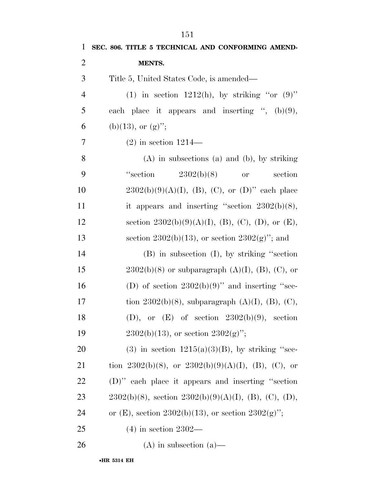| $\mathbf{1}$   | SEC. 806. TITLE 5 TECHNICAL AND CONFORMING AMEND-          |
|----------------|------------------------------------------------------------|
| $\overline{2}$ | MENTS.                                                     |
| 3              | Title 5, United States Code, is amended—                   |
| $\overline{4}$ | (1) in section 1212(h), by striking "or $(9)$ "            |
| 5              | each place it appears and inserting ", $(b)(9)$ ,          |
| 6              | (b)(13), or $(g)$ ";                                       |
| 7              | $(2)$ in section 1214—                                     |
| 8              | $(A)$ in subsections $(a)$ and $(b)$ , by striking         |
| 9              | "section"<br>2302(b)(8)<br>section<br><b>or</b>            |
| 10             | $2302(b)(9)(A)(I), (B), (C),$ or $(D)$ " each place        |
| 11             | it appears and inserting "section $2302(b)(8)$ ,           |
| 12             | section $2302(b)(9)(A)(I)$ , (B), (C), (D), or (E),        |
| 13             | section 2302(b)(13), or section $2302(g)$ "; and           |
| 14             | $(B)$ in subsection $(I)$ , by striking "section"          |
| 15             | $2302(b)(8)$ or subparagraph $(A)(I)$ , $(B)$ , $(C)$ , or |
| 16             | (D) of section $2302(b)(9)$ " and inserting "sec-          |
| 17             | tion 2302(b)(8), subparagraph $(A)(I)$ , $(B)$ , $(C)$ ,   |
| 18             | (D), or $(E)$ of section 2302(b)(9), section               |
| 19             | $2302(b)(13)$ , or section $2302(g)$ ";                    |
| 20             | (3) in section $1215(a)(3)(B)$ , by striking "sec-         |
| 21             | tion 2302(b)(8), or 2302(b)(9)(A)(I), (B), (C), or         |
| 22             | $(D)$ " each place it appears and inserting "section"      |
| 23             | $2302(b)(8)$ , section $2302(b)(9)(A)(I)$ , (B), (C), (D), |
| 24             | or (E), section 2302(b)(13), or section 2302(g)";          |
| 25             | $(4)$ in section 2302—                                     |
| 26             | $(A)$ in subsection $(a)$ —                                |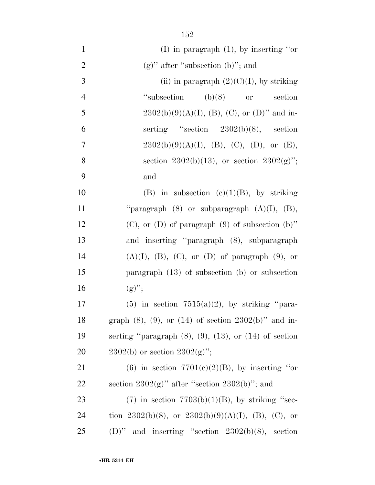| $\mathbf{1}$   | (I) in paragraph $(1)$ , by inserting "or                        |
|----------------|------------------------------------------------------------------|
| $\overline{2}$ | $(g)$ " after "subsection (b)"; and                              |
| 3              | (ii) in paragraph $(2)(C)(I)$ , by striking                      |
| $\overline{4}$ | "subsection"<br>$(b)(8)$ or section                              |
| 5              | $2302(b)(9)(A)(I), (B), (C), or (D)"$ and in-                    |
| 6              | serting "section $2302(b)(8)$ , section                          |
| $\tau$         | $2302(b)(9)(A)(I), (B), (C), (D), or (E),$                       |
| 8              | section 2302(b)(13), or section 2302(g)";                        |
| 9              | and                                                              |
| 10             | (B) in subsection (c)(1)(B), by striking                         |
| 11             | "paragraph $(8)$ or subparagraph $(A)(I)$ , $(B)$ ,              |
| 12             | $(C)$ , or $(D)$ of paragraph $(9)$ of subsection $(b)$ "        |
| 13             | and inserting "paragraph (8), subparagraph                       |
| 14             | $(A)(I), (B), (C),$ or $(D)$ of paragraph $(9)$ , or             |
| 15             | paragraph $(13)$ of subsection $(b)$ or subsection               |
| 16             | $(g)''$ ;                                                        |
| 17             | $(5)$ in section $7515(a)(2)$ , by striking "para-               |
| 18             | graph $(8)$ , $(9)$ , or $(14)$ of section $2302(b)$ " and in-   |
| 19             | serting "paragraph $(8)$ , $(9)$ , $(13)$ , or $(14)$ of section |
| 20             | $2302(b)$ or section $2302(g)$ ";                                |
| 21             | (6) in section $7701(c)(2)(B)$ , by inserting "or                |
| 22             | section $2302(g)$ " after "section $2302(b)$ "; and              |
| 23             | $(7)$ in section $7703(b)(1)(B)$ , by striking "sec-             |
| 24             | tion 2302(b)(8), or 2302(b)(9)(A)(I), (B), (C), or               |
| 25             | (D)" and inserting "section $2302(b)(8)$ , section               |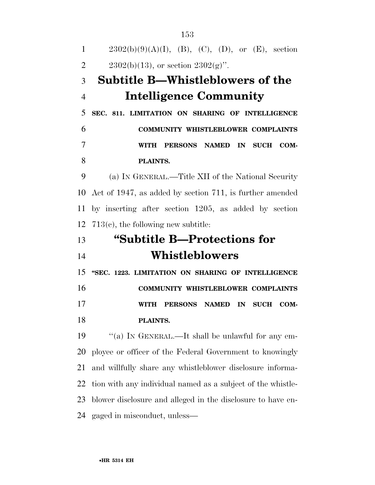$2302(b)(9)(A)(I), (B), (C), (D), or (E), section$ 2 2302(b)(13), or section  $2302(g)$ ". **Subtitle B—Whistleblowers of the Intelligence Community SEC. 811. LIMITATION ON SHARING OF INTELLIGENCE COMMUNITY WHISTLEBLOWER COMPLAINTS WITH PERSONS NAMED IN SUCH COM- PLAINTS.**  (a) IN GENERAL.—Title XII of the National Security Act of 1947, as added by section 711, is further amended by inserting after section 1205, as added by section 713(c), the following new subtitle: **''Subtitle B—Protections for Whistleblowers ''SEC. 1223. LIMITATION ON SHARING OF INTELLIGENCE COMMUNITY WHISTLEBLOWER COMPLAINTS WITH PERSONS NAMED IN SUCH COM- PLAINTS.**  ''(a) IN GENERAL.—It shall be unlawful for any em- ployee or officer of the Federal Government to knowingly and willfully share any whistleblower disclosure informa- tion with any individual named as a subject of the whistle- blower disclosure and alleged in the disclosure to have en-gaged in misconduct, unless—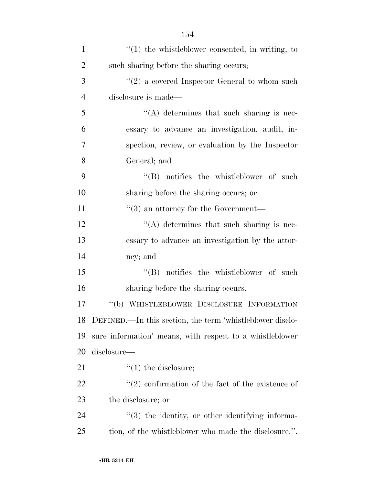| $\mathbf{1}$   | $"(1)$ the whistleblower consented, in writing, to               |
|----------------|------------------------------------------------------------------|
| $\overline{2}$ | such sharing before the sharing occurs;                          |
| 3              | $\lq(2)$ a covered Inspector General to whom such                |
| $\overline{4}$ | disclosure is made—                                              |
| 5              | $\lq\lq$ determines that such sharing is nec-                    |
| 6              | essary to advance an investigation, audit, in-                   |
| 7              | spection, review, or evaluation by the Inspector                 |
| 8              | General; and                                                     |
| 9              | $\lq\lq$ notifies the whistleblower of such                      |
| 10             | sharing before the sharing occurs; or                            |
| 11             | $\cdot\cdot$ (3) an attorney for the Government—                 |
| 12             | $\lq\lq$ determines that such sharing is nec-                    |
| 13             | essary to advance an investigation by the attor-                 |
| 14             | ney; and                                                         |
| 15             | $\lq\lq$ notifies the whistleblower of such                      |
| 16             | sharing before the sharing occurs.                               |
| 17             | "(b) WHISTLEBLOWER DISCLOSURE INFORMATION                        |
| 18             | DEFINED.—In this section, the term 'whistleblower disclo-        |
| 19             | sure information' means, with respect to a whistleblower         |
| 20             | disclosure—                                                      |
| 21             | $\lq(1)$ the disclosure;                                         |
| 22             | $\lq(2)$ confirmation of the fact of the existence of            |
| 23             | the disclosure; or                                               |
| 24             | $\cdot\cdot\cdot(3)$ the identity, or other identifying informa- |
| 25             | tion, of the whistleblower who made the disclosure.".            |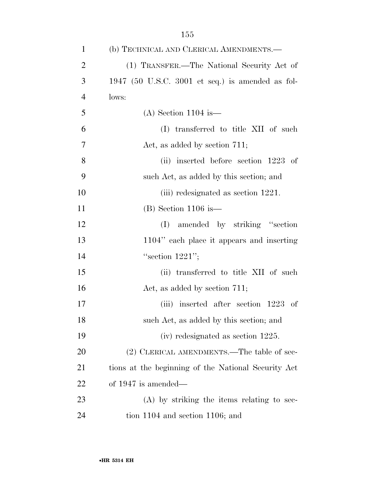| $\mathbf{1}$   | (b) TECHNICAL AND CLERICAL AMENDMENTS.—             |
|----------------|-----------------------------------------------------|
| $\overline{2}$ | (1) TRANSFER.—The National Security Act of          |
| 3              | 1947 (50 U.S.C. 3001 et seq.) is amended as fol-    |
| $\overline{4}$ | lows:                                               |
| 5              | $(A)$ Section 1104 is —                             |
| 6              | (I) transferred to title XII of such                |
| 7              | Act, as added by section 711;                       |
| 8              | (ii) inserted before section 1223 of                |
| 9              | such Act, as added by this section; and             |
| 10             | (iii) redesignated as section 1221.                 |
| 11             | $(B)$ Section 1106 is —                             |
| 12             | amended by striking "section"<br>(I)                |
| 13             | 1104" each place it appears and inserting           |
| 14             | "section $1221"$ ;                                  |
| 15             | (ii) transferred to title XII of such               |
| 16             | Act, as added by section 711;                       |
| 17             | (iii) inserted after section 1223 of                |
| 18             | such Act, as added by this section; and             |
| 19             | $(iv)$ redesignated as section 1225.                |
| 20             | (2) CLERICAL AMENDMENTS.—The table of sec-          |
| 21             | tions at the beginning of the National Security Act |
| 22             | of $1947$ is amended—                               |
| 23             | (A) by striking the items relating to sec-          |
| 24             | tion $1104$ and section $1106$ ; and                |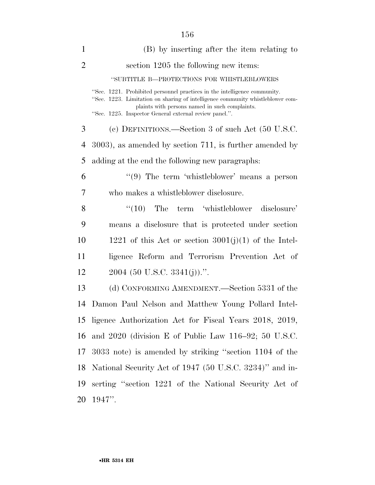| $\mathbf{1}$   | (B) by inserting after the item relating to                                                                                                                                                                                                                             |
|----------------|-------------------------------------------------------------------------------------------------------------------------------------------------------------------------------------------------------------------------------------------------------------------------|
| $\overline{2}$ | section 1205 the following new items:                                                                                                                                                                                                                                   |
|                | "SUBTITLE B-PROTECTIONS FOR WHISTLEBLOWERS                                                                                                                                                                                                                              |
|                | "Sec. 1221. Prohibited personnel practices in the intelligence community.<br>"Sec. 1223. Limitation on sharing of intelligence community whistleblower com-<br>plaints with persons named in such complaints.<br>"Sec. 1225. Inspector General external review panel.". |
| 3              | (c) DEFINITIONS.—Section 3 of such Act (50 U.S.C.                                                                                                                                                                                                                       |
| 4              | $(3003)$ , as amended by section 711, is further amended by                                                                                                                                                                                                             |
| 5              | adding at the end the following new paragraphs:                                                                                                                                                                                                                         |
| 6              | $(9)$ The term 'whistleblower' means a person                                                                                                                                                                                                                           |
| 7              | who makes a whistleblower disclosure.                                                                                                                                                                                                                                   |
| 8              | $\lq(10)$ The term 'whistleblower disclosure'                                                                                                                                                                                                                           |
| 9              | means a disclosure that is protected under section                                                                                                                                                                                                                      |
| 10             | 1221 of this Act or section $3001(j)(1)$ of the Intel-                                                                                                                                                                                                                  |
| 11             | ligence Reform and Terrorism Prevention Act of                                                                                                                                                                                                                          |
| 12             | $2004$ (50 U.S.C. 3341(j)).".                                                                                                                                                                                                                                           |
| 13             | (d) CONFORMING AMENDMENT.—Section 5331 of the                                                                                                                                                                                                                           |
| 14             | Damon Paul Nelson and Matthew Young Pollard Intel-                                                                                                                                                                                                                      |
| 15             | ligence Authorization Act for Fiscal Years 2018, 2019,                                                                                                                                                                                                                  |
| 16             | and $2020$ (division E of Public Law $116-92$ ; 50 U.S.C.                                                                                                                                                                                                               |
| 17             | 3033 note) is amended by striking "section 1104 of the                                                                                                                                                                                                                  |
| 18             | National Security Act of 1947 (50 U.S.C. 3234)" and in-                                                                                                                                                                                                                 |
| 19             | serting "section 1221 of the National Security Act of                                                                                                                                                                                                                   |
| 20             | $1947$ ".                                                                                                                                                                                                                                                               |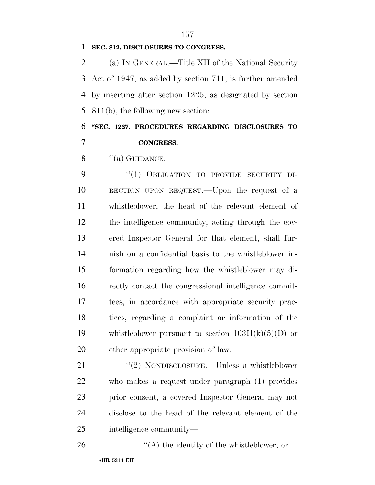#### **SEC. 812. DISCLOSURES TO CONGRESS.**

 (a) IN GENERAL.—Title XII of the National Security Act of 1947, as added by section 711, is further amended by inserting after section 1225, as designated by section 811(b), the following new section:

 **''SEC. 1227. PROCEDURES REGARDING DISCLOSURES TO CONGRESS.** 

8  $\qquad$  "(a) GUIDANCE.—

 ''(1) OBLIGATION TO PROVIDE SECURITY DI- RECTION UPON REQUEST.—Upon the request of a whistleblower, the head of the relevant element of the intelligence community, acting through the cov- ered Inspector General for that element, shall fur- nish on a confidential basis to the whistleblower in- formation regarding how the whistleblower may di- rectly contact the congressional intelligence commit- tees, in accordance with appropriate security prac- tices, regarding a complaint or information of the 19 whistleblower pursuant to section  $103H(k)(5)(D)$  or other appropriate provision of law.

21 "(2) NONDISCLOSURE.—Unless a whistleblower who makes a request under paragraph (1) provides prior consent, a covered Inspector General may not disclose to the head of the relevant element of the intelligence community—

''(A) the identity of the whistleblower; or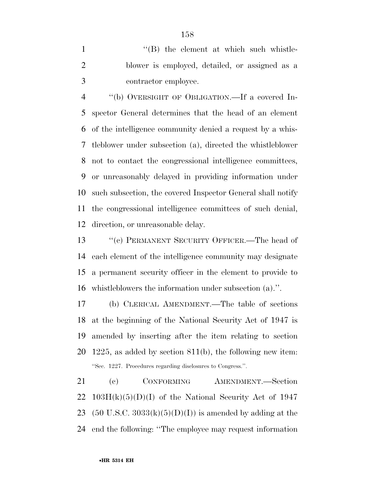1 ''(B) the element at which such whistle- blower is employed, detailed, or assigned as a contractor employee.

 ''(b) OVERSIGHT OF OBLIGATION.—If a covered In- spector General determines that the head of an element of the intelligence community denied a request by a whis- tleblower under subsection (a), directed the whistleblower not to contact the congressional intelligence committees, or unreasonably delayed in providing information under such subsection, the covered Inspector General shall notify the congressional intelligence committees of such denial, direction, or unreasonable delay.

13 "(c) PERMANENT SECURITY OFFICER.—The head of each element of the intelligence community may designate a permanent security officer in the element to provide to whistleblowers the information under subsection (a).''.

 (b) CLERICAL AMENDMENT.—The table of sections at the beginning of the National Security Act of 1947 is amended by inserting after the item relating to section 1225, as added by section 811(b), the following new item: ''Sec. 1227. Procedures regarding disclosures to Congress.''.

21 (c) CONFORMING AMENDMENT.—Section 22 103H $(k)(5)(D)(I)$  of the National Security Act of 1947 23 (50 U.S.C. 3033 $(k)(5)(D)(I)$ ) is amended by adding at the end the following: ''The employee may request information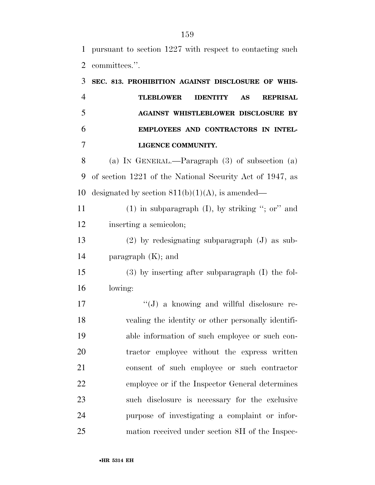pursuant to section 1227 with respect to contacting such committees.''.

| 3              | SEC. 813. PROHIBITION AGAINST DISCLOSURE OF WHIS-                   |
|----------------|---------------------------------------------------------------------|
| $\overline{4}$ | <b>TLEBLOWER</b><br><b>IDENTITY</b><br><b>AS</b><br><b>REPRISAL</b> |
| 5              | <b>AGAINST WHISTLEBLOWER DISCLOSURE BY</b>                          |
| 6              | EMPLOYEES AND CONTRACTORS IN INTEL-                                 |
| 7              | LIGENCE COMMUNITY.                                                  |
| 8              | (a) IN GENERAL.—Paragraph $(3)$ of subsection $(a)$                 |
| 9              | of section 1221 of the National Security Act of 1947, as            |
| 10             | designated by section $811(b)(1)(A)$ , is amended—                  |
| 11             | $(1)$ in subparagraph $(I)$ , by striking "; or" and                |
| 12             | inserting a semicolon;                                              |
| 13             | $(2)$ by redesignating subparagraph $(J)$ as sub-                   |
| 14             | paragraph $(K)$ ; and                                               |
| 15             | $(3)$ by inserting after subparagraph $(I)$ the fol-                |
| 16             | lowing:                                                             |
| 17             | $\lq\lq(J)$ a knowing and willful disclosure re-                    |
| 18             | vealing the identity or other personally identifi-                  |
| 19             | able information of such employee or such con-                      |
| 20             | tractor employee without the express written                        |
| 21             | consent of such employee or such contractor                         |
| 22             | employee or if the Inspector General determines                     |
| 23             | such disclosure is necessary for the exclusive                      |
| 24             | purpose of investigating a complaint or infor-                      |
| 25             | mation received under section 8H of the Inspec-                     |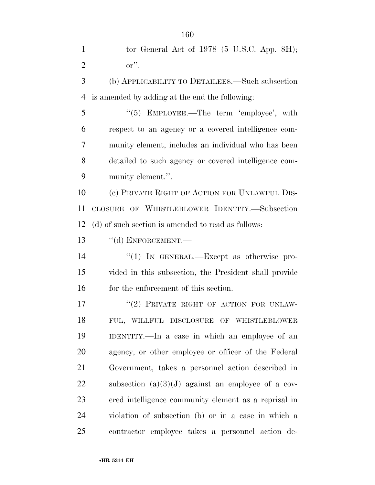| $\mathbf{1}$   | tor General Act of $1978$ (5 U.S.C. App. 8H);         |
|----------------|-------------------------------------------------------|
| $\overline{2}$ | $\mathbf{or}''$ .                                     |
| 3              | (b) APPLICABILITY TO DETAILEES.—Such subsection       |
| $\overline{4}$ | is amended by adding at the end the following:        |
| 5              | " $(5)$ EMPLOYEE.—The term 'employee', with           |
| 6              | respect to an agency or a covered intelligence com-   |
| 7              | munity element, includes an individual who has been   |
| 8              | detailed to such agency or covered intelligence com-  |
| 9              | munity element.".                                     |
| 10             | (c) PRIVATE RIGHT OF ACTION FOR UNLAWFUL DIS-         |
| 11             | CLOSURE OF WHISTLEBLOWER IDENTITY.—Subsection         |
| 12             | (d) of such section is amended to read as follows:    |
| 13             | $``$ (d) ENFORCEMENT.—                                |
| 14             | "(1) IN GENERAL.—Except as otherwise pro-             |
| 15             | vided in this subsection, the President shall provide |
| 16             | for the enforcement of this section.                  |
| 17             | "(2) PRIVATE RIGHT OF ACTION FOR UNLAW-               |
| 18             | FUL, WILLFUL DISCLOSURE OF WHISTLEBLOWER              |
| 19             | IDENTITY.—In a case in which an employee of an        |
| 20             | agency, or other employee or officer of the Federal   |
| 21             | Government, takes a personnel action described in     |
| 22             | subsection $(a)(3)(J)$ against an employee of a cov-  |
| 23             | ered intelligence community element as a reprisal in  |
| 24             | violation of subsection (b) or in a case in which a   |
| 25             | contractor employee takes a personnel action de-      |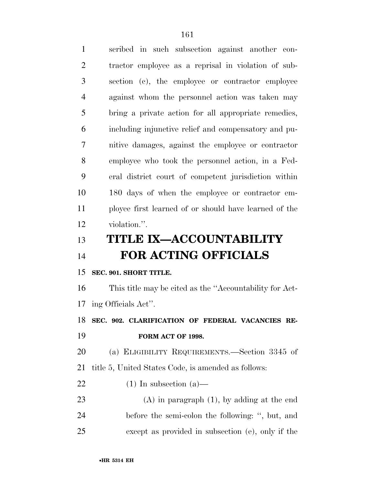| $\mathbf{1}$   | scribed in such subsection against another con-         |
|----------------|---------------------------------------------------------|
| $\overline{2}$ | tractor employee as a reprisal in violation of sub-     |
| 3              | section (c), the employee or contractor employee        |
| 4              | against whom the personnel action was taken may         |
| 5              | bring a private action for all appropriate remedies,    |
| 6              | including injunctive relief and compensatory and pu-    |
| 7              | nitive damages, against the employee or contractor      |
| 8              | employee who took the personnel action, in a Fed-       |
| 9              | eral district court of competent jurisdiction within    |
| 10             | 180 days of when the employee or contractor em-         |
| 11             | ployee first learned of or should have learned of the   |
| 12             | violation.".                                            |
| 13             | <b>TITLE IX-ACCOUNTABILITY</b>                          |
| 14             | <b>FOR ACTING OFFICIALS</b>                             |
| 15             | SEC. 901. SHORT TITLE.                                  |
| 16             | This title may be cited as the "Accountability for Act- |
| 17             | ing Officials Act".                                     |
| 18             | SEC. 902. CLARIFICATION OF FEDERAL VACANCIES RE-        |
| 19             | FORM ACT OF 1998.                                       |
| 20             | (a) ELIGIBILITY REQUIREMENTS.—Section 3345 of           |
| 21             | title 5, United States Code, is amended as follows:     |
| 22             | $(1)$ In subsection $(a)$ —                             |
| 23             | $(A)$ in paragraph $(1)$ , by adding at the end         |
| 24             | before the semi-colon the following: ", but, and        |
| 25             | except as provided in subsection (e), only if the       |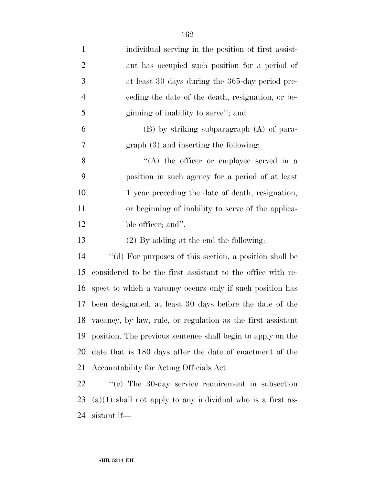| $\mathbf{1}$   | individual serving in the position of first assist-           |
|----------------|---------------------------------------------------------------|
| $\overline{2}$ | ant has occupied such position for a period of                |
| 3              | at least 30 days during the 365-day period pre-               |
| $\overline{4}$ | eeding the date of the death, resignation, or be-             |
| 5              | ginning of inability to serve"; and                           |
| 6              | (B) by striking subparagraph (A) of para-                     |
| 7              | graph (3) and inserting the following:                        |
| 8              | $\lq\lq$ the officer or employee served in a                  |
| 9              | position in such agency for a period of at least              |
| 10             | 1 year preceding the date of death, resignation,              |
| 11             | or beginning of inability to serve of the applica-            |
| 12             | ble officer; and".                                            |
| 13             | $(2)$ By adding at the end the following:                     |
| 14             | "(d) For purposes of this section, a position shall be        |
| 15             | considered to be the first assistant to the office with re-   |
| 16             | spect to which a vacancy occurs only if such position has     |
| 17             | been designated, at least 30 days before the date of the      |
| 18             | vacancy, by law, rule, or regulation as the first assistant   |
| 19             | position. The previous sentence shall begin to apply on the   |
| <b>20</b>      | date that is 180 days after the date of enactment of the      |
| 21             | Accountability for Acting Officials Act.                      |
| 22             | "(e) The 30-day service requirement in subsection             |
| 23             | $(a)(1)$ shall not apply to any individual who is a first as- |

sistant if—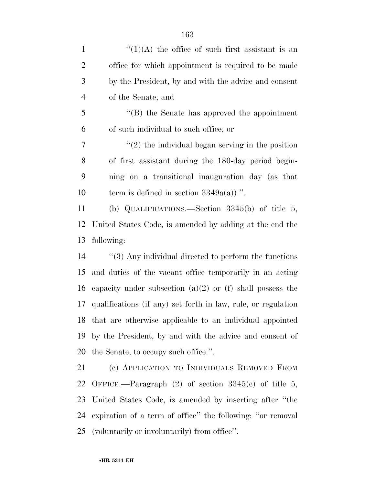| $\mathbf{1}$   | $\lq(1)(A)$ the office of such first assistant is an       |
|----------------|------------------------------------------------------------|
| $\overline{2}$ | office for which appointment is required to be made        |
| 3              | by the President, by and with the advice and consent       |
| $\overline{4}$ | of the Senate; and                                         |
| 5              | $\cdot$ (B) the Senate has approved the appointment        |
| 6              | of such individual to such office; or                      |
| 7              | $\lq(2)$ the individual began serving in the position      |
| 8              | of first assistant during the 180-day period begin-        |
| 9              | ning on a transitional inauguration day (as that           |
| 10             | term is defined in section $3349a(a)$ .".                  |
| 11             | (b) QUALIFICATIONS.—Section $3345(b)$ of title 5,          |
|                | 12 United States Code, is amended by adding at the end the |
|                | 13 following:                                              |

 ''(3) Any individual directed to perform the functions and duties of the vacant office temporarily in an acting 16 capacity under subsection  $(a)(2)$  or  $(f)$  shall possess the qualifications (if any) set forth in law, rule, or regulation that are otherwise applicable to an individual appointed by the President, by and with the advice and consent of the Senate, to occupy such office.''.

 (c) APPLICATION TO INDIVIDUALS REMOVED FROM OFFICE.—Paragraph (2) of section 3345(c) of title 5, United States Code, is amended by inserting after ''the expiration of a term of office'' the following: ''or removal (voluntarily or involuntarily) from office''.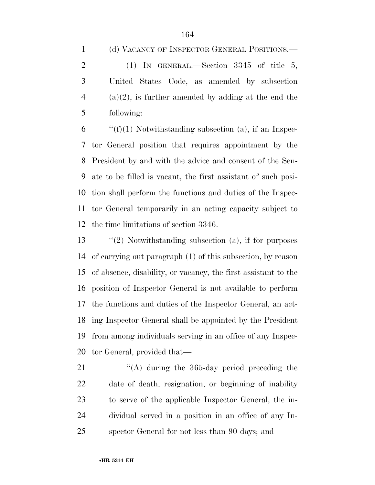(d) VACANCY OF INSPECTOR GENERAL POSITIONS.—

2 (1) IN GENERAL.—Section 3345 of title 5, United States Code, as amended by subsection (a)(2), is further amended by adding at the end the following:

 $\qquad$  "(f)(1) Notwithstanding subsection (a), if an Inspec- tor General position that requires appointment by the President by and with the advice and consent of the Sen- ate to be filled is vacant, the first assistant of such posi- tion shall perform the functions and duties of the Inspec- tor General temporarily in an acting capacity subject to the time limitations of section 3346.

 ''(2) Notwithstanding subsection (a), if for purposes of carrying out paragraph (1) of this subsection, by reason of absence, disability, or vacancy, the first assistant to the position of Inspector General is not available to perform the functions and duties of the Inspector General, an act- ing Inspector General shall be appointed by the President from among individuals serving in an office of any Inspec-tor General, provided that—

21 ''(A) during the 365-day period preceding the date of death, resignation, or beginning of inability to serve of the applicable Inspector General, the in- dividual served in a position in an office of any In-spector General for not less than 90 days; and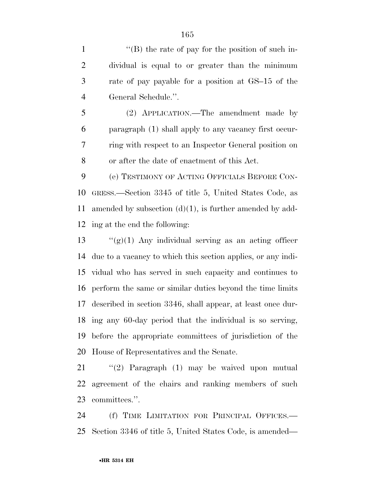1 ''(B) the rate of pay for the position of such in- dividual is equal to or greater than the minimum rate of pay payable for a position at GS–15 of the General Schedule.''.

 (2) APPLICATION.—The amendment made by paragraph (1) shall apply to any vacancy first occur- ring with respect to an Inspector General position on or after the date of enactment of this Act.

 (e) TESTIMONY OF ACTING OFFICIALS BEFORE CON- GRESS.—Section 3345 of title 5, United States Code, as amended by subsection (d)(1), is further amended by add-ing at the end the following:

 $\frac{1}{2}$   $\frac{1}{2}$   $\frac{1}{2}$  Any individual serving as an acting officer due to a vacancy to which this section applies, or any indi- vidual who has served in such capacity and continues to perform the same or similar duties beyond the time limits described in section 3346, shall appear, at least once dur- ing any 60-day period that the individual is so serving, before the appropriate committees of jurisdiction of the House of Representatives and the Senate.

 ''(2) Paragraph (1) may be waived upon mutual agreement of the chairs and ranking members of such committees.''.

 (f) TIME LIMITATION FOR PRINCIPAL OFFICES.— Section 3346 of title 5, United States Code, is amended—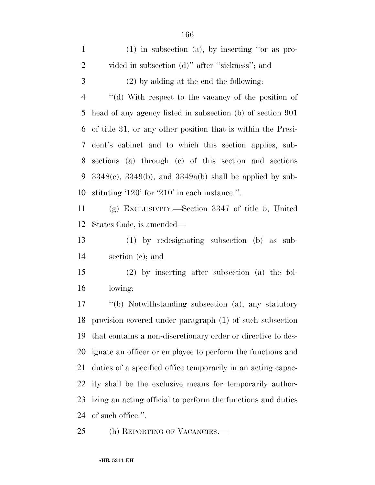| $\mathbf{1}$   | $(1)$ in subsection $(a)$ , by inserting "or as pro-            |
|----------------|-----------------------------------------------------------------|
| $\overline{2}$ | vided in subsection (d)" after "sickness"; and                  |
| 3              | $(2)$ by adding at the end the following:                       |
| $\overline{4}$ | "(d) With respect to the vacancy of the position of             |
| 5              | head of any agency listed in subsection (b) of section 901      |
| 6              | of title 31, or any other position that is within the Presi-    |
| 7              | dent's cabinet and to which this section applies, sub-          |
| 8              | sections (a) through (c) of this section and sections           |
| 9              | $3348(c)$ , $3349(b)$ , and $3349a(b)$ shall be applied by sub- |
| 10             | stituting $120'$ for $210'$ in each instance.".                 |
| 11             | (g) EXCLUSIVITY.—Section $3347$ of title 5, United              |
| 12             | States Code, is amended—                                        |
| 13             | $(1)$ by redesignating subsection $(b)$ as sub-                 |
| 14             | section $(c)$ ; and                                             |
| 15             | $(2)$ by inserting after subsection (a) the fol-                |
|                |                                                                 |
| 16             | lowing:                                                         |
| 17             | "(b) Notwithstanding subsection (a), any statutory              |
|                | 18 provision covered under paragraph (1) of such subsection     |
| 19             | that contains a non-discretionary order or directive to des-    |
| 20             | ignate an officer or employee to perform the functions and      |
| 21             | duties of a specified office temporarily in an acting capac-    |
| 22             | ity shall be the exclusive means for temporarily author-        |
| 23             | izing an acting official to perform the functions and duties    |

25 (h) REPORTING OF VACANCIES.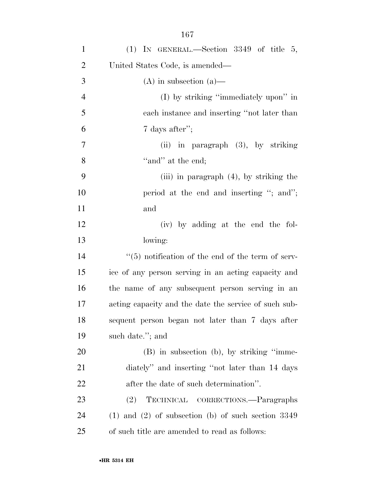| $\mathbf{1}$   | (1) IN GENERAL.—Section $3349$ of title 5,               |
|----------------|----------------------------------------------------------|
| $\overline{2}$ | United States Code, is amended—                          |
| 3              | $(A)$ in subsection $(a)$ —                              |
| $\overline{4}$ | (I) by striking "immediately upon" in                    |
| 5              | each instance and inserting "not later than              |
| 6              | 7 days after";                                           |
| 7              | (ii) in paragraph $(3)$ , by striking                    |
| $8\,$          | "and" at the end;                                        |
| 9              | (iii) in paragraph $(4)$ , by striking the               |
| 10             | period at the end and inserting "; and";                 |
| 11             | and                                                      |
| 12             | (iv) by adding at the end the fol-                       |
| 13             | lowing:                                                  |
| 14             | $\lq(5)$ notification of the end of the term of serv-    |
| 15             | ice of any person serving in an acting capacity and      |
| 16             | the name of any subsequent person serving in an          |
| 17             | acting capacity and the date the service of such sub-    |
| 18             | sequent person began not later than 7 days after         |
| 19             | such date."; and                                         |
| <b>20</b>      | (B) in subsection (b), by striking "imme-                |
| 21             | diately" and inserting "not later than 14 days           |
| <u>22</u>      | after the date of such determination".                   |
| 23             | TECHNICAL CORRECTIONS.—Paragraphs<br>(2)                 |
| 24             | $(1)$ and $(2)$ of subsection $(b)$ of such section 3349 |
| 25             | of such title are amended to read as follows:            |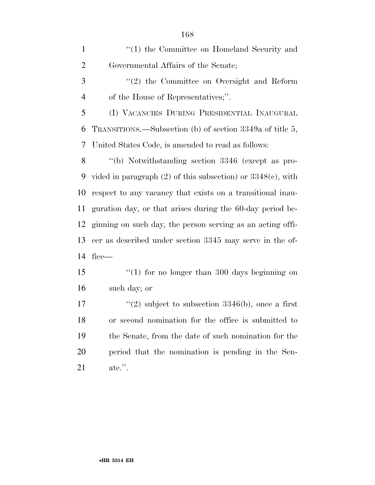| $\mathbf{1}$   | "(1) the Committee on Homeland Security and                      |
|----------------|------------------------------------------------------------------|
| $\overline{2}$ | Governmental Affairs of the Senate;                              |
| 3              | "(2) the Committee on Oversight and Reform                       |
| $\overline{4}$ | of the House of Representatives;".                               |
| 5              | (I) VACANCIES DURING PRESIDENTIAL INAUGURAL                      |
| 6              | TRANSITIONS.—Subsection (b) of section 3349a of title 5,         |
| 7              | United States Code, is amended to read as follows:               |
| 8              | "(b) Notwithstanding section 3346 (except as pro-                |
| 9              | vided in paragraph $(2)$ of this subsection) or $3348(c)$ , with |
| 10             | respect to any vacancy that exists on a transitional inau-       |
| 11             | guration day, or that arises during the 60-day period be-        |
| 12             | ginning on such day, the person serving as an acting offi-       |
| 13             | cer as described under section 3345 may serve in the of-         |
| 14             | $fice$ —                                                         |
| 15             | "(1) for no longer than 300 days beginning on                    |
| 16             | such day; or                                                     |
| 17             | "(2) subject to subsection $3346(b)$ , once a first              |
| 18             | or second nomination for the office is submitted to              |
| 19             | the Senate, from the date of such nomination for the             |
| 20             | period that the nomination is pending in the Sen-                |
| 21             | $\alpha$ ate.".                                                  |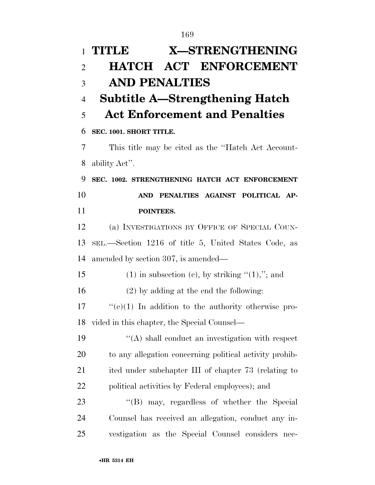| $\mathbf{1}$   | TITLE<br><b>X-STRENGTHENING</b>                         |
|----------------|---------------------------------------------------------|
| $\overline{2}$ | <b>HATCH ACT ENFORCEMENT</b>                            |
| 3              | <b>AND PENALTIES</b>                                    |
| $\overline{4}$ | <b>Subtitle A—Strengthening Hatch</b>                   |
| 5              | <b>Act Enforcement and Penalties</b>                    |
| 6              | SEC. 1001. SHORT TITLE.                                 |
| 7              | This title may be cited as the "Hatch Act Account-      |
| 8              | ability Act".                                           |
| 9              | SEC. 1002. STRENGTHENING HATCH ACT ENFORCEMENT          |
| 10             | PENALTIES AGAINST POLITICAL AP-<br><b>AND</b>           |
| 11             | POINTEES.                                               |
| 12             | (a) INVESTIGATIONS BY OFFICE OF SPECIAL COUN-           |
| 13             | SEL.—Section 1216 of title 5, United States Code, as    |
| 14             | amended by section 307, is amended—                     |
| 15             | $(1)$ in subsection $(e)$ , by striking " $(1)$ ,"; and |
| 16             | $(2)$ by adding at the end the following:               |
| 17             | "(e)(1) In addition to the authority otherwise pro-     |
| 18             | vided in this chapter, the Special Counsel—             |
| 19             | $\lq\lq$ shall conduct an investigation with respect    |
| 20             | to any allegation concerning political activity prohib- |
| 21             | ited under subchapter III of chapter 73 (relating to    |
| 22             | political activities by Federal employees); and         |
| 23             | "(B) may, regardless of whether the Special             |
| 24             | Counsel has received an allegation, conduct any in-     |
| 25             | vestigation as the Special Counsel considers<br>nec-    |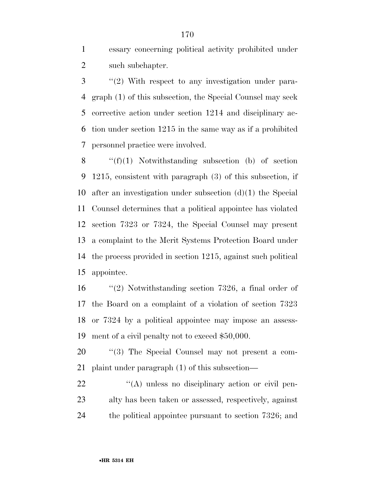essary concerning political activity prohibited under 2 such subchapter.

 ''(2) With respect to any investigation under para- graph (1) of this subsection, the Special Counsel may seek corrective action under section 1214 and disciplinary ac- tion under section 1215 in the same way as if a prohibited personnel practice were involved.

 $\langle f'(f)(1) \rangle$  Notwithstanding subsection (b) of section 1215, consistent with paragraph (3) of this subsection, if after an investigation under subsection (d)(1) the Special Counsel determines that a political appointee has violated section 7323 or 7324, the Special Counsel may present a complaint to the Merit Systems Protection Board under the process provided in section 1215, against such political appointee.

 ''(2) Notwithstanding section 7326, a final order of the Board on a complaint of a violation of section 7323 or 7324 by a political appointee may impose an assess-ment of a civil penalty not to exceed \$50,000.

20  $\text{``(3)}$  The Special Counsel may not present a com-plaint under paragraph (1) of this subsection—

22  $\langle A \rangle$  unless no disciplinary action or civil pen- alty has been taken or assessed, respectively, against 24 the political appointee pursuant to section 7326; and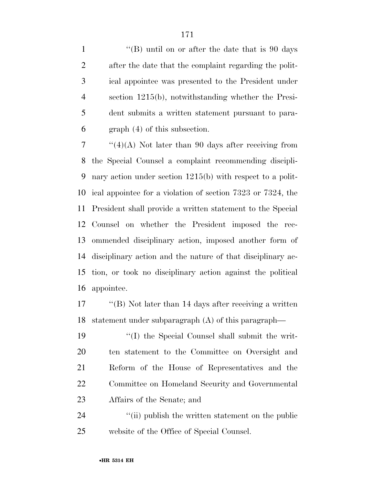1 ''(B) until on or after the date that is 90 days after the date that the complaint regarding the polit- ical appointee was presented to the President under section 1215(b), notwithstanding whether the Presi- dent submits a written statement pursuant to para-graph (4) of this subsection.

 $7 \cdot$  "(4)(A) Not later than 90 days after receiving from the Special Counsel a complaint recommending discipli- nary action under section 1215(b) with respect to a polit- ical appointee for a violation of section 7323 or 7324, the President shall provide a written statement to the Special Counsel on whether the President imposed the rec- ommended disciplinary action, imposed another form of disciplinary action and the nature of that disciplinary ac- tion, or took no disciplinary action against the political appointee.

 ''(B) Not later than 14 days after receiving a written statement under subparagraph (A) of this paragraph—

 ''(I) the Special Counsel shall submit the writ- ten statement to the Committee on Oversight and Reform of the House of Representatives and the Committee on Homeland Security and Governmental Affairs of the Senate; and

24 ''(ii) publish the written statement on the public website of the Office of Special Counsel.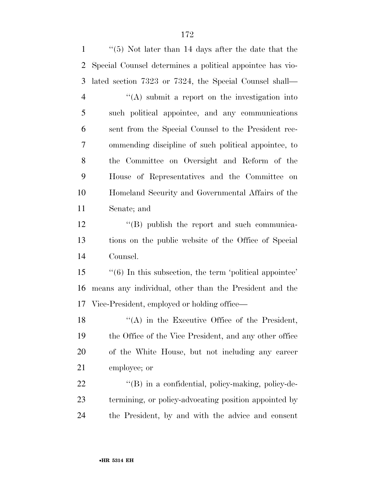''(5) Not later than 14 days after the date that the Special Counsel determines a political appointee has vio- lated section 7323 or 7324, the Special Counsel shall— ''(A) submit a report on the investigation into such political appointee, and any communications sent from the Special Counsel to the President rec- ommending discipline of such political appointee, to the Committee on Oversight and Reform of the House of Representatives and the Committee on Homeland Security and Governmental Affairs of the Senate; and 12 "(B) publish the report and such communica- tions on the public website of the Office of Special Counsel. ''(6) In this subsection, the term 'political appointee' means any individual, other than the President and the Vice-President, employed or holding office— 18 "(A) in the Executive Office of the President, the Office of the Vice President, and any other office of the White House, but not including any career employee; or 22 "(B) in a confidential, policy-making, policy-de- termining, or policy-advocating position appointed by the President, by and with the advice and consent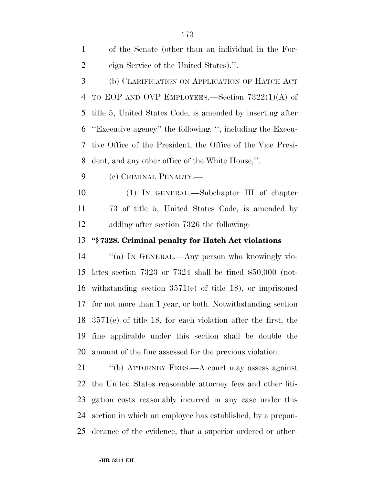| $\mathbf{1}$   | of the Senate (other than an individual in the For-                    |
|----------------|------------------------------------------------------------------------|
| $\overline{2}$ | eign Service of the United States).".                                  |
| 3              | (b) CLARIFICATION ON APPLICATION OF HATCH ACT                          |
| 4              | TO EOP AND OVP EMPLOYEES.—Section $7322(1)(A)$ of                      |
| 5              | title 5, United States Code, is amended by inserting after             |
| 6              | "Executive agency" the following: ", including the Execu-              |
| 7              | tive Office of the President, the Office of the Vice Presi-            |
| 8              | dent, and any other office of the White House,".                       |
| 9              | (c) CRIMINAL PENALTY.—                                                 |
| 10             | (1) IN GENERAL.—Subchapter III of chapter                              |
| 11             | 73 of title 5, United States Code, is amended by                       |
| 12             | adding after section 7326 the following:                               |
| 13             | "§7328. Criminal penalty for Hatch Act violations                      |
| 14             | "(a) IN GENERAL.—Any person who knowingly vio-                         |
| 15             | lates section 7323 or 7324 shall be fined $$50,000$ (not-              |
| 16             | withstanding section $3571(e)$ of title 18), or imprisoned             |
| 17             |                                                                        |
|                | for not more than 1 year, or both. Notwithstanding section             |
|                | $18\quad 3571(e)$ of title 18, for each violation after the first, the |
| 19             | fine applicable under this section shall be double the                 |
| 20             | amount of the fine assessed for the previous violation.                |
| 21             | "(b) ATTORNEY FEES.—A court may assess against                         |
| 22             | the United States reasonable attorney fees and other liti-             |
| 23             | gation costs reasonably incurred in any case under this                |
| 24             | section in which an employee has established, by a prepon-             |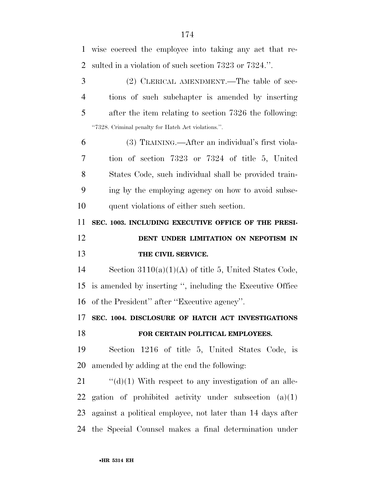| $\mathbf{1}$   | wise coerced the employee into taking any act that re-        |
|----------------|---------------------------------------------------------------|
| $\overline{2}$ | sulted in a violation of such section 7323 or 7324.".         |
| 3              | (2) CLERICAL AMENDMENT.—The table of sec-                     |
| $\overline{4}$ | tions of such subchapter is amended by inserting              |
| 5              | after the item relating to section 7326 the following:        |
|                | "7328. Criminal penalty for Hatch Act violations.".           |
| 6              | (3) TRAINING.—After an individual's first viola-              |
| 7              | tion of section 7323 or 7324 of title 5, United               |
| 8              | States Code, such individual shall be provided train-         |
| 9              | ing by the employing agency on how to avoid subse-            |
| 10             | quent violations of either such section.                      |
| 11             | SEC. 1003. INCLUDING EXECUTIVE OFFICE OF THE PRESI-           |
| 12             | DENT UNDER LIMITATION ON NEPOTISM IN                          |
| 13             | THE CIVIL SERVICE.                                            |
| 14             | Section $3110(a)(1)(A)$ of title 5, United States Code,       |
| 15             |                                                               |
|                | is amended by inserting ", including the Executive Office     |
| 16             | of the President" after "Executive agency".                   |
|                | 17 SEC. 1004. DISCLOSURE OF HATCH ACT INVESTIGATIONS          |
| 18             | FOR CERTAIN POLITICAL EMPLOYEES.                              |
| 19             | Section 1216 of title 5, United States Code, is               |
| 20             | amended by adding at the end the following:                   |
| 21             | $\lq\lq$ (d)(1) With respect to any investigation of an alle- |

 gation of prohibited activity under subsection (a)(1) against a political employee, not later than 14 days after the Special Counsel makes a final determination under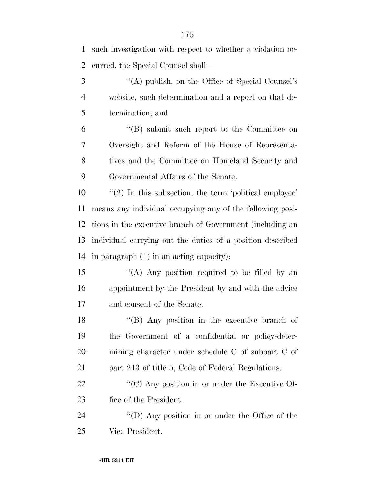| 1              | such investigation with respect to whether a violation oc- |
|----------------|------------------------------------------------------------|
| $\overline{2}$ | curred, the Special Counsel shall—                         |
| 3              | "(A) publish, on the Office of Special Counsel's           |
| $\overline{4}$ | website, such determination and a report on that de-       |
| 5              | termination; and                                           |
| 6              | $\lq\lq$ submit such report to the Committee on            |
| 7              | Oversight and Reform of the House of Representa-           |
| 8              | tives and the Committee on Homeland Security and           |
| 9              | Governmental Affairs of the Senate.                        |
| 10             | $\lq(2)$ In this subsection, the term 'political employee' |
| 11             | means any individual occupying any of the following posi-  |
| 12             | tions in the executive branch of Government (including an  |
| 13             | individual carrying out the duties of a position described |
| 14             | in paragraph $(1)$ in an acting capacity):                 |
| 15             | "(A) Any position required to be filled by an              |
| 16             | appointment by the President by and with the advice        |
| 17             | and consent of the Senate.                                 |
| 18             | "(B) Any position in the executive branch of               |
| 19             | the Government of a confidential or policy-deter-          |
| 20             | mining character under schedule C of subpart C of          |
| 21             | part 213 of title 5, Code of Federal Regulations.          |
| 22             | " $(C)$ Any position in or under the Executive Of-         |
| 23             | fice of the President.                                     |
| 24             | "(D) Any position in or under the Office of the            |
| 25             | Vice President.                                            |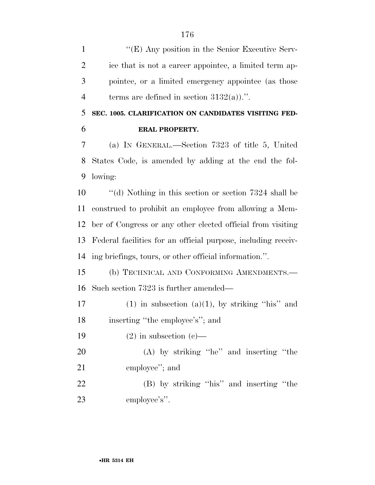1 ''(E) Any position in the Senior Executive Serv- ice that is not a career appointee, a limited term ap- pointee, or a limited emergency appointee (as those 4 terms are defined in section  $3132(a)$ .''.

 **SEC. 1005. CLARIFICATION ON CANDIDATES VISITING FED-ERAL PROPERTY.** 

 (a) IN GENERAL.—Section 7323 of title 5, United States Code, is amended by adding at the end the fol-lowing:

 ''(d) Nothing in this section or section 7324 shall be construed to prohibit an employee from allowing a Mem- ber of Congress or any other elected official from visiting Federal facilities for an official purpose, including receiv-ing briefings, tours, or other official information.''.

 (b) TECHNICAL AND CONFORMING AMENDMENTS.— Such section 7323 is further amended—

17 (1) in subsection  $(a)(1)$ , by striking "his" and inserting ''the employee's''; and

19  $(2)$  in subsection  $(c)$ —

 (A) by striking ''he'' and inserting ''the employee''; and

 (B) by striking ''his'' and inserting ''the employee's''.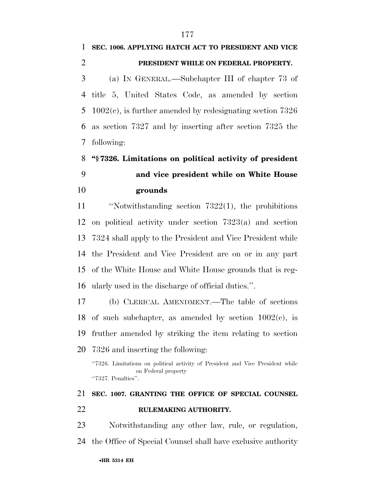### **SEC. 1006. APPLYING HATCH ACT TO PRESIDENT AND VICE PRESIDENT WHILE ON FEDERAL PROPERTY.**

 (a) IN GENERAL.—Subchapter III of chapter 73 of title 5, United States Code, as amended by section 1002(c), is further amended by redesignating section 7326 as section 7327 and by inserting after section 7325 the following:

 **''§ 7326. Limitations on political activity of president and vice president while on White House grounds** 

 ''Notwithstanding section 7322(1), the prohibitions on political activity under section 7323(a) and section 7324 shall apply to the President and Vice President while the President and Vice President are on or in any part of the White House and White House grounds that is reg-ularly used in the discharge of official duties.''.

 (b) CLERICAL AMENDMENT.—The table of sections 18 of such subchapter, as amended by section  $1002(c)$ , is fruther amended by striking the item relating to section 7326 and inserting the following:

''7326. Limitations on political activity of President and Vice President while on Federal property ''7327. Penalties''.

## **SEC. 1007. GRANTING THE OFFICE OF SPECIAL COUNSEL RULEMAKING AUTHORITY.**

 Notwithstanding any other law, rule, or regulation, the Office of Special Counsel shall have exclusive authority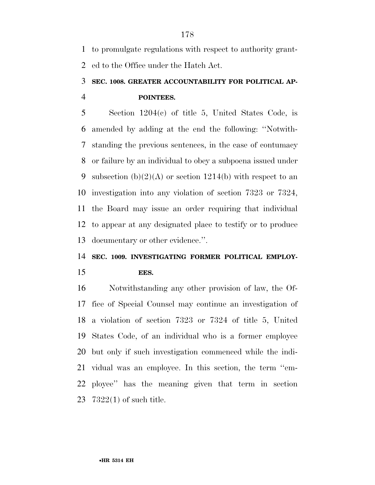to promulgate regulations with respect to authority grant-ed to the Office under the Hatch Act.

## **SEC. 1008. GREATER ACCOUNTABILITY FOR POLITICAL AP-POINTEES.**

 Section 1204(c) of title 5, United States Code, is amended by adding at the end the following: ''Notwith- standing the previous sentences, in the case of contumacy or failure by an individual to obey a subpoena issued under 9 subsection  $(b)(2)(A)$  or section 1214(b) with respect to an investigation into any violation of section 7323 or 7324, the Board may issue an order requiring that individual to appear at any designated place to testify or to produce documentary or other evidence.''.

#### **SEC. 1009. INVESTIGATING FORMER POLITICAL EMPLOY-**

#### **EES.**

 Notwithstanding any other provision of law, the Of- fice of Special Counsel may continue an investigation of a violation of section 7323 or 7324 of title 5, United States Code, of an individual who is a former employee but only if such investigation commenced while the indi- vidual was an employee. In this section, the term ''em- ployee'' has the meaning given that term in section 7322(1) of such title.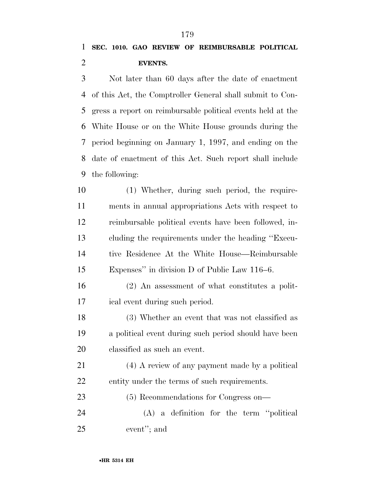Not later than 60 days after the date of enactment of this Act, the Comptroller General shall submit to Con- gress a report on reimbursable political events held at the White House or on the White House grounds during the period beginning on January 1, 1997, and ending on the date of enactment of this Act. Such report shall include the following:

 (1) Whether, during such period, the require- ments in annual appropriations Acts with respect to reimbursable political events have been followed, in- cluding the requirements under the heading ''Execu- tive Residence At the White House—Reimbursable Expenses'' in division D of Public Law 116–6.

 (2) An assessment of what constitutes a polit-ical event during such period.

 (3) Whether an event that was not classified as a political event during such period should have been classified as such an event.

 (4) A review of any payment made by a political entity under the terms of such requirements.

 (5) Recommendations for Congress on— (A) a definition for the term ''political event''; and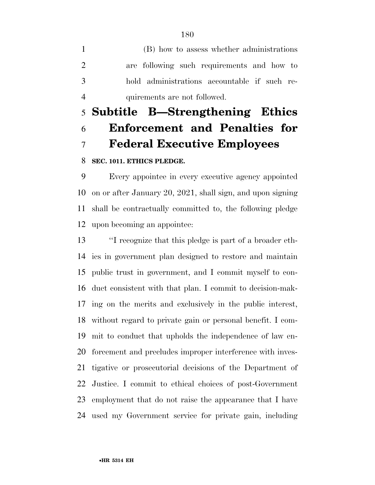(B) how to assess whether administrations are following such requirements and how to hold administrations accountable if such re-quirements are not followed.

# **Subtitle B—Strengthening Ethics Enforcement and Penalties for Federal Executive Employees**

#### **SEC. 1011. ETHICS PLEDGE.**

 Every appointee in every executive agency appointed on or after January 20, 2021, shall sign, and upon signing shall be contractually committed to, the following pledge upon becoming an appointee:

 ''I recognize that this pledge is part of a broader eth- ics in government plan designed to restore and maintain public trust in government, and I commit myself to con- duct consistent with that plan. I commit to decision-mak- ing on the merits and exclusively in the public interest, without regard to private gain or personal benefit. I com- mit to conduct that upholds the independence of law en- forcement and precludes improper interference with inves- tigative or prosecutorial decisions of the Department of Justice. I commit to ethical choices of post-Government employment that do not raise the appearance that I have used my Government service for private gain, including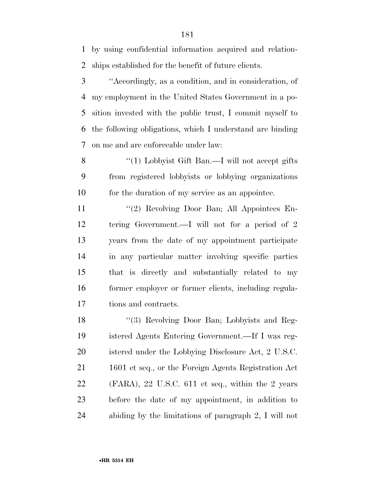by using confidential information acquired and relation-ships established for the benefit of future clients.

 ''Accordingly, as a condition, and in consideration, of my employment in the United States Government in a po- sition invested with the public trust, I commit myself to the following obligations, which I understand are binding on me and are enforceable under law:

8 "(1) Lobbyist Gift Ban.—I will not accept gifts from registered lobbyists or lobbying organizations for the duration of my service as an appointee.

 ''(2) Revolving Door Ban; All Appointees En- tering Government.—I will not for a period of 2 years from the date of my appointment participate in any particular matter involving specific parties that is directly and substantially related to my former employer or former clients, including regula-tions and contracts.

18 "(3) Revolving Door Ban; Lobbyists and Reg- istered Agents Entering Government.—If I was reg- istered under the Lobbying Disclosure Act, 2 U.S.C. 1601 et seq., or the Foreign Agents Registration Act (FARA), 22 U.S.C. 611 et seq., within the 2 years before the date of my appointment, in addition to abiding by the limitations of paragraph 2, I will not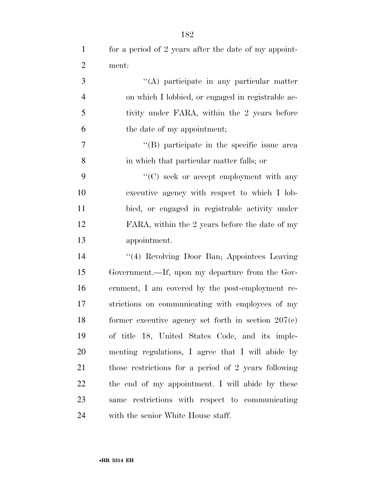| $\mathbf{1}$   | for a period of 2 years after the date of my appoint- |
|----------------|-------------------------------------------------------|
| $\overline{2}$ | ment:                                                 |
| 3              | "(A) participate in any particular matter             |
| $\overline{4}$ | on which I lobbied, or engaged in registrable ac-     |
| 5              | tivity under FARA, within the 2 years before          |
| 6              | the date of my appointment;                           |
| 7              | "(B) participate in the specific issue area           |
| 8              | in which that particular matter falls; or             |
| 9              | $\lq\lq$ (C) seek or accept employment with any       |
| 10             | executive agency with respect to which I lob-         |
| 11             | bied, or engaged in registrable activity under        |
| 12             | FARA, within the 2 years before the date of my        |
| 13             | appointment.                                          |
| 14             | "(4) Revolving Door Ban; Appointees Leaving           |
| 15             | Government.—If, upon my departure from the Gov-       |
| 16             | ernment, I am covered by the post-employment re-      |
| 17             | strictions on communicating with employees of my      |
| 18             | former executive agency set forth in section $207(c)$ |
| 19             | of title 18, United States Code, and its imple-       |
| 20             | menting regulations, I agree that I will abide by     |
| 21             | those restrictions for a period of 2 years following  |
| 22             | the end of my appointment. I will abide by these      |
| 23             | same restrictions with respect to communicating       |
| 24             | with the senior White House staff.                    |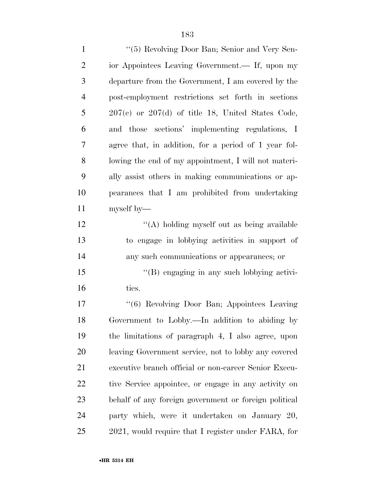| $\mathbf{1}$   | "(5) Revolving Door Ban; Senior and Very Sen-         |
|----------------|-------------------------------------------------------|
| $\overline{2}$ | ior Appointees Leaving Government.— If, upon my       |
| 3              | departure from the Government, I am covered by the    |
| $\overline{4}$ | post-employment restrictions set forth in sections    |
| 5              | $207(c)$ or $207(d)$ of title 18, United States Code, |
| 6              | and those sections' implementing regulations, I       |
| 7              | agree that, in addition, for a period of 1 year fol-  |
| 8              | lowing the end of my appointment, I will not materi-  |
| 9              | ally assist others in making communications or ap-    |
| 10             | pearances that I am prohibited from undertaking       |
| 11             | myself by—                                            |
| 12             | "(A) holding myself out as being available            |
| 13             | to engage in lobbying activities in support of        |
| 14             | any such communications or appearances; or            |
| 15             | "(B) engaging in any such lobbying activi-            |
| 16             | ties.                                                 |
| 17             | "(6) Revolving Door Ban; Appointees Leaving           |
| 18             | Government to Lobby.—In addition to abiding by        |
| 19             | the limitations of paragraph 4, I also agree, upon    |
| 20             | leaving Government service, not to lobby any covered  |
| 21             | executive branch official or non-career Senior Execu- |
| 22             | tive Service appointee, or engage in any activity on  |
| 23             | behalf of any foreign government or foreign political |
| 24             | party which, were it undertaken on January 20,        |
| 25             | 2021, would require that I register under FARA, for   |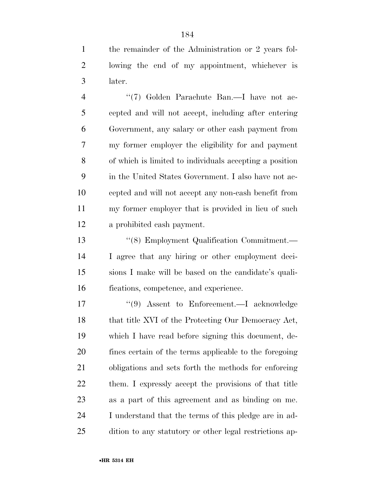the remainder of the Administration or 2 years fol- lowing the end of my appointment, whichever is later.

4 "(7) Golden Parachute Ban.—I have not ac- cepted and will not accept, including after entering Government, any salary or other cash payment from my former employer the eligibility for and payment of which is limited to individuals accepting a position in the United States Government. I also have not ac- cepted and will not accept any non-cash benefit from my former employer that is provided in lieu of such a prohibited cash payment.

 ''(8) Employment Qualification Commitment.— I agree that any hiring or other employment deci- sions I make will be based on the candidate's quali-fications, competence, and experience.

 ''(9) Assent to Enforcement.—I acknowledge 18 that title XVI of the Protecting Our Democracy Act, which I have read before signing this document, de- fines certain of the terms applicable to the foregoing obligations and sets forth the methods for enforcing 22 them. I expressly accept the provisions of that title as a part of this agreement and as binding on me. I understand that the terms of this pledge are in ad-dition to any statutory or other legal restrictions ap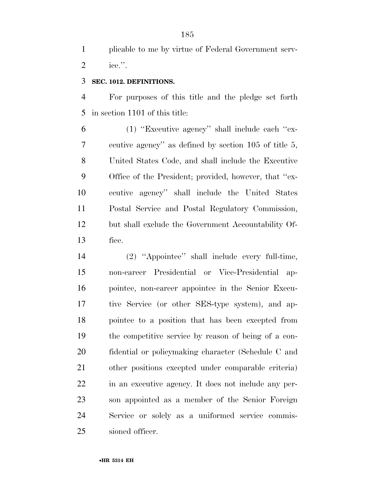plicable to me by virtue of Federal Government serv-ice.''.

#### **SEC. 1012. DEFINITIONS.**

 For purposes of this title and the pledge set forth in section 1101 of this title:

 (1) ''Executive agency'' shall include each ''ex- ecutive agency'' as defined by section 105 of title 5, United States Code, and shall include the Executive Office of the President; provided, however, that ''ex- ecutive agency'' shall include the United States Postal Service and Postal Regulatory Commission, but shall exclude the Government Accountability Of-fice.

 (2) ''Appointee'' shall include every full-time, non-career Presidential or Vice-Presidential ap- pointee, non-career appointee in the Senior Execu- tive Service (or other SES-type system), and ap- pointee to a position that has been excepted from the competitive service by reason of being of a con- fidential or policymaking character (Schedule C and other positions excepted under comparable criteria) in an executive agency. It does not include any per- son appointed as a member of the Senior Foreign Service or solely as a uniformed service commis-sioned officer.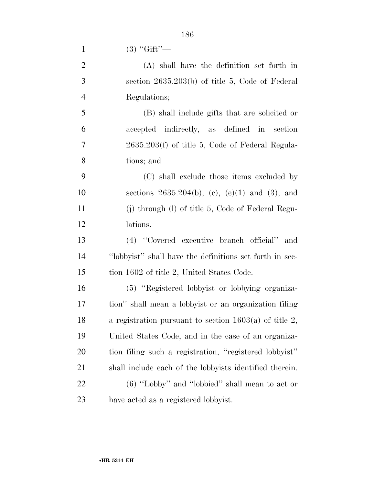1  $(3)$  "Gift"—

|   | (A) shall have the definition set forth in        |
|---|---------------------------------------------------|
| 3 | section $2635.203(b)$ of title 5, Code of Federal |
| 4 | Regulations;                                      |

 (B) shall include gifts that are solicited or accepted indirectly, as defined in section 2635.203(f) of title 5, Code of Federal Regula-tions; and

 (C) shall exclude those items excluded by sections 2635.204(b), (c), (e)(1) and (3), and (j) through (l) of title 5, Code of Federal Regu-lations.

 (4) ''Covered executive branch official'' and ''lobbyist'' shall have the definitions set forth in sec-15 tion 1602 of title 2, United States Code.

 (5) ''Registered lobbyist or lobbying organiza- tion'' shall mean a lobbyist or an organization filing a registration pursuant to section 1603(a) of title 2, United States Code, and in the case of an organiza- tion filing such a registration, ''registered lobbyist'' shall include each of the lobbyists identified therein. (6) ''Lobby'' and ''lobbied'' shall mean to act or have acted as a registered lobbyist.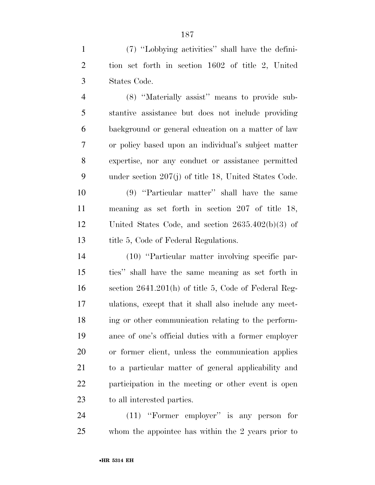(7) ''Lobbying activities'' shall have the defini- tion set forth in section 1602 of title 2, United States Code.

 (8) ''Materially assist'' means to provide sub- stantive assistance but does not include providing background or general education on a matter of law or policy based upon an individual's subject matter expertise, nor any conduct or assistance permitted under section 207(j) of title 18, United States Code.

 (9) ''Particular matter'' shall have the same meaning as set forth in section 207 of title 18, United States Code, and section 2635.402(b)(3) of 13 title 5, Code of Federal Regulations.

 (10) ''Particular matter involving specific par- ties'' shall have the same meaning as set forth in section 2641.201(h) of title 5, Code of Federal Reg- ulations, except that it shall also include any meet- ing or other communication relating to the perform- ance of one's official duties with a former employer or former client, unless the communication applies to a particular matter of general applicability and participation in the meeting or other event is open to all interested parties.

 (11) ''Former employer'' is any person for whom the appointee has within the 2 years prior to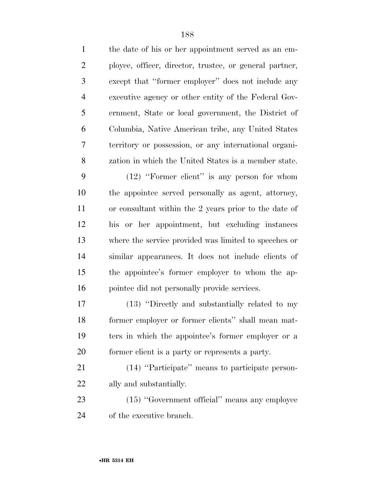the date of his or her appointment served as an em- ployee, officer, director, trustee, or general partner, except that ''former employer'' does not include any executive agency or other entity of the Federal Gov- ernment, State or local government, the District of Columbia, Native American tribe, any United States territory or possession, or any international organi- zation in which the United States is a member state. (12) ''Former client'' is any person for whom the appointee served personally as agent, attorney, or consultant within the 2 years prior to the date of his or her appointment, but excluding instances where the service provided was limited to speeches or similar appearances. It does not include clients of the appointee's former employer to whom the ap- pointee did not personally provide services. (13) ''Directly and substantially related to my former employer or former clients'' shall mean mat- ters in which the appointee's former employer or a former client is a party or represents a party. (14) ''Participate'' means to participate person- ally and substantially. (15) ''Government official'' means any employee

of the executive branch.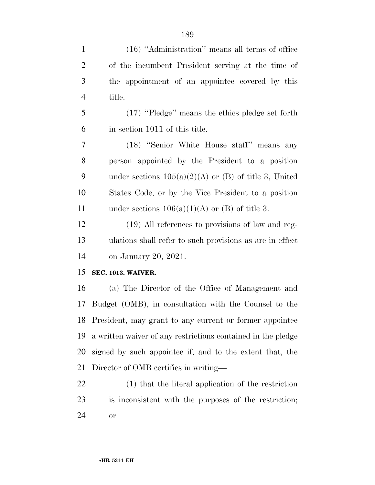| $\mathbf{1}$   | (16) "Administration" means all terms of office              |
|----------------|--------------------------------------------------------------|
| $\overline{2}$ | of the incumbent President serving at the time of            |
| 3              | the appointment of an appointee covered by this              |
| $\overline{4}$ | title.                                                       |
| 5              | $(17)$ "Pledge" means the ethics pledge set forth            |
| 6              | in section 1011 of this title.                               |
| 7              | (18) "Senior White House staff" means any                    |
| 8              | person appointed by the President to a position              |
| 9              | under sections $105(a)(2)(A)$ or (B) of title 3, United      |
| 10             | States Code, or by the Vice President to a position          |
| 11             | under sections $106(a)(1)(A)$ or (B) of title 3.             |
| 12             | (19) All references to provisions of law and reg-            |
| 13             | ulations shall refer to such provisions as are in effect.    |
| 14             | on January 20, 2021.                                         |
| 15             | <b>SEC. 1013. WAIVER.</b>                                    |
| 16             | (a) The Director of the Office of Management and             |
| 17             | Budget (OMB), in consultation with the Counsel to the        |
| 18             | President, may grant to any current or former appointee      |
| 19             | a written waiver of any restrictions contained in the pledge |
| 20             | signed by such appointee if, and to the extent that, the     |
| 21             | Director of OMB certifies in writing—                        |

 (1) that the literal application of the restriction is inconsistent with the purposes of the restriction; or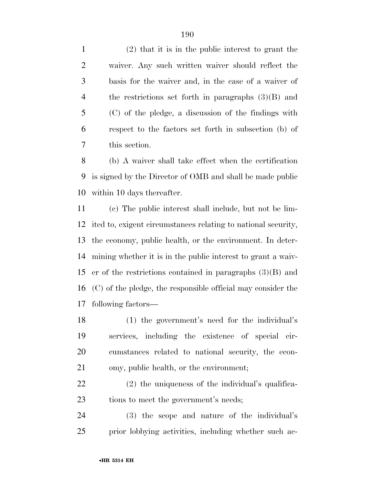(2) that it is in the public interest to grant the waiver. Any such written waiver should reflect the basis for the waiver and, in the case of a waiver of the restrictions set forth in paragraphs (3)(B) and (C) of the pledge, a discussion of the findings with respect to the factors set forth in subsection (b) of this section.

 (b) A waiver shall take effect when the certification is signed by the Director of OMB and shall be made public within 10 days thereafter.

 (c) The public interest shall include, but not be lim- ited to, exigent circumstances relating to national security, the economy, public health, or the environment. In deter- mining whether it is in the public interest to grant a waiv- er of the restrictions contained in paragraphs (3)(B) and (C) of the pledge, the responsible official may consider the following factors—

 (1) the government's need for the individual's services, including the existence of special cir- cumstances related to national security, the econ-omy, public health, or the environment;

 (2) the uniqueness of the individual's qualifica-23 tions to meet the government's needs;

 (3) the scope and nature of the individual's prior lobbying activities, including whether such ac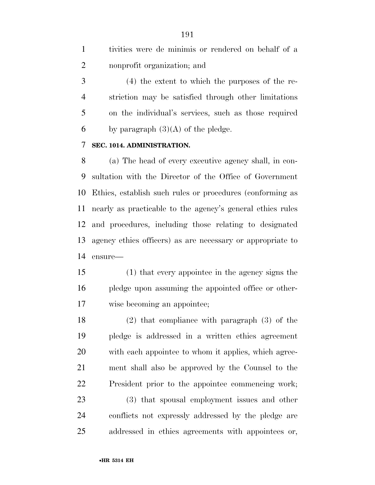tivities were de minimis or rendered on behalf of a nonprofit organization; and

 (4) the extent to which the purposes of the re- striction may be satisfied through other limitations on the individual's services, such as those required 6 by paragraph  $(3)(A)$  of the pledge.

#### **SEC. 1014. ADMINISTRATION.**

 (a) The head of every executive agency shall, in con- sultation with the Director of the Office of Government Ethics, establish such rules or procedures (conforming as nearly as practicable to the agency's general ethics rules and procedures, including those relating to designated agency ethics officers) as are necessary or appropriate to ensure—

 (1) that every appointee in the agency signs the pledge upon assuming the appointed office or other-wise becoming an appointee;

 (2) that compliance with paragraph (3) of the pledge is addressed in a written ethics agreement with each appointee to whom it applies, which agree- ment shall also be approved by the Counsel to the President prior to the appointee commencing work; (3) that spousal employment issues and other conflicts not expressly addressed by the pledge are addressed in ethics agreements with appointees or,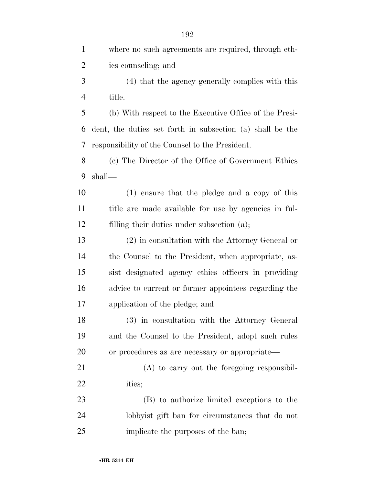| $\mathbf{1}$   | where no such agreements are required, through eth-       |
|----------------|-----------------------------------------------------------|
| $\overline{2}$ | ics counseling; and                                       |
| 3              | (4) that the agency generally complies with this          |
| $\overline{4}$ | title.                                                    |
| 5              | (b) With respect to the Executive Office of the Presi-    |
| 6              | dent, the duties set forth in subsection (a) shall be the |
| 7              | responsibility of the Counsel to the President.           |
| 8              | (c) The Director of the Office of Government Ethics       |
| 9              | shall—                                                    |
| 10             | (1) ensure that the pledge and a copy of this             |
| 11             | title are made available for use by agencies in ful-      |
| 12             | filling their duties under subsection (a);                |
| 13             | $(2)$ in consultation with the Attorney General or        |
| 14             | the Counsel to the President, when appropriate, as-       |
| 15             | sist designated agency ethics officers in providing       |
| 16             | advice to current or former appointees regarding the      |
| 17             | application of the pledge; and                            |
| 18             | (3) in consultation with the Attorney General             |
| 19             | and the Counsel to the President, adopt such rules        |
| 20             | or procedures as are necessary or appropriate—            |
| 21             | $(A)$ to carry out the foregoing responsibil-             |
| 22             | ities;                                                    |
| 23             | (B) to authorize limited exceptions to the                |
| 24             | lobby ist gift ban for circumstances that do not          |
| 25             | implicate the purposes of the ban;                        |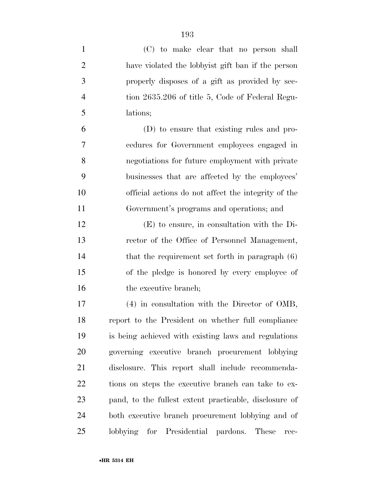| $\mathbf{1}$   | (C) to make clear that no person shall                 |
|----------------|--------------------------------------------------------|
| $\overline{2}$ | have violated the lobby ist gift ban if the person     |
| 3              | properly disposes of a gift as provided by sec-        |
| $\overline{4}$ | tion 2635.206 of title 5, Code of Federal Regu-        |
| 5              | lations;                                               |
| 6              | (D) to ensure that existing rules and pro-             |
| $\overline{7}$ | cedures for Government employees engaged in            |
| 8              | negotiations for future employment with private        |
| 9              | businesses that are affected by the employees'         |
| 10             | official actions do not affect the integrity of the    |
| 11             | Government's programs and operations; and              |
| 12             | $(E)$ to ensure, in consultation with the Di-          |
| 13             | rector of the Office of Personnel Management,          |
| 14             | that the requirement set forth in paragraph $(6)$      |
| 15             | of the pledge is honored by every employee of          |
| 16             | the executive branch;                                  |
| 17             | $(4)$ in consultation with the Director of OMB,        |
| 18             | report to the President on whether full compliance     |
| 19             | is being achieved with existing laws and regulations   |
| 20             | governing executive branch procurement lobbying        |
| 21             | disclosure. This report shall include recommenda-      |
| 22             | tions on steps the executive branch can take to ex-    |
| 23             | pand, to the fullest extent practicable, disclosure of |
| 24             | both executive branch procurement lobbying and of      |
| 25             | lobbying for Presidential pardons. These<br>rec-       |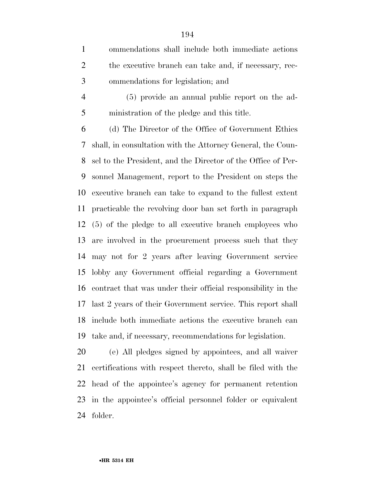ommendations shall include both immediate actions 2 the executive branch can take and, if necessary, rec-ommendations for legislation; and

 (5) provide an annual public report on the ad-ministration of the pledge and this title.

 (d) The Director of the Office of Government Ethics shall, in consultation with the Attorney General, the Coun- sel to the President, and the Director of the Office of Per- sonnel Management, report to the President on steps the executive branch can take to expand to the fullest extent practicable the revolving door ban set forth in paragraph (5) of the pledge to all executive branch employees who are involved in the procurement process such that they may not for 2 years after leaving Government service lobby any Government official regarding a Government contract that was under their official responsibility in the last 2 years of their Government service. This report shall include both immediate actions the executive branch can take and, if necessary, recommendations for legislation.

 (e) All pledges signed by appointees, and all waiver certifications with respect thereto, shall be filed with the head of the appointee's agency for permanent retention in the appointee's official personnel folder or equivalent folder.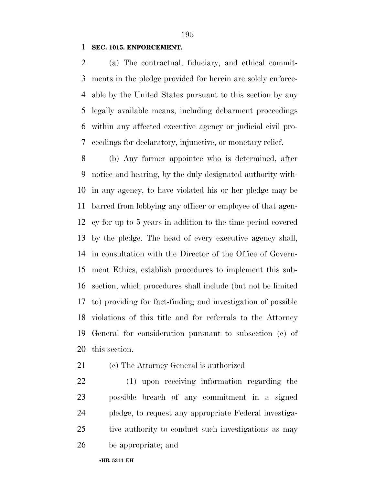#### **SEC. 1015. ENFORCEMENT.**

 (a) The contractual, fiduciary, and ethical commit- ments in the pledge provided for herein are solely enforce- able by the United States pursuant to this section by any legally available means, including debarment proceedings within any affected executive agency or judicial civil pro-ceedings for declaratory, injunctive, or monetary relief.

 (b) Any former appointee who is determined, after notice and hearing, by the duly designated authority with- in any agency, to have violated his or her pledge may be barred from lobbying any officer or employee of that agen- cy for up to 5 years in addition to the time period covered by the pledge. The head of every executive agency shall, in consultation with the Director of the Office of Govern- ment Ethics, establish procedures to implement this sub- section, which procedures shall include (but not be limited to) providing for fact-finding and investigation of possible violations of this title and for referrals to the Attorney General for consideration pursuant to subsection (c) of this section.

- (c) The Attorney General is authorized—
- (1) upon receiving information regarding the possible breach of any commitment in a signed pledge, to request any appropriate Federal investiga- tive authority to conduct such investigations as may be appropriate; and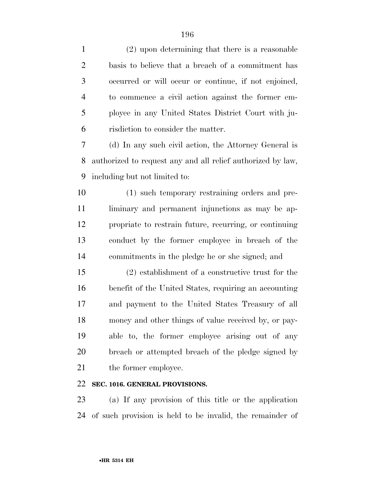| $\mathbf{1}$   | $(2)$ upon determining that there is a reasonable           |
|----------------|-------------------------------------------------------------|
| $\overline{2}$ | basis to believe that a breach of a commitment has          |
| 3              | occurred or will occur or continue, if not enjoined,        |
| $\overline{4}$ | to commence a civil action against the former em-           |
| 5              | ployee in any United States District Court with ju-         |
| 6              | risdiction to consider the matter.                          |
| 7              | (d) In any such civil action, the Attorney General is       |
| 8              | authorized to request any and all relief authorized by law, |
| 9              | including but not limited to:                               |
| 10             | (1) such temporary restraining orders and pre-              |
| 11             | liminary and permanent injunctions as may be ap-            |
| 12             | propriate to restrain future, recurring, or continuing      |
| 13             | conduct by the former employee in breach of the             |
| 14             | commitments in the pledge he or she signed; and             |
| 15             | $(2)$ establishment of a constructive trust for the         |
| 16             | benefit of the United States, requiring an accounting       |
| 17             | and payment to the United States Treasury of all            |
| 18             | money and other things of value received by, or pay-        |
| 19             | able to, the former employee arising out of any             |
| 20             | breach or attempted breach of the pledge signed by          |
| 21             | the former employee.                                        |
|                |                                                             |

### **SEC. 1016. GENERAL PROVISIONS.**

 (a) If any provision of this title or the application of such provision is held to be invalid, the remainder of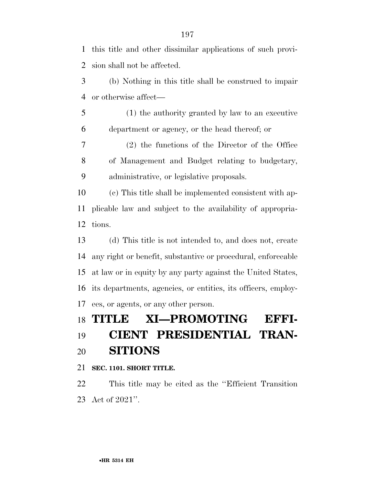this title and other dissimilar applications of such provi-sion shall not be affected.

 (b) Nothing in this title shall be construed to impair or otherwise affect—

 (1) the authority granted by law to an executive department or agency, or the head thereof; or

 (2) the functions of the Director of the Office of Management and Budget relating to budgetary, administrative, or legislative proposals.

 (c) This title shall be implemented consistent with ap- plicable law and subject to the availability of appropria-tions.

 (d) This title is not intended to, and does not, create any right or benefit, substantive or procedural, enforceable at law or in equity by any party against the United States, its departments, agencies, or entities, its officers, employ-ees, or agents, or any other person.

## **TITLE XI—PROMOTING EFFI-**

## **CIENT PRESIDENTIAL TRAN-SITIONS**

**SEC. 1101. SHORT TITLE.** 

 This title may be cited as the ''Efficient Transition Act of 2021''.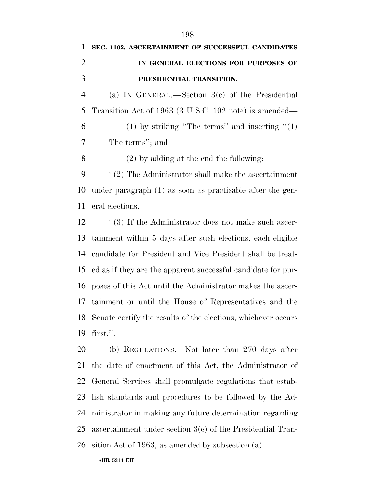# **SEC. 1102. ASCERTAINMENT OF SUCCESSFUL CANDIDATES IN GENERAL ELECTIONS FOR PURPOSES OF PRESIDENTIAL TRANSITION.**

 (a) IN GENERAL.—Section 3(c) of the Presidential Transition Act of 1963 (3 U.S.C. 102 note) is amended— 6 (1) by striking "The terms" and inserting " $(1)$ The terms''; and

(2) by adding at the end the following:

 ''(2) The Administrator shall make the ascertainment under paragraph (1) as soon as practicable after the gen-eral elections.

12 ''(3) If the Administrator does not make such ascer- tainment within 5 days after such elections, each eligible candidate for President and Vice President shall be treat- ed as if they are the apparent successful candidate for pur- poses of this Act until the Administrator makes the ascer- tainment or until the House of Representatives and the Senate certify the results of the elections, whichever occurs first.''.

 (b) REGULATIONS.—Not later than 270 days after the date of enactment of this Act, the Administrator of General Services shall promulgate regulations that estab- lish standards and procedures to be followed by the Ad- ministrator in making any future determination regarding ascertainment under section 3(c) of the Presidential Tran-sition Act of 1963, as amended by subsection (a).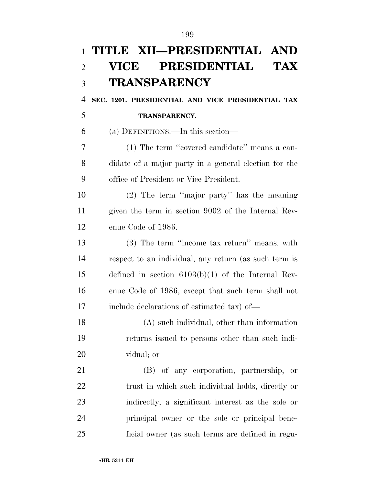# **TITLE XII—PRESIDENTIAL AND VICE PRESIDENTIAL TAX TRANSPARENCY SEC. 1201. PRESIDENTIAL AND VICE PRESIDENTIAL TAX TRANSPARENCY.**  (a) DEFINITIONS.—In this section— (1) The term ''covered candidate'' means a can- didate of a major party in a general election for the office of President or Vice President. (2) The term ''major party'' has the meaning given the term in section 9002 of the Internal Rev- enue Code of 1986. (3) The term ''income tax return'' means, with respect to an individual, any return (as such term is defined in section 6103(b)(1) of the Internal Rev- enue Code of 1986, except that such term shall not include declarations of estimated tax) of— (A) such individual, other than information returns issued to persons other than such indi- vidual; or (B) of any corporation, partnership, or 22 trust in which such individual holds, directly or indirectly, a significant interest as the sole or principal owner or the sole or principal bene-ficial owner (as such terms are defined in regu-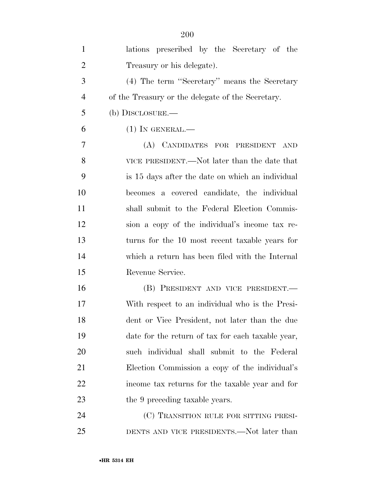| $\mathbf{1}$   | lations prescribed by the Secretary of the        |
|----------------|---------------------------------------------------|
| $\overline{2}$ | Treasury or his delegate).                        |
| 3              | (4) The term "Secretary" means the Secretary      |
| $\overline{4}$ | of the Treasury or the delegate of the Secretary. |
| 5              | $(b)$ DISCLOSURE.—                                |
| 6              | $(1)$ In GENERAL.—                                |
| 7              | (A) CANDIDATES FOR PRESIDENT AND                  |
| 8              | VICE PRESIDENT.—Not later than the date that      |
| 9              | is 15 days after the date on which an individual  |
| 10             | becomes a covered candidate, the individual       |
| 11             | shall submit to the Federal Election Commis-      |
| 12             | sion a copy of the individual's income tax re-    |
| 13             | turns for the 10 most recent taxable years for    |
| 14             | which a return has been filed with the Internal   |
| 15             | Revenue Service.                                  |
| 16             | (B) PRESIDENT AND VICE PRESIDENT.—                |
| 17             | With respect to an individual who is the Presi-   |
| 18             | dent or Vice President, not later than the due    |
| 19             | date for the return of tax for each taxable year, |
| 20             | such individual shall submit to the Federal       |
| 21             | Election Commission a copy of the individual's    |
| 22             | income tax returns for the taxable year and for   |
| 23             | the 9 preceding taxable years.                    |
| 24             | (C) TRANSITION RULE FOR SITTING PRESI-            |
| 25             | DENTS AND VICE PRESIDENTS.—Not later than         |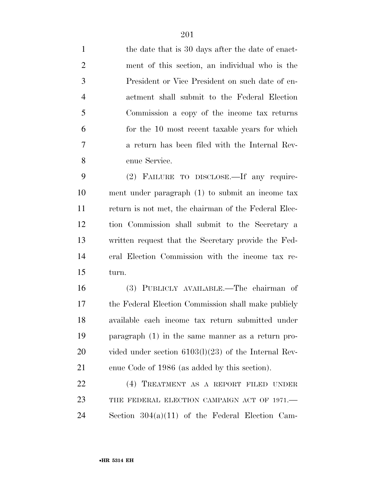1 the date that is 30 days after the date of enact- ment of this section, an individual who is the President or Vice President on such date of en- actment shall submit to the Federal Election Commission a copy of the income tax returns for the 10 most recent taxable years for which a return has been filed with the Internal Rev-enue Service.

 (2) FAILURE TO DISCLOSE.—If any require- ment under paragraph (1) to submit an income tax return is not met, the chairman of the Federal Elec- tion Commission shall submit to the Secretary a written request that the Secretary provide the Fed- eral Election Commission with the income tax re-turn.

 (3) PUBLICLY AVAILABLE.—The chairman of the Federal Election Commission shall make publicly available each income tax return submitted under paragraph (1) in the same manner as a return pro- vided under section 6103(l)(23) of the Internal Rev-enue Code of 1986 (as added by this section).

 (4) TREATMENT AS A REPORT FILED UNDER 23 THE FEDERAL ELECTION CAMPAIGN ACT OF 1971. Section 304(a)(11) of the Federal Election Cam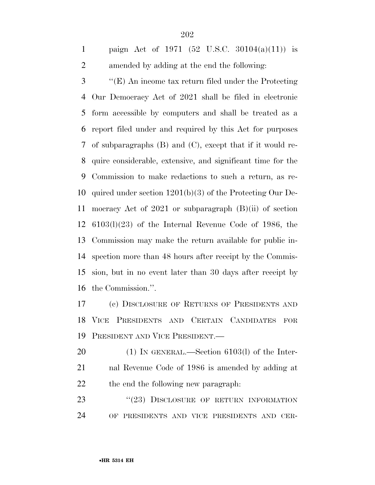paign Act of 1971 (52 U.S.C. 30104(a)(11)) is amended by adding at the end the following:

 ''(E) An income tax return filed under the Protecting Our Democracy Act of 2021 shall be filed in electronic form accessible by computers and shall be treated as a report filed under and required by this Act for purposes of subparagraphs (B) and (C), except that if it would re- quire considerable, extensive, and significant time for the Commission to make redactions to such a return, as re- quired under section 1201(b)(3) of the Protecting Our De- mocracy Act of 2021 or subparagraph (B)(ii) of section 6103(l)(23) of the Internal Revenue Code of 1986, the Commission may make the return available for public in- spection more than 48 hours after receipt by the Commis- sion, but in no event later than 30 days after receipt by the Commission.''.

 (c) DISCLOSURE OF RETURNS OF PRESIDENTS AND VICE PRESIDENTS AND CERTAIN CANDIDATES FOR PRESIDENT AND VICE PRESIDENT.—

 (1) IN GENERAL.—Section 6103(l) of the Inter- nal Revenue Code of 1986 is amended by adding at the end the following new paragraph:

23 "(23) DISCLOSURE OF RETURN INFORMATION OF PRESIDENTS AND VICE PRESIDENTS AND CER-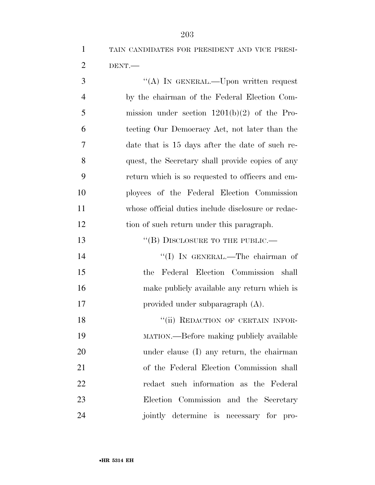TAIN CANDIDATES FOR PRESIDENT AND VICE PRESI-DENT.—

3 "(A) In GENERAL.—Upon written request by the chairman of the Federal Election Com- mission under section 1201(b)(2) of the Pro- tecting Our Democracy Act, not later than the date that is 15 days after the date of such re- quest, the Secretary shall provide copies of any return which is so requested to officers and em- ployees of the Federal Election Commission whose official duties include disclosure or redac- tion of such return under this paragraph. 13 "(B) DISCLOSURE TO THE PUBLIC.— 14 ''(I) IN GENERAL.—The chairman of the Federal Election Commission shall make publicly available any return which is provided under subparagraph (A). 18 "(ii) REDACTION OF CERTAIN INFOR- MATION.—Before making publicly available under clause (I) any return, the chairman of the Federal Election Commission shall redact such information as the Federal Election Commission and the Secretary jointly determine is necessary for pro-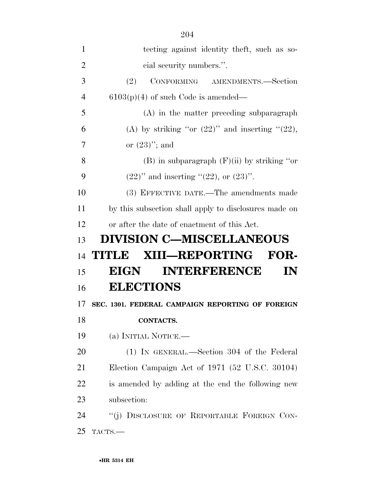| 1              | tecting against identity theft, such as so-           |
|----------------|-------------------------------------------------------|
| $\overline{2}$ | cial security numbers.".                              |
| 3              | CONFORMING AMENDMENTS.-Section<br>(2)                 |
| 4              | $6103(p)(4)$ of such Code is amended—                 |
| 5              | $(A)$ in the matter preceding subparagraph            |
| 6              | (A) by striking "or $(22)$ " and inserting " $(22)$ , |
| 7              | or $(23)$ "; and                                      |
| 8              | $(B)$ in subparagraph $(F)(ii)$ by striking "or       |
| 9              | $(22)$ " and inserting " $(22)$ , or $(23)$ ".        |
| 10             | (3) EFFECTIVE DATE.—The amendments made               |
| 11             | by this subsection shall apply to disclosures made on |
| 12             | or after the date of enactment of this Act.           |
| 13             | <b>DIVISION C-MISCELLANEOUS</b>                       |
| 14             | <b>XIII—REPORTING</b><br>FOR-<br><b>THUNDER</b>       |
| 15             | <b>INTERFERENCE</b><br>EIGN<br>IN                     |
| 16             | <b>ELECTIONS</b>                                      |
| 17             | SEC. 1301. FEDERAL CAMPAIGN REPORTING OF FOREIGN      |
| 18             | CONTACTS.                                             |
| 19             | (a) INITIAL NOTICE.—                                  |
| 20             | (1) IN GENERAL.—Section 304 of the Federal            |
| 21             | Election Campaign Act of 1971 (52 U.S.C. 30104)       |
| 22             | is amended by adding at the end the following new     |
| 23             | subsection:                                           |
| 24             |                                                       |
|                | "(j) DISCLOSURE OF REPORTABLE FOREIGN CON-            |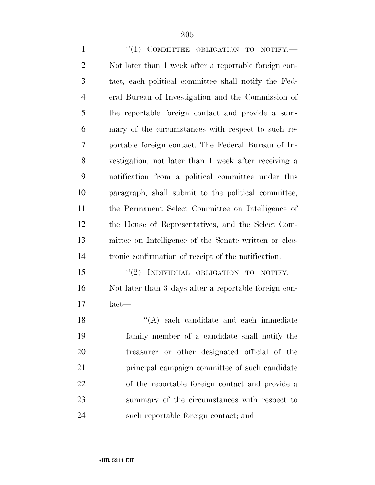1 "(1) COMMITTEE OBLIGATION TO NOTIFY.— Not later than 1 week after a reportable foreign con- tact, each political committee shall notify the Fed- eral Bureau of Investigation and the Commission of the reportable foreign contact and provide a sum- mary of the circumstances with respect to such re- portable foreign contact. The Federal Bureau of In- vestigation, not later than 1 week after receiving a notification from a political committee under this paragraph, shall submit to the political committee, the Permanent Select Committee on Intelligence of the House of Representatives, and the Select Com- mittee on Intelligence of the Senate written or elec-tronic confirmation of receipt of the notification.

15 "(2) INDIVIDUAL OBLIGATION TO NOTIFY.— Not later than 3 days after a reportable foreign con-tact—

18 ''(A) each candidate and each immediate family member of a candidate shall notify the treasurer or other designated official of the principal campaign committee of such candidate of the reportable foreign contact and provide a summary of the circumstances with respect to such reportable foreign contact; and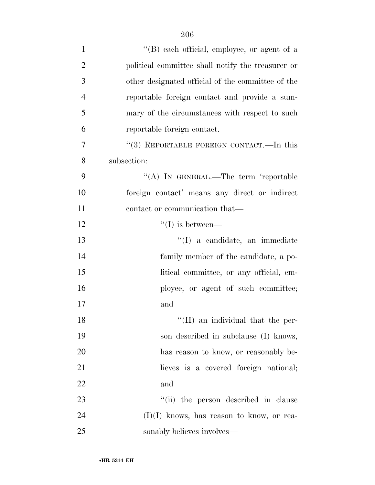| $\mathbf{1}$   | "(B) each official, employee, or agent of a       |
|----------------|---------------------------------------------------|
| $\overline{2}$ | political committee shall notify the treasurer or |
| 3              | other designated official of the committee of the |
| $\overline{4}$ | reportable foreign contact and provide a sum-     |
| 5              | mary of the circumstances with respect to such    |
| 6              | reportable foreign contact.                       |
| 7              | "(3) REPORTABLE FOREIGN CONTACT.—In this          |
| 8              | subsection:                                       |
| 9              | "(A) IN GENERAL.—The term 'reportable             |
| 10             | foreign contact' means any direct or indirect     |
| 11             | contact or communication that—                    |
| 12             | $\lq\lq$ (I) is between—                          |
| 13             | "(I) a candidate, an immediate                    |
| 14             | family member of the candidate, a po-             |
| 15             | litical committee, or any official, em-           |
| 16             | ployee, or agent of such committee;               |
| 17             | and                                               |
| 18             | $\lq\lq$ (II) an individual that the per-         |
| 19             | son described in subclause (I) knows,             |
| 20             | has reason to know, or reasonably be-             |
| 21             | lieves is a covered foreign national;             |
| 22             | and                                               |
| 23             | "(ii) the person described in clause              |
| 24             | $(I)(I)$ knows, has reason to know, or rea-       |
| 25             | sonably believes involves—                        |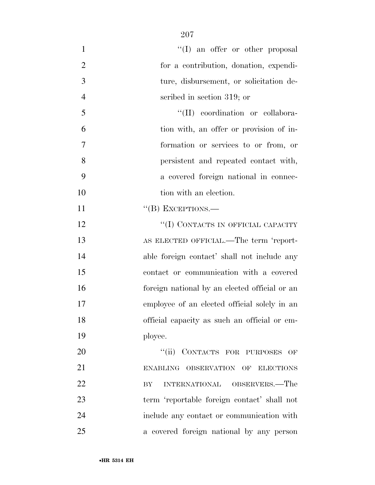| $\mathbf{1}$   | $\lq\lq$ an offer or other proposal           |
|----------------|-----------------------------------------------|
| $\overline{2}$ | for a contribution, donation, expendi-        |
| 3              | ture, disbursement, or solicitation de-       |
| $\overline{4}$ | scribed in section 319; or                    |
| 5              | "(II) coordination or collabora-              |
| 6              | tion with, an offer or provision of in-       |
| 7              | formation or services to or from, or          |
| 8              | persistent and repeated contact with,         |
| 9              | a covered foreign national in connec-         |
| 10             | tion with an election.                        |
| 11             | $``$ (B) EXCEPTIONS.—                         |
| 12             | "(I) CONTACTS IN OFFICIAL CAPACITY            |
| 13             | AS ELECTED OFFICIAL.—The term 'report-        |
| 14             | able foreign contact' shall not include any   |
| 15             | contact or communication with a covered       |
| 16             | foreign national by an elected official or an |
| 17             | employee of an elected official solely in an  |
| 18             | official capacity as such an official or em-  |
| 19             | ployee.                                       |
| 20             | "(ii) CONTACTS FOR PURPOSES OF                |
| 21             | ENABLING OBSERVATION OF ELECTIONS             |
| 22             | INTERNATIONAL OBSERVERS.—The<br>BY            |
| 23             | term 'reportable foreign contact' shall not   |
| 24             | include any contact or communication with     |
| 25             | a covered foreign national by any person      |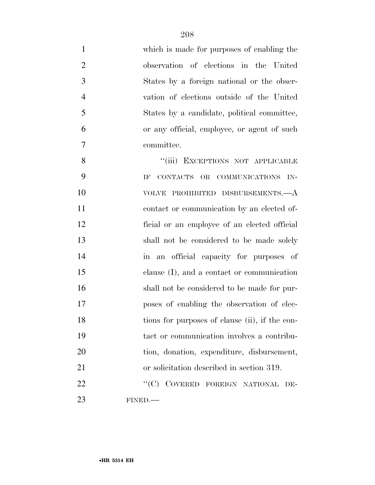| $\mathbf{1}$   | which is made for purposes of enabling the     |
|----------------|------------------------------------------------|
| $\overline{2}$ | observation of elections in the United         |
| 3              | States by a foreign national or the obser-     |
| $\overline{4}$ | vation of elections outside of the United      |
| 5              | States by a candidate, political committee,    |
| 6              | or any official, employee, or agent of such    |
| 7              | committee.                                     |
| 8              | "(iii) EXCEPTIONS NOT APPLICABLE               |
| 9              | CONTACTS OR COMMUNICATIONS IN-<br>IF           |
| 10             | VOLVE PROHIBITED DISBURSEMENTS.- A             |
| 11             | contact or communication by an elected of-     |
| 12             | ficial or an employee of an elected official   |
| 13             | shall not be considered to be made solely      |
| 14             | in an official capacity for purposes of        |
| 15             | clause (I), and a contact or communication     |
| 16             | shall not be considered to be made for pur-    |
| 17             | poses of enabling the observation of elec-     |
| 18             | tions for purposes of clause (ii), if the con- |
| 19             | tact or communication involves a contribu-     |
| 20             | tion, donation, expenditure, disbursement,     |
| 21             | or solicitation described in section 319.      |
| 22             | "(C) COVERED FOREIGN NATIONAL DE-              |
| 23             | FINED.                                         |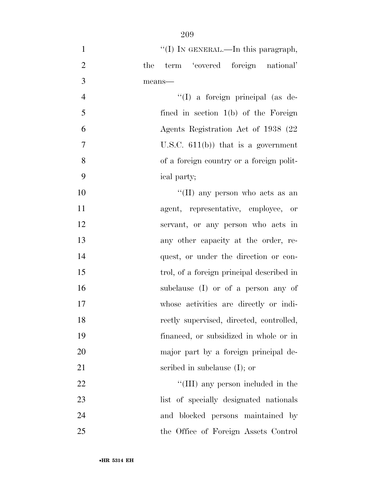| $\mathbf{1}$   | "(I) IN GENERAL.—In this paragraph,       |
|----------------|-------------------------------------------|
| $\overline{2}$ | term 'covered foreign national'<br>the    |
| 3              | means-                                    |
| $\overline{4}$ | "(I) a foreign principal (as de-          |
| 5              | fined in section 1(b) of the Foreign      |
| 6              | Agents Registration Act of 1938 (22)      |
| $\overline{7}$ | U.S.C. $611(b)$ that is a government      |
| 8              | of a foreign country or a foreign polit-  |
| 9              | ical party;                               |
| 10             | "(II) any person who acts as an           |
| 11             | agent, representative, employee, or       |
| 12             | servant, or any person who acts in        |
| 13             | any other capacity at the order, re-      |
| 14             | quest, or under the direction or con-     |
| 15             | trol, of a foreign principal described in |
| 16             | subclause (I) or of a person any of       |
| 17             | whose activities are directly or indi-    |
| 18             | rectly supervised, directed, controlled,  |
| 19             | financed, or subsidized in whole or in    |
| 20             | major part by a foreign principal de-     |
| 21             | scribed in subclause $(I)$ ; or           |
| 22             | "(III) any person included in the         |
| 23             | list of specially designated nationals    |
| 24             | and blocked persons maintained by         |
| 25             | the Office of Foreign Assets Control      |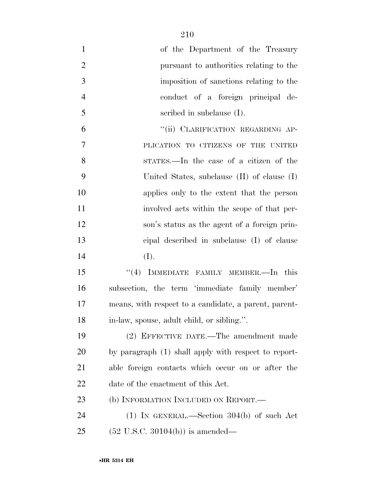| $\mathbf{1}$   | of the Department of the Treasury                     |
|----------------|-------------------------------------------------------|
| $\overline{2}$ | pursuant to authorities relating to the               |
| 3              | imposition of sanctions relating to the               |
| $\overline{4}$ | conduct of a foreign principal de-                    |
| 5              | scribed in subclause $(I)$ .                          |
| 6              | "(ii) CLARIFICATION REGARDING AP-                     |
| $\overline{7}$ | PLICATION TO CITIZENS OF THE UNITED                   |
| 8              | states.—In the case of a citizen of the               |
| 9              | United States, subclause $(II)$ of clause $(I)$       |
| 10             | applies only to the extent that the person            |
| 11             | involved acts within the scope of that per-           |
| 12             | son's status as the agent of a foreign prin-          |
| 13             | cipal described in subclause (I) of clause            |
| 14             | (I).                                                  |
| 15             | "(4) IMMEDIATE FAMILY MEMBER.—In this                 |
| 16             | subsection, the term 'immediate family member'        |
| 17             | means, with respect to a candidate, a parent, parent- |
| 18             | in-law, spouse, adult child, or sibling.".            |
| 19             | (2) EFFECTIVE DATE.—The amendment made                |
| 20             | by paragraph (1) shall apply with respect to report-  |
| 21             | able foreign contacts which occur on or after the     |
| 22             | date of the enactment of this Act.                    |
| 23             | (b) INFORMATION INCLUDED ON REPORT.—                  |
| 24             | $(1)$ IN GENERAL.—Section 304(b) of such Act          |
| 25             | $(52 \text{ U.S.C. } 30104(b))$ is amended—           |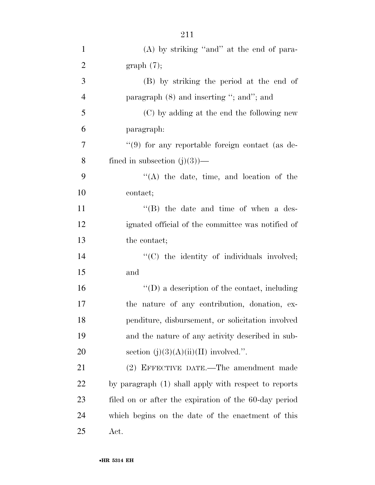| $\mathbf{1}$   | $(A)$ by striking "and" at the end of para-         |
|----------------|-----------------------------------------------------|
| $\overline{2}$ | graph(7);                                           |
| 3              | (B) by striking the period at the end of            |
| $\overline{4}$ | paragraph $(8)$ and inserting "; and"; and          |
| 5              | (C) by adding at the end the following new          |
| 6              | paragraph:                                          |
| $\overline{7}$ | $\lq(9)$ for any reportable foreign contact (as de- |
| 8              | fined in subsection $(j)(3)$ —                      |
| 9              | $\lq\lq$ the date, time, and location of the        |
| 10             | contact;                                            |
| 11             | $\lq\lq$ the date and time of when a des-           |
| 12             | ignated official of the committee was notified of   |
| 13             | the contact;                                        |
| 14             | "(C) the identity of individuals involved;          |
| 15             | and                                                 |
| 16             | $\lq\lq$ a description of the contact, including    |
| 17             | the nature of any contribution, donation, ex-       |
| 18             | penditure, disbursement, or solicitation involved   |
| 19             | and the nature of any activity described in sub-    |
| 20             | section $(j)(3)(A)(ii)(II)$ involved.".             |
| 21             | (2) EFFECTIVE DATE.—The amendment made              |
|                |                                                     |

 by paragraph (1) shall apply with respect to reports filed on or after the expiration of the 60-day period which begins on the date of the enactment of this Act.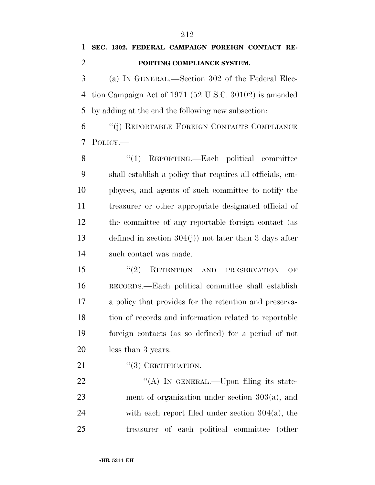### **PORTING COMPLIANCE SYSTEM.**

 (a) IN GENERAL.—Section 302 of the Federal Elec- tion Campaign Act of 1971 (52 U.S.C. 30102) is amended by adding at the end the following new subsection:

 ''(j) REPORTABLE FOREIGN CONTACTS COMPLIANCE POLICY.—

8 "(1) REPORTING.—Each political committee shall establish a policy that requires all officials, em- ployees, and agents of such committee to notify the treasurer or other appropriate designated official of the committee of any reportable foreign contact (as defined in section 304(j)) not later than 3 days after such contact was made.

15 "(2) RETENTION AND PRESERVATION OF RECORDS.—Each political committee shall establish a policy that provides for the retention and preserva- tion of records and information related to reportable foreign contacts (as so defined) for a period of not less than 3 years.

21 "(3) CERTIFICATION.—

22 "(A) IN GENERAL.—Upon filing its state- ment of organization under section 303(a), and 24 with each report filed under section  $304(a)$ , the treasurer of each political committee (other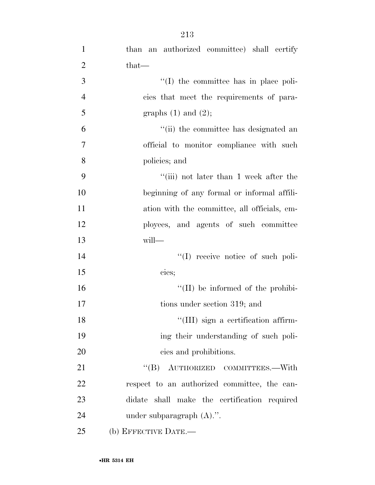| $\mathbf{1}$   | than an authorized committee) shall certify  |
|----------------|----------------------------------------------|
| $\overline{2}$ | that—                                        |
| 3              | $\lq$ (I) the committee has in place poli-   |
| $\overline{4}$ | cies that meet the requirements of para-     |
| 5              | graphs $(1)$ and $(2)$ ;                     |
| 6              | "(ii) the committee has designated an        |
| 7              | official to monitor compliance with such     |
| 8              | policies; and                                |
| 9              | $``(iii)$ not later than 1 week after the    |
| 10             | beginning of any formal or informal affili-  |
| 11             | ation with the committee, all officials, em- |
| 12             | ployees, and agents of such committee        |
| 13             | will-                                        |
| 14             | $\lq\lq$ receive notice of such poli-        |
| 15             | cies;                                        |
| 16             | $\lq\lq$ (II) be informed of the prohibi-    |
| 17             | tions under section 319; and                 |
| 18             | "(III) sign a certification affirm-          |
| 19             | ing their understanding of such poli-        |
| 20             | cies and prohibitions.                       |
| 21             | "(B) AUTHORIZED COMMITTEES.—With             |
| 22             | respect to an authorized committee, the can- |
| 23             | didate shall make the certification required |
| 24             | under subparagraph $(A)$ .".                 |
| 25             | (b) EFFECTIVE DATE.-                         |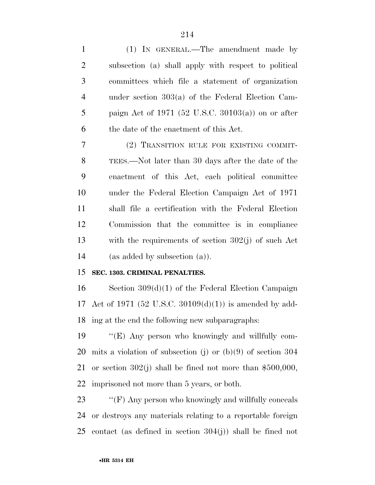| $\mathbf{1}$   | (1) IN GENERAL.—The amendment made by                                                                                                                                                                                                                                                                                             |
|----------------|-----------------------------------------------------------------------------------------------------------------------------------------------------------------------------------------------------------------------------------------------------------------------------------------------------------------------------------|
| $\overline{2}$ | subsection (a) shall apply with respect to political                                                                                                                                                                                                                                                                              |
| 3              | committees which file a statement of organization                                                                                                                                                                                                                                                                                 |
| $\overline{4}$ | under section $303(a)$ of the Federal Election Cam-                                                                                                                                                                                                                                                                               |
| 5              | paign Act of 1971 (52 U.S.C. 30103(a)) on or after                                                                                                                                                                                                                                                                                |
| 6              | the date of the enactment of this Act.                                                                                                                                                                                                                                                                                            |
| 7              | (2) TRANSITION RULE FOR EXISTING COMMIT-                                                                                                                                                                                                                                                                                          |
| $8\,$          | TEES.—Not later than 30 days after the date of the                                                                                                                                                                                                                                                                                |
| 9              | enactment of this Act, each political committee                                                                                                                                                                                                                                                                                   |
| 10             | under the Federal Election Campaign Act of 1971                                                                                                                                                                                                                                                                                   |
| 11             | shall file a certification with the Federal Election                                                                                                                                                                                                                                                                              |
| 12             | Commission that the committee is in compliance                                                                                                                                                                                                                                                                                    |
| 13             | with the requirements of section $302(j)$ of such Act                                                                                                                                                                                                                                                                             |
| 14             | (as added by subsection (a)).                                                                                                                                                                                                                                                                                                     |
| 15             | SEC. 1303. CRIMINAL PENALTIES.                                                                                                                                                                                                                                                                                                    |
| 16             | Section $309(d)(1)$ of the Federal Election Campaign                                                                                                                                                                                                                                                                              |
| 17             | Act of 1971 (52 U.S.C. 30109(d)(1)) is amended by add-                                                                                                                                                                                                                                                                            |
| 18             | ing at the end the following new subparagraphs:                                                                                                                                                                                                                                                                                   |
|                | $10$ $\frac{4}{\pi}$ $\frac{1}{\pi}$ $\frac{1}{\pi}$ $\frac{1}{\pi}$ $\frac{1}{\pi}$ $\frac{1}{\pi}$ $\frac{1}{\pi}$ $\frac{1}{\pi}$ $\frac{1}{\pi}$ $\frac{1}{\pi}$ $\frac{1}{\pi}$ $\frac{1}{\pi}$ $\frac{1}{\pi}$ $\frac{1}{\pi}$ $\frac{1}{\pi}$ $\frac{1}{\pi}$ $\frac{1}{\pi}$ $\frac{1}{\pi}$ $\frac{1}{\pi}$ $\frac{1}{\$ |

 ''(E) Any person who knowingly and willfully com- mits a violation of subsection (j) or (b)(9) of section 304 or section 302(j) shall be fined not more than \$500,000, imprisoned not more than 5 years, or both.

23 ''(F) Any person who knowingly and willfully conceals or destroys any materials relating to a reportable foreign contact (as defined in section 304(j)) shall be fined not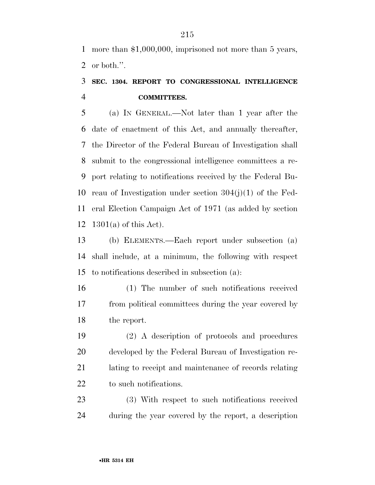more than \$1,000,000, imprisoned not more than 5 years, or both.''.

### **SEC. 1304. REPORT TO CONGRESSIONAL INTELLIGENCE COMMITTEES.**

 (a) IN GENERAL.—Not later than 1 year after the date of enactment of this Act, and annually thereafter, the Director of the Federal Bureau of Investigation shall submit to the congressional intelligence committees a re- port relating to notifications received by the Federal Bu- reau of Investigation under section 304(j)(1) of the Fed- eral Election Campaign Act of 1971 (as added by section 1301(a) of this Act).

 (b) ELEMENTS.—Each report under subsection (a) shall include, at a minimum, the following with respect to notifications described in subsection (a):

 (1) The number of such notifications received from political committees during the year covered by the report.

 (2) A description of protocols and procedures developed by the Federal Bureau of Investigation re- lating to receipt and maintenance of records relating 22 to such notifications.

 (3) With respect to such notifications received during the year covered by the report, a description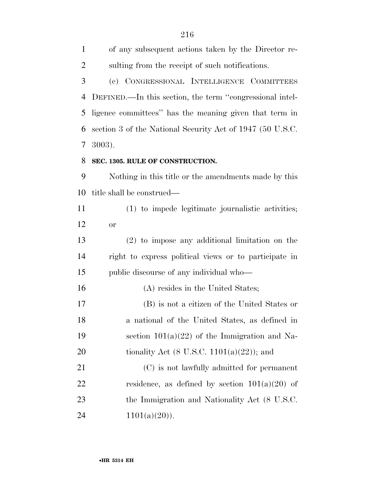of any subsequent actions taken by the Director re- sulting from the receipt of such notifications. (c) CONGRESSIONAL INTELLIGENCE COMMITTEES DEFINED.—In this section, the term ''congressional intel- ligence committees'' has the meaning given that term in section 3 of the National Security Act of 1947 (50 U.S.C. 3003). **SEC. 1305. RULE OF CONSTRUCTION.**  Nothing in this title or the amendments made by this title shall be construed— (1) to impede legitimate journalistic activities; or (2) to impose any additional limitation on the right to express political views or to participate in public discourse of any individual who— 16 (A) resides in the United States; (B) is not a citizen of the United States or a national of the United States, as defined in 19 section  $101(a)(22)$  of the Immigration and Na-20 tionality Act  $(8 \text{ U.S.C. } 1101(a)(22))$ ; and (C) is not lawfully admitted for permanent 22 residence, as defined by section  $101(a)(20)$  of 23 the Immigration and Nationality Act (8 U.S.C.

24  $1101(a)(20)$ .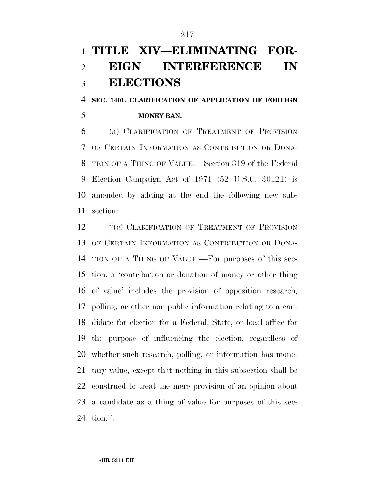## **TITLE XIV—ELIMINATING FOR- EIGN INTERFERENCE IN ELECTIONS**

## **SEC. 1401. CLARIFICATION OF APPLICATION OF FOREIGN MONEY BAN.**

 (a) CLARIFICATION OF TREATMENT OF PROVISION OF CERTAIN INFORMATION AS CONTRIBUTION OR DONA- TION OF A THING OF VALUE.—Section 319 of the Federal Election Campaign Act of 1971 (52 U.S.C. 30121) is amended by adding at the end the following new sub-section:

12 "(c) CLARIFICATION OF TREATMENT OF PROVISION OF CERTAIN INFORMATION AS CONTRIBUTION OR DONA- TION OF A THING OF VALUE.—For purposes of this sec- tion, a 'contribution or donation of money or other thing of value' includes the provision of opposition research, polling, or other non-public information relating to a can- didate for election for a Federal, State, or local office for the purpose of influencing the election, regardless of whether such research, polling, or information has mone- tary value, except that nothing in this subsection shall be construed to treat the mere provision of an opinion about a candidate as a thing of value for purposes of this sec-tion.''.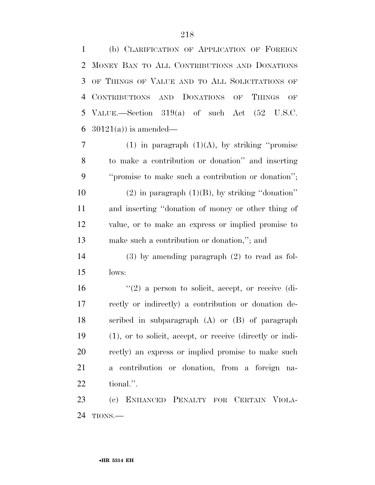(b) CLARIFICATION OF APPLICATION OF FOREIGN MONEY BAN TO ALL CONTRIBUTIONS AND DONATIONS OF THINGS OF VALUE AND TO ALL SOLICITATIONS OF CONTRIBUTIONS AND DONATIONS OF THINGS OF VALUE.—Section 319(a) of such Act (52 U.S.C.  $30121(a)$  is amended—

7 (1) in paragraph  $(1)(A)$ , by striking "promise" to make a contribution or donation'' and inserting ''promise to make such a contribution or donation'';  $(2)$  in paragraph  $(1)(B)$ , by striking "donation" and inserting ''donation of money or other thing of value, or to make an express or implied promise to make such a contribution or donation,''; and

 (3) by amending paragraph (2) to read as fol-lows:

 $\frac{16}{2}$  <sup>''</sup>(2) a person to solicit, accept, or receive (di- rectly or indirectly) a contribution or donation de- scribed in subparagraph (A) or (B) of paragraph (1), or to solicit, accept, or receive (directly or indi- rectly) an express or implied promise to make such a contribution or donation, from a foreign na-tional.''.

 (c) ENHANCED PENALTY FOR CERTAIN VIOLA-TIONS.—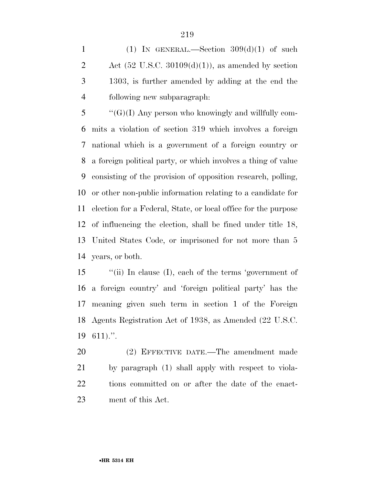1 (1) IN GENERAL.—Section  $309(d)(1)$  of such 2 Act  $(52 \text{ U.S.C. } 30109(d)(1))$ , as amended by section 1303, is further amended by adding at the end the following new subparagraph:

 "'(G)(I) Any person who knowingly and willfully com- mits a violation of section 319 which involves a foreign national which is a government of a foreign country or a foreign political party, or which involves a thing of value consisting of the provision of opposition research, polling, or other non-public information relating to a candidate for election for a Federal, State, or local office for the purpose of influencing the election, shall be fined under title 18, United States Code, or imprisoned for not more than 5 years, or both.

 ''(ii) In clause (I), each of the terms 'government of a foreign country' and 'foreign political party' has the meaning given such term in section 1 of the Foreign Agents Registration Act of 1938, as Amended (22 U.S.C. 611).''.

 (2) EFFECTIVE DATE.—The amendment made by paragraph (1) shall apply with respect to viola- tions committed on or after the date of the enact-ment of this Act.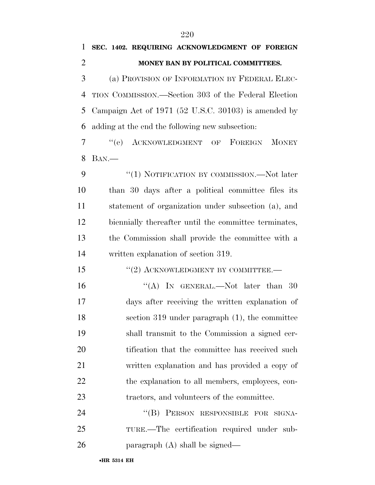## **SEC. 1402. REQUIRING ACKNOWLEDGMENT OF FOREIGN MONEY BAN BY POLITICAL COMMITTEES.**

 (a) PROVISION OF INFORMATION BY FEDERAL ELEC- TION COMMISSION.—Section 303 of the Federal Election Campaign Act of 1971 (52 U.S.C. 30103) is amended by adding at the end the following new subsection:

 ''(e) ACKNOWLEDGMENT OF FOREIGN MONEY BAN.—

9 "(1) NOTIFICATION BY COMMISSION.—Not later than 30 days after a political committee files its statement of organization under subsection (a), and biennially thereafter until the committee terminates, the Commission shall provide the committee with a written explanation of section 319.

15 "(2) ACKNOWLEDGMENT BY COMMITTEE.

16 "(A) In GENERAL.—Not later than 30 days after receiving the written explanation of section 319 under paragraph (1), the committee shall transmit to the Commission a signed cer-20 tification that the committee has received such written explanation and has provided a copy of 22 the explanation to all members, employees, con-23 tractors, and volunteers of the committee.

24 "(B) PERSON RESPONSIBLE FOR SIGNA- TURE.—The certification required under sub-paragraph (A) shall be signed—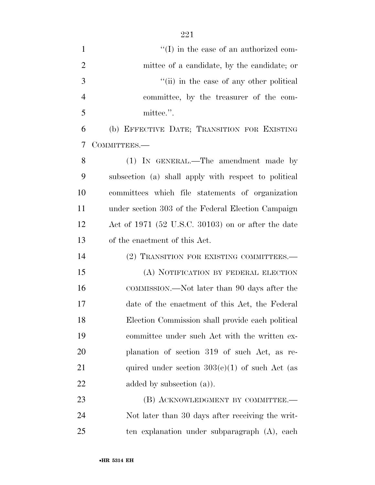| $\mathbf{1}$   | $\lq\lq$ (I) in the case of an authorized com-       |
|----------------|------------------------------------------------------|
| $\overline{2}$ | mittee of a candidate, by the candidate; or          |
| 3              | "(ii) in the case of any other political             |
| $\overline{4}$ | committee, by the treasurer of the com-              |
| 5              | mittee.".                                            |
| 6              | (b) EFFECTIVE DATE; TRANSITION FOR EXISTING          |
| 7              | COMMITTEES.-                                         |
| 8              | (1) IN GENERAL.—The amendment made by                |
| 9              | subsection (a) shall apply with respect to political |
| 10             | committees which file statements of organization     |
| 11             | under section 303 of the Federal Election Campaign   |
| 12             | Act of $1971$ (52 U.S.C. 30103) on or after the date |
| 13             | of the enactment of this Act.                        |
| 14             | (2) TRANSITION FOR EXISTING COMMITTEES.—             |
| 15             | (A) NOTIFICATION BY FEDERAL ELECTION                 |
| 16             | COMMISSION.—Not later than 90 days after the         |
| 17             | date of the enactment of this Act, the Federal       |
| 18             | Election Commission shall provide each political     |
| 19             | committee under such Act with the written ex-        |
| 20             | planation of section 319 of such Act, as re-         |
| 21             | quired under section $303(e)(1)$ of such Act (as     |
| 22             | added by subsection $(a)$ ).                         |
| 23             | (B) ACKNOWLEDGMENT BY COMMITTEE.—                    |
| 24             | Not later than 30 days after receiving the writ-     |
| 25             | ten explanation under subparagraph (A), each         |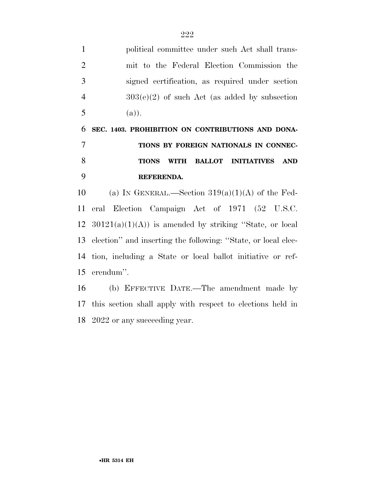political committee under such Act shall trans- mit to the Federal Election Commission the signed certification, as required under section  $4 \qquad \qquad 303(e)(2)$  of such Act (as added by subsection 5 (a)). **SEC. 1403. PROHIBITION ON CONTRIBUTIONS AND DONA- TIONS BY FOREIGN NATIONALS IN CONNEC- TIONS WITH BALLOT INITIATIVES AND REFERENDA.**  10 (a) IN GENERAL.—Section  $319(a)(1)(A)$  of the Fed- eral Election Campaign Act of 1971 (52 U.S.C.  $12 \quad 30121(a)(1)(A)$  is amended by striking "State, or local election'' and inserting the following: ''State, or local elec- tion, including a State or local ballot initiative or ref-erendum''.

 (b) EFFECTIVE DATE.—The amendment made by this section shall apply with respect to elections held in 2022 or any succeeding year.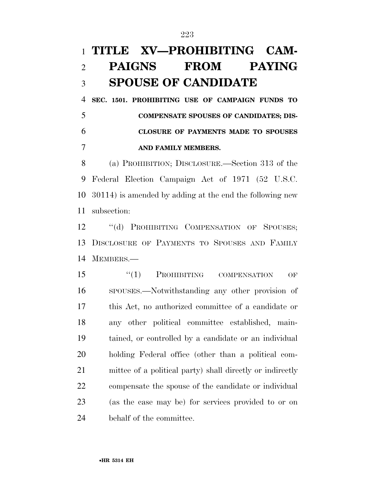## **TITLE XV—PROHIBITING CAM- PAIGNS FROM PAYING SPOUSE OF CANDIDATE**

 **SEC. 1501. PROHIBITING USE OF CAMPAIGN FUNDS TO COMPENSATE SPOUSES OF CANDIDATES; DIS- CLOSURE OF PAYMENTS MADE TO SPOUSES AND FAMILY MEMBERS.** 

 (a) PROHIBITION; DISCLOSURE.—Section 313 of the Federal Election Campaign Act of 1971 (52 U.S.C. 30114) is amended by adding at the end the following new subsection:

12 "(d) PROHIBITING COMPENSATION OF SPOUSES; DISCLOSURE OF PAYMENTS TO SPOUSES AND FAMILY MEMBERS.—

15 "(1) PROHIBITING COMPENSATION OF SPOUSES.—Notwithstanding any other provision of this Act, no authorized committee of a candidate or any other political committee established, main- tained, or controlled by a candidate or an individual holding Federal office (other than a political com- mittee of a political party) shall directly or indirectly compensate the spouse of the candidate or individual (as the case may be) for services provided to or on behalf of the committee.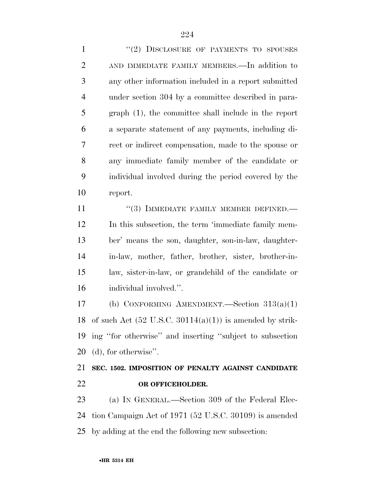1 "(2) DISCLOSURE OF PAYMENTS TO SPOUSES AND IMMEDIATE FAMILY MEMBERS.—In addition to any other information included in a report submitted under section 304 by a committee described in para- graph (1), the committee shall include in the report a separate statement of any payments, including di- rect or indirect compensation, made to the spouse or any immediate family member of the candidate or individual involved during the period covered by the report.

11 "(3) IMMEDIATE FAMILY MEMBER DEFINED.— In this subsection, the term 'immediate family mem- ber' means the son, daughter, son-in-law, daughter- in-law, mother, father, brother, sister, brother-in- law, sister-in-law, or grandchild of the candidate or individual involved.''.

 (b) CONFORMING AMENDMENT.—Section 313(a)(1) 18 of such Act  $(52 \text{ U.S.C. } 30114(a)(1))$  is amended by strik- ing ''for otherwise'' and inserting ''subject to subsection (d), for otherwise''.

### **SEC. 1502. IMPOSITION OF PENALTY AGAINST CANDIDATE OR OFFICEHOLDER.**

 (a) IN GENERAL.—Section 309 of the Federal Elec- tion Campaign Act of 1971 (52 U.S.C. 30109) is amended by adding at the end the following new subsection: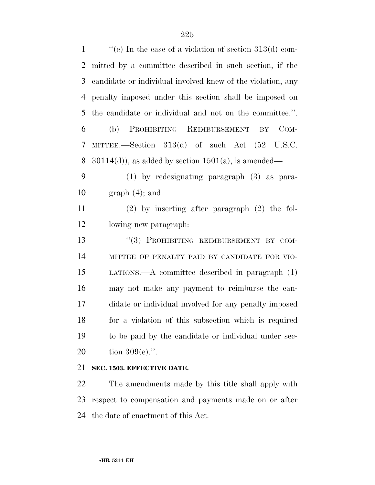''(e) In the case of a violation of section 313(d) com- mitted by a committee described in such section, if the candidate or individual involved knew of the violation, any penalty imposed under this section shall be imposed on the candidate or individual and not on the committee.''. (b) PROHIBITING REIMBURSEMENT BY COM-MITTEE.—Section 313(d) of such Act (52 U.S.C.

8 30114(d)), as added by section  $1501(a)$ , is amended—

 (1) by redesignating paragraph (3) as para-10 graph  $(4)$ ; and

 (2) by inserting after paragraph (2) the fol-lowing new paragraph:

13 "(3) PROHIBITING REIMBURSEMENT BY COM- MITTEE OF PENALTY PAID BY CANDIDATE FOR VIO- LATIONS.—A committee described in paragraph (1) may not make any payment to reimburse the can- didate or individual involved for any penalty imposed for a violation of this subsection which is required to be paid by the candidate or individual under sec-tion 309(e).''.

### **SEC. 1503. EFFECTIVE DATE.**

 The amendments made by this title shall apply with respect to compensation and payments made on or after the date of enactment of this Act.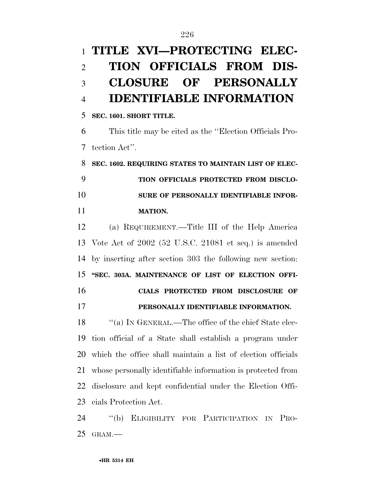# **TITLE XVI—PROTECTING ELEC- TION OFFICIALS FROM DIS- CLOSURE OF PERSONALLY IDENTIFIABLE INFORMATION**

**SEC. 1601. SHORT TITLE.** 

 This title may be cited as the ''Election Officials Pro-tection Act''.

 **SEC. 1602. REQUIRING STATES TO MAINTAIN LIST OF ELEC- TION OFFICIALS PROTECTED FROM DISCLO- SURE OF PERSONALLY IDENTIFIABLE INFOR-MATION.** 

 (a) REQUIREMENT.—Title III of the Help America Vote Act of 2002 (52 U.S.C. 21081 et seq.) is amended by inserting after section 303 the following new section: **''SEC. 303A. MAINTENANCE OF LIST OF ELECTION OFFI- CIALS PROTECTED FROM DISCLOSURE OF PERSONALLY IDENTIFIABLE INFORMATION.** 

18 "(a) IN GENERAL.—The office of the chief State elec- tion official of a State shall establish a program under which the office shall maintain a list of election officials whose personally identifiable information is protected from disclosure and kept confidential under the Election Offi-cials Protection Act.

 ''(b) ELIGIBILITY FOR PARTICIPATION IN PRO-GRAM.—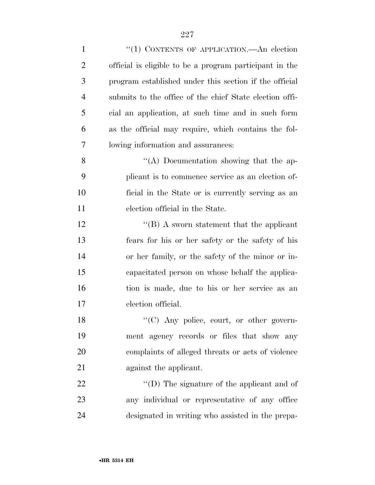| $\mathbf{1}$   | "(1) CONTENTS OF APPLICATION.—An election               |
|----------------|---------------------------------------------------------|
| $\overline{2}$ | official is eligible to be a program participant in the |
| $\mathfrak{Z}$ | program established under this section if the official  |
| $\overline{4}$ | submits to the office of the chief State election offi- |
| 5              | cial an application, at such time and in such form      |
| 6              | as the official may require, which contains the fol-    |
| 7              | lowing information and assurances:                      |
| 8              | "(A) Documentation showing that the ap-                 |
| 9              | plicant is to commence service as an election of-       |
| 10             | ficial in the State or is currently serving as an       |
| 11             | election official in the State.                         |
| 12             | $\lq\lq (B)$ A sworn statement that the applicant       |
| 13             | fears for his or her safety or the safety of his        |
| 14             | or her family, or the safety of the minor or in-        |
| 15             | capacitated person on whose behalf the applica-         |
| 16             | tion is made, due to his or her service as an           |
| 17             | election official.                                      |
| 18             | $\lq\lq$ (C) Any police, court, or other govern-        |
| 19             | ment agency records or files that show any              |
| 20             | complaints of alleged threats or acts of violence       |
| 21             | against the applicant.                                  |
| 22             | $\lq\lq$ (D) The signature of the applicant and of      |
| 23             | any individual or representative of any office          |
| 24             | designated in writing who assisted in the prepa-        |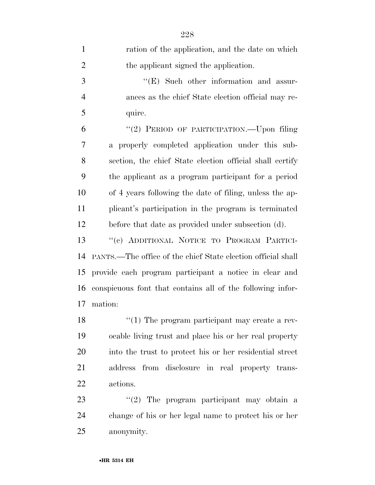| $\mathbf{1}$   | ration of the application, and the date on which             |
|----------------|--------------------------------------------------------------|
| $\overline{2}$ | the applicant signed the application.                        |
| $\mathfrak{Z}$ | $\lq\lq$ (E) Such other information and assur-               |
| $\overline{4}$ | ances as the chief State election official may re-           |
| 5              | quire.                                                       |
| 6              | "(2) PERIOD OF PARTICIPATION.—Upon filing                    |
| 7              | a properly completed application under this sub-             |
| 8              | section, the chief State election official shall certify     |
| 9              | the applicant as a program participant for a period          |
| 10             | of 4 years following the date of filing, unless the ap-      |
| 11             | plicant's participation in the program is terminated         |
| 12             | before that date as provided under subsection (d).           |
| 13             | "(c) ADDITIONAL NOTICE TO PROGRAM PARTICI-                   |
| 14             | PANTS.—The office of the chief State election official shall |
| 15             | provide each program participant a notice in clear and       |
| 16             | conspicuous font that contains all of the following infor-   |
| 17             | mation:                                                      |
| 18             | $\lq(1)$ The program participant may create a rev-           |
| 19             | ocable living trust and place his or her real property       |
| 20             | into the trust to protect his or her residential street      |
| 21             | address from disclosure in real property trans-              |
| 22             | actions.                                                     |
| 23             | " $(2)$ The program participant may obtain a                 |
| 24             | change of his or her legal name to protect his or her        |
| 25             | anonymity.                                                   |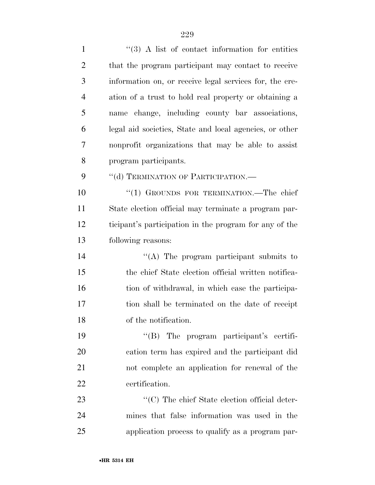1 ''(3) A list of contact information for entities that the program participant may contact to receive information on, or receive legal services for, the cre- ation of a trust to hold real property or obtaining a name change, including county bar associations, legal aid societies, State and local agencies, or other nonprofit organizations that may be able to assist program participants. 9 "(d) TERMINATION OF PARTICIPATION.— 10 "(1) GROUNDS FOR TERMINATION.—The chief State election official may terminate a program par- ticipant's participation in the program for any of the following reasons: ''(A) The program participant submits to the chief State election official written notifica-16 tion of withdrawal, in which case the participa- tion shall be terminated on the date of receipt of the notification. ''(B) The program participant's certifi- cation term has expired and the participant did not complete an application for renewal of the certification.  $\cdot$  (C) The chief State election official deter- mines that false information was used in the application process to qualify as a program par-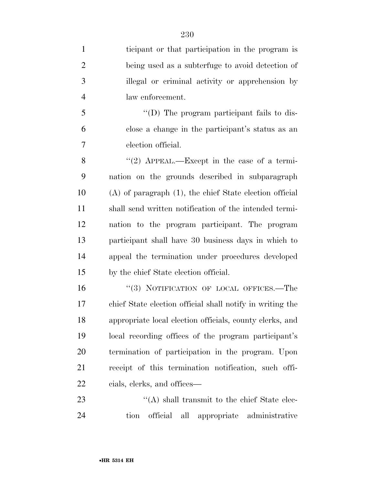| $\mathbf{1}$   | ticipant or that participation in the program is             |
|----------------|--------------------------------------------------------------|
| $\overline{2}$ | being used as a subterfuge to avoid detection of             |
| 3              | illegal or criminal activity or apprehension by              |
| $\overline{4}$ | law enforcement.                                             |
| 5              | "(D) The program participant fails to dis-                   |
| 6              | close a change in the participant's status as an             |
| 7              | election official.                                           |
| 8              | "(2) APPEAL.—Except in the case of a termi-                  |
| 9              | nation on the grounds described in subparagraph              |
| 10             | $(A)$ of paragraph $(1)$ , the chief State election official |
| 11             | shall send written notification of the intended termi-       |
| 12             | nation to the program participant. The program               |
| 13             | participant shall have 30 business days in which to          |
| 14             | appeal the termination under procedures developed            |
| 15             | by the chief State election official.                        |
| 16             | "(3) NOTIFICATION OF LOCAL OFFICES.—The                      |
| 17             | chief State election official shall notify in writing the    |
| 18             | appropriate local election officials, county clerks, and     |
| 19             | local recording offices of the program participant's         |
| 20             | termination of participation in the program. Upon            |
| 21             | receipt of this termination notification, such offi-         |
| 22             | cials, clerks, and offices—                                  |
| 23             | $\lq\lq$ shall transmit to the chief State elec-             |
|                |                                                              |

tion official all appropriate administrative

•**HR 5314 EH**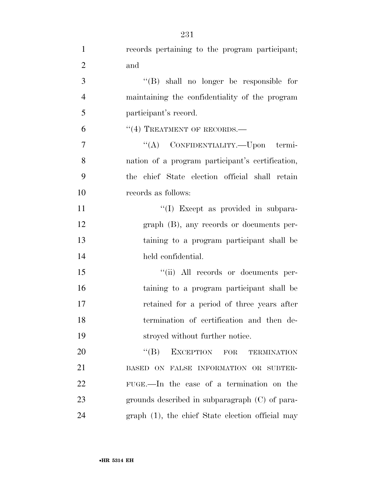| $\mathbf{1}$   | records pertaining to the program participant;      |
|----------------|-----------------------------------------------------|
| $\overline{2}$ | and                                                 |
| 3              | "(B) shall no longer be responsible for             |
| $\overline{4}$ | maintaining the confidentiality of the program      |
| 5              | participant's record.                               |
| 6              | $``(4)$ TREATMENT OF RECORDS.—                      |
| 7              | "(A) CONFIDENTIALITY.—Upon termi-                   |
| 8              | nation of a program participant's certification,    |
| 9              | the chief State election official shall retain      |
| 10             | records as follows:                                 |
| 11             | "(I) Except as provided in subpara-                 |
| 12             | $graph$ (B), any records or documents per-          |
| 13             | taining to a program participant shall be           |
| 14             | held confidential.                                  |
| 15             | "(ii) All records or documents per-                 |
| 16             | taining to a program participant shall be           |
| 17             | retained for a period of three years after          |
| 18             | termination of certification and then de-           |
| 19             | stroyed without further notice.                     |
| 20             | $\lq\lq (B)$<br>EXCEPTION FOR<br><b>TERMINATION</b> |
| 21             | BASED ON FALSE INFORMATION OR SUBTER-               |
| 22             | FUGE.—In the case of a termination on the           |
| 23             | grounds described in subparagraph $(C)$ of para-    |
| 24             | $graph(1)$ , the chief State election official may  |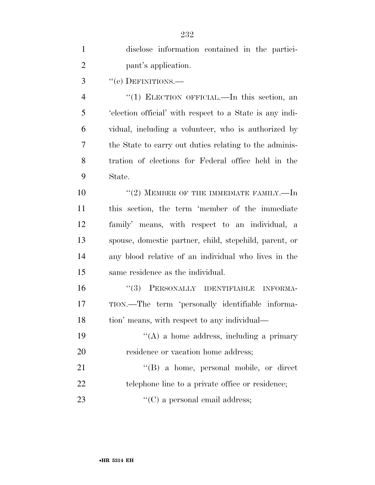| $\mathbf{1}$   | disclose information contained in the partici-           |
|----------------|----------------------------------------------------------|
| $\overline{2}$ | pant's application.                                      |
| 3              | "(e) DEFINITIONS.—                                       |
| $\overline{4}$ | "(1) ELECTION OFFICIAL.—In this section, an              |
| 5              | 'election official' with respect to a State is any indi- |
| 6              | vidual, including a volunteer, who is authorized by      |
| 7              | the State to carry out duties relating to the adminis-   |
| 8              | tration of elections for Federal office held in the      |
| 9              | State.                                                   |
| 10             | $``(2)$ MEMBER OF THE IMMEDIATE FAMILY.—In               |
| 11             | this section, the term 'member of the immediate          |
| 12             | family' means, with respect to an individual, a          |
| 13             | spouse, domestic partner, child, stepchild, parent, or   |
| 14             | any blood relative of an individual who lives in the     |
| 15             | same residence as the individual.                        |
| 16             | "(3) PERSONALLY IDENTIFIABLE INFORMA-                    |
| 17             | TION.—The term 'personally identifiable informa-         |
| 18             | tion' means, with respect to any individual—             |
| 19             | $\lq\lq(A)$ a home address, including a primary          |
| 20             | residence or vacation home address;                      |
| 21             | $\lq\lq (B)$ a home, personal mobile, or direct          |
| 22             | telephone line to a private office or residence;         |
| 23             | $\lq\lq$ (C) a personal email address;                   |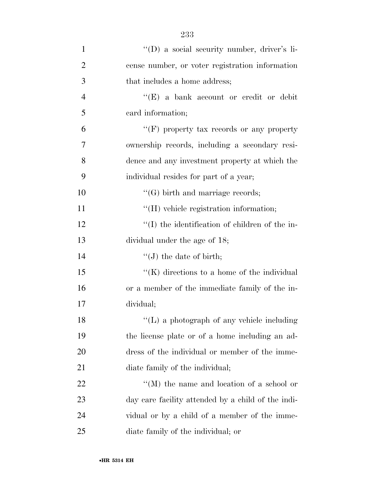| $\mathbf{1}$   | "(D) a social security number, driver's li-        |
|----------------|----------------------------------------------------|
| $\overline{2}$ | cense number, or voter registration information    |
| 3              | that includes a home address;                      |
| $\overline{4}$ | " $(E)$ a bank account or credit or debit          |
| 5              | card information;                                  |
| 6              | "(F) property tax records or any property          |
| 7              | ownership records, including a secondary resi-     |
| 8              | dence and any investment property at which the     |
| 9              | individual resides for part of a year;             |
| 10             | $\lq\lq(G)$ birth and marriage records;            |
| 11             | "(H) vehicle registration information;             |
| 12             | $\lq\lq$ the identification of children of the in- |
| 13             | dividual under the age of 18;                      |
| 14             | $\lq\lq (J)$ the date of birth;                    |
| 15             | " $(K)$ directions to a home of the individual     |
| 16             | or a member of the immediate family of the in-     |
| 17             | dividual;                                          |
| 18             | "(L) a photograph of any vehicle including         |
| 19             | the license plate or of a home including an ad-    |
| 20             | dress of the individual or member of the imme-     |
| 21             | diate family of the individual;                    |
| 22             | "(M) the name and location of a school or          |
| 23             | day care facility attended by a child of the indi- |
| 24             | vidual or by a child of a member of the imme-      |
| 25             | diate family of the individual; or                 |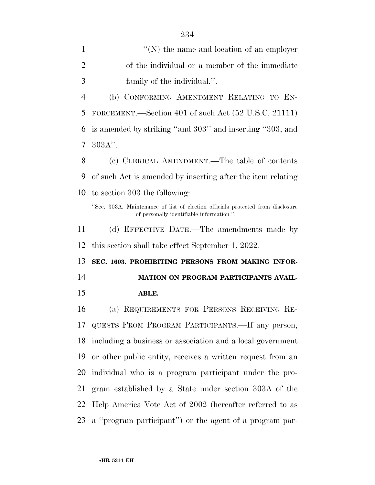| $\mathbf{1}$   | $\lq\lq(N)$ the name and location of an employer                                                                             |
|----------------|------------------------------------------------------------------------------------------------------------------------------|
| $\overline{2}$ | of the individual or a member of the immediate                                                                               |
| 3              | family of the individual.".                                                                                                  |
| 4              | (b) CONFORMING AMENDMENT RELATING TO EN-                                                                                     |
| 5              | FORCEMENT.—Section 401 of such Act $(52 \text{ U.S.C. } 21111)$                                                              |
| 6              | is amended by striking "and 303" and inserting "303, and                                                                     |
| 7              | $303A$ ".                                                                                                                    |
| 8              | (c) CLERICAL AMENDMENT.—The table of contents                                                                                |
| 9              | of such Act is amended by inserting after the item relating                                                                  |
| 10             | to section 303 the following:                                                                                                |
|                | "Sec. 303A. Maintenance of list of election officials protected from disclosure<br>of personally identifiable information.". |
| 11             | (d) EFFECTIVE DATE.—The amendments made by                                                                                   |
|                |                                                                                                                              |
| 12             | this section shall take effect September 1, 2022.                                                                            |
| 13             | SEC. 1603. PROHIBITING PERSONS FROM MAKING INFOR-                                                                            |
| 14             | MATION ON PROGRAM PARTICIPANTS AVAIL-                                                                                        |
| 15             | ABLE.                                                                                                                        |
| 16             | (a) REQUIREMENTS FOR PERSONS RECEIVING RE-                                                                                   |
| 17             | QUESTS FROM PROGRAM PARTICIPANTS. If any person,                                                                             |
| 18             | including a business or association and a local government                                                                   |
| 19             | or other public entity, receives a written request from an                                                                   |
| 20             | individual who is a program participant under the pro-                                                                       |
| 21             | gram established by a State under section 303A of the                                                                        |
| 22             | Help America Vote Act of 2002 (hereafter referred to as                                                                      |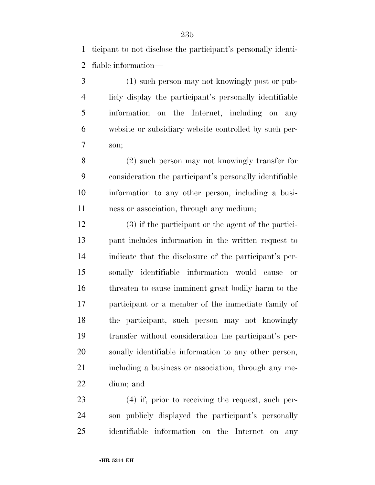ticipant to not disclose the participant's personally identi-fiable information—

 (1) such person may not knowingly post or pub- licly display the participant's personally identifiable information on the Internet, including on any website or subsidiary website controlled by such per-son;

 (2) such person may not knowingly transfer for consideration the participant's personally identifiable information to any other person, including a busi-ness or association, through any medium;

 (3) if the participant or the agent of the partici- pant includes information in the written request to indicate that the disclosure of the participant's per- sonally identifiable information would cause or threaten to cause imminent great bodily harm to the participant or a member of the immediate family of the participant, such person may not knowingly transfer without consideration the participant's per- sonally identifiable information to any other person, 21 including a business or association, through any me-dium; and

 (4) if, prior to receiving the request, such per- son publicly displayed the participant's personally identifiable information on the Internet on any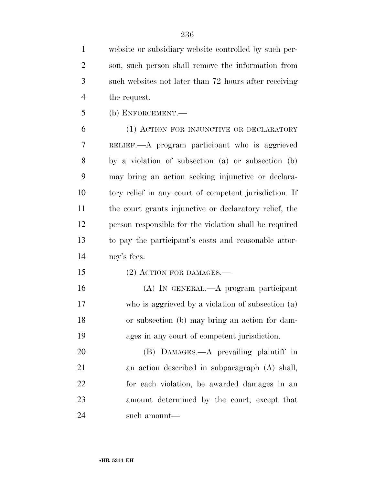website or subsidiary website controlled by such per- son, such person shall remove the information from such websites not later than 72 hours after receiving the request.

(b) ENFORCEMENT.—

 (1) ACTION FOR INJUNCTIVE OR DECLARATORY RELIEF.—A program participant who is aggrieved by a violation of subsection (a) or subsection (b) may bring an action seeking injunctive or declara- tory relief in any court of competent jurisdiction. If the court grants injunctive or declaratory relief, the person responsible for the violation shall be required to pay the participant's costs and reasonable attor-ney's fees.

- 15 (2) ACTION FOR DAMAGES.—
- (A) IN GENERAL.—A program participant who is aggrieved by a violation of subsection (a) or subsection (b) may bring an action for dam-ages in any court of competent jurisdiction.

 (B) DAMAGES.—A prevailing plaintiff in an action described in subparagraph (A) shall, for each violation, be awarded damages in an amount determined by the court, except that such amount—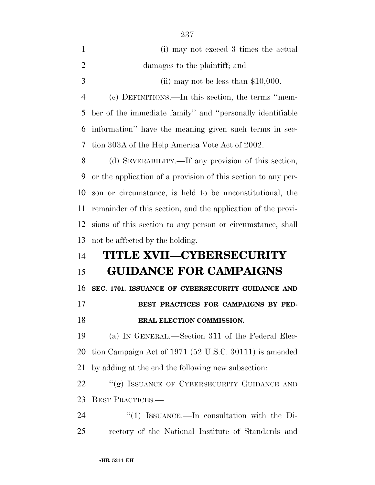| $\mathbf{1}$   | (i) may not exceed 3 times the actual                         |
|----------------|---------------------------------------------------------------|
| $\overline{2}$ | damages to the plaintiff; and                                 |
| 3              | (ii) may not be less than $$10,000$ .                         |
| $\overline{4}$ | (c) DEFINITIONS.—In this section, the terms "mem-             |
| 5              | ber of the immediate family" and "personally identifiable     |
| 6              | information" have the meaning given such terms in sec-        |
| 7              | tion 303A of the Help America Vote Act of 2002.               |
| 8              | (d) SEVERABILITY.—If any provision of this section,           |
| 9              | or the application of a provision of this section to any per- |
| 10             | son or circumstance, is held to be unconstitutional, the      |
| 11             | remainder of this section, and the application of the provi-  |
| 12             | sions of this section to any person or circumstance, shall    |
| 13             | not be affected by the holding.                               |
| 14             | <b>TITLE XVII—CYBERSECURITY</b>                               |
| 15             | <b>GUIDANCE FOR CAMPAIGNS</b>                                 |
| 16             | SEC. 1701. ISSUANCE OF CYBERSECURITY GUIDANCE AND             |
| 17             | BEST PRACTICES FOR CAMPAIGNS BY FED-                          |
| 18             | ERAL ELECTION COMMISSION.                                     |
| 19             | (a) IN GENERAL.—Section 311 of the Federal Elec-              |
| 20             | tion Campaign Act of 1971 (52 U.S.C. 30111) is amended        |
| 21             | by adding at the end the following new subsection:            |
| 22             | "(g) ISSUANCE OF CYBERSECURITY GUIDANCE AND                   |
| 23             | <b>BEST PRACTICES.</b>                                        |
| 24             | "(1) ISSUANCE.—In consultation with the Di-                   |
| 25             | rectory of the National Institute of Standards and            |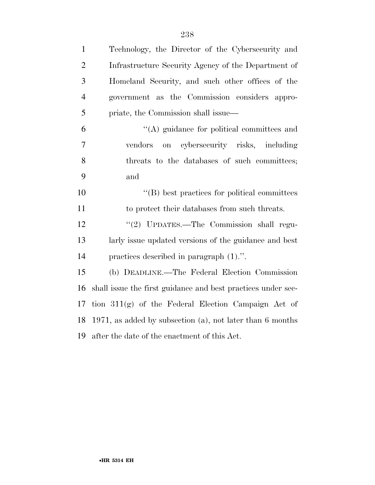| $\mathbf{1}$   | Technology, the Director of the Cybersecurity and            |
|----------------|--------------------------------------------------------------|
| $\overline{2}$ | Infrastructure Security Agency of the Department of          |
| 3              | Homeland Security, and such other offices of the             |
| $\overline{4}$ | government as the Commission considers appro-                |
| 5              | priate, the Commission shall issue—                          |
| 6              | "(A) guidance for political committees and                   |
| 7              | on cybersecurity risks, including<br>vendors                 |
| 8              | threats to the databases of such committees;                 |
| 9              | and                                                          |
| 10             | $\lq\lq$ best practices for political committees             |
| 11             | to protect their databases from such threats.                |
| 12             | "(2) UPDATES.—The Commission shall regu-                     |
| 13             | larly issue updated versions of the guidance and best        |
| 14             | practices described in paragraph $(1)$ .".                   |
| 15             | (b) DEADLINE.—The Federal Election Commission                |
| 16             | shall issue the first guidance and best practices under sec- |
| 17             | tion $311(g)$ of the Federal Election Campaign Act of        |
| 18             | 1971, as added by subsection (a), not later than 6 months    |
|                | 19 after the date of the enactment of this Act.              |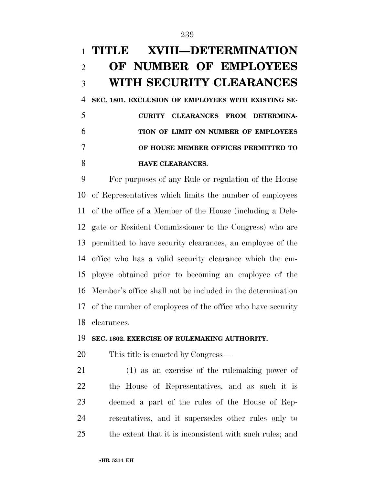## **TITLE XVIII—DETERMINATION OF NUMBER OF EMPLOYEES WITH SECURITY CLEARANCES**

 **SEC. 1801. EXCLUSION OF EMPLOYEES WITH EXISTING SE- CURITY CLEARANCES FROM DETERMINA- TION OF LIMIT ON NUMBER OF EMPLOYEES OF HOUSE MEMBER OFFICES PERMITTED TO HAVE CLEARANCES.** 

 For purposes of any Rule or regulation of the House of Representatives which limits the number of employees of the office of a Member of the House (including a Dele- gate or Resident Commissioner to the Congress) who are permitted to have security clearances, an employee of the office who has a valid security clearance which the em- ployee obtained prior to becoming an employee of the Member's office shall not be included in the determination of the number of employees of the office who have security clearances.

#### **SEC. 1802. EXERCISE OF RULEMAKING AUTHORITY.**

This title is enacted by Congress—

 (1) as an exercise of the rulemaking power of the House of Representatives, and as such it is deemed a part of the rules of the House of Rep- resentatives, and it supersedes other rules only to the extent that it is inconsistent with such rules; and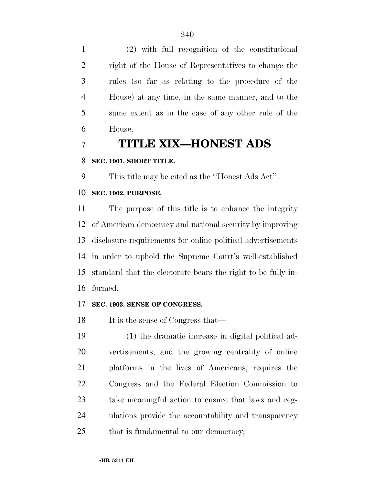(2) with full recognition of the constitutional right of the House of Representatives to change the rules (so far as relating to the procedure of the House) at any time, in the same manner, and to the same extent as in the case of any other rule of the House.

### **TITLE XIX—HONEST ADS**

#### **SEC. 1901. SHORT TITLE.**

This title may be cited as the ''Honest Ads Act''.

### **SEC. 1902. PURPOSE.**

 The purpose of this title is to enhance the integrity of American democracy and national security by improving disclosure requirements for online political advertisements in order to uphold the Supreme Court's well-established standard that the electorate bears the right to be fully in-formed.

#### **SEC. 1903. SENSE OF CONGRESS.**

18 It is the sense of Congress that—

 (1) the dramatic increase in digital political ad- vertisements, and the growing centrality of online platforms in the lives of Americans, requires the Congress and the Federal Election Commission to take meaningful action to ensure that laws and reg- ulations provide the accountability and transparency 25 that is fundamental to our democracy;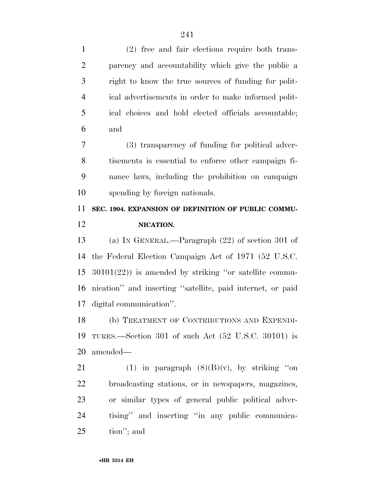(2) free and fair elections require both trans- parency and accountability which give the public a right to know the true sources of funding for polit- ical advertisements in order to make informed polit- ical choices and hold elected officials accountable; and (3) transparency of funding for political adver- tisements is essential to enforce other campaign fi- nance laws, including the prohibition on campaign spending by foreign nationals. **SEC. 1904. EXPANSION OF DEFINITION OF PUBLIC COMMU- NICATION.**  (a) IN GENERAL.—Paragraph (22) of section 301 of the Federal Election Campaign Act of 1971 (52 U.S.C. 30101(22)) is amended by striking ''or satellite commu- nication'' and inserting ''satellite, paid internet, or paid digital communication''. (b) TREATMENT OF CONTRIBUTIONS AND EXPENDI- TURES.—Section 301 of such Act (52 U.S.C. 30101) is amended— 21 (1) in paragraph  $(8)(B)(v)$ , by striking "on broadcasting stations, or in newspapers, magazines, or similar types of general public political adver-tising'' and inserting ''in any public communica-

tion''; and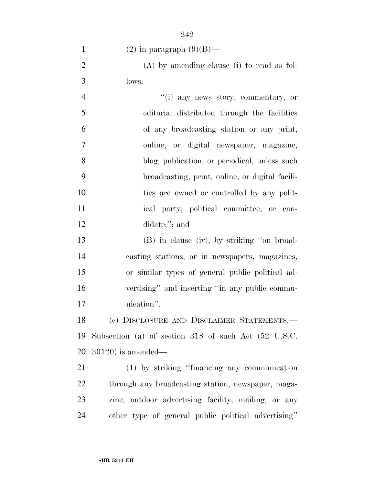| $\mathbf{1}$   | $(2)$ in paragraph $(9)(B)$ —                        |
|----------------|------------------------------------------------------|
| $\overline{2}$ | $(A)$ by amending clause (i) to read as fol-         |
| 3              | lows:                                                |
| $\overline{4}$ | "(i) any news story, commentary, or                  |
| 5              | editorial distributed through the facilities         |
| 6              | of any broadcasting station or any print,            |
| $\overline{7}$ | online, or digital newspaper, magazine,              |
| 8              | blog, publication, or periodical, unless such        |
| 9              | broadcasting, print, online, or digital facili-      |
| 10             | ties are owned or controlled by any polit-           |
| 11             | ical party, political committee, or can-             |
| 12             | didate;"; and                                        |
| 13             | (B) in clause (iv), by striking "on broad-           |
| 14             | casting stations, or in newspapers, magazines,       |
| 15             | or similar types of general public political ad-     |
| 16             | vertising" and inserting "in any public commu-       |
| 17             | nication".                                           |
| 18             | (c) DISCLOSURE AND DISCLAIMER STATEMENTS.-           |
| 19             | Subsection (a) of section 318 of such Act (52 U.S.C. |
| 20             | $30120$ ) is amended—                                |
| 21             | (1) by striking "financing any communication         |
| 22             | through any broadcasting station, newspaper, maga-   |
| 23             | zine, outdoor advertising facility, mailing, or any  |
| 24             | other type of general public political advertising"  |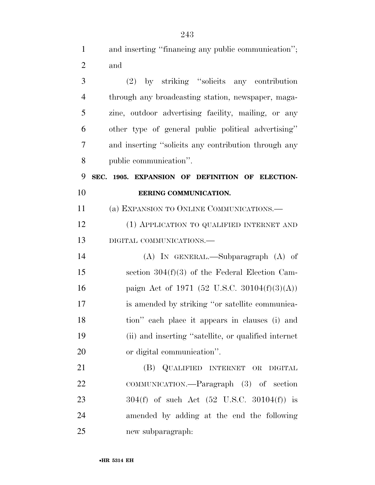1 and inserting "financing any public communication";

| $\overline{2}$ | and                                                     |
|----------------|---------------------------------------------------------|
| 3              | (2) by striking "solicits any contribution              |
| $\overline{4}$ | through any broadcasting station, newspaper, maga-      |
| 5              | zine, outdoor advertising facility, mailing, or any     |
| 6              | other type of general public political advertising"     |
| 7              | and inserting "solicits any contribution through any    |
| 8              | public communication".                                  |
| 9              | SEC. 1905. EXPANSION OF DEFINITION OF ELECTION-         |
| 10             | EERING COMMUNICATION.                                   |
| 11             | (a) EXPANSION TO ONLINE COMMUNICATIONS.—                |
| 12             | (1) APPLICATION TO QUALIFIED INTERNET AND               |
| 13             | DIGITAL COMMUNICATIONS.-                                |
| 14             | $(A)$ In GENERAL.—Subparagraph $(A)$ of                 |
| 15             | section $304(f)(3)$ of the Federal Election Cam-        |
| 16             | paign Act of 1971 (52 U.S.C. 30104(f)(3)(A))            |
| 17             | is amended by striking "or satellite communica-         |
| 18             | tion" each place it appears in clauses (i) and          |
| 19             | (ii) and inserting "satellite, or qualified internet    |
| 20             | or digital communication".                              |
| 21             | (B) QUALIFIED INTERNET OR DIGITAL                       |
| 22             | COMMUNICATION.—Paragraph (3) of section                 |
| 23             | $304(f)$ of such Act $(52 \text{ U.S.C. } 30104(f))$ is |
| 24             | amended by adding at the end the following              |
| 25             | new subparagraph:                                       |
|                |                                                         |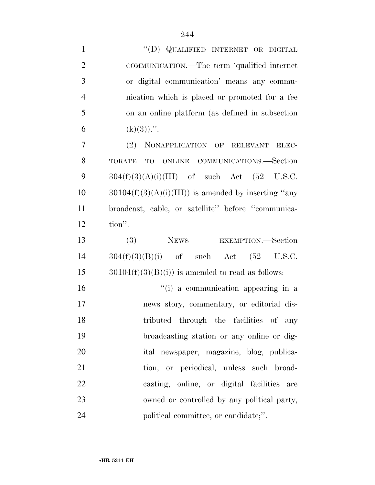| $\mathbf{1}$   | "(D) QUALIFIED INTERNET OR DIGITAL                     |
|----------------|--------------------------------------------------------|
| $\overline{2}$ | COMMUNICATION.—The term 'qualified internet            |
| 3              | or digital communication' means any commu-             |
| $\overline{4}$ | nication which is placed or promoted for a fee         |
| 5              | on an online platform (as defined in subsection        |
| 6              | $(k)(3))$ .".                                          |
| $\tau$         | (2) NONAPPLICATION OF RELEVANT ELEC-                   |
| 8              | TO ONLINE COMMUNICATIONS.—Section<br>TORATE            |
| 9              | $304(f)(3)(A)(i)(III)$ of such Act (52 U.S.C.          |
| 10             | $30104(f)(3)(A)(i)(III))$ is amended by inserting "any |
| 11             | broadcast, cable, or satellite" before "communica-     |
| 12             | tion".                                                 |
|                |                                                        |
| 13             | NEWS EXEMPTION.—Section<br>(3)                         |
| 14             | $304(f)(3)(B)(i)$ of such Act $(52 \text{ U.S.C.})$    |
| 15             | $30104(f)(3)(B(i))$ is amended to read as follows:     |
| 16             | "(i) a communication appearing in a                    |
| 17             | news story, commentary, or editorial dis-              |
| 18             | tributed through the facilities of any                 |
| 19             | broadcasting station or any online or dig-             |
| 20             | ital newspaper, magazine, blog, publica-               |
| 21             | tion, or periodical, unless such broad-                |
| 22             | casting, online, or digital facilities are             |
| 23             | owned or controlled by any political party,            |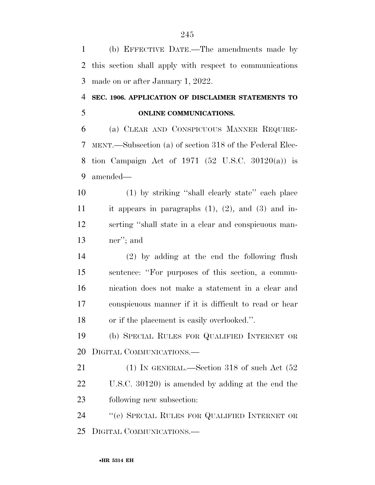(b) EFFECTIVE DATE.—The amendments made by this section shall apply with respect to communications made on or after January 1, 2022.

### **SEC. 1906. APPLICATION OF DISCLAIMER STATEMENTS TO ONLINE COMMUNICATIONS.**

 (a) CLEAR AND CONSPICUOUS MANNER REQUIRE- MENT.—Subsection (a) of section 318 of the Federal Elec- tion Campaign Act of 1971 (52 U.S.C. 30120(a)) is amended—

 (1) by striking ''shall clearly state'' each place 11 it appears in paragraphs  $(1)$ ,  $(2)$ , and  $(3)$  and in- serting ''shall state in a clear and conspicuous man-ner''; and

 (2) by adding at the end the following flush sentence: ''For purposes of this section, a commu- nication does not make a statement in a clear and conspicuous manner if it is difficult to read or hear or if the placement is easily overlooked.''.

 (b) SPECIAL RULES FOR QUALIFIED INTERNET OR DIGITAL COMMUNICATIONS.—

21 (1) IN GENERAL.—Section 318 of such Act  $(52)$  U.S.C. 30120) is amended by adding at the end the following new subsection:

 ''(e) SPECIAL RULES FOR QUALIFIED INTERNET OR DIGITAL COMMUNICATIONS.—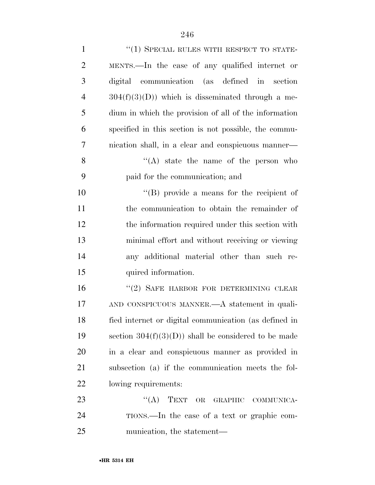| $\mathbf{1}$   | $``(1)$ SPECIAL RULES WITH RESPECT TO STATE-          |
|----------------|-------------------------------------------------------|
| $\overline{2}$ | MENTS.—In the case of any qualified internet or       |
| 3              | digital communication (as defined in section          |
| $\overline{4}$ | $304(f)(3)(D)$ which is disseminated through a me-    |
| 5              | dium in which the provision of all of the information |
| 6              | specified in this section is not possible, the commu- |
| 7              | nication shall, in a clear and conspicuous manner—    |
| 8              | $\lq\lq$ state the name of the person who             |
| 9              | paid for the communication; and                       |
| 10             | $\lq\lq$ (B) provide a means for the recipient of     |
| 11             | the communication to obtain the remainder of          |
| 12             | the information required under this section with      |
| 13             | minimal effort and without receiving or viewing       |
| 14             | any additional material other than such re-           |
| 15             | quired information.                                   |
| 16             | "(2) SAFE HARBOR FOR DETERMINING CLEAR                |
| 17             | AND CONSPICUOUS MANNER.—A statement in quali-         |
| 18             | fied internet or digital communication (as defined in |
| 19             | section $304(f)(3)(D)$ shall be considered to be made |
| <b>20</b>      | in a clear and conspicuous manner as provided in      |
| 21             | subsection (a) if the communication meets the fol-    |
| 22             | lowing requirements:                                  |
| 23             | $\lq\lq (A)$<br>TEXT<br>OR<br>GRAPHIC COMMUNICA-      |
| 24             | TIONS.—In the case of a text or graphic com-          |
| 25             | munication, the statement—                            |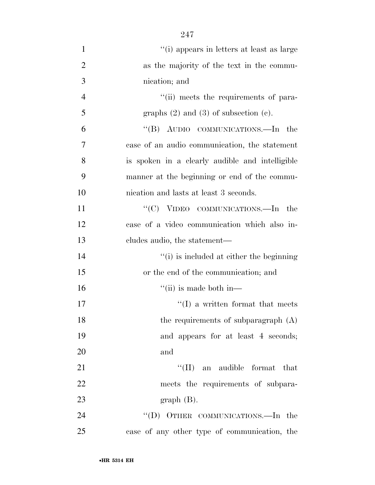| $\mathbf{1}$   | "(i) appears in letters at least as large       |
|----------------|-------------------------------------------------|
| $\overline{2}$ | as the majority of the text in the commu-       |
| 3              | nication; and                                   |
| $\overline{4}$ | "(ii) meets the requirements of para-           |
| 5              | graphs $(2)$ and $(3)$ of subsection $(e)$ .    |
| 6              | "(B) AUDIO COMMUNICATIONS.—In<br>the            |
| 7              | case of an audio communication, the statement   |
| 8              | is spoken in a clearly audible and intelligible |
| 9              | manner at the beginning or end of the commu-    |
| 10             | nication and lasts at least 3 seconds.          |
| 11             | "(C) VIDEO COMMUNICATIONS.—In<br>the            |
| 12             | case of a video communication which also in-    |
| 13             | cludes audio, the statement—                    |
| 14             | "(i) is included at either the beginning        |
| 15             | or the end of the communication; and            |
| 16             | $``$ (ii) is made both in—                      |
| 17             | $\lq\lq$ a written format that meets            |
| 18             | the requirements of subparagraph $(A)$          |
| 19             | and appears for at least 4 seconds;             |
| 20             | and                                             |
| 21             | $``(\Pi)$<br>an audible format that             |
| 22             | meets the requirements of subpara-              |
| 23             | $graph(B)$ .                                    |
| 24             | "(D) OTHER COMMUNICATIONS.—In the               |
| 25             | case of any other type of communication, the    |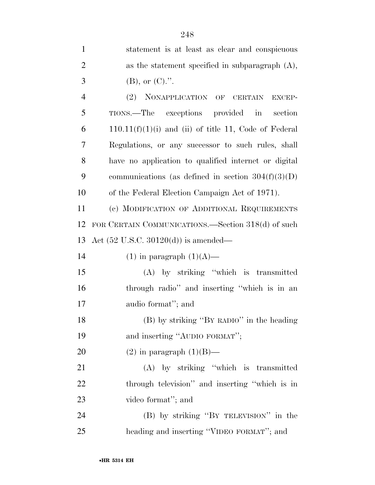| $\mathbf{1}$   | statement is at least as clear and conspicuous          |
|----------------|---------------------------------------------------------|
| $\overline{2}$ | as the statement specified in subparagraph $(A)$ ,      |
| 3              | $(B)$ , or $(C)$ .".                                    |
| $\overline{4}$ | (2) NONAPPLICATION OF CERTAIN<br><b>EXCEP-</b>          |
| 5              | TIONS.—The exceptions provided in<br>section            |
| 6              | $110.11(f)(1)(i)$ and (ii) of title 11, Code of Federal |
| 7              | Regulations, or any successor to such rules, shall      |
| 8              | have no application to qualified internet or digital    |
| 9              | communications (as defined in section $304(f)(3)(D)$ )  |
| 10             | of the Federal Election Campaign Act of 1971).          |
| 11             | (c) MODIFICATION OF ADDITIONAL REQUIREMENTS             |
| 12             | FOR CERTAIN COMMUNICATIONS.—Section 318(d) of such      |
| 13             | Act $(52 \text{ U.S.C. } 30120(d))$ is amended—         |
| 14             | $(1)$ in paragraph $(1)(A)$ —                           |
| 15             | $(A)$ by striking "which is transmitted                 |
| 16             | through radio" and inserting "which is in an            |
| 17             | audio format"; and                                      |
| 18             | (B) by striking "BY RADIO" in the heading               |
| 19             | and inserting "AUDIO FORMAT";                           |
| <b>20</b>      | $(2)$ in paragraph $(1)(B)$ —                           |
| 21             | (A) by striking "which is transmitted                   |
| 22             | through television" and inserting "which is in          |
| 23             | video format"; and                                      |
| 24             | (B) by striking "BY TELEVISION" in the                  |

heading and inserting ''VIDEO FORMAT''; and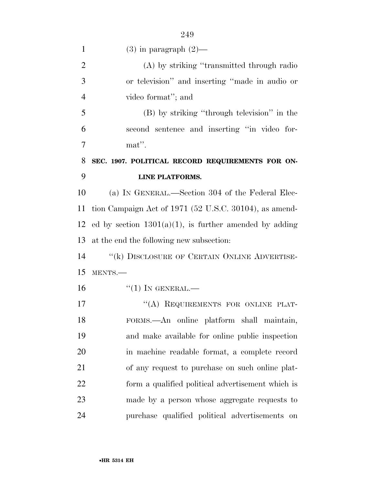1 (3) in paragraph  $(2)$ — (A) by striking ''transmitted through radio or television'' and inserting ''made in audio or video format''; and (B) by striking ''through television'' in the second sentence and inserting ''in video for- mat''. **SEC. 1907. POLITICAL RECORD REQUIREMENTS FOR ON- LINE PLATFORMS.**  (a) IN GENERAL.—Section 304 of the Federal Elec- tion Campaign Act of 1971 (52 U.S.C. 30104), as amend-12 ed by section  $1301(a)(1)$ , is further amended by adding at the end the following new subsection: 14 "(k) DISCLOSURE OF CERTAIN ONLINE ADVERTISE- MENTS.— "(1) In GENERAL.— 17 "(A) REQUIREMENTS FOR ONLINE PLAT- FORMS.—An online platform shall maintain, and make available for online public inspection

 in machine readable format, a complete record of any request to purchase on such online plat- form a qualified political advertisement which is made by a person whose aggregate requests to purchase qualified political advertisements on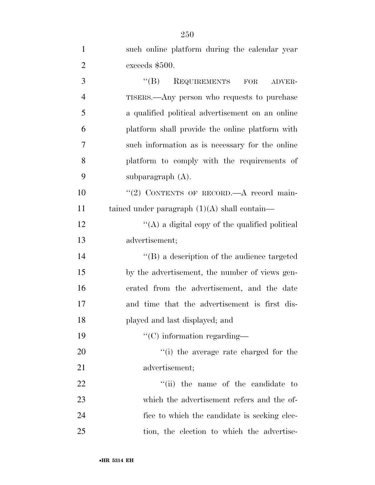| $\mathbf{1}$   | such online platform during the calendar year       |
|----------------|-----------------------------------------------------|
| $\overline{2}$ | exceeds \$500.                                      |
| 3              | $\lq\lq (B)$<br>REQUIREMENTS<br>FOR<br>ADVER-       |
| $\overline{4}$ | TISERS.—Any person who requests to purchase         |
| 5              | a qualified political advertisement on an online    |
| 6              | platform shall provide the online platform with     |
| 7              | such information as is necessary for the online     |
| 8              | platform to comply with the requirements of         |
| 9              | subparagraph $(A)$ .                                |
| 10             | "(2) CONTENTS OF RECORD.—A record main-             |
| 11             | tained under paragraph $(1)(A)$ shall contain—      |
| 12             | "(A) a digital copy of the qualified political      |
| 13             | advertisement;                                      |
| 14             | $\lq\lq (B)$ a description of the audience targeted |
| 15             | by the advertisement, the number of views gen-      |
| 16             | erated from the advertisement, and the date         |
| 17             | and time that the advertisement is first dis-       |
| 18             | played and last displayed; and                      |
| 19             | $\lq\lq$ information regarding—                     |
| 20             | "(i) the average rate charged for the               |
| 21             | advertisement;                                      |
| 22             | "(ii) the name of the candidate to                  |
| 23             | which the advertisement refers and the of-          |
| 24             | fice to which the candidate is seeking elec-        |
| 25             | tion, the election to which the advertise-          |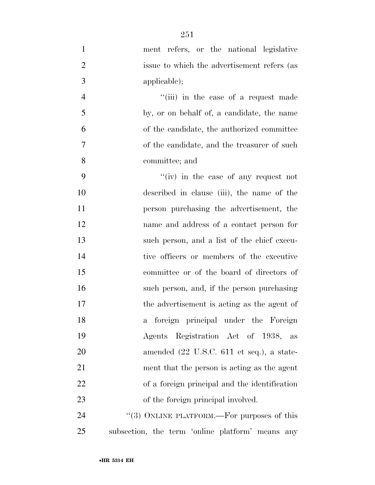ment refers, or the national legislative issue to which the advertisement refers (as applicable); 4 ''(iii) in the case of a request made by, or on behalf of, a candidate, the name of the candidate, the authorized committee of the candidate, and the treasurer of such committee; and ''(iv) in the case of any request not described in clause (iii), the name of the person purchasing the advertisement, the name and address of a contact person for such person, and a list of the chief execu- tive officers or members of the executive committee or of the board of directors of such person, and, if the person purchasing the advertisement is acting as the agent of a foreign principal under the Foreign Agents Registration Act of 1938, as amended (22 U.S.C. 611 et seq.), a state- ment that the person is acting as the agent of a foreign principal and the identification 23 of the foreign principal involved. 24 "(3) ONLINE PLATFORM.—For purposes of this

subsection, the term 'online platform' means any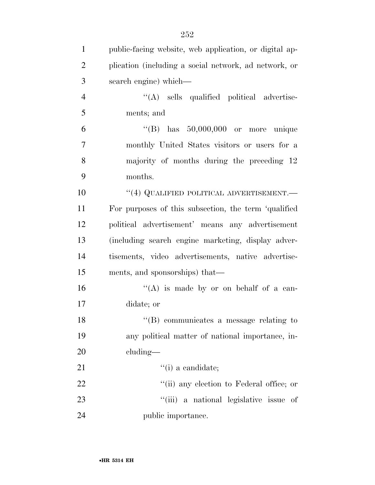| $\mathbf{1}$   | public-facing website, web application, or digital ap- |
|----------------|--------------------------------------------------------|
| $\overline{2}$ | plication (including a social network, ad network, or  |
| 3              | search engine) which—                                  |
| $\overline{4}$ | "(A) sells qualified political advertise-              |
| 5              | ments; and                                             |
| 6              | "(B) has $50,000,000$ or more unique                   |
| 7              | monthly United States visitors or users for a          |
| 8              | majority of months during the preceding 12             |
| 9              | months.                                                |
| 10             | $``(4)$ QUALIFIED POLITICAL ADVERTISEMENT.—            |
| 11             | For purposes of this subsection, the term 'qualified   |
| 12             | political advertisement' means any advertisement       |
| 13             | (including search engine marketing, display adver-     |
| 14             | tisements, video advertisements, native advertise-     |
| 15             | ments, and sponsorships) that—                         |
| 16             | "(A) is made by or on behalf of a can-                 |
| 17             | didate; or                                             |
| 18             | $\lq\lq$ communicates a message relating to            |
| 19             | any political matter of national importance, in-       |
| 20             | cluding—                                               |
| 21             | $``(i)$ a candidate;                                   |
| 22             | "(ii) any election to Federal office; or               |
| 23             | "(iii) a national legislative issue of                 |
| 24             | public importance.                                     |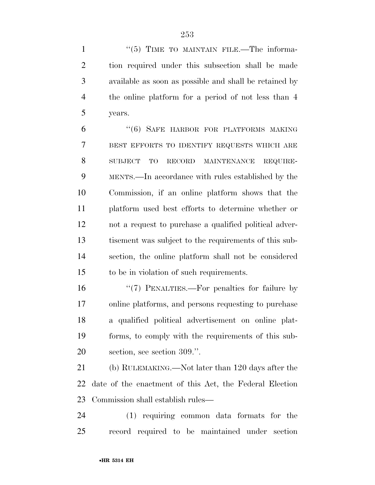1 "(5) TIME TO MAINTAIN FILE.—The informa- tion required under this subsection shall be made available as soon as possible and shall be retained by the online platform for a period of not less than 4 years.

 ''(6) SAFE HARBOR FOR PLATFORMS MAKING BEST EFFORTS TO IDENTIFY REQUESTS WHICH ARE SUBJECT TO RECORD MAINTENANCE REQUIRE- MENTS.—In accordance with rules established by the Commission, if an online platform shows that the platform used best efforts to determine whether or not a request to purchase a qualified political adver- tisement was subject to the requirements of this sub- section, the online platform shall not be considered to be in violation of such requirements.

 ''(7) PENALTIES.—For penalties for failure by online platforms, and persons requesting to purchase a qualified political advertisement on online plat- forms, to comply with the requirements of this sub-section, see section 309.''.

 (b) RULEMAKING.—Not later than 120 days after the date of the enactment of this Act, the Federal Election Commission shall establish rules—

 (1) requiring common data formats for the record required to be maintained under section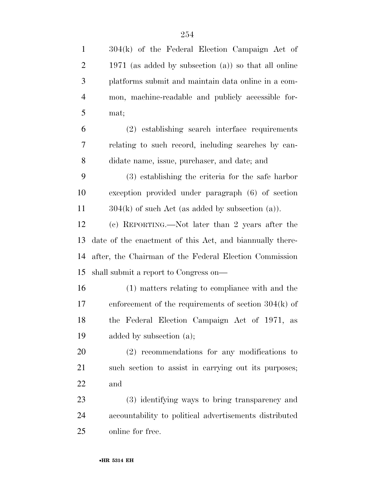| $\mathbf{1}$   | 304(k) of the Federal Election Campaign Act of           |
|----------------|----------------------------------------------------------|
| $\overline{2}$ | 1971 (as added by subsection $(a)$ ) so that all online  |
| 3              | platforms submit and maintain data online in a com-      |
| $\overline{4}$ | mon, machine-readable and publicly accessible for-       |
| 5              | mat;                                                     |
| 6              | (2) establishing search interface requirements           |
| 7              | relating to such record, including searches by can-      |
| $8\,$          | didate name, issue, purchaser, and date; and             |
| 9              | (3) establishing the criteria for the safe harbor        |
| 10             | exception provided under paragraph (6) of section        |
| 11             | $304(k)$ of such Act (as added by subsection (a)).       |
| 12             | (c) REPORTING.—Not later than 2 years after the          |
| 13             | date of the enactment of this Act, and biannually there- |
| 14             | after, the Chairman of the Federal Election Commission   |
| 15             | shall submit a report to Congress on—                    |
| 16             | (1) matters relating to compliance with and the          |
| 17             | enforcement of the requirements of section $304(k)$ of   |
| 18             | the Federal Election Campaign Act of 1971, as            |
| 19             | added by subsection $(a)$ ;                              |
| 20             | $(2)$ recommendations for any modifications to           |
| 21             | such section to assist in carrying out its purposes;     |
| 22             | and                                                      |
| 23             | (3) identifying ways to bring transparency and           |
| 24             | accountability to political advertisements distributed   |
| 25             | online for free.                                         |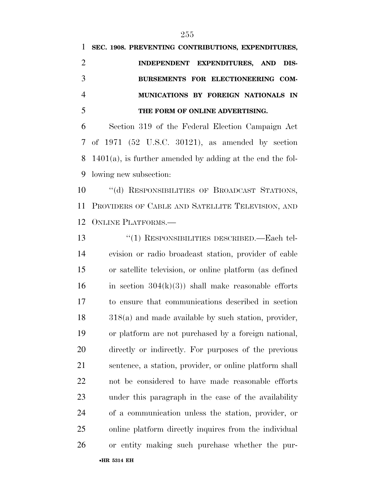| 1 SEC. 1908. PREVENTING CONTRIBUTIONS, EXPENDITURES, |
|------------------------------------------------------|
| INDEPENDENT EXPENDITURES, AND DIS-                   |
| BURSEMENTS FOR ELECTIONEERING COM-                   |
| MUNICATIONS BY FOREIGN NATIONALS IN                  |
| THE FORM OF ONLINE ADVERTISING.                      |

 Section 319 of the Federal Election Campaign Act of 1971 (52 U.S.C. 30121), as amended by section 1401(a), is further amended by adding at the end the fol-lowing new subsection:

10 "(d) RESPONSIBILITIES OF BROADCAST STATIONS, PROVIDERS OF CABLE AND SATELLITE TELEVISION, AND ONLINE PLATFORMS.—

•**HR 5314 EH** ''(1) RESPONSIBILITIES DESCRIBED.—Each tel- evision or radio broadcast station, provider of cable or satellite television, or online platform (as defined 16 in section  $304(k)(3)$  shall make reasonable efforts to ensure that communications described in section 318(a) and made available by such station, provider, or platform are not purchased by a foreign national, directly or indirectly. For purposes of the previous sentence, a station, provider, or online platform shall not be considered to have made reasonable efforts under this paragraph in the case of the availability of a communication unless the station, provider, or online platform directly inquires from the individual or entity making such purchase whether the pur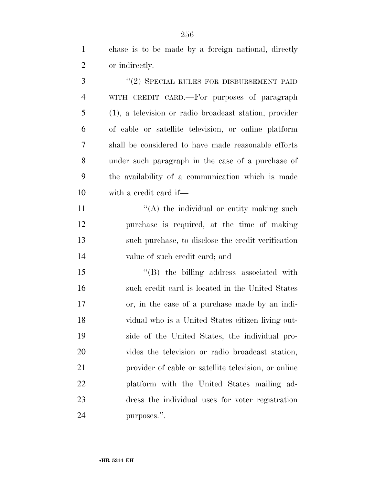chase is to be made by a foreign national, directly or indirectly.

3 "(2) SPECIAL RULES FOR DISBURSEMENT PAID WITH CREDIT CARD.—For purposes of paragraph (1), a television or radio broadcast station, provider of cable or satellite television, or online platform shall be considered to have made reasonable efforts under such paragraph in the case of a purchase of the availability of a communication which is made with a credit card if—  $"(A)$  the individual or entity making such

 purchase is required, at the time of making such purchase, to disclose the credit verification value of such credit card; and

15 "(B) the billing address associated with such credit card is located in the United States or, in the case of a purchase made by an indi- vidual who is a United States citizen living out- side of the United States, the individual pro- vides the television or radio broadcast station, provider of cable or satellite television, or online platform with the United States mailing ad- dress the individual uses for voter registration purposes.''.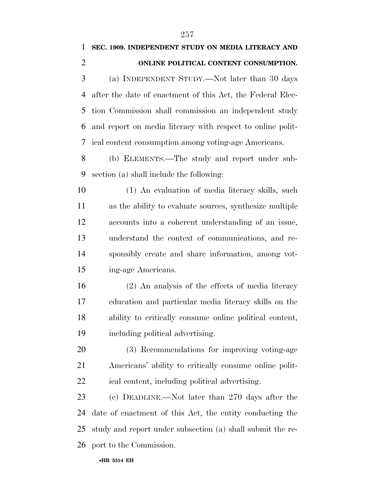#### **SEC. 1909. INDEPENDENT STUDY ON MEDIA LITERACY AND ONLINE POLITICAL CONTENT CONSUMPTION.**

 (a) INDEPENDENT STUDY.—Not later than 30 days after the date of enactment of this Act, the Federal Elec- tion Commission shall commission an independent study and report on media literacy with respect to online polit-ical content consumption among voting-age Americans.

 (b) ELEMENTS.—The study and report under sub-section (a) shall include the following:

 (1) An evaluation of media literacy skills, such as the ability to evaluate sources, synthesize multiple accounts into a coherent understanding of an issue, understand the context of communications, and re- sponsibly create and share information, among vot-ing-age Americans.

 (2) An analysis of the effects of media literacy education and particular media literacy skills on the ability to critically consume online political content, including political advertising.

 (3) Recommendations for improving voting-age Americans' ability to critically consume online polit-ical content, including political advertising.

 (c) DEADLINE.—Not later than 270 days after the date of enactment of this Act, the entity conducting the study and report under subsection (a) shall submit the re-port to the Commission.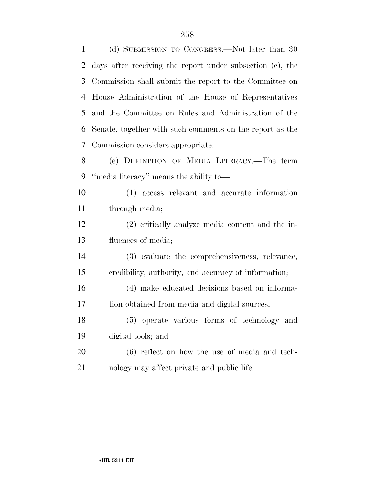(d) SUBMISSION TO CONGRESS.—Not later than 30 days after receiving the report under subsection (c), the Commission shall submit the report to the Committee on House Administration of the House of Representatives and the Committee on Rules and Administration of the Senate, together with such comments on the report as the Commission considers appropriate. (e) DEFINITION OF MEDIA LITERACY.—The term ''media literacy'' means the ability to— (1) access relevant and accurate information through media; (2) critically analyze media content and the in- fluences of media; (3) evaluate the comprehensiveness, relevance, credibility, authority, and accuracy of information; (4) make educated decisions based on informa- tion obtained from media and digital sources; (5) operate various forms of technology and digital tools; and (6) reflect on how the use of media and tech-nology may affect private and public life.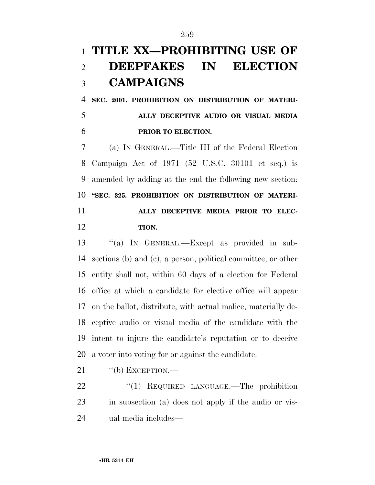## **TITLE XX—PROHIBITING USE OF DEEPFAKES IN ELECTION CAMPAIGNS**

 **SEC. 2001. PROHIBITION ON DISTRIBUTION OF MATERI- ALLY DECEPTIVE AUDIO OR VISUAL MEDIA PRIOR TO ELECTION.** 

 (a) IN GENERAL.—Title III of the Federal Election Campaign Act of 1971 (52 U.S.C. 30101 et seq.) is amended by adding at the end the following new section: **''SEC. 325. PROHIBITION ON DISTRIBUTION OF MATERI- ALLY DECEPTIVE MEDIA PRIOR TO ELEC-TION.** 

 ''(a) IN GENERAL.—Except as provided in sub- sections (b) and (c), a person, political committee, or other entity shall not, within 60 days of a election for Federal office at which a candidate for elective office will appear on the ballot, distribute, with actual malice, materially de- ceptive audio or visual media of the candidate with the intent to injure the candidate's reputation or to deceive a voter into voting for or against the candidate.

21 "(b) EXCEPTION.—

22 "(1) REQUIRED LANGUAGE.—The prohibition in subsection (a) does not apply if the audio or vis-ual media includes—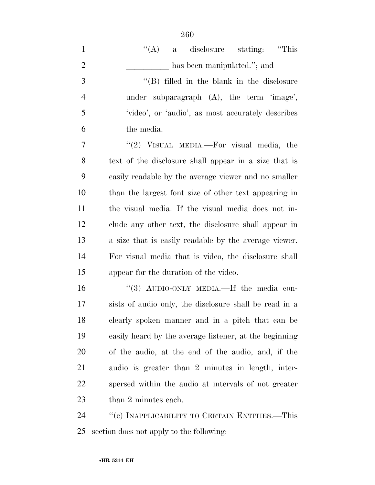''(A) a disclosure stating: ''This 2 has been manipulated.''; and ''(B) filled in the blank in the disclosure under subparagraph (A), the term 'image', 'video', or 'audio', as most accurately describes the media. 7 "'(2) VISUAL MEDIA.—For visual media, the text of the disclosure shall appear in a size that is easily readable by the average viewer and no smaller than the largest font size of other text appearing in the visual media. If the visual media does not in- clude any other text, the disclosure shall appear in a size that is easily readable by the average viewer. For visual media that is video, the disclosure shall appear for the duration of the video. 16 "(3) AUDIO-ONLY MEDIA.—If the media con-

 sists of audio only, the disclosure shall be read in a clearly spoken manner and in a pitch that can be easily heard by the average listener, at the beginning of the audio, at the end of the audio, and, if the audio is greater than 2 minutes in length, inter- spersed within the audio at intervals of not greater 23 than 2 minutes each.

24 "(c) INAPPLICABILITY TO CERTAIN ENTITIES.—This section does not apply to the following: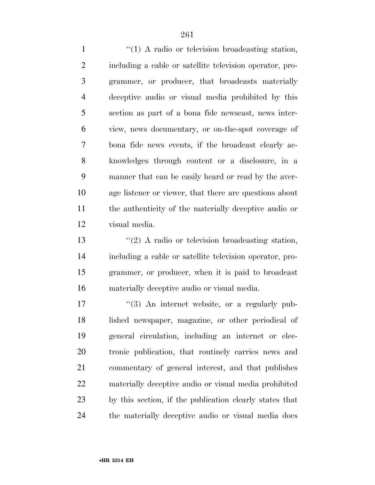1 ''(1) A radio or television broadcasting station, including a cable or satellite television operator, pro- grammer, or producer, that broadcasts materially deceptive audio or visual media prohibited by this section as part of a bona fide newscast, news inter- view, news documentary, or on-the-spot coverage of bona fide news events, if the broadcast clearly ac- knowledges through content or a disclosure, in a manner that can be easily heard or read by the aver- age listener or viewer, that there are questions about the authenticity of the materially deceptive audio or visual media.

13 ''(2) A radio or television broadcasting station, including a cable or satellite television operator, pro- grammer, or producer, when it is paid to broadcast materially deceptive audio or visual media.

 $\frac{1}{3}$  An internet website, or a regularly pub- lished newspaper, magazine, or other periodical of general circulation, including an internet or elec- tronic publication, that routinely carries news and commentary of general interest, and that publishes materially deceptive audio or visual media prohibited by this section, if the publication clearly states that the materially deceptive audio or visual media does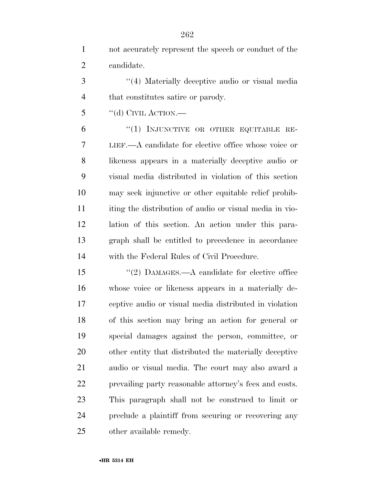|                | not accurately represent the speech or conduct of the |
|----------------|-------------------------------------------------------|
| $\overline{2}$ | candidate.                                            |

3 (4) Materially deceptive audio or visual media 4 that constitutes satire or parody.

"(d) CIVIL ACTION.—

6 "(1) INJUNCTIVE OR OTHER EQUITABLE RE- LIEF.—A candidate for elective office whose voice or likeness appears in a materially deceptive audio or visual media distributed in violation of this section may seek injunctive or other equitable relief prohib- iting the distribution of audio or visual media in vio- lation of this section. An action under this para- graph shall be entitled to precedence in accordance with the Federal Rules of Civil Procedure.

15 "(2) DAMAGES.—A candidate for elective office whose voice or likeness appears in a materially de- ceptive audio or visual media distributed in violation of this section may bring an action for general or special damages against the person, committee, or other entity that distributed the materially deceptive audio or visual media. The court may also award a prevailing party reasonable attorney's fees and costs. This paragraph shall not be construed to limit or preclude a plaintiff from securing or recovering any other available remedy.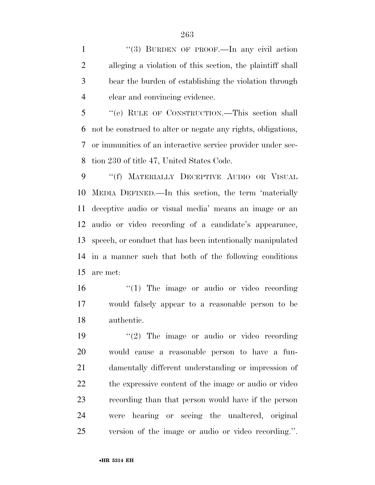1 "(3) BURDEN OF PROOF.—In any civil action alleging a violation of this section, the plaintiff shall bear the burden of establishing the violation through clear and convincing evidence.

 ''(e) RULE OF CONSTRUCTION.—This section shall not be construed to alter or negate any rights, obligations, or immunities of an interactive service provider under sec-tion 230 of title 47, United States Code.

9 "(f) MATERIALLY DECEPTIVE AUDIO OR VISUAL MEDIA DEFINED.—In this section, the term 'materially deceptive audio or visual media' means an image or an audio or video recording of a candidate's appearance, speech, or conduct that has been intentionally manipulated in a manner such that both of the following conditions are met:

16  $\frac{1}{2}$  (1) The image or audio or video recording would falsely appear to a reasonable person to be authentic.

 $\frac{1}{2}$  The image or audio or video recording would cause a reasonable person to have a fun- damentally different understanding or impression of the expressive content of the image or audio or video recording than that person would have if the person were hearing or seeing the unaltered, original version of the image or audio or video recording.''.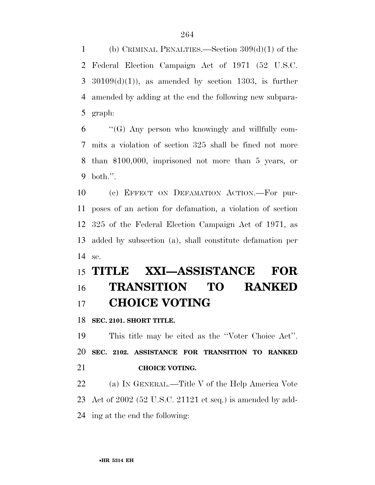(b) CRIMINAL PENALTIES.—Section 309(d)(1) of the Federal Election Campaign Act of 1971 (52 U.S.C.  $3\quad30109(d)(1)$ , as amended by section 1303, is further amended by adding at the end the following new subpara-graph:

 "'(G) Any person who knowingly and willfully com- mits a violation of section 325 shall be fined not more than \$100,000, imprisoned not more than 5 years, or both.''.

 (c) EFFECT ON DEFAMATION ACTION.—For pur- poses of an action for defamation, a violation of section 325 of the Federal Election Campaign Act of 1971, as added by subsection (a), shall constitute defamation per se.

## **TITLE XXI—ASSISTANCE FOR TRANSITION TO RANKED CHOICE VOTING**

**SEC. 2101. SHORT TITLE.** 

 This title may be cited as the ''Voter Choice Act''. **SEC. 2102. ASSISTANCE FOR TRANSITION TO RANKED CHOICE VOTING.** 

 (a) IN GENERAL.—Title V of the Help America Vote Act of 2002 (52 U.S.C. 21121 et seq.) is amended by add-ing at the end the following: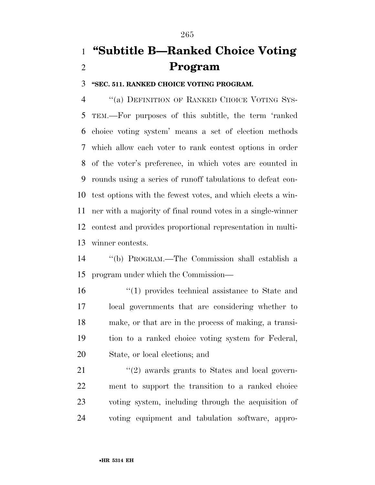## **''Subtitle B—Ranked Choice Voting Program**

**''SEC. 511. RANKED CHOICE VOTING PROGRAM.** 

4 "(a) DEFINITION OF RANKED CHOICE VOTING SYS- TEM.—For purposes of this subtitle, the term 'ranked choice voting system' means a set of election methods which allow each voter to rank contest options in order of the voter's preference, in which votes are counted in rounds using a series of runoff tabulations to defeat con- test options with the fewest votes, and which elects a win- ner with a majority of final round votes in a single-winner contest and provides proportional representation in multi-winner contests.

 ''(b) PROGRAM.—The Commission shall establish a program under which the Commission—

16 ''(1) provides technical assistance to State and local governments that are considering whether to make, or that are in the process of making, a transi- tion to a ranked choice voting system for Federal, State, or local elections; and

21 ''(2) awards grants to States and local govern- ment to support the transition to a ranked choice voting system, including through the acquisition of voting equipment and tabulation software, appro-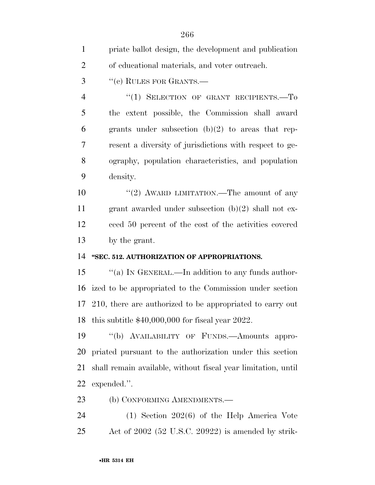| $\mathbf{1}$   | priate ballot design, the development and publication         |
|----------------|---------------------------------------------------------------|
| $\overline{2}$ | of educational materials, and voter outreach.                 |
| 3              | "(c) RULES FOR GRANTS.—                                       |
| $\overline{4}$ | "(1) SELECTION OF GRANT RECIPIENTS.—To                        |
| 5              | the extent possible, the Commission shall award               |
| 6              | grants under subsection $(b)(2)$ to areas that rep-           |
| 7              | resent a diversity of jurisdictions with respect to ge-       |
| 8              | ography, population characteristics, and population           |
| 9              | density.                                                      |
| 10             | "(2) AWARD LIMITATION.—The amount of any                      |
| 11             | grant awarded under subsection $(b)(2)$ shall not ex-         |
| 12             | ceed 50 percent of the cost of the activities covered         |
|                |                                                               |
| 13             | by the grant.                                                 |
| 14             | "SEC. 512. AUTHORIZATION OF APPROPRIATIONS.                   |
| 15             | "(a) IN GENERAL.—In addition to any funds author-             |
| 16             | ized to be appropriated to the Commission under section       |
|                | 17 210, there are authorized to be appropriated to carry out  |
|                | 18 this subtitle $$40,000,000$ for fiscal year 2022.          |
| 19             | "(b) AVAILABILITY OF FUNDS.—Amounts appro-                    |
| 20             | priated pursuant to the authorization under this section      |
| 21             | shall remain available, without fiscal year limitation, until |
| 22             | expended.".                                                   |
| 23             | (b) CONFORMING AMENDMENTS.—                                   |

Act of 2002 (52 U.S.C. 20922) is amended by strik-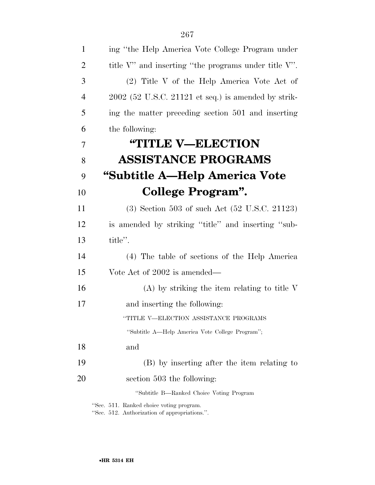| $\mathbf{1}$   | ing "the Help America Vote College Program under           |
|----------------|------------------------------------------------------------|
| $\overline{2}$ | title $V'$ and inserting "the programs under title $V'$ ". |
| 3              | (2) Title V of the Help America Vote Act of                |
| $\overline{4}$ | $2002$ (52 U.S.C. 21121 et seq.) is amended by strik-      |
| 5              | ing the matter preceding section 501 and inserting         |
| 6              | the following:                                             |
| $\overline{7}$ | <b>"TITLE V-ELECTION</b>                                   |
| 8              | <b>ASSISTANCE PROGRAMS</b>                                 |
| 9              | "Subtitle A—Help America Vote                              |
| 10             | <b>College Program".</b>                                   |
| 11             | $(3)$ Section 503 of such Act $(52 \text{ U.S.C. } 21123)$ |
| 12             | is amended by striking "title" and inserting "sub-         |
| 13             | title".                                                    |
| 14             | (4) The table of sections of the Help America              |
| 15             | Vote Act of 2002 is amended—                               |
| 16             | $(A)$ by striking the item relating to title V             |
| 17             | and inserting the following:                               |
|                | "TITLE V—ELECTION ASSISTANCE PROGRAMS                      |
|                | "Subtitle A-Help America Vote College Program";            |
| 18             | and                                                        |
| 19             | (B) by inserting after the item relating to                |
| 20             | section 503 the following:                                 |
|                | "Subtitle B—Ranked Choice Voting Program                   |
|                | "Sec. 511. Ranked choice voting program.                   |

''Sec. 512. Authorization of appropriations.''.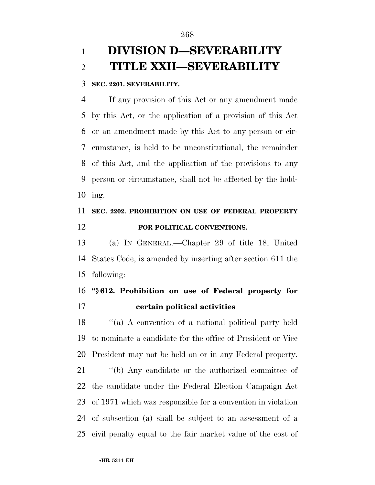### **DIVISION D—SEVERABILITY TITLE XXII—SEVERABILITY**

#### **SEC. 2201. SEVERABILITY.**

 If any provision of this Act or any amendment made by this Act, or the application of a provision of this Act or an amendment made by this Act to any person or cir- cumstance, is held to be unconstitutional, the remainder of this Act, and the application of the provisions to any person or circumstance, shall not be affected by the hold-ing.

#### **SEC. 2202. PROHIBITION ON USE OF FEDERAL PROPERTY FOR POLITICAL CONVENTIONS.**

 (a) IN GENERAL.—Chapter 29 of title 18, United States Code, is amended by inserting after section 611 the following:

#### **''§ 612. Prohibition on use of Federal property for certain political activities**

 ''(a) A convention of a national political party held to nominate a candidate for the office of President or Vice President may not be held on or in any Federal property.

 ''(b) Any candidate or the authorized committee of the candidate under the Federal Election Campaign Act of 1971 which was responsible for a convention in violation of subsection (a) shall be subject to an assessment of a civil penalty equal to the fair market value of the cost of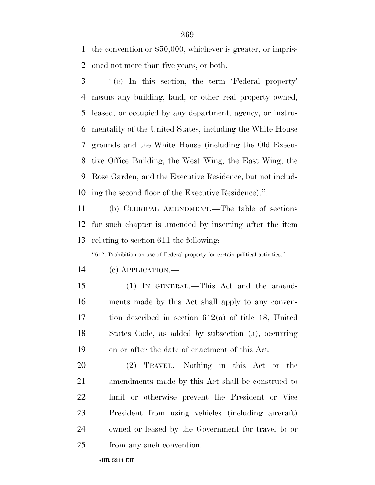the convention or \$50,000, whichever is greater, or impris-oned not more than five years, or both.

 ''(c) In this section, the term 'Federal property' means any building, land, or other real property owned, leased, or occupied by any department, agency, or instru- mentality of the United States, including the White House grounds and the White House (including the Old Execu- tive Office Building, the West Wing, the East Wing, the Rose Garden, and the Executive Residence, but not includ-ing the second floor of the Executive Residence).''.

 (b) CLERICAL AMENDMENT.—The table of sections for such chapter is amended by inserting after the item relating to section 611 the following:

''612. Prohibition on use of Federal property for certain political activities.''.

- (c) APPLICATION.—
- 

- (1) IN GENERAL.—This Act and the amend- ments made by this Act shall apply to any conven- tion described in section 612(a) of title 18, United States Code, as added by subsection (a), occurring on or after the date of enactment of this Act.
- (2) TRAVEL.—Nothing in this Act or the amendments made by this Act shall be construed to limit or otherwise prevent the President or Vice President from using vehicles (including aircraft) owned or leased by the Government for travel to or from any such convention.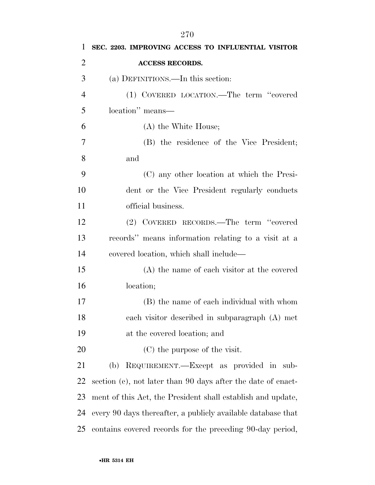| 1              | SEC. 2203. IMPROVING ACCESS TO INFLUENTIAL VISITOR           |
|----------------|--------------------------------------------------------------|
| $\overline{2}$ | <b>ACCESS RECORDS.</b>                                       |
| 3              | (a) DEFINITIONS.—In this section:                            |
| $\overline{4}$ | (1) COVERED LOCATION.—The term "covered                      |
| 5              | location" means—                                             |
| 6              | (A) the White House;                                         |
| 7              | (B) the residence of the Vice President;                     |
| 8              | and                                                          |
| 9              | (C) any other location at which the Presi-                   |
| 10             | dent or the Vice President regularly conducts                |
| 11             | official business.                                           |
| 12             | (2) COVERED RECORDS.—The term "covered                       |
| 13             | records" means information relating to a visit at a          |
| 14             | covered location, which shall include—                       |
| 15             | (A) the name of each visitor at the covered                  |
| 16             | location;                                                    |
| 17             | (B) the name of each individual with whom                    |
| 18             | each visitor described in subparagraph (A) met               |
| 19             | at the covered location; and                                 |
| 20             | (C) the purpose of the visit.                                |
| 21             | REQUIREMENT.—Except as provided in sub-<br>(b)               |
| 22             | section (c), not later than 90 days after the date of enact- |
| 23             | ment of this Act, the President shall establish and update,  |
| 24             | every 90 days thereafter, a publicly available database that |
| 25             | contains covered records for the preceding 90-day period,    |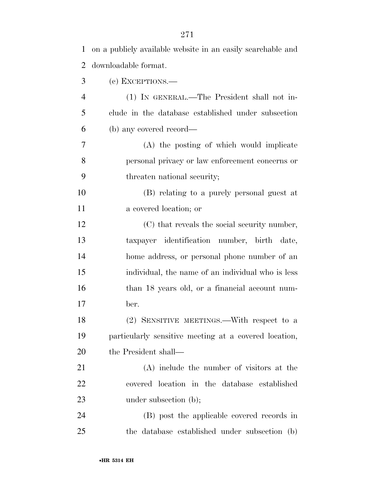| 1              | on a publicly available website in an easily searchable and |
|----------------|-------------------------------------------------------------|
| 2              | downloadable format.                                        |
| 3              | (c) EXCEPTIONS.—                                            |
| $\overline{4}$ | (1) IN GENERAL.—The President shall not in-                 |
| 5              | clude in the database established under subsection          |
| 6              | (b) any covered record—                                     |
| 7              | (A) the posting of which would implicate                    |
| 8              | personal privacy or law enforcement concerns or             |
| 9              | threaten national security;                                 |
| 10             | (B) relating to a purely personal guest at                  |
| 11             | a covered location; or                                      |
| 12             | (C) that reveals the social security number,                |
| 13             | taxpayer identification number, birth date,                 |
| 14             | home address, or personal phone number of an                |
| 15             | individual, the name of an individual who is less           |
| 16             | than 18 years old, or a financial account num-              |
| 17             | ber.                                                        |
| 18             | (2) SENSITIVE MEETINGS.—With respect to a                   |
| 19             | particularly sensitive meeting at a covered location,       |
| 20             | the President shall—                                        |
| 21             | (A) include the number of visitors at the                   |
| 22             | covered location in the database established                |
| 23             | under subsection (b);                                       |
| 24             | (B) post the applicable covered records in                  |
| 25             | the database established under subsection (b)               |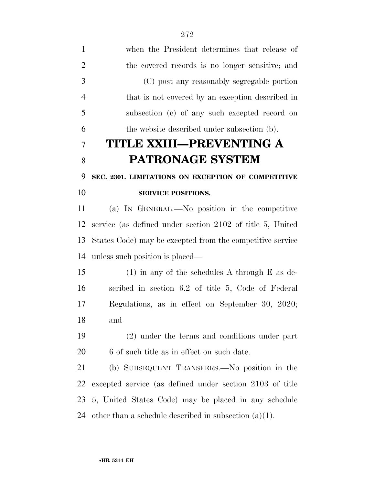| $\mathbf{1}$   | when the President determines that release of             |
|----------------|-----------------------------------------------------------|
| $\overline{2}$ | the covered records is no longer sensitive; and           |
| 3              | (C) post any reasonably segregable portion                |
| $\overline{4}$ | that is not covered by an exception described in          |
| 5              | subsection (c) of any such excepted record on             |
| 6              | the website described under subsection (b).               |
| 7              | TITLE XXIII—PREVENTING A                                  |
| 8              | <b>PATRONAGE SYSTEM</b>                                   |
| 9              | SEC. 2301. LIMITATIONS ON EXCEPTION OF COMPETITIVE        |
| 10             | <b>SERVICE POSITIONS.</b>                                 |
| 11             | (a) IN GENERAL.—No position in the competitive            |
| 12             | service (as defined under section 2102 of title 5, United |
| 13             | States Code) may be excepted from the competitive service |
| 14             | unless such position is placed—                           |
| 15             | $(1)$ in any of the schedules A through E as de-          |
| 16             | scribed in section 6.2 of title 5, Code of Federal        |
| 17             | Regulations, as in effect on September 30, 2020;          |
| 18             | and                                                       |
| 19             | (2) under the terms and conditions under part             |
| 20             | 6 of such title as in effect on such date.                |
| 21             | (b) SUBSEQUENT TRANSFERS.—No position in the              |
| 22             | excepted service (as defined under section 2103 of title  |
| 23             | 5, United States Code) may be placed in any schedule      |
| 24             | other than a schedule described in subsection $(a)(1)$ .  |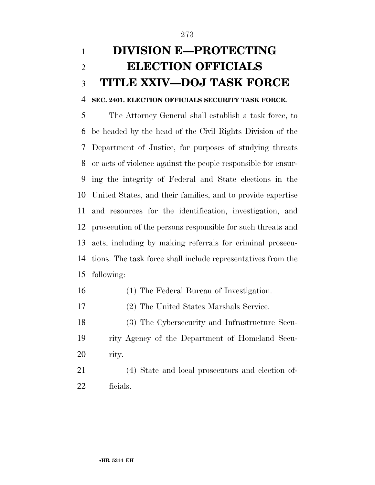## **DIVISION E—PROTECTING ELECTION OFFICIALS TITLE XXIV—DOJ TASK FORCE**

#### **SEC. 2401. ELECTION OFFICIALS SECURITY TASK FORCE.**

 The Attorney General shall establish a task force, to be headed by the head of the Civil Rights Division of the Department of Justice, for purposes of studying threats or acts of violence against the people responsible for ensur- ing the integrity of Federal and State elections in the United States, and their families, and to provide expertise and resources for the identification, investigation, and prosecution of the persons responsible for such threats and acts, including by making referrals for criminal prosecu- tions. The task force shall include representatives from the following:

- (1) The Federal Bureau of Investigation.
- (2) The United States Marshals Service.
- (3) The Cybersecurity and Infrastructure Secu- rity Agency of the Department of Homeland Secu-rity.
- (4) State and local prosecutors and election of-ficials.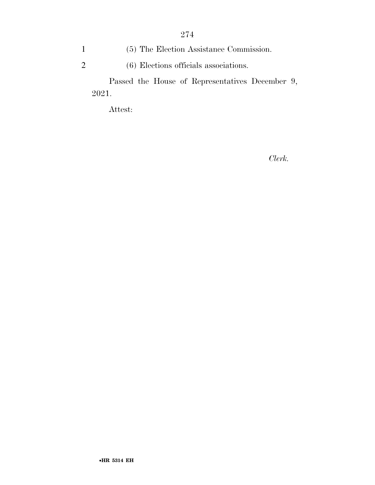1 (5) The Election Assistance Commission. 2 (6) Elections officials associations.

Passed the House of Representatives December 9, 2021.

Attest:

*Clerk.*